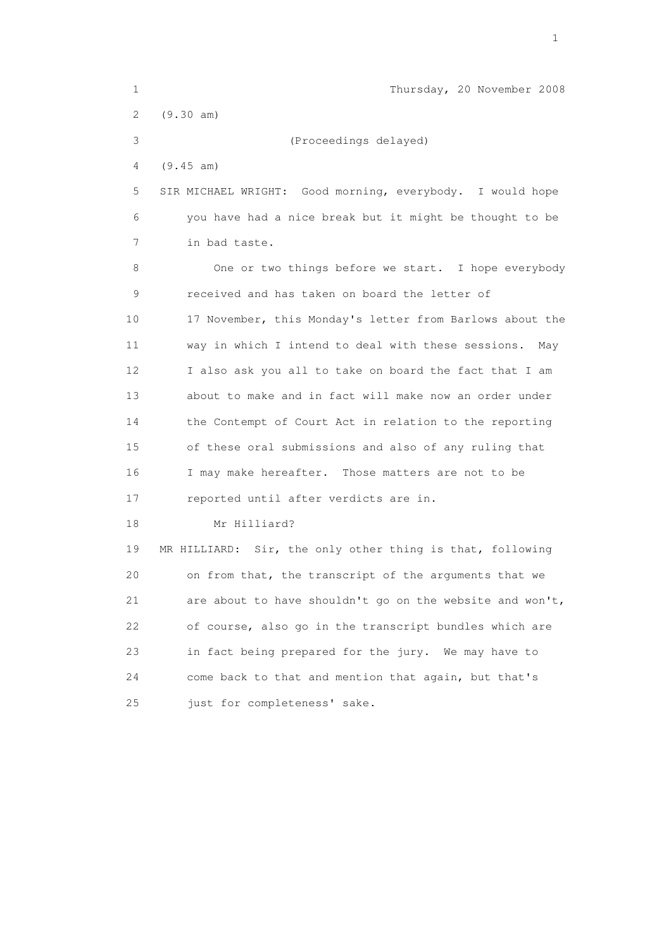| $\mathbf 1$           | Thursday, 20 November 2008                                |
|-----------------------|-----------------------------------------------------------|
| $\mathbf{2}^{\prime}$ | (9.30 am)                                                 |
| 3                     | (Proceedings delayed)                                     |
| 4                     | (9.45 am)                                                 |
| 5                     | SIR MICHAEL WRIGHT: Good morning, everybody. I would hope |
| 6                     | you have had a nice break but it might be thought to be   |
| 7                     | in bad taste.                                             |
| 8                     | One or two things before we start. I hope everybody       |
| 9                     | received and has taken on board the letter of             |
| 10                    | 17 November, this Monday's letter from Barlows about the  |
| 11                    | way in which I intend to deal with these sessions.<br>May |
| 12                    | I also ask you all to take on board the fact that I am    |
| 13                    | about to make and in fact will make now an order under    |
| 14                    | the Contempt of Court Act in relation to the reporting    |
| 15                    | of these oral submissions and also of any ruling that     |
| 16                    | I may make hereafter. Those matters are not to be         |
| 17                    | reported until after verdicts are in.                     |
| 18                    | Mr Hilliard?                                              |
| 19                    | MR HILLIARD: Sir, the only other thing is that, following |
| 20                    | on from that, the transcript of the arguments that we     |
| 21                    | are about to have shouldn't go on the website and won't,  |
| 22                    | of course, also go in the transcript bundles which are    |
| 23                    | in fact being prepared for the jury. We may have to       |
| 24                    | come back to that and mention that again, but that's      |
| 25                    | just for completeness' sake.                              |

the contract of the contract of the contract of the contract of the contract of the contract of the contract of the contract of the contract of the contract of the contract of the contract of the contract of the contract o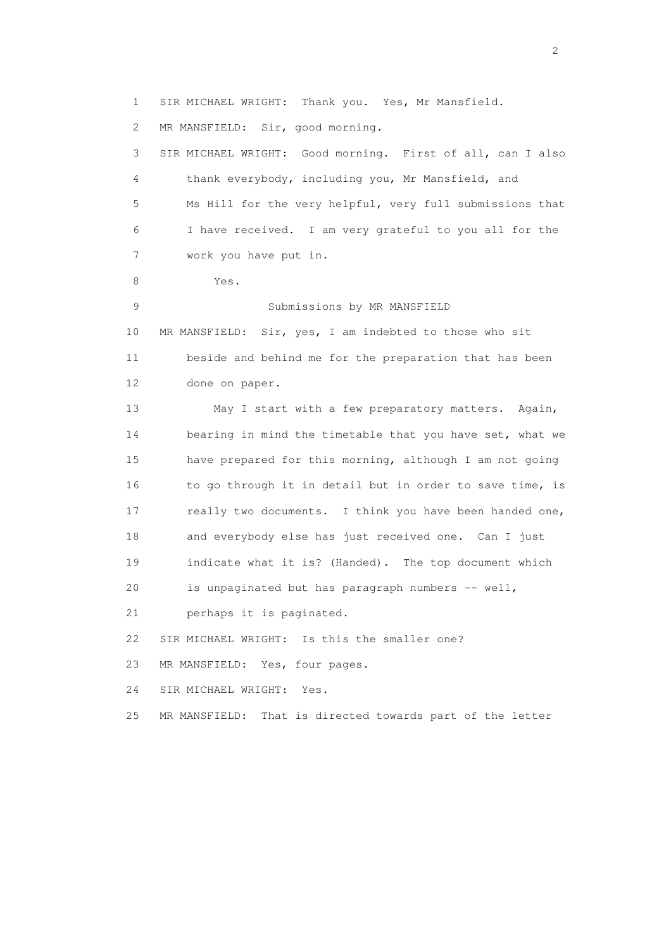1 SIR MICHAEL WRIGHT: Thank you. Yes, Mr Mansfield. 2 MR MANSFIELD: Sir, good morning. 3 SIR MICHAEL WRIGHT: Good morning. First of all, can I also 4 thank everybody, including you, Mr Mansfield, and 5 Ms Hill for the very helpful, very full submissions that 6 I have received. I am very grateful to you all for the 7 work you have put in. 8 Yes. 9 Submissions by MR MANSFIELD 10 MR MANSFIELD: Sir, yes, I am indebted to those who sit 11 beside and behind me for the preparation that has been 12 done on paper. 13 May I start with a few preparatory matters. Again, 14 bearing in mind the timetable that you have set, what we 15 have prepared for this morning, although I am not going 16 to go through it in detail but in order to save time, is 17 really two documents. I think you have been handed one, 18 and everybody else has just received one. Can I just 19 indicate what it is? (Handed). The top document which 20 is unpaginated but has paragraph numbers -- well, 21 perhaps it is paginated. 22 SIR MICHAEL WRIGHT: Is this the smaller one? 23 MR MANSFIELD: Yes, four pages. 24 SIR MICHAEL WRIGHT: Yes. 25 MR MANSFIELD: That is directed towards part of the letter

 $\overline{2}$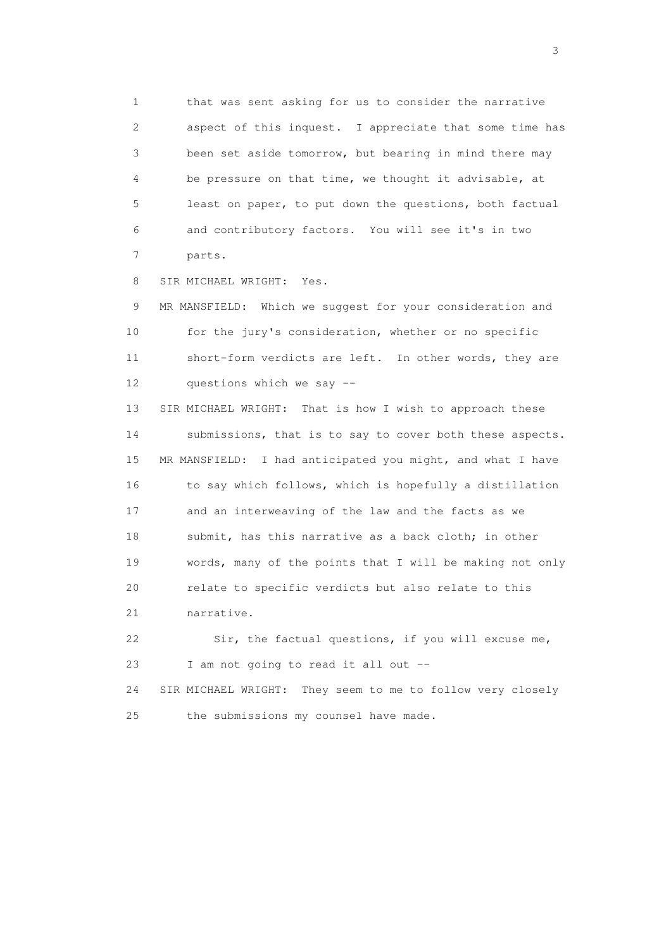1 that was sent asking for us to consider the narrative 2 aspect of this inquest. I appreciate that some time has 3 been set aside tomorrow, but bearing in mind there may 4 be pressure on that time, we thought it advisable, at 5 least on paper, to put down the questions, both factual 6 and contributory factors. You will see it's in two 7 parts.

8 SIR MICHAEL WRIGHT: Yes.

 9 MR MANSFIELD: Which we suggest for your consideration and 10 for the jury's consideration, whether or no specific 11 short-form verdicts are left. In other words, they are 12 questions which we say --

 13 SIR MICHAEL WRIGHT: That is how I wish to approach these 14 submissions, that is to say to cover both these aspects. 15 MR MANSFIELD: I had anticipated you might, and what I have 16 to say which follows, which is hopefully a distillation 17 and an interweaving of the law and the facts as we 18 submit, has this narrative as a back cloth; in other 19 words, many of the points that I will be making not only 20 relate to specific verdicts but also relate to this 21 narrative.

 22 Sir, the factual questions, if you will excuse me, 23 I am not going to read it all out --

 24 SIR MICHAEL WRIGHT: They seem to me to follow very closely 25 the submissions my counsel have made.

 $\sim$  3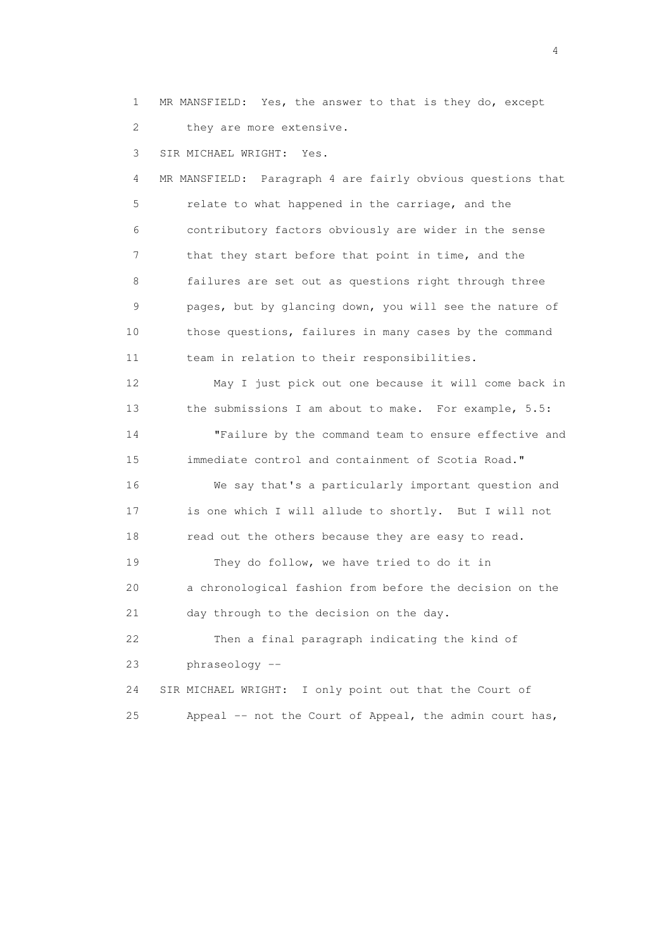1 MR MANSFIELD: Yes, the answer to that is they do, except 2 they are more extensive.

3 SIR MICHAEL WRIGHT: Yes.

 4 MR MANSFIELD: Paragraph 4 are fairly obvious questions that 5 relate to what happened in the carriage, and the 6 contributory factors obviously are wider in the sense 7 that they start before that point in time, and the 8 failures are set out as questions right through three 9 pages, but by glancing down, you will see the nature of 10 those questions, failures in many cases by the command 11 team in relation to their responsibilities.

 12 May I just pick out one because it will come back in 13 the submissions I am about to make. For example, 5.5: 14 "Failure by the command team to ensure effective and 15 immediate control and containment of Scotia Road." 16 We say that's a particularly important question and 17 is one which I will allude to shortly. But I will not 18 read out the others because they are easy to read. 19 They do follow, we have tried to do it in 20 a chronological fashion from before the decision on the 21 day through to the decision on the day. 22 Then a final paragraph indicating the kind of 23 phraseology --

 24 SIR MICHAEL WRIGHT: I only point out that the Court of 25 Appeal -- not the Court of Appeal, the admin court has,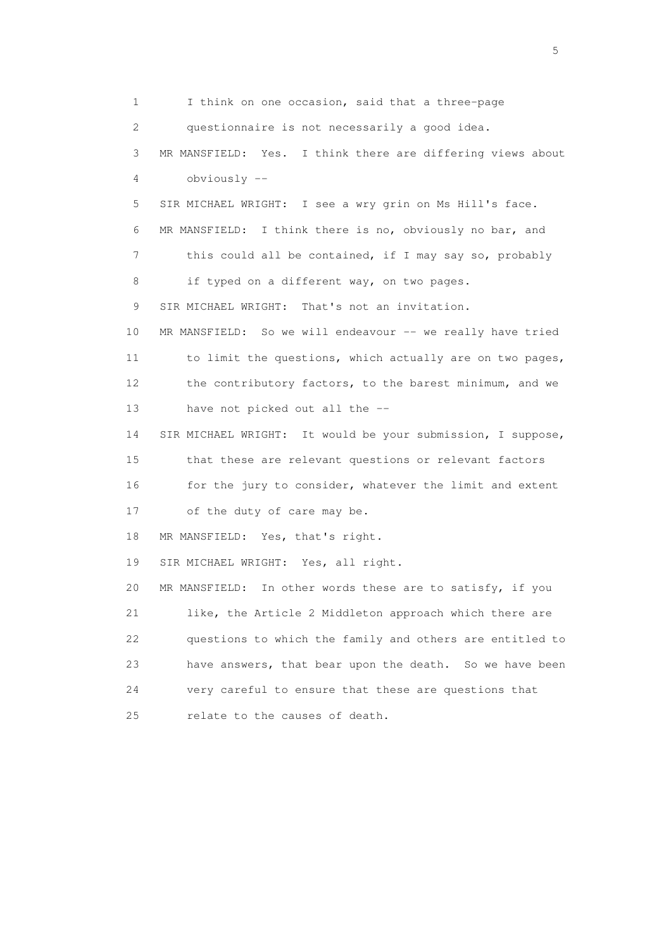1 I think on one occasion, said that a three-page 2 questionnaire is not necessarily a good idea. 3 MR MANSFIELD: Yes. I think there are differing views about 4 obviously -- 5 SIR MICHAEL WRIGHT: I see a wry grin on Ms Hill's face. 6 MR MANSFIELD: I think there is no, obviously no bar, and 7 this could all be contained, if I may say so, probably 8 if typed on a different way, on two pages. 9 SIR MICHAEL WRIGHT: That's not an invitation. 10 MR MANSFIELD: So we will endeavour -- we really have tried 11 to limit the questions, which actually are on two pages, 12 the contributory factors, to the barest minimum, and we 13 have not picked out all the -- 14 SIR MICHAEL WRIGHT: It would be your submission, I suppose, 15 that these are relevant questions or relevant factors 16 for the jury to consider, whatever the limit and extent 17 of the duty of care may be. 18 MR MANSFIELD: Yes, that's right. 19 SIR MICHAEL WRIGHT: Yes, all right. 20 MR MANSFIELD: In other words these are to satisfy, if you 21 like, the Article 2 Middleton approach which there are 22 questions to which the family and others are entitled to 23 have answers, that bear upon the death. So we have been 24 very careful to ensure that these are questions that 25 relate to the causes of death.

 $\sim$  5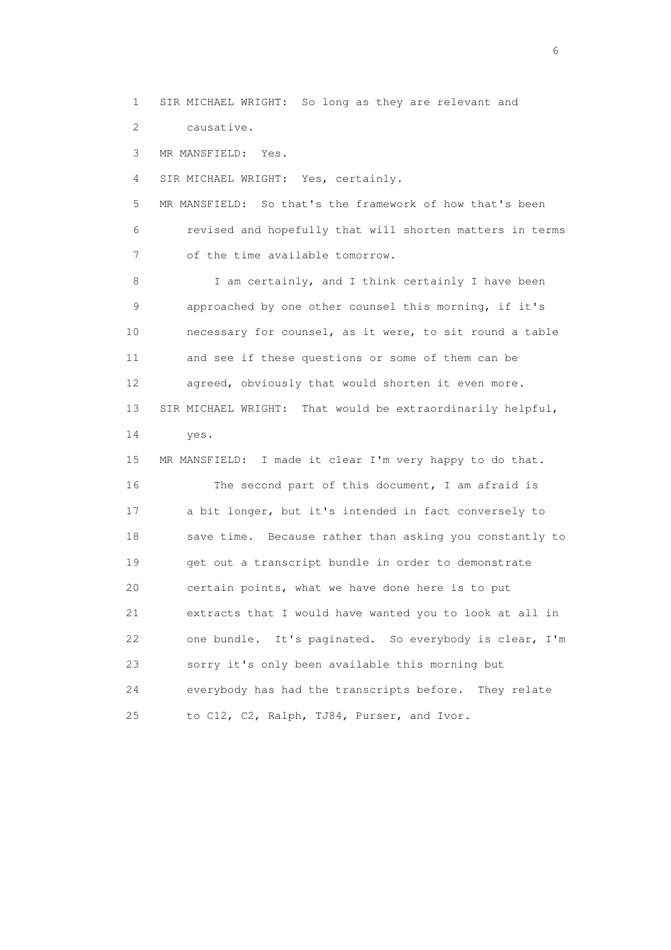1 SIR MICHAEL WRIGHT: So long as they are relevant and

2 causative.

3 MR MANSFIELD: Yes.

4 SIR MICHAEL WRIGHT: Yes, certainly.

 5 MR MANSFIELD: So that's the framework of how that's been 6 revised and hopefully that will shorten matters in terms 7 of the time available tomorrow.

8 I am certainly, and I think certainly I have been 9 approached by one other counsel this morning, if it's 10 necessary for counsel, as it were, to sit round a table 11 and see if these questions or some of them can be 12 agreed, obviously that would shorten it even more. 13 SIR MICHAEL WRIGHT: That would be extraordinarily helpful, 14 yes.

 15 MR MANSFIELD: I made it clear I'm very happy to do that. 16 The second part of this document, I am afraid is 17 a bit longer, but it's intended in fact conversely to 18 save time. Because rather than asking you constantly to 19 get out a transcript bundle in order to demonstrate 20 certain points, what we have done here is to put 21 extracts that I would have wanted you to look at all in 22 one bundle. It's paginated. So everybody is clear, I'm 23 sorry it's only been available this morning but 24 everybody has had the transcripts before. They relate 25 to C12, C2, Ralph, TJ84, Purser, and Ivor.

 $\sim$  6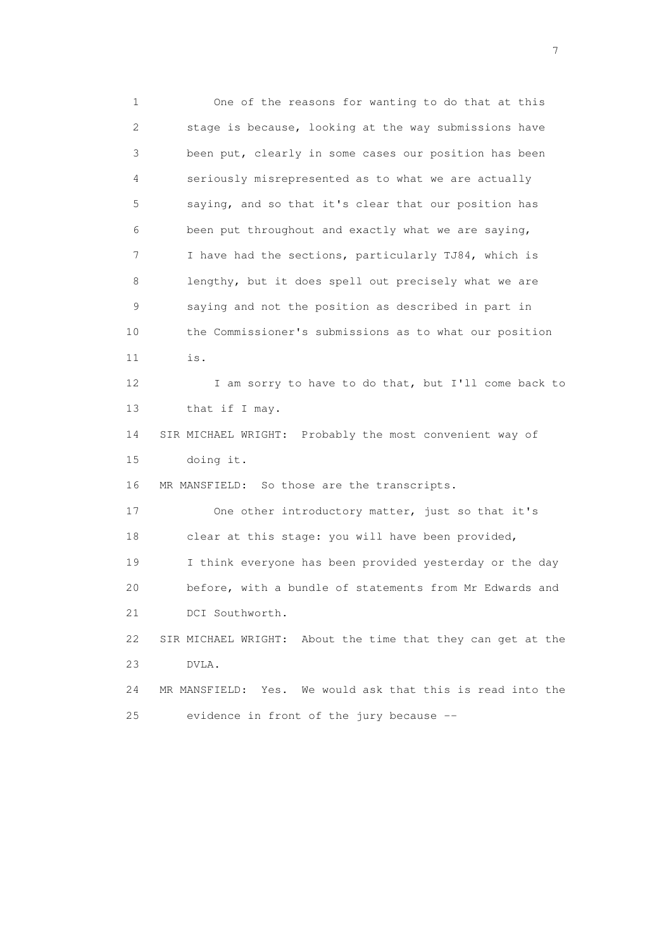1 One of the reasons for wanting to do that at this 2 stage is because, looking at the way submissions have 3 been put, clearly in some cases our position has been 4 seriously misrepresented as to what we are actually 5 saying, and so that it's clear that our position has 6 been put throughout and exactly what we are saying, 7 I have had the sections, particularly TJ84, which is 8 lengthy, but it does spell out precisely what we are 9 saying and not the position as described in part in 10 the Commissioner's submissions as to what our position 11 is. 12 I am sorry to have to do that, but I'll come back to 13 that if I may. 14 SIR MICHAEL WRIGHT: Probably the most convenient way of 15 doing it. 16 MR MANSFIELD: So those are the transcripts. 17 One other introductory matter, just so that it's 18 clear at this stage: you will have been provided, 19 I think everyone has been provided yesterday or the day 20 before, with a bundle of statements from Mr Edwards and 21 DCI Southworth. 22 SIR MICHAEL WRIGHT: About the time that they can get at the 23 DVLA. 24 MR MANSFIELD: Yes. We would ask that this is read into the 25 evidence in front of the jury because --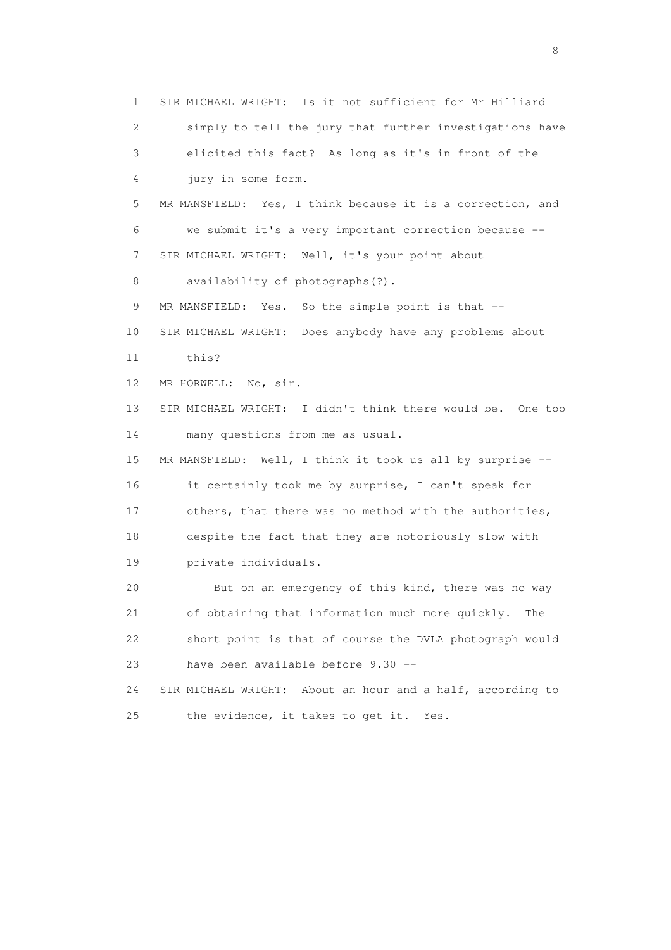1 SIR MICHAEL WRIGHT: Is it not sufficient for Mr Hilliard 2 simply to tell the jury that further investigations have 3 elicited this fact? As long as it's in front of the 4 jury in some form. 5 MR MANSFIELD: Yes, I think because it is a correction, and 6 we submit it's a very important correction because -- 7 SIR MICHAEL WRIGHT: Well, it's your point about 8 availability of photographs(?). 9 MR MANSFIELD: Yes. So the simple point is that -- 10 SIR MICHAEL WRIGHT: Does anybody have any problems about 11 this? 12 MR HORWELL: No, sir. 13 SIR MICHAEL WRIGHT: I didn't think there would be. One too 14 many questions from me as usual. 15 MR MANSFIELD: Well, I think it took us all by surprise -- 16 it certainly took me by surprise, I can't speak for 17 others, that there was no method with the authorities, 18 despite the fact that they are notoriously slow with 19 private individuals. 20 But on an emergency of this kind, there was no way 21 of obtaining that information much more quickly. The 22 short point is that of course the DVLA photograph would 23 have been available before 9.30 -- 24 SIR MICHAEL WRIGHT: About an hour and a half, according to 25 the evidence, it takes to get it. Yes.

en de la construction de la construction de la construction de la construction de la construction de la constr<br>En 1980, en 1980, en 1980, en 1980, en 1980, en 1980, en 1980, en 1980, en 1980, en 1980, en 1980, en 1980, en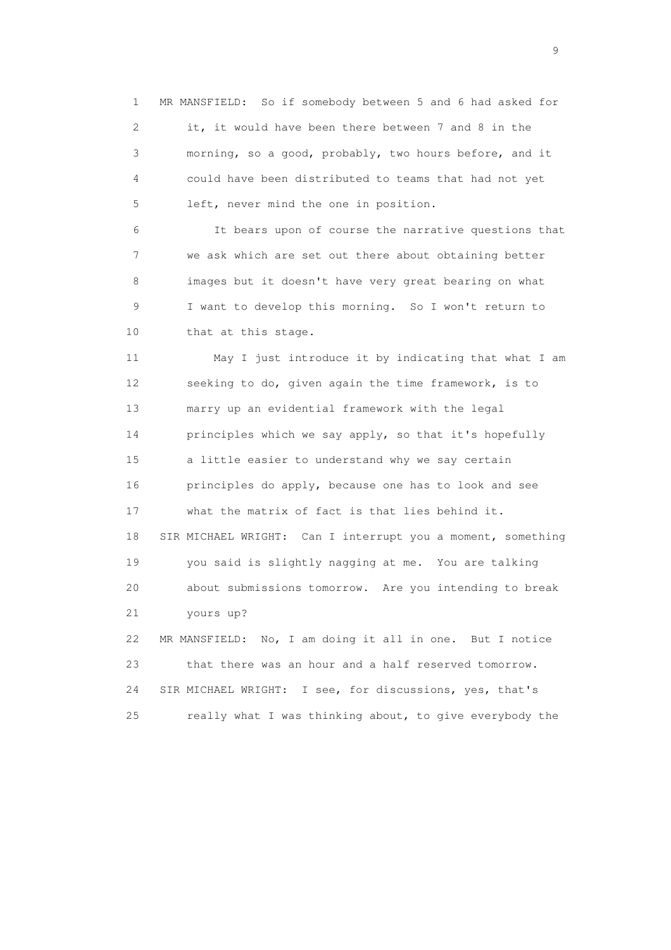1 MR MANSFIELD: So if somebody between 5 and 6 had asked for 2 it, it would have been there between 7 and 8 in the 3 morning, so a good, probably, two hours before, and it 4 could have been distributed to teams that had not yet 5 left, never mind the one in position.

 6 It bears upon of course the narrative questions that 7 we ask which are set out there about obtaining better 8 images but it doesn't have very great bearing on what 9 I want to develop this morning. So I won't return to 10 that at this stage.

 11 May I just introduce it by indicating that what I am 12 seeking to do, given again the time framework, is to 13 marry up an evidential framework with the legal 14 principles which we say apply, so that it's hopefully 15 a little easier to understand why we say certain 16 principles do apply, because one has to look and see 17 what the matrix of fact is that lies behind it. 18 SIR MICHAEL WRIGHT: Can I interrupt you a moment, something 19 you said is slightly nagging at me. You are talking 20 about submissions tomorrow. Are you intending to break 21 yours up? 22 MR MANSFIELD: No, I am doing it all in one. But I notice 23 that there was an hour and a half reserved tomorrow. 24 SIR MICHAEL WRIGHT: I see, for discussions, yes, that's

25 really what I was thinking about, to give everybody the

en de la construction de la construction de la construction de la construction de la construction de la constr<br>1911 : la construction de la construction de la construction de la construction de la construction de la const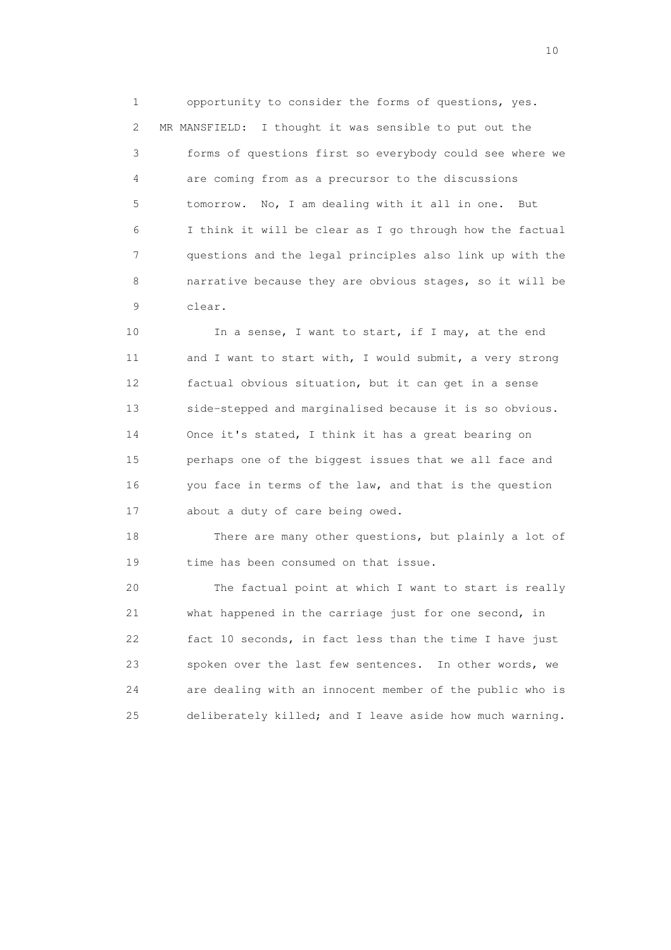1 opportunity to consider the forms of questions, yes. 2 MR MANSFIELD: I thought it was sensible to put out the 3 forms of questions first so everybody could see where we 4 are coming from as a precursor to the discussions 5 tomorrow. No, I am dealing with it all in one. But 6 I think it will be clear as I go through how the factual 7 questions and the legal principles also link up with the 8 narrative because they are obvious stages, so it will be 9 clear.

10 In a sense, I want to start, if I may, at the end 11 and I want to start with, I would submit, a very strong 12 factual obvious situation, but it can get in a sense 13 side-stepped and marginalised because it is so obvious. 14 Once it's stated, I think it has a great bearing on 15 perhaps one of the biggest issues that we all face and 16 you face in terms of the law, and that is the question 17 about a duty of care being owed.

 18 There are many other questions, but plainly a lot of 19 time has been consumed on that issue.

 20 The factual point at which I want to start is really 21 what happened in the carriage just for one second, in 22 fact 10 seconds, in fact less than the time I have just 23 spoken over the last few sentences. In other words, we 24 are dealing with an innocent member of the public who is 25 deliberately killed; and I leave aside how much warning.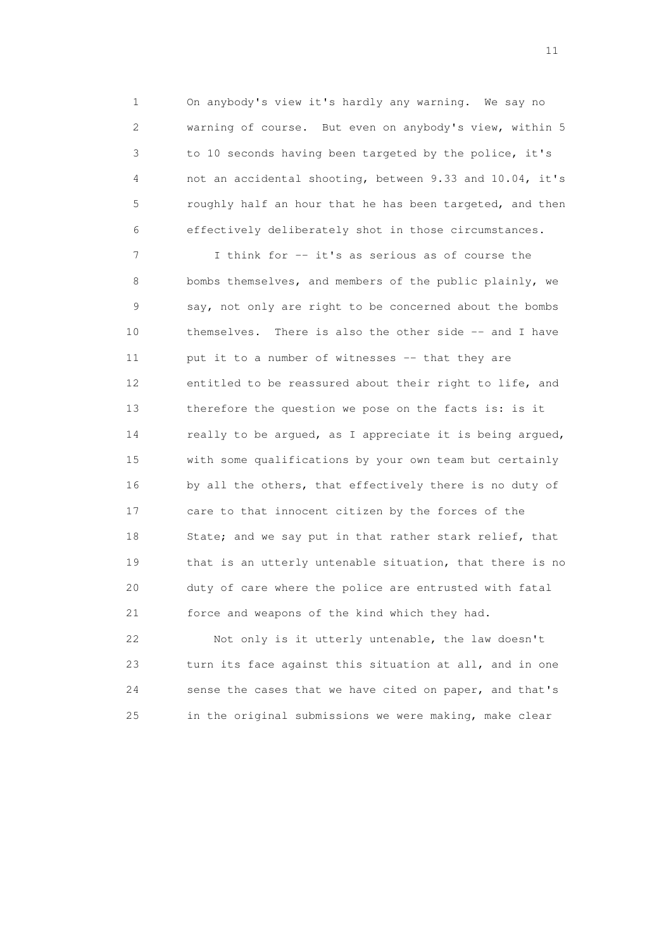1 On anybody's view it's hardly any warning. We say no 2 warning of course. But even on anybody's view, within 5 3 to 10 seconds having been targeted by the police, it's 4 not an accidental shooting, between 9.33 and 10.04, it's 5 roughly half an hour that he has been targeted, and then 6 effectively deliberately shot in those circumstances.

 7 I think for -- it's as serious as of course the 8 bombs themselves, and members of the public plainly, we 9 say, not only are right to be concerned about the bombs 10 themselves. There is also the other side -- and I have 11 put it to a number of witnesses -- that they are 12 entitled to be reassured about their right to life, and 13 therefore the question we pose on the facts is: is it 14 really to be argued, as I appreciate it is being argued, 15 with some qualifications by your own team but certainly 16 by all the others, that effectively there is no duty of 17 care to that innocent citizen by the forces of the 18 State; and we say put in that rather stark relief, that 19 that is an utterly untenable situation, that there is no 20 duty of care where the police are entrusted with fatal 21 force and weapons of the kind which they had.

 22 Not only is it utterly untenable, the law doesn't 23 turn its face against this situation at all, and in one 24 sense the cases that we have cited on paper, and that's 25 in the original submissions we were making, make clear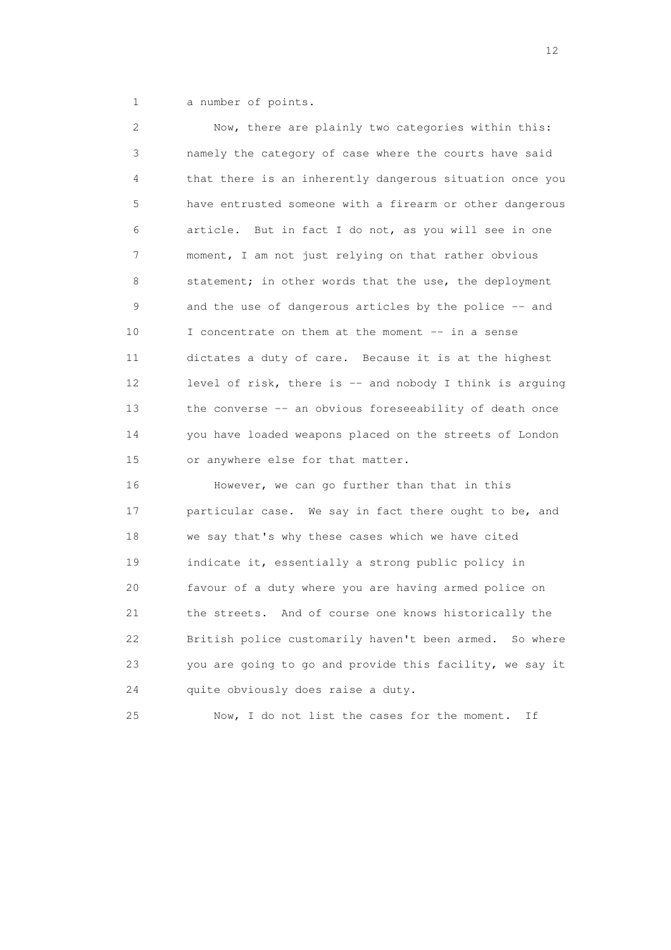1 a number of points.

 2 Now, there are plainly two categories within this: 3 namely the category of case where the courts have said 4 that there is an inherently dangerous situation once you 5 have entrusted someone with a firearm or other dangerous 6 article. But in fact I do not, as you will see in one 7 moment, I am not just relying on that rather obvious 8 statement; in other words that the use, the deployment 9 and the use of dangerous articles by the police -- and 10 I concentrate on them at the moment -- in a sense 11 dictates a duty of care. Because it is at the highest 12 level of risk, there is -- and nobody I think is arguing 13 the converse -- an obvious foreseeability of death once 14 you have loaded weapons placed on the streets of London 15 or anywhere else for that matter. 16 However, we can go further than that in this 17 particular case. We say in fact there ought to be, and 18 we say that's why these cases which we have cited 19 indicate it, essentially a strong public policy in 20 favour of a duty where you are having armed police on

21 the streets. And of course one knows historically the

22 British police customarily haven't been armed. So where

23 you are going to go and provide this facility, we say it

25 Now, I do not list the cases for the moment. If

24 quite obviously does raise a duty.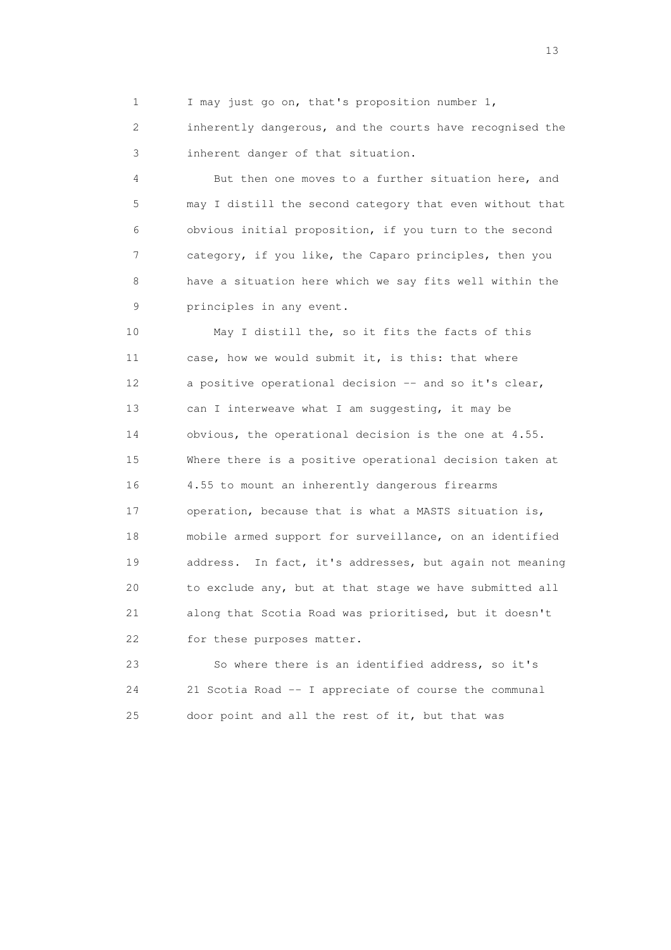1 I may just go on, that's proposition number 1,

 2 inherently dangerous, and the courts have recognised the 3 inherent danger of that situation.

 4 But then one moves to a further situation here, and 5 may I distill the second category that even without that 6 obvious initial proposition, if you turn to the second 7 category, if you like, the Caparo principles, then you 8 have a situation here which we say fits well within the 9 principles in any event.

 10 May I distill the, so it fits the facts of this 11 case, how we would submit it, is this: that where 12 a positive operational decision -- and so it's clear, 13 can I interweave what I am suggesting, it may be 14 obvious, the operational decision is the one at 4.55. 15 Where there is a positive operational decision taken at 16 4.55 to mount an inherently dangerous firearms 17 operation, because that is what a MASTS situation is, 18 mobile armed support for surveillance, on an identified 19 address. In fact, it's addresses, but again not meaning 20 to exclude any, but at that stage we have submitted all 21 along that Scotia Road was prioritised, but it doesn't 22 for these purposes matter.

 23 So where there is an identified address, so it's 24 21 Scotia Road -- I appreciate of course the communal 25 door point and all the rest of it, but that was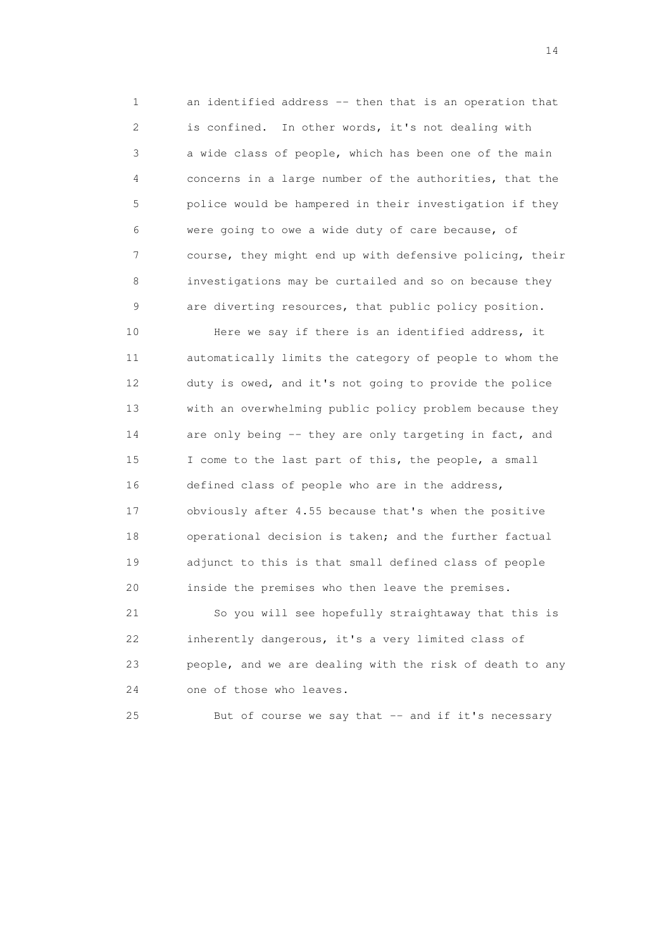1 an identified address -- then that is an operation that 2 is confined. In other words, it's not dealing with 3 a wide class of people, which has been one of the main 4 concerns in a large number of the authorities, that the 5 police would be hampered in their investigation if they 6 were going to owe a wide duty of care because, of 7 course, they might end up with defensive policing, their 8 investigations may be curtailed and so on because they 9 are diverting resources, that public policy position.

 10 Here we say if there is an identified address, it 11 automatically limits the category of people to whom the 12 duty is owed, and it's not going to provide the police 13 with an overwhelming public policy problem because they 14 are only being -- they are only targeting in fact, and 15 I come to the last part of this, the people, a small 16 defined class of people who are in the address, 17 obviously after 4.55 because that's when the positive 18 operational decision is taken; and the further factual 19 adjunct to this is that small defined class of people 20 inside the premises who then leave the premises.

 21 So you will see hopefully straightaway that this is 22 inherently dangerous, it's a very limited class of 23 people, and we are dealing with the risk of death to any 24 one of those who leaves.

25 But of course we say that -- and if it's necessary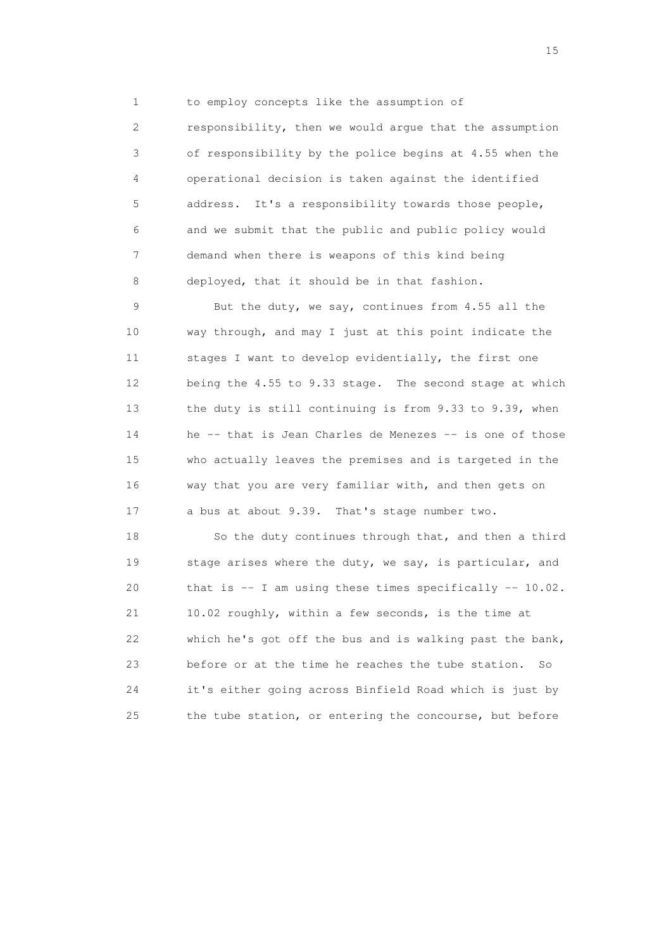1 to employ concepts like the assumption of

 2 responsibility, then we would argue that the assumption 3 of responsibility by the police begins at 4.55 when the 4 operational decision is taken against the identified 5 address. It's a responsibility towards those people, 6 and we submit that the public and public policy would 7 demand when there is weapons of this kind being 8 deployed, that it should be in that fashion.

 9 But the duty, we say, continues from 4.55 all the 10 way through, and may I just at this point indicate the 11 stages I want to develop evidentially, the first one 12 being the 4.55 to 9.33 stage. The second stage at which 13 the duty is still continuing is from 9.33 to 9.39, when 14 he -- that is Jean Charles de Menezes -- is one of those 15 who actually leaves the premises and is targeted in the 16 way that you are very familiar with, and then gets on 17 a bus at about 9.39. That's stage number two.

 18 So the duty continues through that, and then a third 19 stage arises where the duty, we say, is particular, and 20 that is -- I am using these times specifically -- 10.02. 21 10.02 roughly, within a few seconds, is the time at 22 which he's got off the bus and is walking past the bank, 23 before or at the time he reaches the tube station. So 24 it's either going across Binfield Road which is just by 25 the tube station, or entering the concourse, but before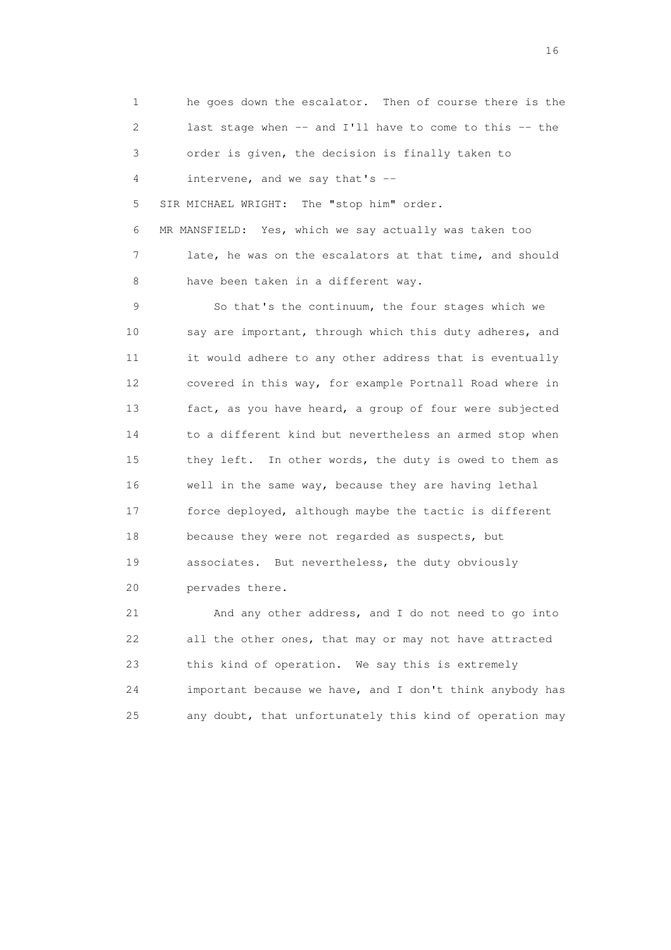1 he goes down the escalator. Then of course there is the 2 last stage when -- and I'll have to come to this -- the 3 order is given, the decision is finally taken to 4 intervene, and we say that's -- 5 SIR MICHAEL WRIGHT: The "stop him" order. 6 MR MANSFIELD: Yes, which we say actually was taken too 7 late, he was on the escalators at that time, and should 8 have been taken in a different way. 9 So that's the continuum, the four stages which we 10 say are important, through which this duty adheres, and 11 it would adhere to any other address that is eventually 12 covered in this way, for example Portnall Road where in 13 fact, as you have heard, a group of four were subjected 14 to a different kind but nevertheless an armed stop when 15 they left. In other words, the duty is owed to them as 16 well in the same way, because they are having lethal 17 force deployed, although maybe the tactic is different 18 because they were not regarded as suspects, but 19 associates. But nevertheless, the duty obviously 20 pervades there. 21 And any other address, and I do not need to go into

 22 all the other ones, that may or may not have attracted 23 this kind of operation. We say this is extremely 24 important because we have, and I don't think anybody has 25 any doubt, that unfortunately this kind of operation may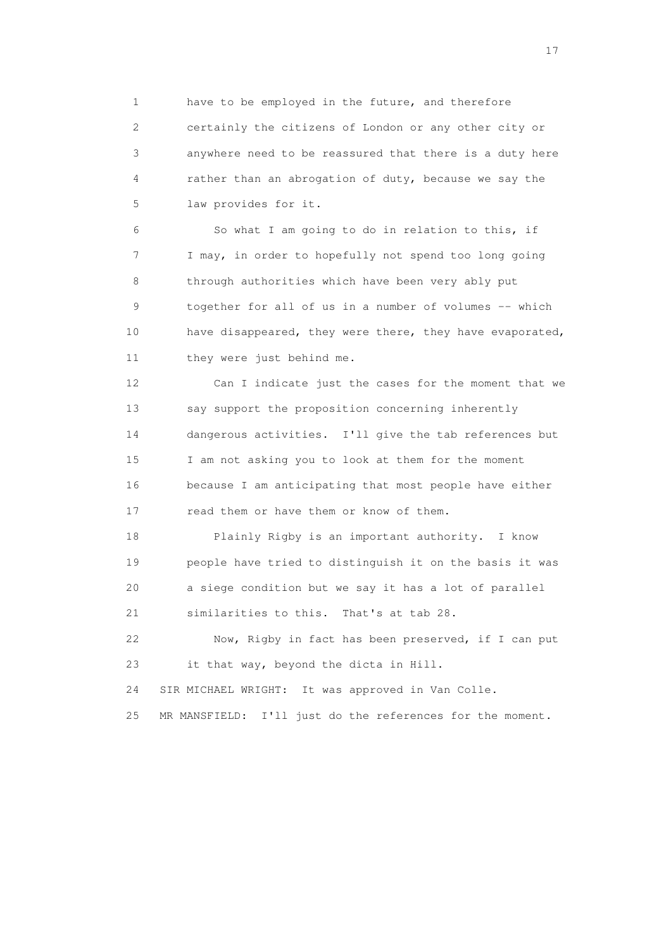1 have to be employed in the future, and therefore 2 certainly the citizens of London or any other city or 3 anywhere need to be reassured that there is a duty here 4 rather than an abrogation of duty, because we say the 5 law provides for it.

 6 So what I am going to do in relation to this, if 7 I may, in order to hopefully not spend too long going 8 through authorities which have been very ably put 9 together for all of us in a number of volumes -- which 10 have disappeared, they were there, they have evaporated, 11 they were just behind me.

 12 Can I indicate just the cases for the moment that we 13 say support the proposition concerning inherently 14 dangerous activities. I'll give the tab references but 15 I am not asking you to look at them for the moment 16 because I am anticipating that most people have either 17 read them or have them or know of them.

 18 Plainly Rigby is an important authority. I know 19 people have tried to distinguish it on the basis it was 20 a siege condition but we say it has a lot of parallel 21 similarities to this. That's at tab 28.

 22 Now, Rigby in fact has been preserved, if I can put 23 it that way, beyond the dicta in Hill.

24 SIR MICHAEL WRIGHT: It was approved in Van Colle.

25 MR MANSFIELD: I'll just do the references for the moment.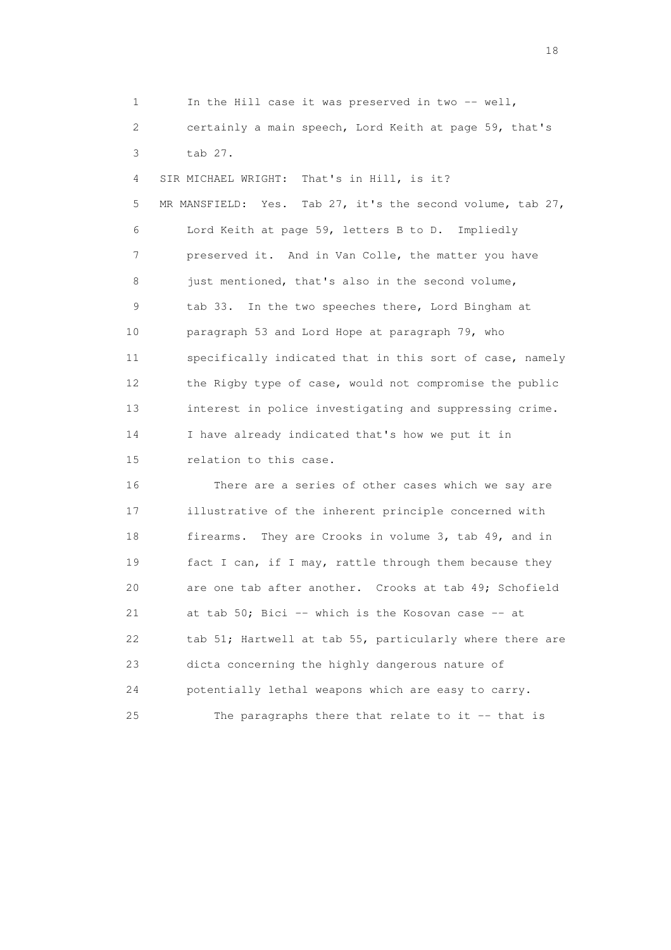| $\mathbf 1$ | In the Hill case it was preserved in two -- well,                |
|-------------|------------------------------------------------------------------|
| 2           | certainly a main speech, Lord Keith at page 59, that's           |
| 3           | tab 27.                                                          |
| 4           | That's in Hill, is it?<br>SIR MICHAEL WRIGHT:                    |
| 5           | MR MANSFIELD:<br>Yes.<br>Tab 27, it's the second volume, tab 27, |
| 6           | Lord Keith at page 59, letters B to D. Impliedly                 |
| 7           | preserved it. And in Van Colle, the matter you have              |
| 8           | just mentioned, that's also in the second volume,                |
| 9           | In the two speeches there, Lord Bingham at<br>tab 33.            |
| 10          | paragraph 53 and Lord Hope at paragraph 79, who                  |
| 11          | specifically indicated that in this sort of case, namely         |
| 12          | the Rigby type of case, would not compromise the public          |
| 13          | interest in police investigating and suppressing crime.          |
| 14          | I have already indicated that's how we put it in                 |
| 15          | relation to this case.                                           |
| 16          | There are a series of other cases which we say are               |
| 17          | illustrative of the inherent principle concerned with            |
| 18          | They are Crooks in volume 3, tab 49, and in<br>firearms.         |
| 19          | fact I can, if I may, rattle through them because they           |
| 20          | are one tab after another. Crooks at tab 49; Schofield           |
| 21          | at tab 50; Bici -- which is the Kosovan case -- at               |
| 22          | tab 51; Hartwell at tab 55, particularly where there are         |
| 23          | dicta concerning the highly dangerous nature of                  |
| 24          | potentially lethal weapons which are easy to carry.              |

25 The paragraphs there that relate to it -- that is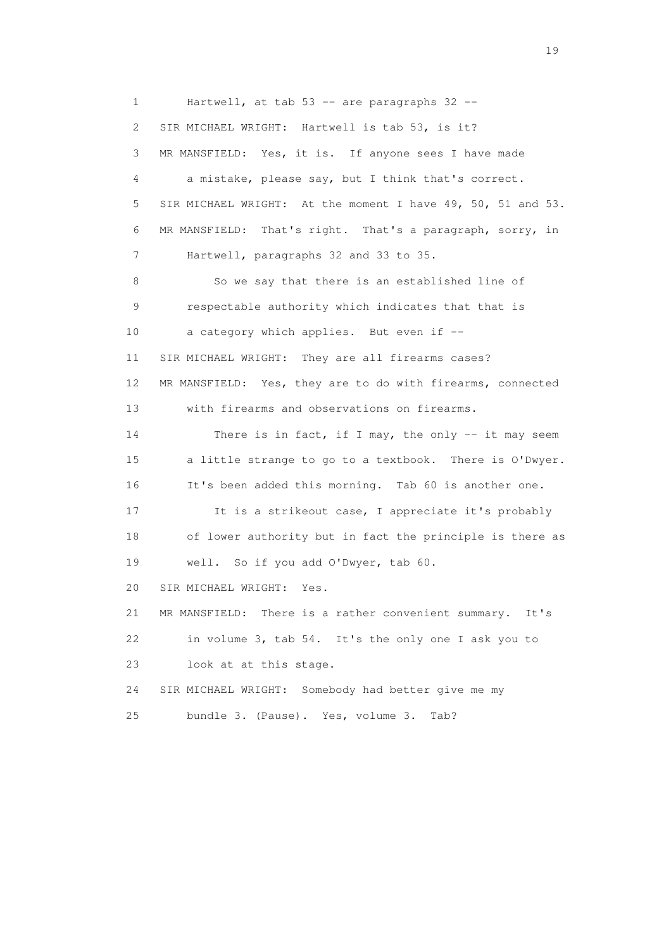1 Hartwell, at tab 53 -- are paragraphs 32 -- 2 SIR MICHAEL WRIGHT: Hartwell is tab 53, is it? 3 MR MANSFIELD: Yes, it is. If anyone sees I have made 4 a mistake, please say, but I think that's correct. 5 SIR MICHAEL WRIGHT: At the moment I have 49, 50, 51 and 53. 6 MR MANSFIELD: That's right. That's a paragraph, sorry, in 7 Hartwell, paragraphs 32 and 33 to 35. 8 So we say that there is an established line of 9 respectable authority which indicates that that is 10 a category which applies. But even if -- 11 SIR MICHAEL WRIGHT: They are all firearms cases? 12 MR MANSFIELD: Yes, they are to do with firearms, connected 13 with firearms and observations on firearms. 14 There is in fact, if I may, the only -- it may seem 15 a little strange to go to a textbook. There is O'Dwyer. 16 It's been added this morning. Tab 60 is another one. 17 It is a strikeout case, I appreciate it's probably 18 of lower authority but in fact the principle is there as 19 well. So if you add O'Dwyer, tab 60. 20 SIR MICHAEL WRIGHT: Yes. 21 MR MANSFIELD: There is a rather convenient summary. It's 22 in volume 3, tab 54. It's the only one I ask you to 23 look at at this stage. 24 SIR MICHAEL WRIGHT: Somebody had better give me my 25 bundle 3. (Pause). Yes, volume 3. Tab?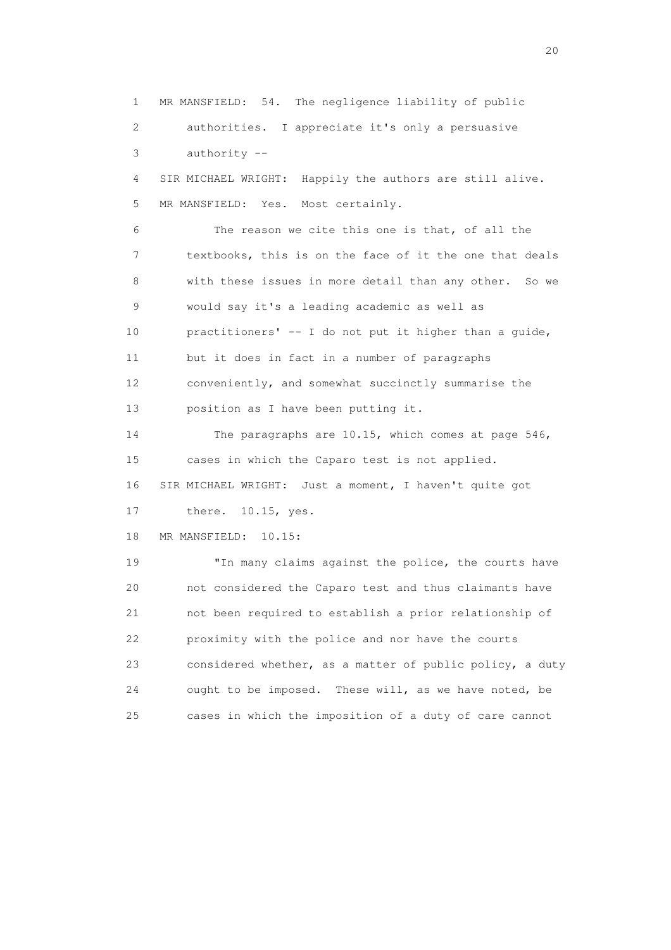1 MR MANSFIELD: 54. The negligence liability of public 2 authorities. I appreciate it's only a persuasive 3 authority -- 4 SIR MICHAEL WRIGHT: Happily the authors are still alive. 5 MR MANSFIELD: Yes. Most certainly. 6 The reason we cite this one is that, of all the 7 textbooks, this is on the face of it the one that deals 8 with these issues in more detail than any other. So we 9 would say it's a leading academic as well as 10 practitioners' -- I do not put it higher than a guide, 11 but it does in fact in a number of paragraphs 12 conveniently, and somewhat succinctly summarise the 13 position as I have been putting it. 14 The paragraphs are 10.15, which comes at page 546, 15 cases in which the Caparo test is not applied. 16 SIR MICHAEL WRIGHT: Just a moment, I haven't quite got 17 there. 10.15, yes. 18 MR MANSFIELD: 10.15: 19 "In many claims against the police, the courts have 20 not considered the Caparo test and thus claimants have 21 not been required to establish a prior relationship of 22 proximity with the police and nor have the courts 23 considered whether, as a matter of public policy, a duty 24 ought to be imposed. These will, as we have noted, be 25 cases in which the imposition of a duty of care cannot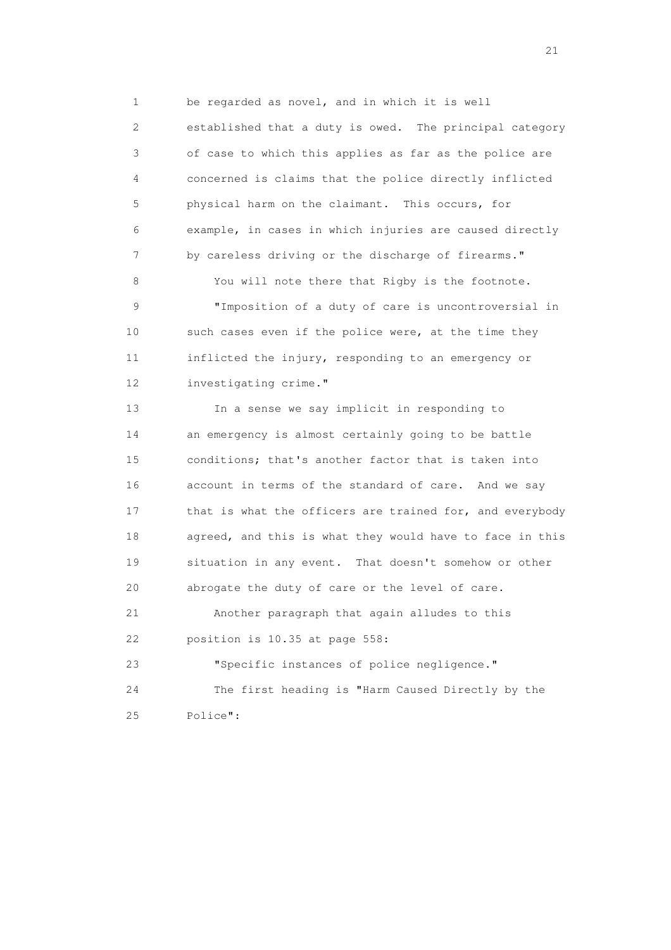1 be regarded as novel, and in which it is well 2 established that a duty is owed. The principal category 3 of case to which this applies as far as the police are 4 concerned is claims that the police directly inflicted 5 physical harm on the claimant. This occurs, for 6 example, in cases in which injuries are caused directly 7 by careless driving or the discharge of firearms."

 9 "Imposition of a duty of care is uncontroversial in 10 such cases even if the police were, at the time they 11 inflicted the injury, responding to an emergency or 12 investigating crime."

8 You will note there that Rigby is the footnote.

 13 In a sense we say implicit in responding to 14 an emergency is almost certainly going to be battle 15 conditions; that's another factor that is taken into 16 account in terms of the standard of care. And we say 17 that is what the officers are trained for, and everybody 18 agreed, and this is what they would have to face in this 19 situation in any event. That doesn't somehow or other 20 abrogate the duty of care or the level of care. 21 Another paragraph that again alludes to this 22 position is 10.35 at page 558: 23 "Specific instances of police negligence." 24 The first heading is "Harm Caused Directly by the

25 Police":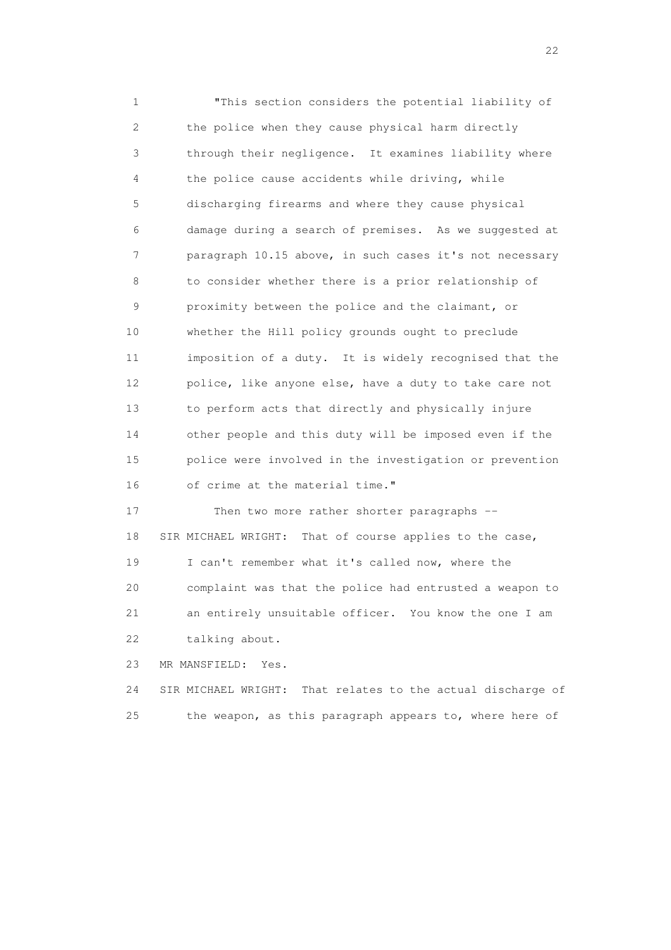1 "This section considers the potential liability of 2 the police when they cause physical harm directly 3 through their negligence. It examines liability where 4 the police cause accidents while driving, while 5 discharging firearms and where they cause physical 6 damage during a search of premises. As we suggested at 7 paragraph 10.15 above, in such cases it's not necessary 8 to consider whether there is a prior relationship of 9 proximity between the police and the claimant, or 10 whether the Hill policy grounds ought to preclude 11 imposition of a duty. It is widely recognised that the 12 police, like anyone else, have a duty to take care not 13 to perform acts that directly and physically injure 14 other people and this duty will be imposed even if the 15 police were involved in the investigation or prevention 16 of crime at the material time."

17 Then two more rather shorter paragraphs -- 18 SIR MICHAEL WRIGHT: That of course applies to the case, 19 I can't remember what it's called now, where the 20 complaint was that the police had entrusted a weapon to 21 an entirely unsuitable officer. You know the one I am 22 talking about.

23 MR MANSFIELD: Yes.

 24 SIR MICHAEL WRIGHT: That relates to the actual discharge of 25 the weapon, as this paragraph appears to, where here of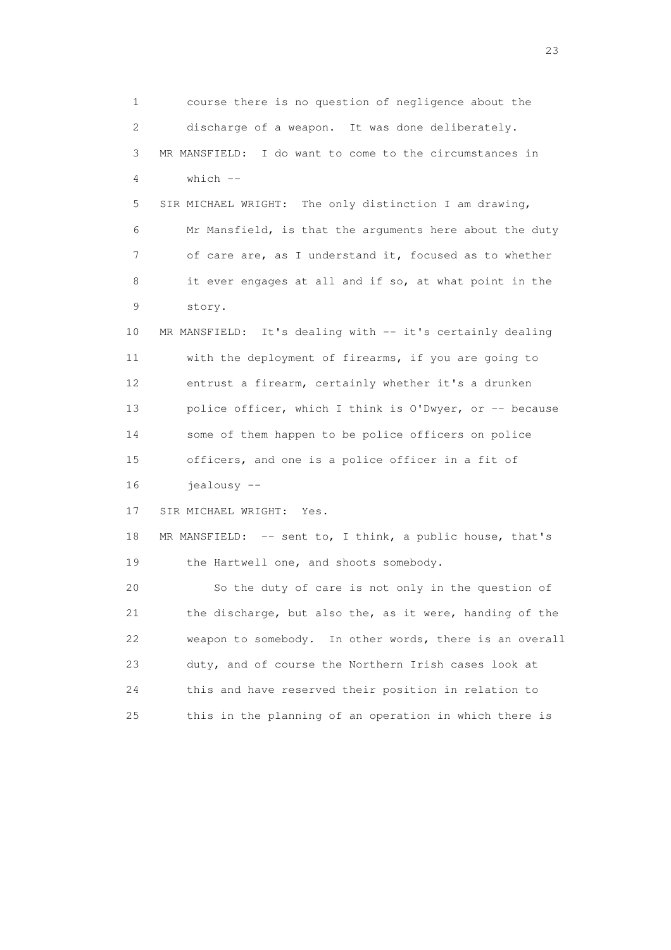1 course there is no question of negligence about the 2 discharge of a weapon. It was done deliberately. 3 MR MANSFIELD: I do want to come to the circumstances in  $4$  which  $-$  5 SIR MICHAEL WRIGHT: The only distinction I am drawing, 6 Mr Mansfield, is that the arguments here about the duty 7 of care are, as I understand it, focused as to whether 8 it ever engages at all and if so, at what point in the 9 story. 10 MR MANSFIELD: It's dealing with -- it's certainly dealing 11 with the deployment of firearms, if you are going to 12 entrust a firearm, certainly whether it's a drunken 13 police officer, which I think is O'Dwyer, or -- because 14 some of them happen to be police officers on police 15 officers, and one is a police officer in a fit of 16 jealousy -- 17 SIR MICHAEL WRIGHT: Yes. 18 MR MANSFIELD: -- sent to, I think, a public house, that's 19 the Hartwell one, and shoots somebody. 20 So the duty of care is not only in the question of 21 the discharge, but also the, as it were, handing of the 22 weapon to somebody. In other words, there is an overall 23 duty, and of course the Northern Irish cases look at 24 this and have reserved their position in relation to 25 this in the planning of an operation in which there is

23 and 23 and 23 and 23 and 23 and 23 and 23 and 23 and 23 and 23 and 23 and 23 and 23 and 23 and 23 and 23 and 24 and 25 and 25 and 26 and 26 and 26 and 26 and 26 and 26 and 26 and 26 and 26 and 26 and 26 and 26 and 26 an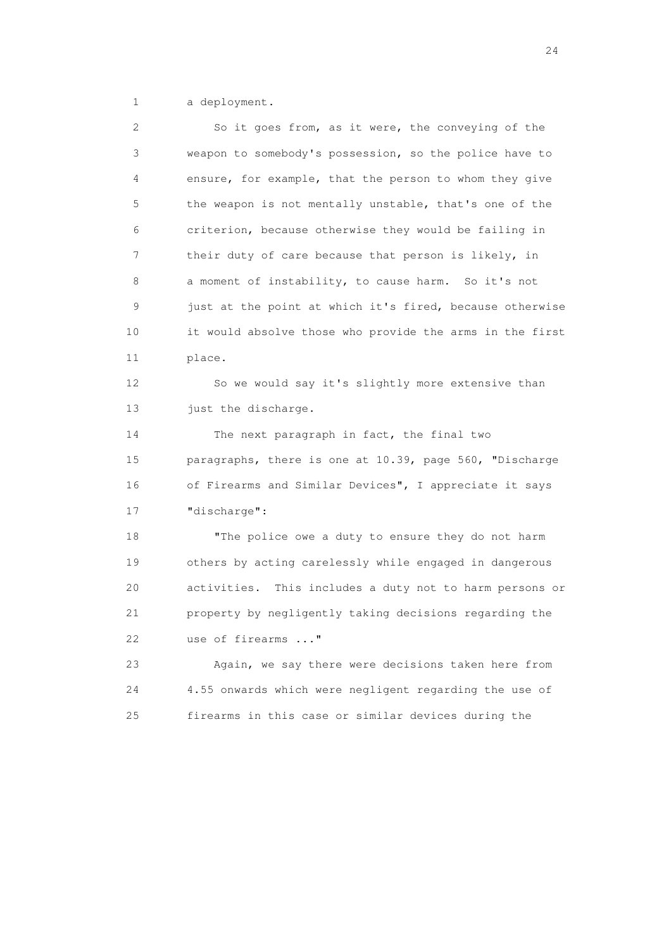1 a deployment.

 2 So it goes from, as it were, the conveying of the 3 weapon to somebody's possession, so the police have to 4 ensure, for example, that the person to whom they give 5 the weapon is not mentally unstable, that's one of the 6 criterion, because otherwise they would be failing in 7 their duty of care because that person is likely, in 8 a moment of instability, to cause harm. So it's not 9 just at the point at which it's fired, because otherwise 10 it would absolve those who provide the arms in the first 11 place. 12 So we would say it's slightly more extensive than 13 just the discharge. 14 The next paragraph in fact, the final two 15 paragraphs, there is one at 10.39, page 560, "Discharge 16 of Firearms and Similar Devices", I appreciate it says 17 "discharge": 18 "The police owe a duty to ensure they do not harm 19 others by acting carelessly while engaged in dangerous 20 activities. This includes a duty not to harm persons or 21 property by negligently taking decisions regarding the 22 use of firearms ..." 23 Again, we say there were decisions taken here from 24 4.55 onwards which were negligent regarding the use of 25 firearms in this case or similar devices during the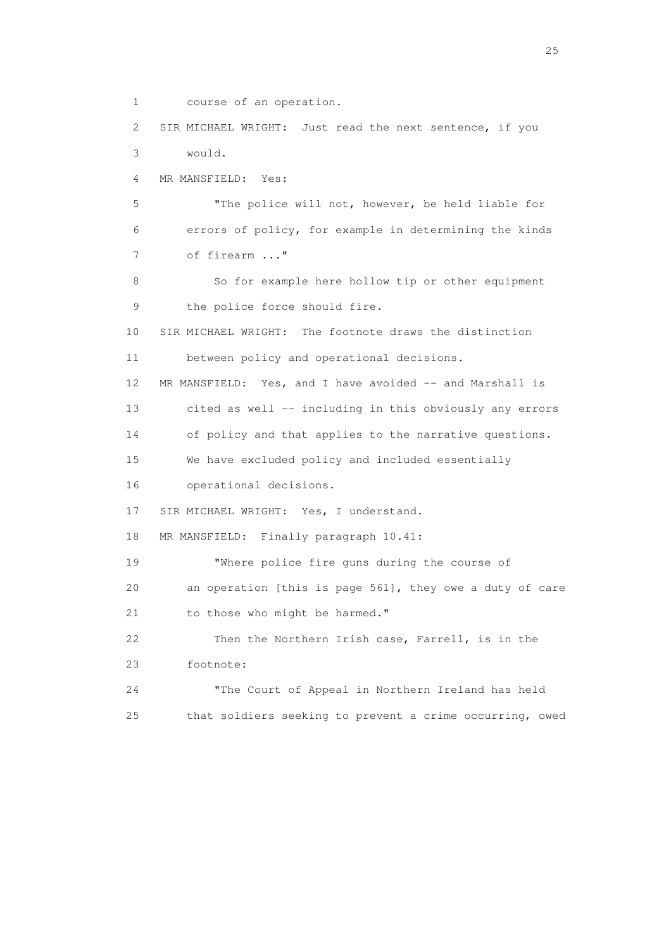1 course of an operation.

 2 SIR MICHAEL WRIGHT: Just read the next sentence, if you 3 would. 4 MR MANSFIELD: Yes: 5 "The police will not, however, be held liable for 6 errors of policy, for example in determining the kinds 7 of firearm ..." 8 So for example here hollow tip or other equipment 9 the police force should fire. 10 SIR MICHAEL WRIGHT: The footnote draws the distinction 11 between policy and operational decisions. 12 MR MANSFIELD: Yes, and I have avoided -- and Marshall is 13 cited as well -- including in this obviously any errors 14 of policy and that applies to the narrative questions. 15 We have excluded policy and included essentially 16 operational decisions. 17 SIR MICHAEL WRIGHT: Yes, I understand. 18 MR MANSFIELD: Finally paragraph 10.41: 19 "Where police fire guns during the course of 20 an operation [this is page 561], they owe a duty of care 21 to those who might be harmed." 22 Then the Northern Irish case, Farrell, is in the 23 footnote: 24 "The Court of Appeal in Northern Ireland has held 25 that soldiers seeking to prevent a crime occurring, owed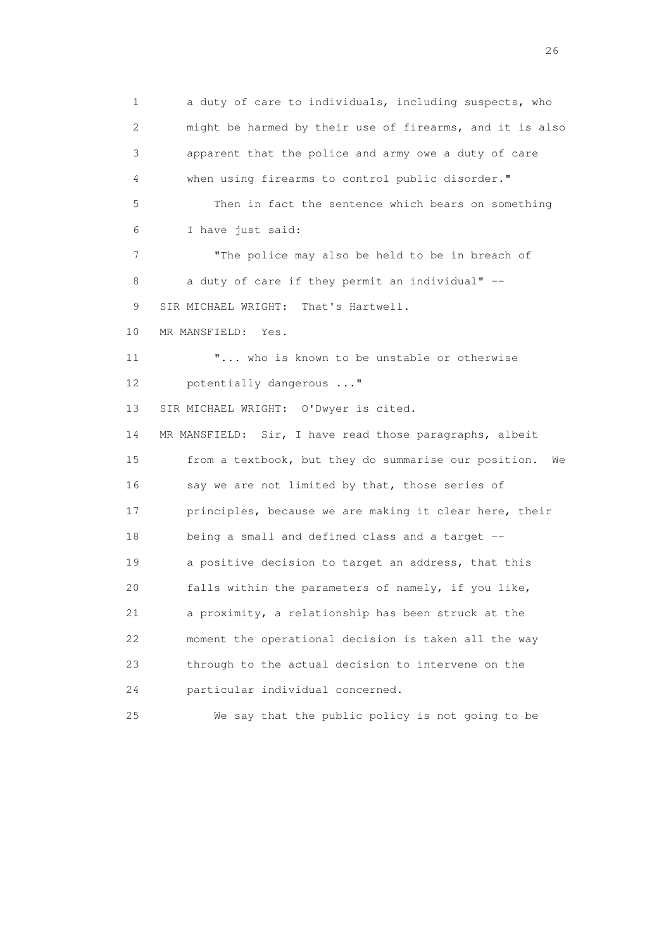1 a duty of care to individuals, including suspects, who 2 might be harmed by their use of firearms, and it is also 3 apparent that the police and army owe a duty of care 4 when using firearms to control public disorder." 5 Then in fact the sentence which bears on something 6 I have just said: 7 "The police may also be held to be in breach of 8 a duty of care if they permit an individual" --9 SIR MICHAEL WRIGHT: That's Hartwell. 10 MR MANSFIELD: Yes. 11 "... who is known to be unstable or otherwise 12 potentially dangerous ..." 13 SIR MICHAEL WRIGHT: O'Dwyer is cited. 14 MR MANSFIELD: Sir, I have read those paragraphs, albeit 15 from a textbook, but they do summarise our position. We 16 say we are not limited by that, those series of 17 principles, because we are making it clear here, their 18 being a small and defined class and a target -- 19 a positive decision to target an address, that this 20 falls within the parameters of namely, if you like, 21 a proximity, a relationship has been struck at the 22 moment the operational decision is taken all the way 23 through to the actual decision to intervene on the 24 particular individual concerned. 25 We say that the public policy is not going to be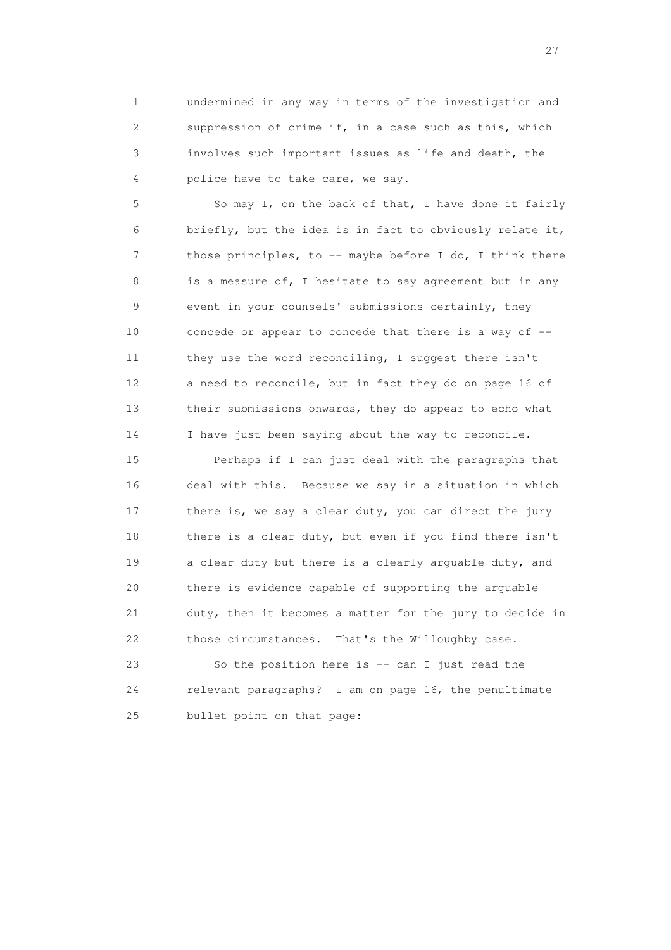1 undermined in any way in terms of the investigation and 2 suppression of crime if, in a case such as this, which 3 involves such important issues as life and death, the 4 police have to take care, we say.

 5 So may I, on the back of that, I have done it fairly 6 briefly, but the idea is in fact to obviously relate it, 7 those principles, to -- maybe before I do, I think there 8 is a measure of, I hesitate to say agreement but in any 9 event in your counsels' submissions certainly, they 10 concede or appear to concede that there is a way of -- 11 they use the word reconciling, I suggest there isn't 12 a need to reconcile, but in fact they do on page 16 of 13 their submissions onwards, they do appear to echo what 14 I have just been saying about the way to reconcile.

 15 Perhaps if I can just deal with the paragraphs that 16 deal with this. Because we say in a situation in which 17 there is, we say a clear duty, you can direct the jury 18 there is a clear duty, but even if you find there isn't 19 a clear duty but there is a clearly arguable duty, and 20 there is evidence capable of supporting the arguable 21 duty, then it becomes a matter for the jury to decide in 22 those circumstances. That's the Willoughby case.

 23 So the position here is -- can I just read the 24 relevant paragraphs? I am on page 16, the penultimate 25 bullet point on that page: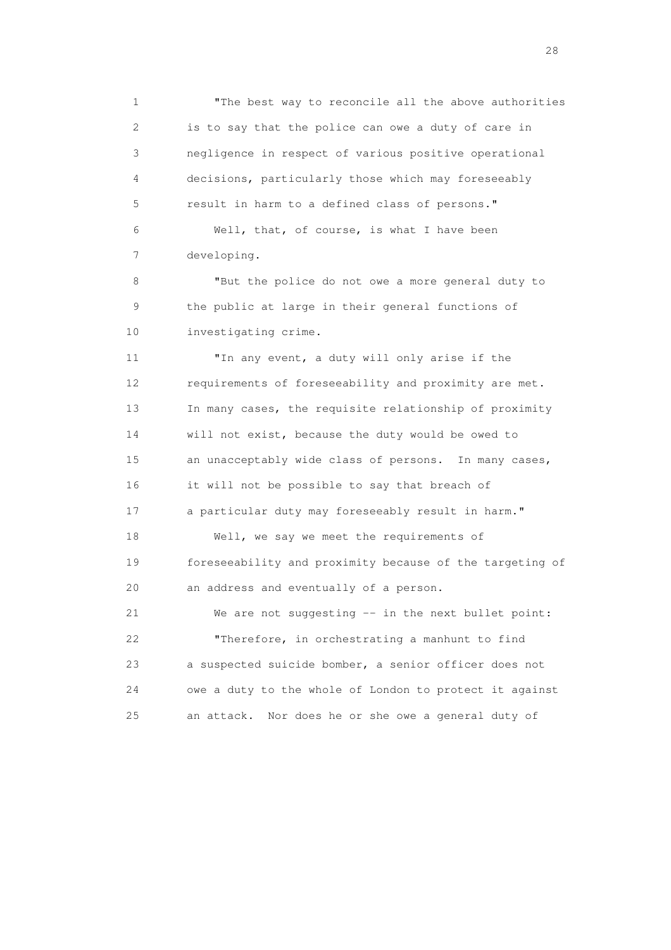1 "The best way to reconcile all the above authorities 2 is to say that the police can owe a duty of care in 3 negligence in respect of various positive operational 4 decisions, particularly those which may foreseeably 5 result in harm to a defined class of persons."

 6 Well, that, of course, is what I have been 7 developing.

 8 "But the police do not owe a more general duty to 9 the public at large in their general functions of 10 investigating crime.

 11 "In any event, a duty will only arise if the 12 requirements of foreseeability and proximity are met. 13 In many cases, the requisite relationship of proximity 14 will not exist, because the duty would be owed to 15 an unacceptably wide class of persons. In many cases, 16 it will not be possible to say that breach of 17 a particular duty may foreseeably result in harm." 18 Well, we say we meet the requirements of 19 foreseeability and proximity because of the targeting of 20 an address and eventually of a person. 21 We are not suggesting -- in the next bullet point: 22 "Therefore, in orchestrating a manhunt to find 23 a suspected suicide bomber, a senior officer does not 24 owe a duty to the whole of London to protect it against

25 an attack. Nor does he or she owe a general duty of

28 and 28 and 28 and 28 and 28 and 28 and 28 and 28 and 28 and 28 and 28 and 28 and 28 and 28 and 28 and 28 and 28 and 28 and 28 and 28 and 28 and 28 and 28 and 28 and 28 and 28 and 28 and 28 and 28 and 28 and 28 and 28 an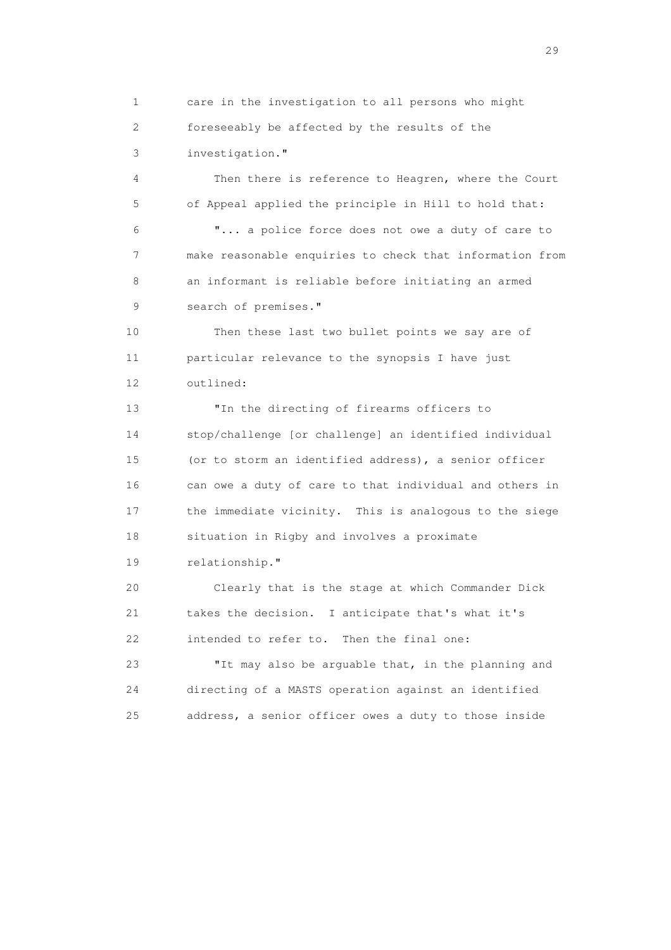1 care in the investigation to all persons who might 2 foreseeably be affected by the results of the 3 investigation."

 4 Then there is reference to Heagren, where the Court 5 of Appeal applied the principle in Hill to hold that: 6 "... a police force does not owe a duty of care to 7 make reasonable enquiries to check that information from 8 an informant is reliable before initiating an armed 9 search of premises."

 10 Then these last two bullet points we say are of 11 particular relevance to the synopsis I have just 12 outlined:

 13 "In the directing of firearms officers to 14 stop/challenge [or challenge] an identified individual 15 (or to storm an identified address), a senior officer 16 can owe a duty of care to that individual and others in 17 the immediate vicinity. This is analogous to the siege 18 situation in Rigby and involves a proximate 19 relationship."

 20 Clearly that is the stage at which Commander Dick 21 takes the decision. I anticipate that's what it's 22 intended to refer to. Then the final one:

 23 "It may also be arguable that, in the planning and 24 directing of a MASTS operation against an identified 25 address, a senior officer owes a duty to those inside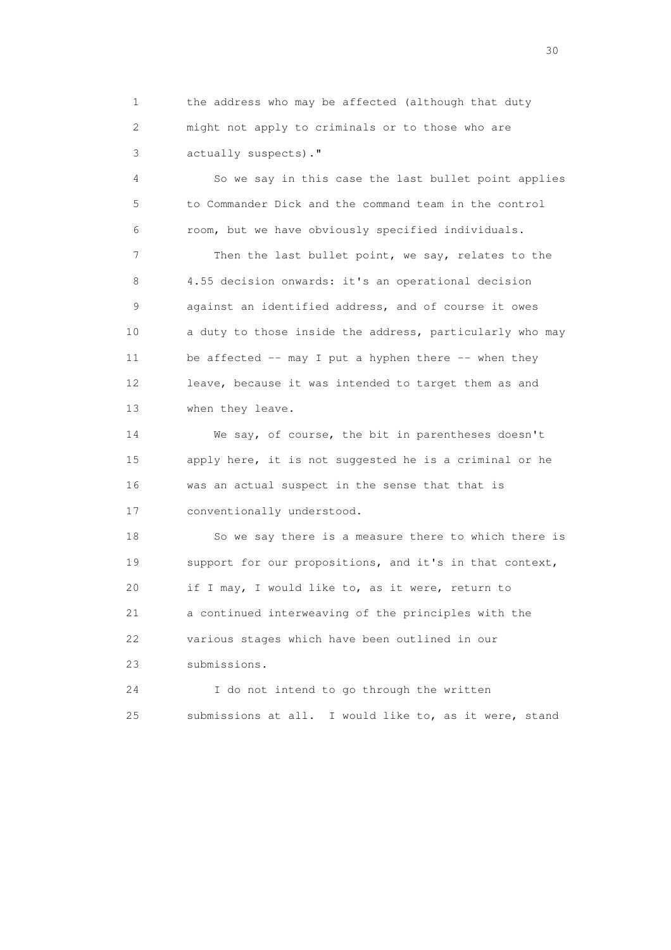1 the address who may be affected (although that duty 2 might not apply to criminals or to those who are 3 actually suspects)."

 4 So we say in this case the last bullet point applies 5 to Commander Dick and the command team in the control 6 room, but we have obviously specified individuals.

 7 Then the last bullet point, we say, relates to the 8 4.55 decision onwards: it's an operational decision 9 against an identified address, and of course it owes 10 a duty to those inside the address, particularly who may 11 be affected -- may I put a hyphen there -- when they 12 leave, because it was intended to target them as and 13 when they leave.

 14 We say, of course, the bit in parentheses doesn't 15 apply here, it is not suggested he is a criminal or he 16 was an actual suspect in the sense that that is 17 conventionally understood.

 18 So we say there is a measure there to which there is 19 support for our propositions, and it's in that context, 20 if I may, I would like to, as it were, return to 21 a continued interweaving of the principles with the 22 various stages which have been outlined in our 23 submissions.

 24 I do not intend to go through the written 25 submissions at all. I would like to, as it were, stand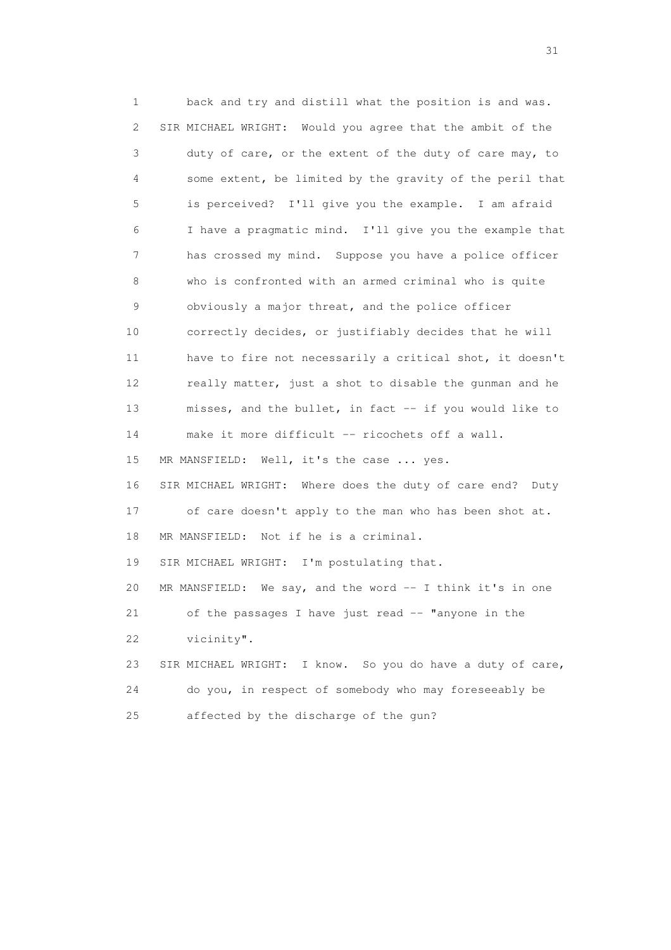1 back and try and distill what the position is and was. 2 SIR MICHAEL WRIGHT: Would you agree that the ambit of the 3 duty of care, or the extent of the duty of care may, to 4 some extent, be limited by the gravity of the peril that 5 is perceived? I'll give you the example. I am afraid 6 I have a pragmatic mind. I'll give you the example that 7 has crossed my mind. Suppose you have a police officer 8 who is confronted with an armed criminal who is quite 9 obviously a major threat, and the police officer 10 correctly decides, or justifiably decides that he will 11 have to fire not necessarily a critical shot, it doesn't 12 really matter, just a shot to disable the gunman and he 13 misses, and the bullet, in fact -- if you would like to 14 make it more difficult -- ricochets off a wall. 15 MR MANSFIELD: Well, it's the case ... yes. 16 SIR MICHAEL WRIGHT: Where does the duty of care end? Duty 17 of care doesn't apply to the man who has been shot at. 18 MR MANSFIELD: Not if he is a criminal. 19 SIR MICHAEL WRIGHT: I'm postulating that. 20 MR MANSFIELD: We say, and the word -- I think it's in one 21 of the passages I have just read -- "anyone in the 22 vicinity". 23 SIR MICHAEL WRIGHT: I know. So you do have a duty of care, 24 do you, in respect of somebody who may foreseeably be 25 affected by the discharge of the gun?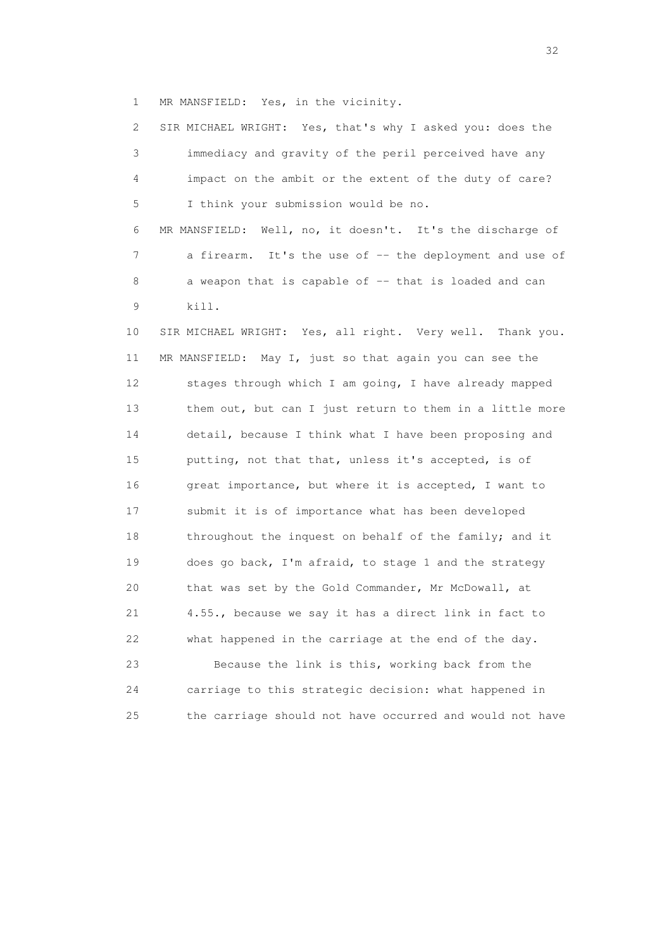1 MR MANSFIELD: Yes, in the vicinity.

 2 SIR MICHAEL WRIGHT: Yes, that's why I asked you: does the 3 immediacy and gravity of the peril perceived have any 4 impact on the ambit or the extent of the duty of care? 5 I think your submission would be no. 6 MR MANSFIELD: Well, no, it doesn't. It's the discharge of 7 a firearm. It's the use of -- the deployment and use of 8 a weapon that is capable of -- that is loaded and can 9 kill. 10 SIR MICHAEL WRIGHT: Yes, all right. Very well. Thank you. 11 MR MANSFIELD: May I, just so that again you can see the 12 stages through which I am going, I have already mapped 13 them out, but can I just return to them in a little more 14 detail, because I think what I have been proposing and 15 putting, not that that, unless it's accepted, is of 16 great importance, but where it is accepted, I want to 17 submit it is of importance what has been developed 18 throughout the inquest on behalf of the family; and it 19 does go back, I'm afraid, to stage 1 and the strategy 20 that was set by the Gold Commander, Mr McDowall, at 21 4.55., because we say it has a direct link in fact to 22 what happened in the carriage at the end of the day. 23 Because the link is this, working back from the 24 carriage to this strategic decision: what happened in 25 the carriage should not have occurred and would not have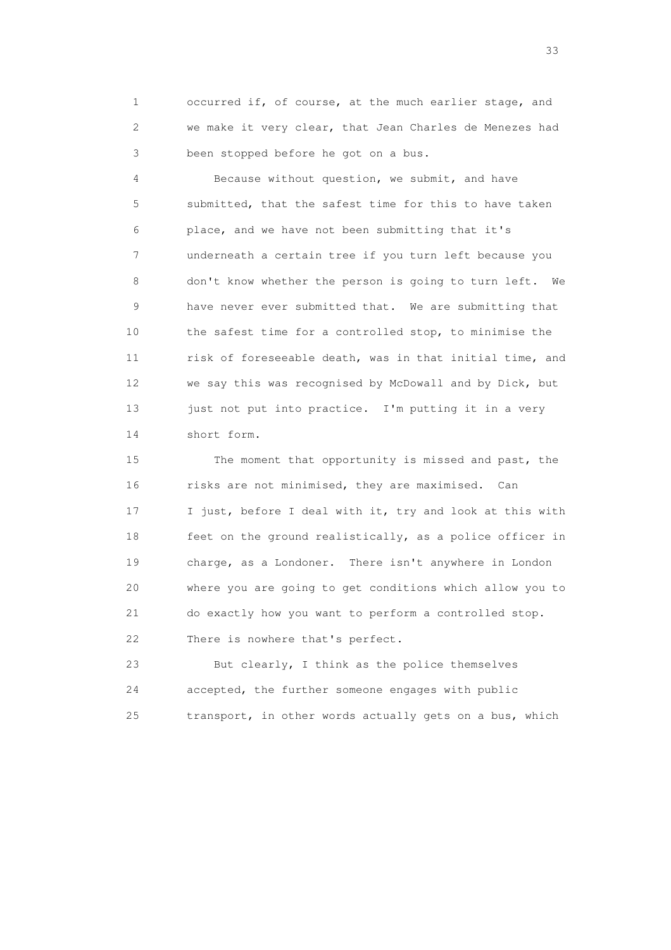1 occurred if, of course, at the much earlier stage, and 2 we make it very clear, that Jean Charles de Menezes had 3 been stopped before he got on a bus.

 4 Because without question, we submit, and have 5 submitted, that the safest time for this to have taken 6 place, and we have not been submitting that it's 7 underneath a certain tree if you turn left because you 8 don't know whether the person is going to turn left. We 9 have never ever submitted that. We are submitting that 10 the safest time for a controlled stop, to minimise the 11 risk of foreseeable death, was in that initial time, and 12 we say this was recognised by McDowall and by Dick, but 13 just not put into practice. I'm putting it in a very 14 short form.

 15 The moment that opportunity is missed and past, the 16 risks are not minimised, they are maximised. Can 17 I just, before I deal with it, try and look at this with 18 feet on the ground realistically, as a police officer in 19 charge, as a Londoner. There isn't anywhere in London 20 where you are going to get conditions which allow you to 21 do exactly how you want to perform a controlled stop. 22 There is nowhere that's perfect.

 23 But clearly, I think as the police themselves 24 accepted, the further someone engages with public 25 transport, in other words actually gets on a bus, which

<u>33</u> and the state of the state of the state of the state of the state of the state of the state of the state of the state of the state of the state of the state of the state of the state of the state of the state of the s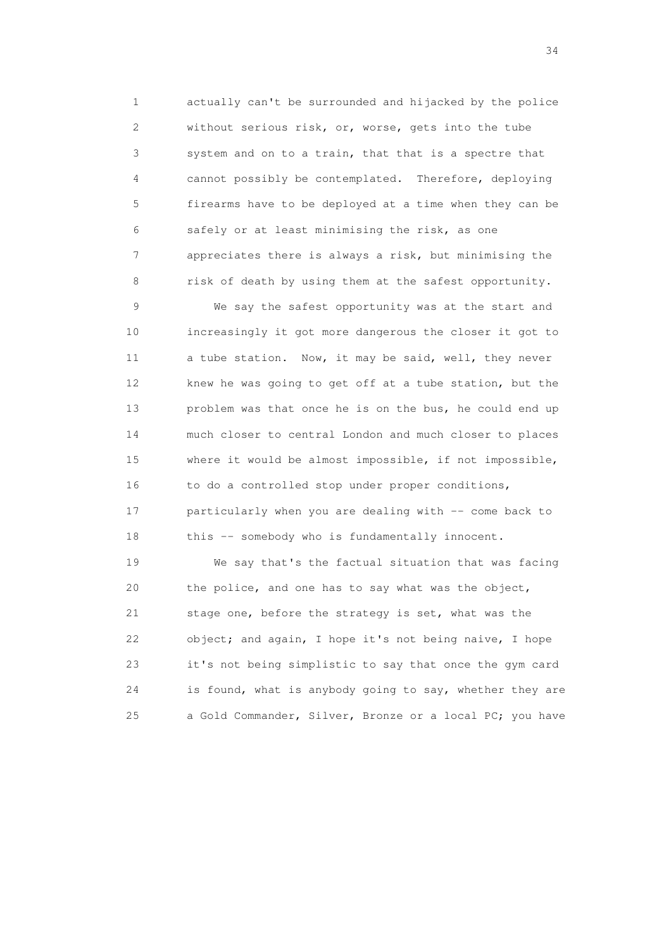1 actually can't be surrounded and hijacked by the police 2 without serious risk, or, worse, gets into the tube 3 system and on to a train, that that is a spectre that 4 cannot possibly be contemplated. Therefore, deploying 5 firearms have to be deployed at a time when they can be 6 safely or at least minimising the risk, as one 7 appreciates there is always a risk, but minimising the 8 risk of death by using them at the safest opportunity.

 9 We say the safest opportunity was at the start and 10 increasingly it got more dangerous the closer it got to 11 a tube station. Now, it may be said, well, they never 12 knew he was going to get off at a tube station, but the 13 problem was that once he is on the bus, he could end up 14 much closer to central London and much closer to places 15 where it would be almost impossible, if not impossible, 16 to do a controlled stop under proper conditions, 17 particularly when you are dealing with -- come back to 18 this -- somebody who is fundamentally innocent.

 19 We say that's the factual situation that was facing 20 the police, and one has to say what was the object, 21 stage one, before the strategy is set, what was the 22 object; and again, I hope it's not being naive, I hope 23 it's not being simplistic to say that once the gym card 24 is found, what is anybody going to say, whether they are 25 a Gold Commander, Silver, Bronze or a local PC; you have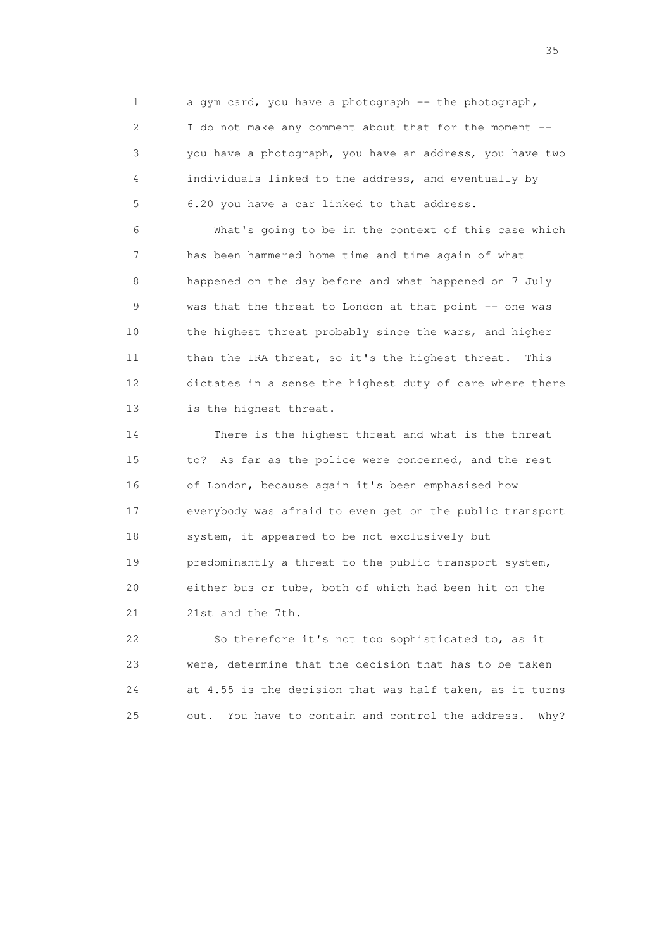1 a gym card, you have a photograph -- the photograph, 2 I do not make any comment about that for the moment -- 3 you have a photograph, you have an address, you have two 4 individuals linked to the address, and eventually by 5 6.20 you have a car linked to that address.

 6 What's going to be in the context of this case which 7 has been hammered home time and time again of what 8 happened on the day before and what happened on 7 July 9 was that the threat to London at that point -- one was 10 the highest threat probably since the wars, and higher 11 than the IRA threat, so it's the highest threat. This 12 dictates in a sense the highest duty of care where there 13 is the highest threat.

 14 There is the highest threat and what is the threat 15 to? As far as the police were concerned, and the rest 16 of London, because again it's been emphasised how 17 everybody was afraid to even get on the public transport 18 system, it appeared to be not exclusively but 19 predominantly a threat to the public transport system, 20 either bus or tube, both of which had been hit on the 21 21st and the 7th.

 22 So therefore it's not too sophisticated to, as it 23 were, determine that the decision that has to be taken 24 at 4.55 is the decision that was half taken, as it turns 25 out. You have to contain and control the address. Why?

<u>35</u> and the state of the state of the state of the state of the state of the state of the state of the state of the state of the state of the state of the state of the state of the state of the state of the state of the s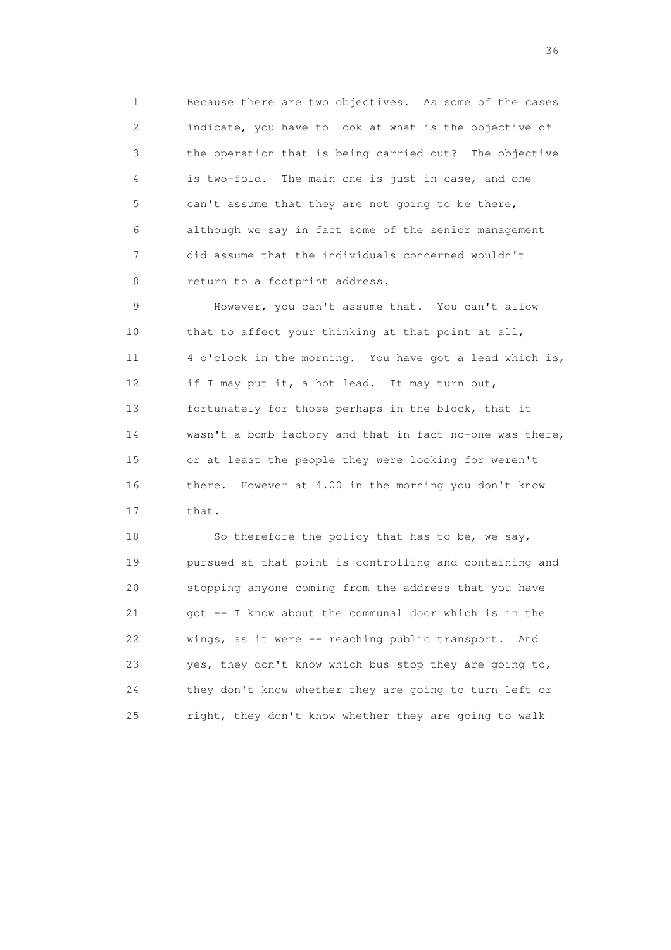1 Because there are two objectives. As some of the cases 2 indicate, you have to look at what is the objective of 3 the operation that is being carried out? The objective 4 is two-fold. The main one is just in case, and one 5 can't assume that they are not going to be there, 6 although we say in fact some of the senior management 7 did assume that the individuals concerned wouldn't 8 return to a footprint address.

 9 However, you can't assume that. You can't allow 10 that to affect your thinking at that point at all, 11 4 o'clock in the morning. You have got a lead which is, 12 if I may put it, a hot lead. It may turn out, 13 fortunately for those perhaps in the block, that it 14 wasn't a bomb factory and that in fact no-one was there, 15 or at least the people they were looking for weren't 16 there. However at 4.00 in the morning you don't know 17 that.

18 So therefore the policy that has to be, we say, 19 pursued at that point is controlling and containing and 20 stopping anyone coming from the address that you have 21 got -- I know about the communal door which is in the 22 wings, as it were -- reaching public transport. And 23 yes, they don't know which bus stop they are going to, 24 they don't know whether they are going to turn left or 25 right, they don't know whether they are going to walk

 $36<sup>2</sup>$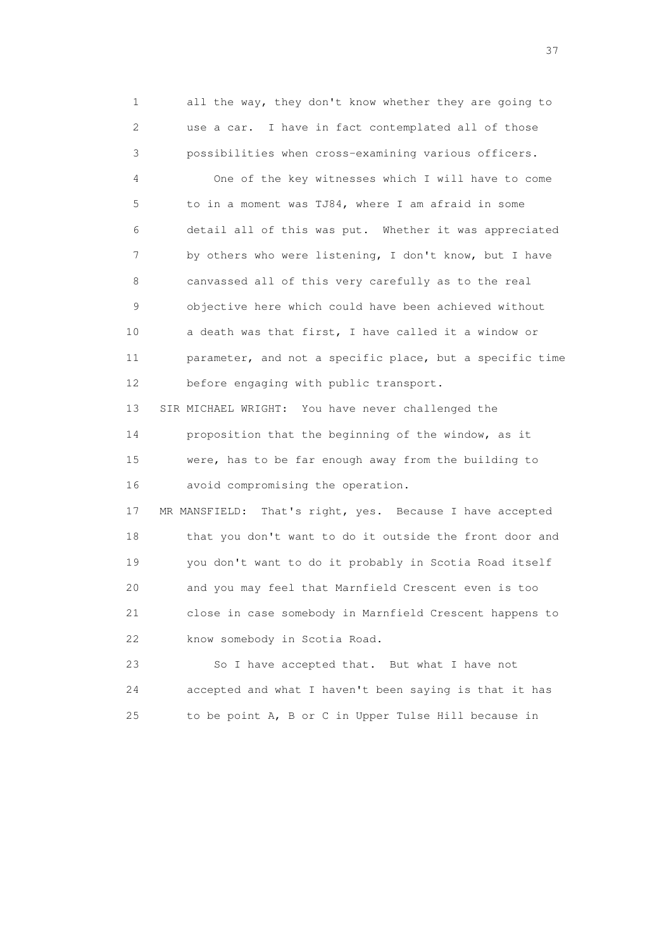1 all the way, they don't know whether they are going to 2 use a car. I have in fact contemplated all of those 3 possibilities when cross-examining various officers.

 4 One of the key witnesses which I will have to come 5 to in a moment was TJ84, where I am afraid in some 6 detail all of this was put. Whether it was appreciated 7 by others who were listening, I don't know, but I have 8 canvassed all of this very carefully as to the real 9 objective here which could have been achieved without 10 a death was that first, I have called it a window or 11 parameter, and not a specific place, but a specific time 12 before engaging with public transport.

 13 SIR MICHAEL WRIGHT: You have never challenged the 14 proposition that the beginning of the window, as it 15 were, has to be far enough away from the building to 16 avoid compromising the operation.

 17 MR MANSFIELD: That's right, yes. Because I have accepted 18 that you don't want to do it outside the front door and 19 you don't want to do it probably in Scotia Road itself 20 and you may feel that Marnfield Crescent even is too 21 close in case somebody in Marnfield Crescent happens to 22 know somebody in Scotia Road.

 23 So I have accepted that. But what I have not 24 accepted and what I haven't been saying is that it has 25 to be point A, B or C in Upper Tulse Hill because in

<u>37</u>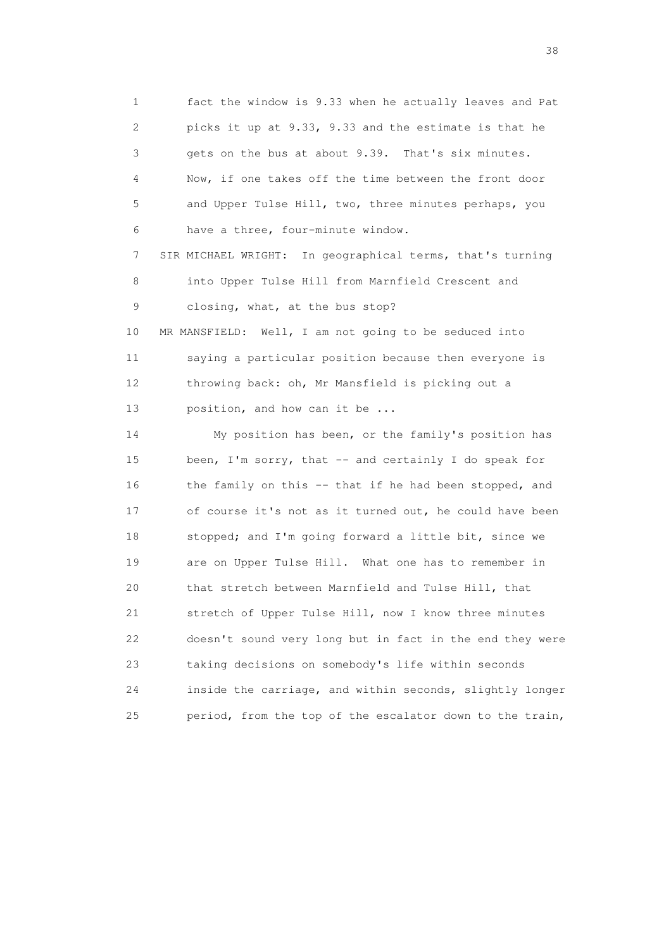1 fact the window is 9.33 when he actually leaves and Pat 2 picks it up at 9.33, 9.33 and the estimate is that he 3 gets on the bus at about 9.39. That's six minutes. 4 Now, if one takes off the time between the front door 5 and Upper Tulse Hill, two, three minutes perhaps, you 6 have a three, four-minute window.

 7 SIR MICHAEL WRIGHT: In geographical terms, that's turning 8 into Upper Tulse Hill from Marnfield Crescent and 9 closing, what, at the bus stop?

 10 MR MANSFIELD: Well, I am not going to be seduced into 11 saying a particular position because then everyone is 12 throwing back: oh, Mr Mansfield is picking out a 13 position, and how can it be ...

 14 My position has been, or the family's position has 15 been, I'm sorry, that -- and certainly I do speak for 16 the family on this -- that if he had been stopped, and 17 of course it's not as it turned out, he could have been 18 stopped; and I'm going forward a little bit, since we 19 are on Upper Tulse Hill. What one has to remember in 20 that stretch between Marnfield and Tulse Hill, that 21 stretch of Upper Tulse Hill, now I know three minutes 22 doesn't sound very long but in fact in the end they were 23 taking decisions on somebody's life within seconds 24 inside the carriage, and within seconds, slightly longer 25 period, from the top of the escalator down to the train,

and the state of the state of the state of the state of the state of the state of the state of the state of the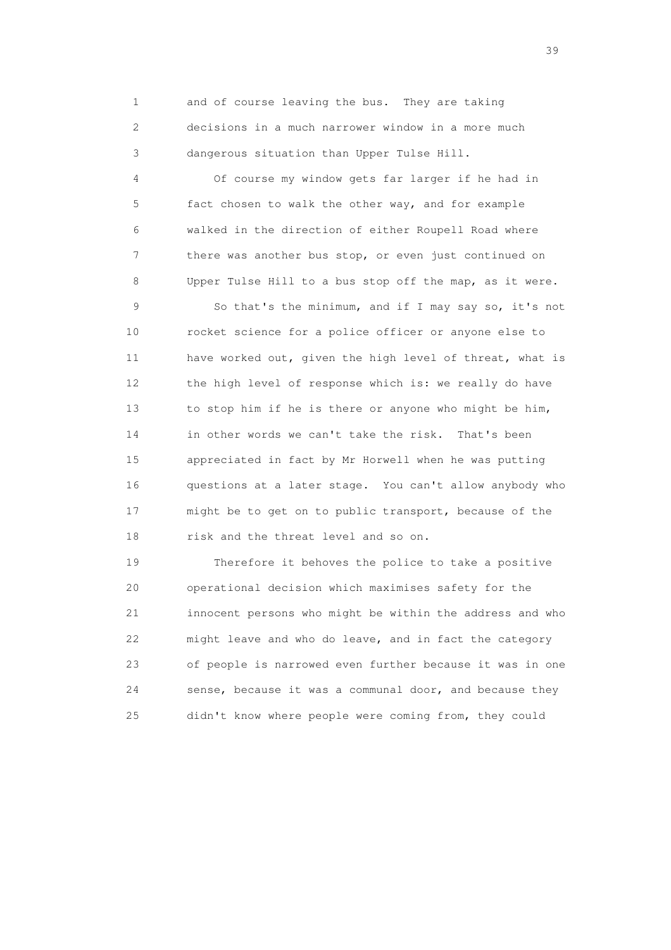1 and of course leaving the bus. They are taking 2 decisions in a much narrower window in a more much 3 dangerous situation than Upper Tulse Hill.

 4 Of course my window gets far larger if he had in 5 fact chosen to walk the other way, and for example 6 walked in the direction of either Roupell Road where 7 there was another bus stop, or even just continued on 8 Upper Tulse Hill to a bus stop off the map, as it were.

 9 So that's the minimum, and if I may say so, it's not 10 rocket science for a police officer or anyone else to 11 have worked out, given the high level of threat, what is 12 the high level of response which is: we really do have 13 to stop him if he is there or anyone who might be him, 14 in other words we can't take the risk. That's been 15 appreciated in fact by Mr Horwell when he was putting 16 questions at a later stage. You can't allow anybody who 17 might be to get on to public transport, because of the 18 risk and the threat level and so on.

 19 Therefore it behoves the police to take a positive 20 operational decision which maximises safety for the 21 innocent persons who might be within the address and who 22 might leave and who do leave, and in fact the category 23 of people is narrowed even further because it was in one 24 sense, because it was a communal door, and because they 25 didn't know where people were coming from, they could

 $39<sup>2</sup>$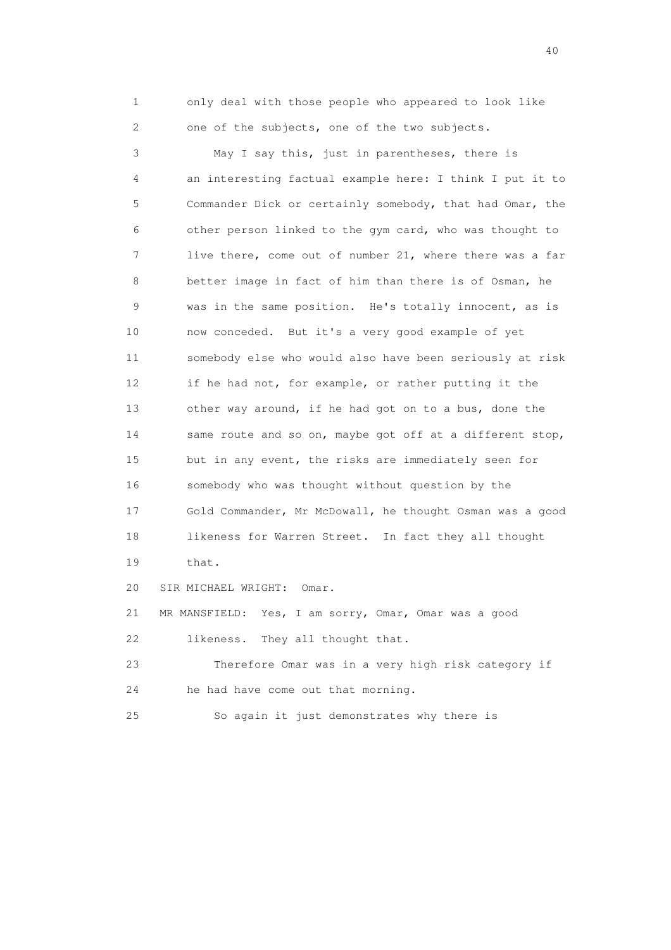1 only deal with those people who appeared to look like 2 one of the subjects, one of the two subjects.

 3 May I say this, just in parentheses, there is 4 an interesting factual example here: I think I put it to 5 Commander Dick or certainly somebody, that had Omar, the 6 other person linked to the gym card, who was thought to 7 live there, come out of number 21, where there was a far 8 better image in fact of him than there is of Osman, he 9 was in the same position. He's totally innocent, as is 10 now conceded. But it's a very good example of yet 11 somebody else who would also have been seriously at risk 12 if he had not, for example, or rather putting it the 13 other way around, if he had got on to a bus, done the 14 same route and so on, maybe got off at a different stop, 15 but in any event, the risks are immediately seen for 16 somebody who was thought without question by the 17 Gold Commander, Mr McDowall, he thought Osman was a good 18 likeness for Warren Street. In fact they all thought 19 that. 20 SIR MICHAEL WRIGHT: Omar. 21 MR MANSFIELD: Yes, I am sorry, Omar, Omar was a good 22 likeness. They all thought that. 23 Therefore Omar was in a very high risk category if 24 he had have come out that morning.

25 So again it just demonstrates why there is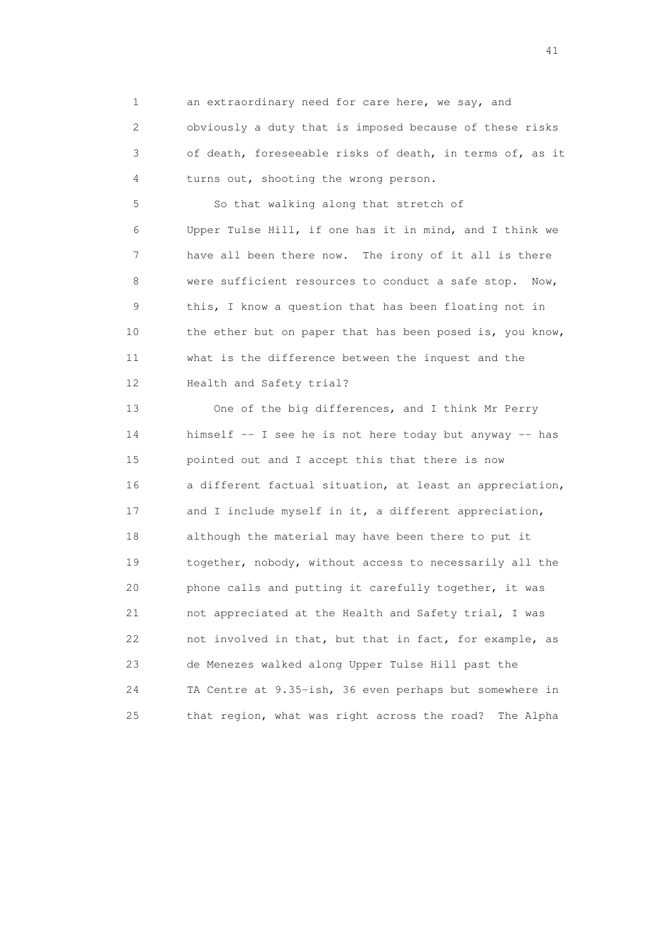1 an extraordinary need for care here, we say, and 2 obviously a duty that is imposed because of these risks 3 of death, foreseeable risks of death, in terms of, as it 4 turns out, shooting the wrong person.

 5 So that walking along that stretch of 6 Upper Tulse Hill, if one has it in mind, and I think we 7 have all been there now. The irony of it all is there 8 were sufficient resources to conduct a safe stop. Now, 9 this, I know a question that has been floating not in 10 the ether but on paper that has been posed is, you know, 11 what is the difference between the inquest and the 12 Health and Safety trial?

 13 One of the big differences, and I think Mr Perry 14 himself -- I see he is not here today but anyway -- has 15 pointed out and I accept this that there is now 16 a different factual situation, at least an appreciation, 17 and I include myself in it, a different appreciation, 18 although the material may have been there to put it 19 together, nobody, without access to necessarily all the 20 phone calls and putting it carefully together, it was 21 not appreciated at the Health and Safety trial, I was 22 not involved in that, but that in fact, for example, as 23 de Menezes walked along Upper Tulse Hill past the 24 TA Centre at 9.35-ish, 36 even perhaps but somewhere in 25 that region, what was right across the road? The Alpha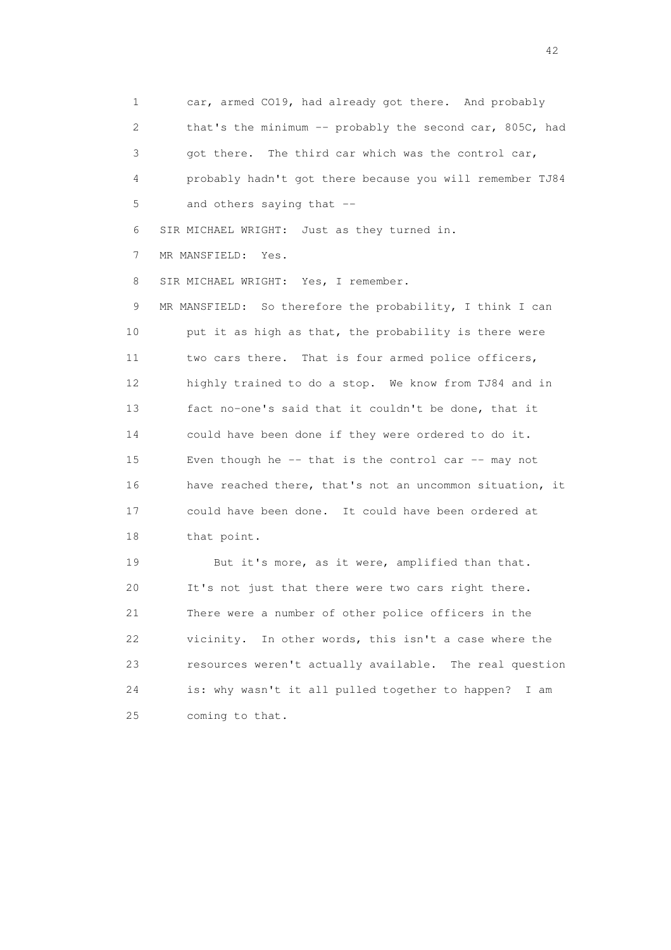1 car, armed CO19, had already got there. And probably 2 that's the minimum -- probably the second car, 805C, had 3 got there. The third car which was the control car, 4 probably hadn't got there because you will remember TJ84 5 and others saying that --

6 SIR MICHAEL WRIGHT: Just as they turned in.

7 MR MANSFIELD: Yes.

8 SIR MICHAEL WRIGHT: Yes, I remember.

 9 MR MANSFIELD: So therefore the probability, I think I can 10 put it as high as that, the probability is there were 11 two cars there. That is four armed police officers, 12 highly trained to do a stop. We know from TJ84 and in 13 fact no-one's said that it couldn't be done, that it 14 could have been done if they were ordered to do it. 15 Even though he -- that is the control car -- may not 16 have reached there, that's not an uncommon situation, it 17 could have been done. It could have been ordered at 18 that point.

19 But it's more, as it were, amplified than that. 20 It's not just that there were two cars right there. 21 There were a number of other police officers in the 22 vicinity. In other words, this isn't a case where the 23 resources weren't actually available. The real question 24 is: why wasn't it all pulled together to happen? I am 25 coming to that.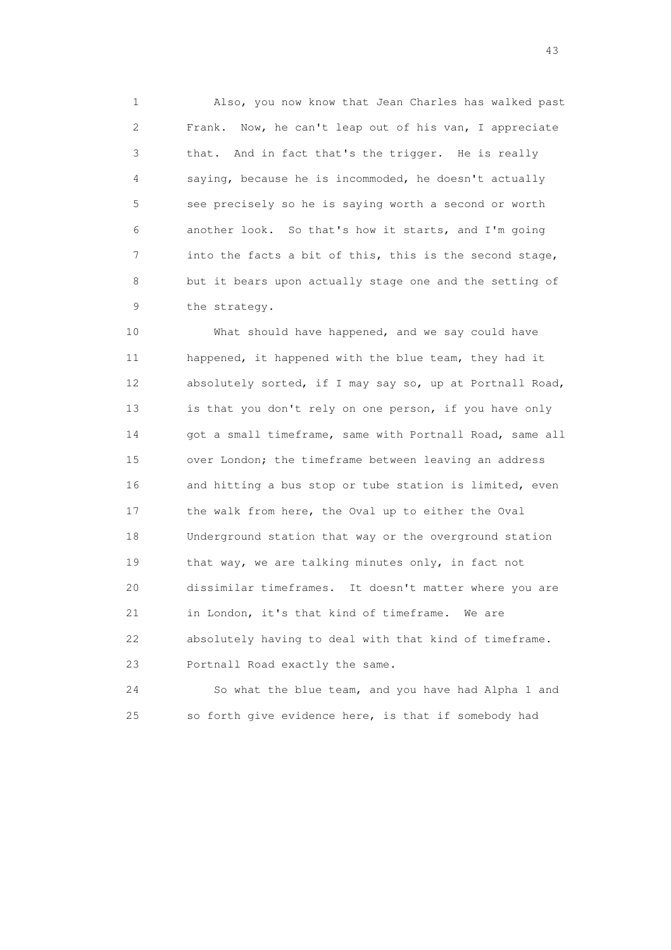1 Also, you now know that Jean Charles has walked past 2 Frank. Now, he can't leap out of his van, I appreciate 3 that. And in fact that's the trigger. He is really 4 saying, because he is incommoded, he doesn't actually 5 see precisely so he is saying worth a second or worth 6 another look. So that's how it starts, and I'm going 7 into the facts a bit of this, this is the second stage, 8 but it bears upon actually stage one and the setting of 9 the strategy.

 10 What should have happened, and we say could have 11 happened, it happened with the blue team, they had it 12 absolutely sorted, if I may say so, up at Portnall Road, 13 is that you don't rely on one person, if you have only 14 got a small timeframe, same with Portnall Road, same all 15 over London; the timeframe between leaving an address 16 and hitting a bus stop or tube station is limited, even 17 the walk from here, the Oval up to either the Oval 18 Underground station that way or the overground station 19 that way, we are talking minutes only, in fact not 20 dissimilar timeframes. It doesn't matter where you are 21 in London, it's that kind of timeframe. We are 22 absolutely having to deal with that kind of timeframe. 23 Portnall Road exactly the same.

 24 So what the blue team, and you have had Alpha 1 and 25 so forth give evidence here, is that if somebody had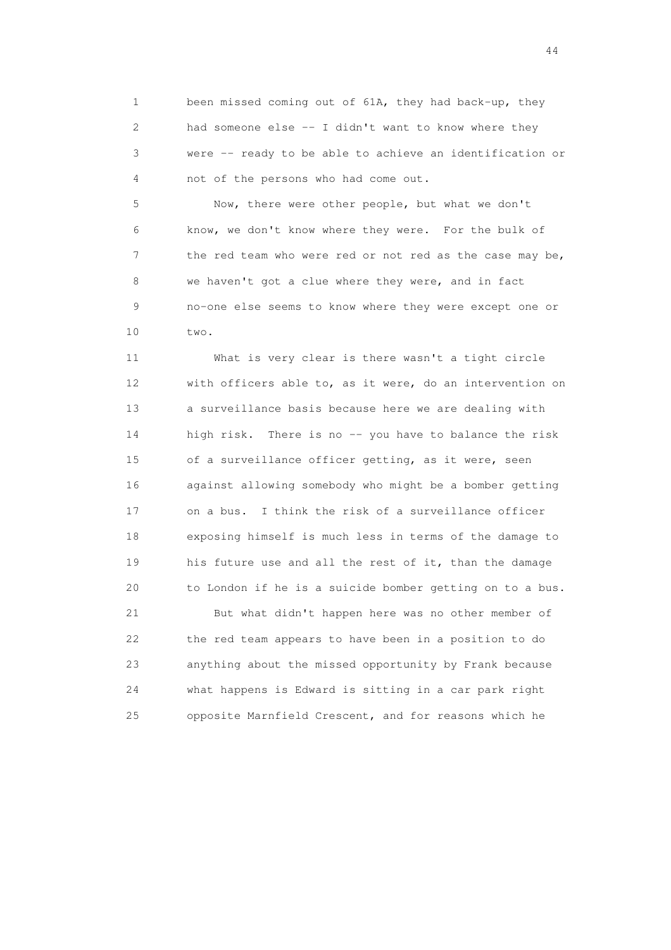1 been missed coming out of 61A, they had back-up, they 2 had someone else -- I didn't want to know where they 3 were -- ready to be able to achieve an identification or 4 not of the persons who had come out.

 5 Now, there were other people, but what we don't 6 know, we don't know where they were. For the bulk of 7 the red team who were red or not red as the case may be, 8 we haven't got a clue where they were, and in fact 9 no-one else seems to know where they were except one or 10 two.

 11 What is very clear is there wasn't a tight circle 12 with officers able to, as it were, do an intervention on 13 a surveillance basis because here we are dealing with 14 high risk. There is no -- you have to balance the risk 15 of a surveillance officer getting, as it were, seen 16 against allowing somebody who might be a bomber getting 17 on a bus. I think the risk of a surveillance officer 18 exposing himself is much less in terms of the damage to 19 his future use and all the rest of it, than the damage 20 to London if he is a suicide bomber getting on to a bus.

 21 But what didn't happen here was no other member of 22 the red team appears to have been in a position to do 23 anything about the missed opportunity by Frank because 24 what happens is Edward is sitting in a car park right 25 opposite Marnfield Crescent, and for reasons which he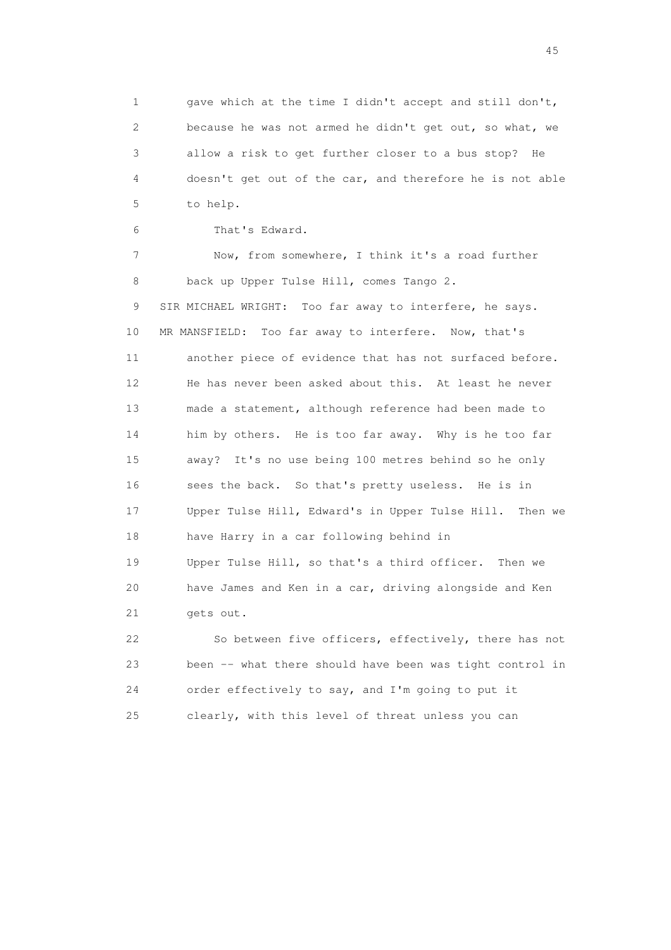1 gave which at the time I didn't accept and still don't, 2 because he was not armed he didn't get out, so what, we 3 allow a risk to get further closer to a bus stop? He 4 doesn't get out of the car, and therefore he is not able 5 to help.

6 That's Edward.

 7 Now, from somewhere, I think it's a road further 8 back up Upper Tulse Hill, comes Tango 2. 9 SIR MICHAEL WRIGHT: Too far away to interfere, he says. 10 MR MANSFIELD: Too far away to interfere. Now, that's 11 another piece of evidence that has not surfaced before. 12 He has never been asked about this. At least he never 13 made a statement, although reference had been made to 14 him by others. He is too far away. Why is he too far 15 away? It's no use being 100 metres behind so he only 16 sees the back. So that's pretty useless. He is in 17 Upper Tulse Hill, Edward's in Upper Tulse Hill. Then we 18 have Harry in a car following behind in 19 Upper Tulse Hill, so that's a third officer. Then we 20 have James and Ken in a car, driving alongside and Ken 21 gets out.

 22 So between five officers, effectively, there has not 23 been -- what there should have been was tight control in 24 order effectively to say, and I'm going to put it 25 clearly, with this level of threat unless you can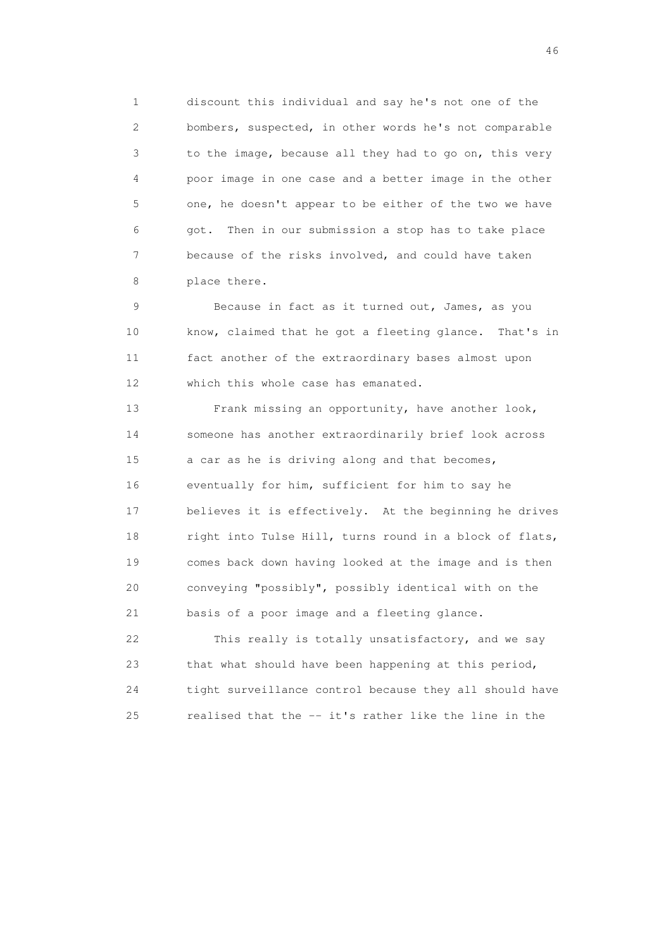1 discount this individual and say he's not one of the 2 bombers, suspected, in other words he's not comparable 3 to the image, because all they had to go on, this very 4 poor image in one case and a better image in the other 5 one, he doesn't appear to be either of the two we have 6 got. Then in our submission a stop has to take place 7 because of the risks involved, and could have taken 8 place there.

 9 Because in fact as it turned out, James, as you 10 know, claimed that he got a fleeting glance. That's in 11 fact another of the extraordinary bases almost upon 12 which this whole case has emanated.

 13 Frank missing an opportunity, have another look, 14 someone has another extraordinarily brief look across 15 a car as he is driving along and that becomes, 16 eventually for him, sufficient for him to say he 17 believes it is effectively. At the beginning he drives 18 right into Tulse Hill, turns round in a block of flats, 19 comes back down having looked at the image and is then 20 conveying "possibly", possibly identical with on the 21 basis of a poor image and a fleeting glance.

 22 This really is totally unsatisfactory, and we say 23 that what should have been happening at this period, 24 tight surveillance control because they all should have 25 realised that the -- it's rather like the line in the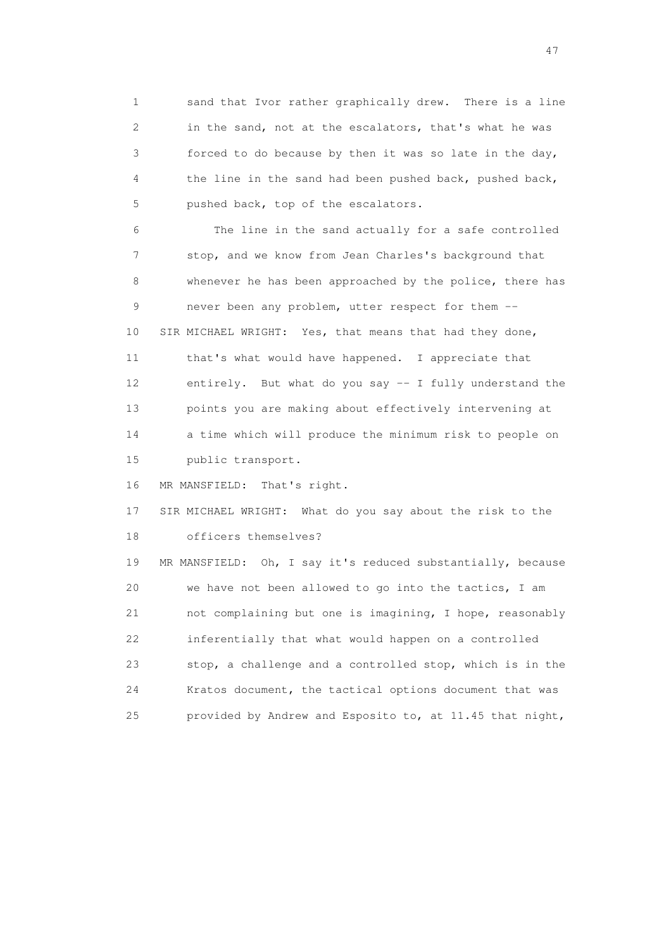1 sand that Ivor rather graphically drew. There is a line 2 in the sand, not at the escalators, that's what he was 3 forced to do because by then it was so late in the day, 4 the line in the sand had been pushed back, pushed back, 5 pushed back, top of the escalators.

 6 The line in the sand actually for a safe controlled 7 stop, and we know from Jean Charles's background that 8 whenever he has been approached by the police, there has 9 never been any problem, utter respect for them -- 10 SIR MICHAEL WRIGHT: Yes, that means that had they done, 11 that's what would have happened. I appreciate that 12 entirely. But what do you say -- I fully understand the 13 points you are making about effectively intervening at 14 a time which will produce the minimum risk to people on 15 public transport.

16 MR MANSFIELD: That's right.

 17 SIR MICHAEL WRIGHT: What do you say about the risk to the 18 officers themselves?

 19 MR MANSFIELD: Oh, I say it's reduced substantially, because 20 we have not been allowed to go into the tactics, I am 21 not complaining but one is imagining, I hope, reasonably 22 inferentially that what would happen on a controlled 23 stop, a challenge and a controlled stop, which is in the 24 Kratos document, the tactical options document that was 25 provided by Andrew and Esposito to, at 11.45 that night,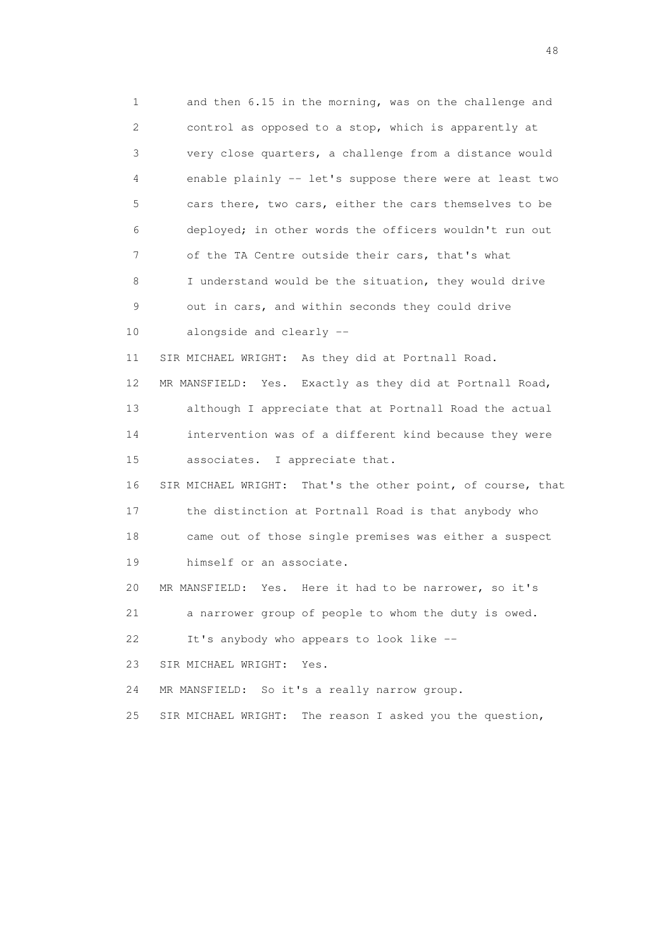1 and then 6.15 in the morning, was on the challenge and 2 control as opposed to a stop, which is apparently at 3 very close quarters, a challenge from a distance would 4 enable plainly -- let's suppose there were at least two 5 cars there, two cars, either the cars themselves to be 6 deployed; in other words the officers wouldn't run out 7 of the TA Centre outside their cars, that's what 8 I understand would be the situation, they would drive 9 out in cars, and within seconds they could drive 10 alongside and clearly -- 11 SIR MICHAEL WRIGHT: As they did at Portnall Road. 12 MR MANSFIELD: Yes. Exactly as they did at Portnall Road, 13 although I appreciate that at Portnall Road the actual 14 intervention was of a different kind because they were 15 associates. I appreciate that. 16 SIR MICHAEL WRIGHT: That's the other point, of course, that 17 the distinction at Portnall Road is that anybody who 18 came out of those single premises was either a suspect 19 himself or an associate. 20 MR MANSFIELD: Yes. Here it had to be narrower, so it's 21 a narrower group of people to whom the duty is owed. 22 It's anybody who appears to look like -- 23 SIR MICHAEL WRIGHT: Yes. 24 MR MANSFIELD: So it's a really narrow group. 25 SIR MICHAEL WRIGHT: The reason I asked you the question,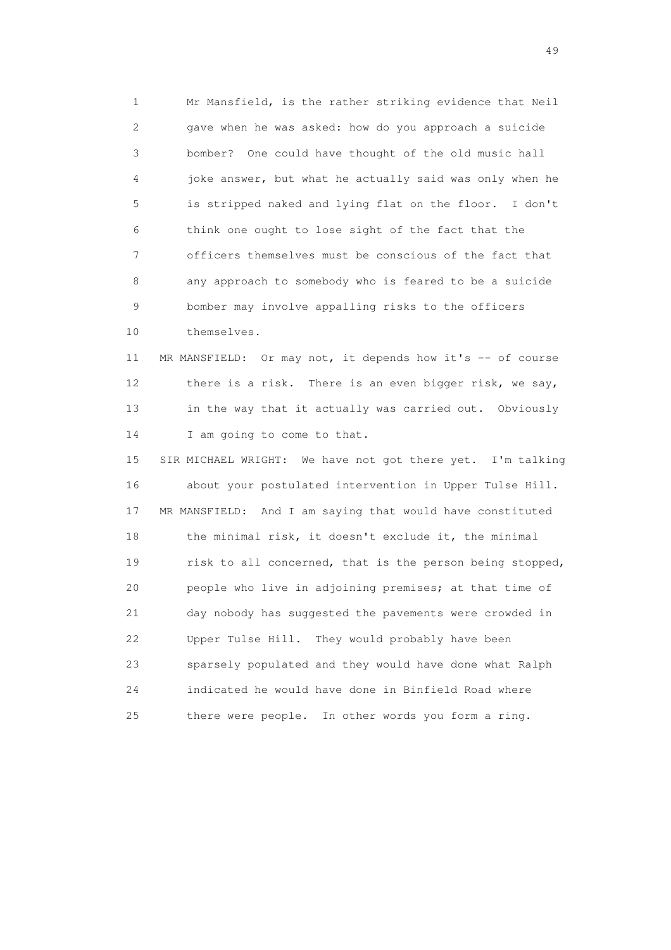1 Mr Mansfield, is the rather striking evidence that Neil 2 gave when he was asked: how do you approach a suicide 3 bomber? One could have thought of the old music hall 4 joke answer, but what he actually said was only when he 5 is stripped naked and lying flat on the floor. I don't 6 think one ought to lose sight of the fact that the 7 officers themselves must be conscious of the fact that 8 any approach to somebody who is feared to be a suicide 9 bomber may involve appalling risks to the officers 10 themselves.

11 MR MANSFIELD: Or may not, it depends how it's -- of course 12 there is a risk. There is an even bigger risk, we say, 13 in the way that it actually was carried out. Obviously 14 I am going to come to that.

 15 SIR MICHAEL WRIGHT: We have not got there yet. I'm talking 16 about your postulated intervention in Upper Tulse Hill. 17 MR MANSFIELD: And I am saying that would have constituted 18 the minimal risk, it doesn't exclude it, the minimal 19 risk to all concerned, that is the person being stopped, 20 people who live in adjoining premises; at that time of 21 day nobody has suggested the pavements were crowded in 22 Upper Tulse Hill. They would probably have been 23 sparsely populated and they would have done what Ralph 24 indicated he would have done in Binfield Road where 25 there were people. In other words you form a ring.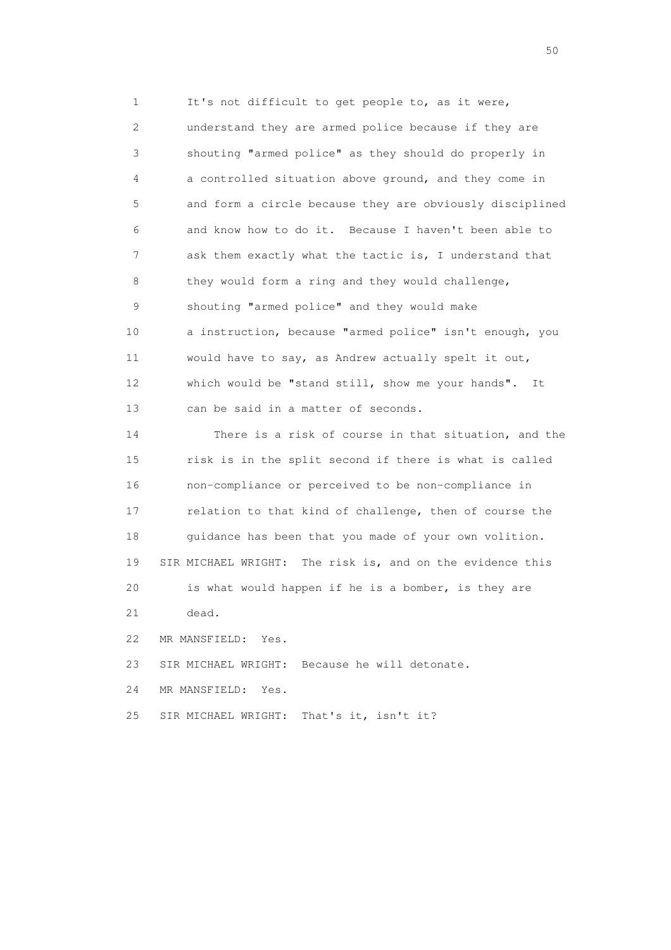1 It's not difficult to get people to, as it were, 2 understand they are armed police because if they are 3 shouting "armed police" as they should do properly in 4 a controlled situation above ground, and they come in 5 and form a circle because they are obviously disciplined 6 and know how to do it. Because I haven't been able to 7 ask them exactly what the tactic is, I understand that 8 they would form a ring and they would challenge, 9 shouting "armed police" and they would make 10 a instruction, because "armed police" isn't enough, you 11 would have to say, as Andrew actually spelt it out, 12 which would be "stand still, show me your hands". It 13 can be said in a matter of seconds. 14 There is a risk of course in that situation, and the 15 risk is in the split second if there is what is called 16 non-compliance or perceived to be non-compliance in 17 relation to that kind of challenge, then of course the

18 guidance has been that you made of your own volition. 19 SIR MICHAEL WRIGHT: The risk is, and on the evidence this 20 is what would happen if he is a bomber, is they are 21 dead.

22 MR MANSFIELD: Yes.

23 SIR MICHAEL WRIGHT: Because he will detonate.

24 MR MANSFIELD: Yes.

25 SIR MICHAEL WRIGHT: That's it, isn't it?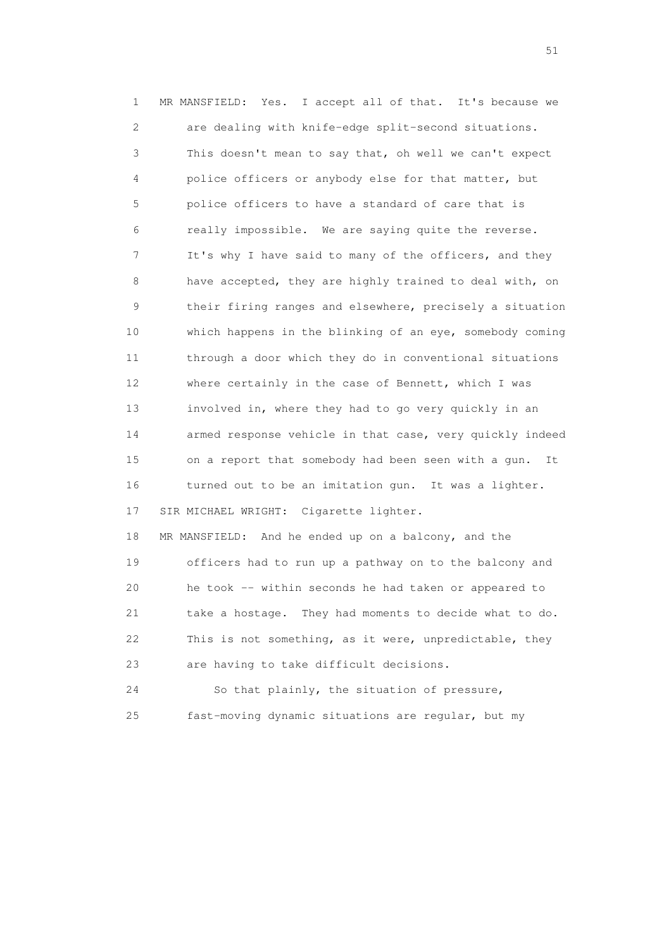1 MR MANSFIELD: Yes. I accept all of that. It's because we 2 are dealing with knife-edge split-second situations. 3 This doesn't mean to say that, oh well we can't expect 4 police officers or anybody else for that matter, but 5 police officers to have a standard of care that is 6 really impossible. We are saying quite the reverse. 7 It's why I have said to many of the officers, and they 8 have accepted, they are highly trained to deal with, on 9 their firing ranges and elsewhere, precisely a situation 10 which happens in the blinking of an eye, somebody coming 11 through a door which they do in conventional situations 12 where certainly in the case of Bennett, which I was 13 involved in, where they had to go very quickly in an 14 armed response vehicle in that case, very quickly indeed 15 on a report that somebody had been seen with a gun. It 16 turned out to be an imitation gun. It was a lighter. 17 SIR MICHAEL WRIGHT: Cigarette lighter. 18 MR MANSFIELD: And he ended up on a balcony, and the 19 officers had to run up a pathway on to the balcony and 20 he took -- within seconds he had taken or appeared to 21 take a hostage. They had moments to decide what to do. 22 This is not something, as it were, unpredictable, they 23 are having to take difficult decisions. 24 So that plainly, the situation of pressure,

25 fast-moving dynamic situations are regular, but my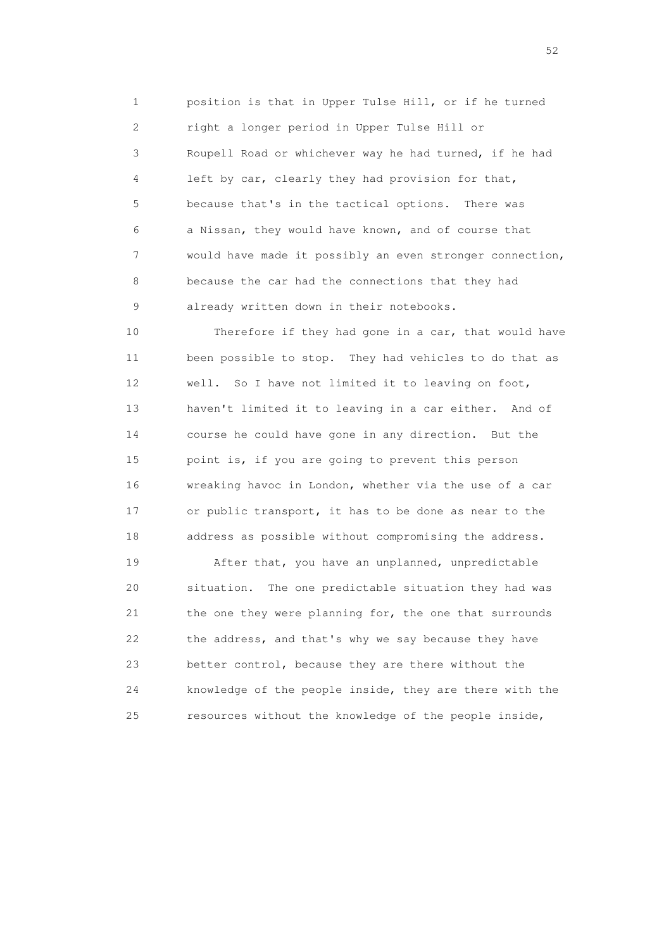1 position is that in Upper Tulse Hill, or if he turned 2 right a longer period in Upper Tulse Hill or 3 Roupell Road or whichever way he had turned, if he had 4 left by car, clearly they had provision for that, 5 because that's in the tactical options. There was 6 a Nissan, they would have known, and of course that 7 would have made it possibly an even stronger connection, 8 because the car had the connections that they had 9 already written down in their notebooks.

 10 Therefore if they had gone in a car, that would have 11 been possible to stop. They had vehicles to do that as 12 well. So I have not limited it to leaving on foot, 13 haven't limited it to leaving in a car either. And of 14 course he could have gone in any direction. But the 15 point is, if you are going to prevent this person 16 wreaking havoc in London, whether via the use of a car 17 or public transport, it has to be done as near to the 18 address as possible without compromising the address.

19 After that, you have an unplanned, unpredictable 20 situation. The one predictable situation they had was 21 the one they were planning for, the one that surrounds 22 the address, and that's why we say because they have 23 better control, because they are there without the 24 knowledge of the people inside, they are there with the 25 resources without the knowledge of the people inside,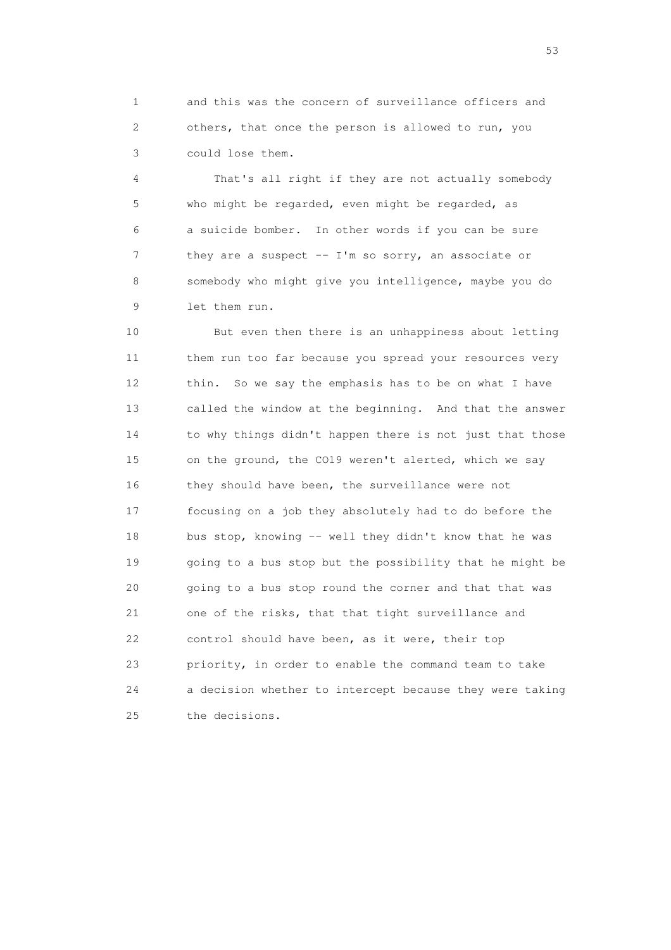1 and this was the concern of surveillance officers and 2 others, that once the person is allowed to run, you 3 could lose them.

 4 That's all right if they are not actually somebody 5 who might be regarded, even might be regarded, as 6 a suicide bomber. In other words if you can be sure 7 they are a suspect -- I'm so sorry, an associate or 8 somebody who might give you intelligence, maybe you do 9 let them run.

 10 But even then there is an unhappiness about letting 11 them run too far because you spread your resources very 12 thin. So we say the emphasis has to be on what I have 13 called the window at the beginning. And that the answer 14 to why things didn't happen there is not just that those 15 on the ground, the CO19 weren't alerted, which we say 16 they should have been, the surveillance were not 17 focusing on a job they absolutely had to do before the 18 bus stop, knowing -- well they didn't know that he was 19 going to a bus stop but the possibility that he might be 20 going to a bus stop round the corner and that that was 21 one of the risks, that that tight surveillance and 22 control should have been, as it were, their top 23 priority, in order to enable the command team to take 24 a decision whether to intercept because they were taking 25 the decisions.

 $\sim$  53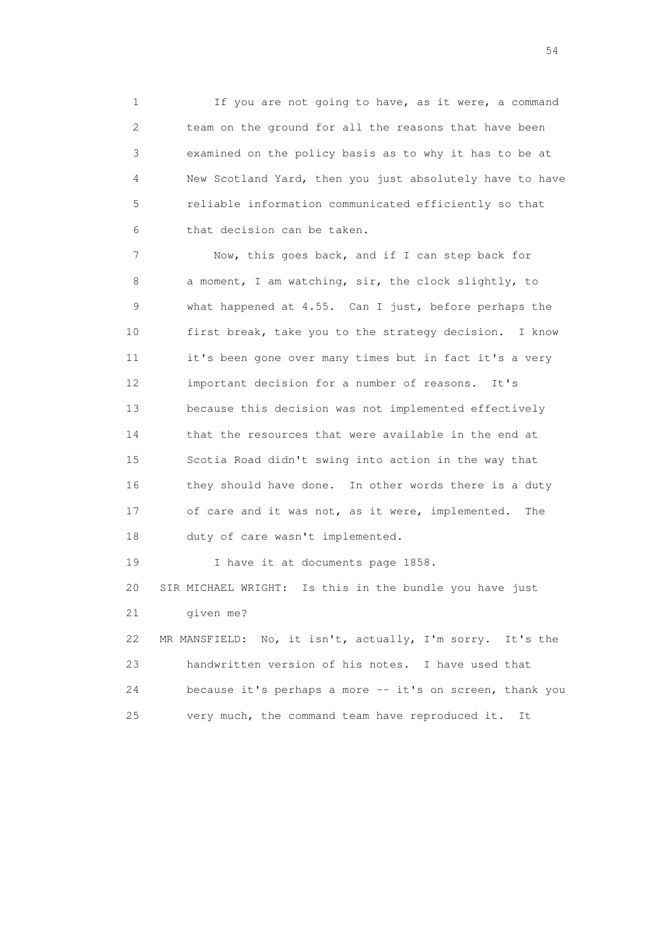1 If you are not going to have, as it were, a command 2 team on the ground for all the reasons that have been 3 examined on the policy basis as to why it has to be at 4 New Scotland Yard, then you just absolutely have to have 5 reliable information communicated efficiently so that 6 that decision can be taken.

 7 Now, this goes back, and if I can step back for 8 a moment, I am watching, sir, the clock slightly, to 9 what happened at 4.55. Can I just, before perhaps the 10 first break, take you to the strategy decision. I know 11 it's been gone over many times but in fact it's a very 12 important decision for a number of reasons. It's 13 because this decision was not implemented effectively 14 that the resources that were available in the end at 15 Scotia Road didn't swing into action in the way that 16 they should have done. In other words there is a duty 17 of care and it was not, as it were, implemented. The 18 duty of care wasn't implemented.

19 I have it at documents page 1858. 20 SIR MICHAEL WRIGHT: Is this in the bundle you have just 21 given me? 22 MR MANSFIELD: No, it isn't, actually, I'm sorry. It's the 23 handwritten version of his notes. I have used that

 24 because it's perhaps a more -- it's on screen, thank you 25 very much, the command team have reproduced it. It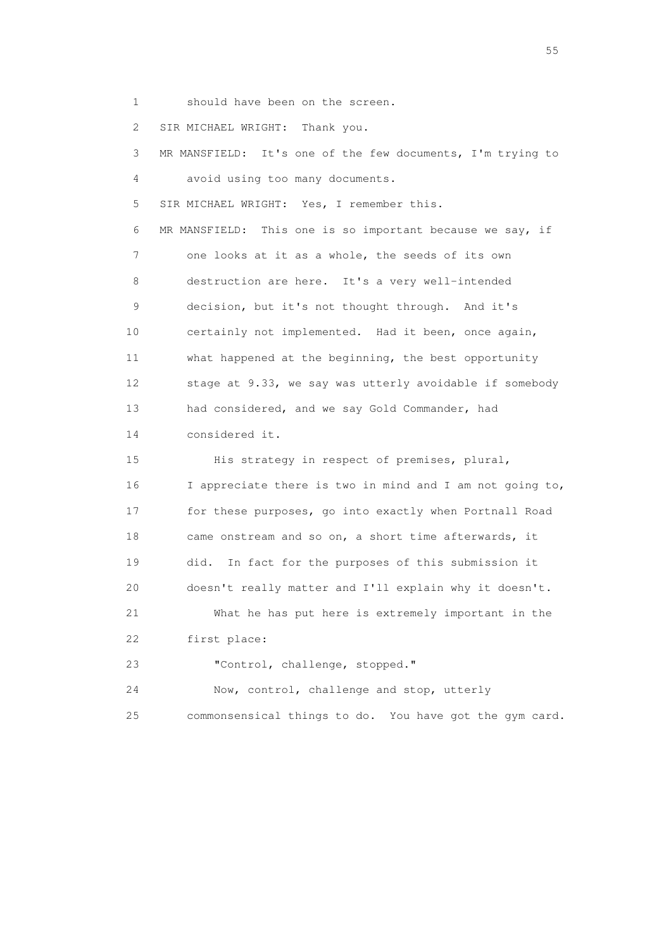1 should have been on the screen.

2 SIR MICHAEL WRIGHT: Thank you.

 3 MR MANSFIELD: It's one of the few documents, I'm trying to 4 avoid using too many documents. 5 SIR MICHAEL WRIGHT: Yes, I remember this. 6 MR MANSFIELD: This one is so important because we say, if 7 one looks at it as a whole, the seeds of its own 8 destruction are here. It's a very well-intended 9 decision, but it's not thought through. And it's 10 certainly not implemented. Had it been, once again, 11 what happened at the beginning, the best opportunity 12 stage at 9.33, we say was utterly avoidable if somebody 13 had considered, and we say Gold Commander, had 14 considered it. 15 His strategy in respect of premises, plural, 16 I appreciate there is two in mind and I am not going to, 17 for these purposes, go into exactly when Portnall Road 18 came onstream and so on, a short time afterwards, it 19 did. In fact for the purposes of this submission it 20 doesn't really matter and I'll explain why it doesn't. 21 What he has put here is extremely important in the 22 first place: 23 "Control, challenge, stopped." 24 Now, control, challenge and stop, utterly 25 commonsensical things to do. You have got the gym card.

the state of the state of the state of the state of the state of the state of the state of the state of the state of the state of the state of the state of the state of the state of the state of the state of the state of t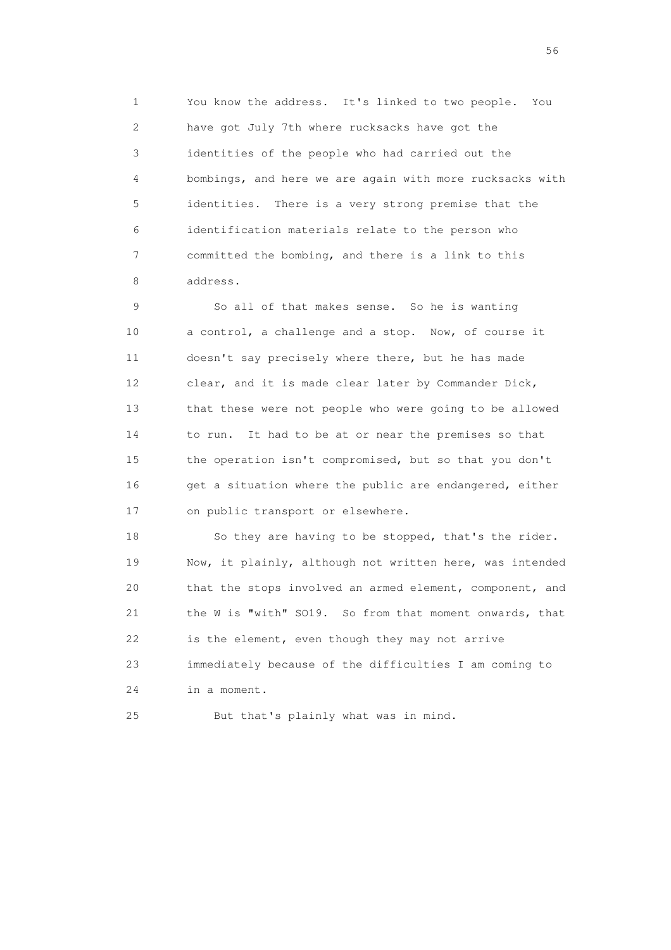1 You know the address. It's linked to two people. You 2 have got July 7th where rucksacks have got the 3 identities of the people who had carried out the 4 bombings, and here we are again with more rucksacks with 5 identities. There is a very strong premise that the 6 identification materials relate to the person who 7 committed the bombing, and there is a link to this 8 address.

 9 So all of that makes sense. So he is wanting 10 a control, a challenge and a stop. Now, of course it 11 doesn't say precisely where there, but he has made 12 clear, and it is made clear later by Commander Dick, 13 that these were not people who were going to be allowed 14 to run. It had to be at or near the premises so that 15 the operation isn't compromised, but so that you don't 16 get a situation where the public are endangered, either 17 on public transport or elsewhere.

 18 So they are having to be stopped, that's the rider. 19 Now, it plainly, although not written here, was intended 20 that the stops involved an armed element, component, and 21 the W is "with" SO19. So from that moment onwards, that 22 is the element, even though they may not arrive 23 immediately because of the difficulties I am coming to 24 in a moment.

25 But that's plainly what was in mind.

 $56<sup>o</sup>$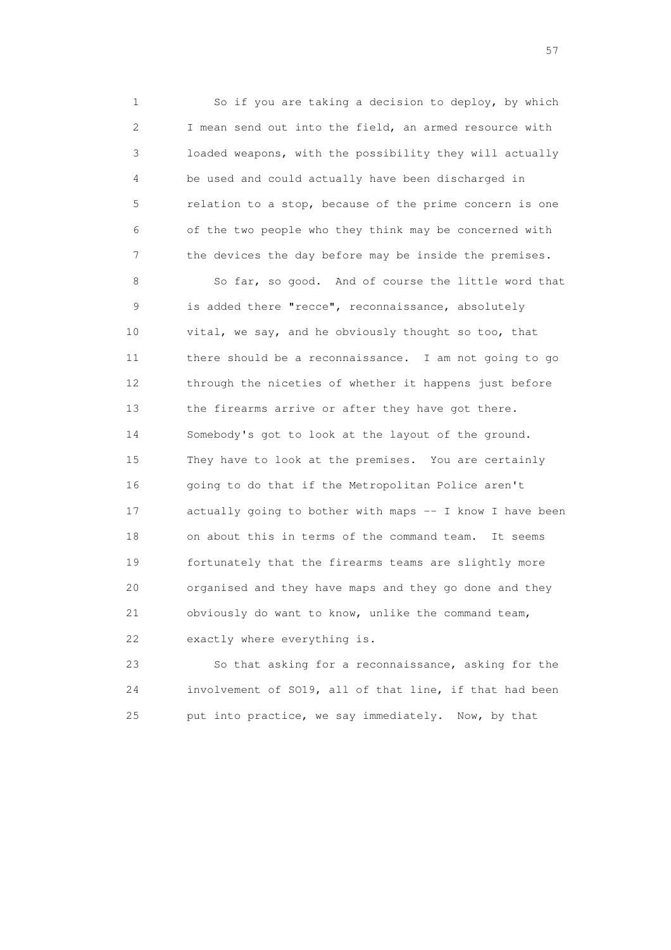1 So if you are taking a decision to deploy, by which 2 I mean send out into the field, an armed resource with 3 loaded weapons, with the possibility they will actually 4 be used and could actually have been discharged in 5 relation to a stop, because of the prime concern is one 6 of the two people who they think may be concerned with 7 the devices the day before may be inside the premises.

 8 So far, so good. And of course the little word that 9 is added there "recce", reconnaissance, absolutely 10 vital, we say, and he obviously thought so too, that 11 there should be a reconnaissance. I am not going to go 12 through the niceties of whether it happens just before 13 the firearms arrive or after they have got there. 14 Somebody's got to look at the layout of the ground. 15 They have to look at the premises. You are certainly 16 going to do that if the Metropolitan Police aren't 17 actually going to bother with maps -- I know I have been 18 on about this in terms of the command team. It seems 19 fortunately that the firearms teams are slightly more 20 organised and they have maps and they go done and they 21 obviously do want to know, unlike the command team, 22 exactly where everything is.

 23 So that asking for a reconnaissance, asking for the 24 involvement of SO19, all of that line, if that had been 25 put into practice, we say immediately. Now, by that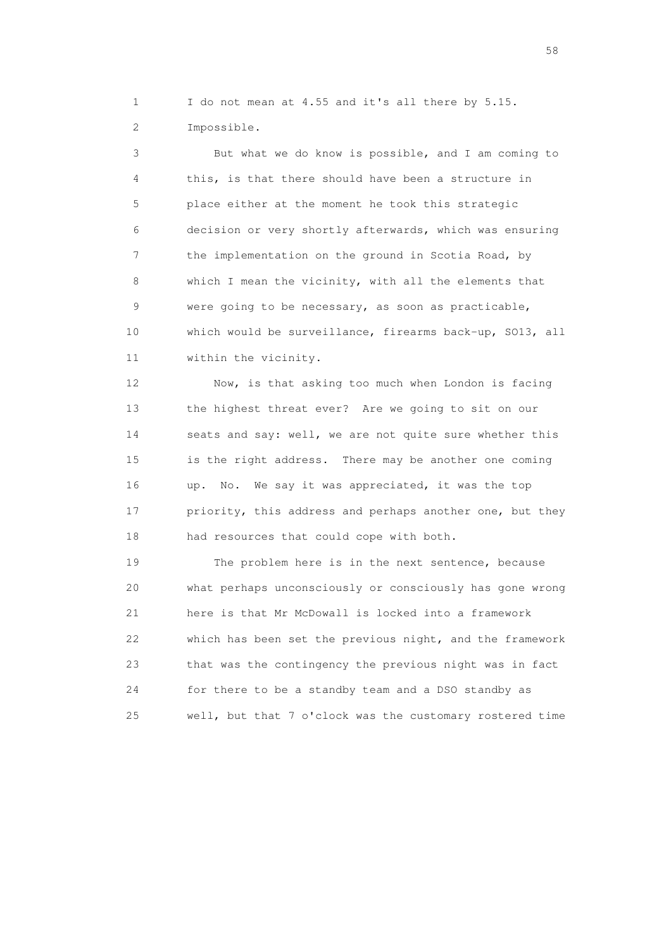1 I do not mean at 4.55 and it's all there by 5.15. 2 Impossible.

 3 But what we do know is possible, and I am coming to 4 this, is that there should have been a structure in 5 place either at the moment he took this strategic 6 decision or very shortly afterwards, which was ensuring 7 the implementation on the ground in Scotia Road, by 8 which I mean the vicinity, with all the elements that 9 were going to be necessary, as soon as practicable, 10 which would be surveillance, firearms back-up, SO13, all 11 within the vicinity.

 12 Now, is that asking too much when London is facing 13 the highest threat ever? Are we going to sit on our 14 seats and say: well, we are not quite sure whether this 15 is the right address. There may be another one coming 16 up. No. We say it was appreciated, it was the top 17 priority, this address and perhaps another one, but they 18 had resources that could cope with both.

 19 The problem here is in the next sentence, because 20 what perhaps unconsciously or consciously has gone wrong 21 here is that Mr McDowall is locked into a framework 22 which has been set the previous night, and the framework 23 that was the contingency the previous night was in fact 24 for there to be a standby team and a DSO standby as 25 well, but that 7 o'clock was the customary rostered time

the state of the state of the state of the state of the state of the state of the state of the state of the state of the state of the state of the state of the state of the state of the state of the state of the state of t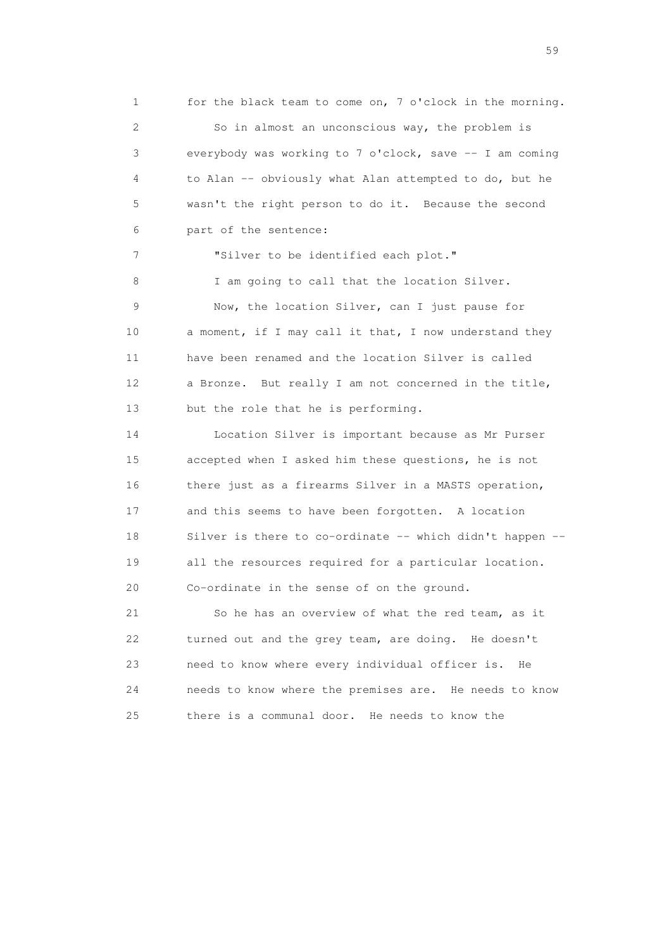1 for the black team to come on, 7 o'clock in the morning. 2 So in almost an unconscious way, the problem is 3 everybody was working to 7 o'clock, save -- I am coming 4 to Alan -- obviously what Alan attempted to do, but he 5 wasn't the right person to do it. Because the second 6 part of the sentence: 7 "Silver to be identified each plot." 8 I am going to call that the location Silver. 9 Now, the location Silver, can I just pause for 10 a moment, if I may call it that, I now understand they 11 have been renamed and the location Silver is called 12 a Bronze. But really I am not concerned in the title,

 14 Location Silver is important because as Mr Purser 15 accepted when I asked him these questions, he is not 16 there just as a firearms Silver in a MASTS operation, 17 and this seems to have been forgotten. A location 18 Silver is there to co-ordinate -- which didn't happen -- 19 all the resources required for a particular location. 20 Co-ordinate in the sense of on the ground.

13 but the role that he is performing.

 21 So he has an overview of what the red team, as it 22 turned out and the grey team, are doing. He doesn't 23 need to know where every individual officer is. He 24 needs to know where the premises are. He needs to know 25 there is a communal door. He needs to know the

the contract of the contract of the contract of the contract of the contract of the contract of the contract of the contract of the contract of the contract of the contract of the contract of the contract of the contract o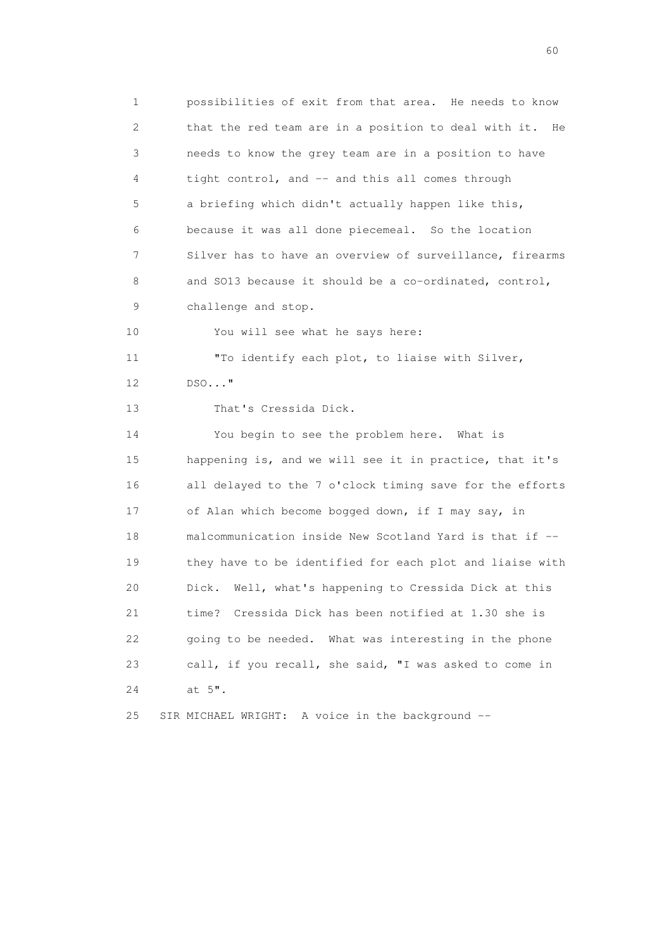1 possibilities of exit from that area. He needs to know 2 that the red team are in a position to deal with it. He 3 needs to know the grey team are in a position to have 4 tight control, and -- and this all comes through 5 a briefing which didn't actually happen like this, 6 because it was all done piecemeal. So the location 7 Silver has to have an overview of surveillance, firearms 8 and SO13 because it should be a co-ordinated, control, 9 challenge and stop. 10 You will see what he says here: 11 "To identify each plot, to liaise with Silver, 12 DSO..." 13 That's Cressida Dick. 14 You begin to see the problem here. What is 15 happening is, and we will see it in practice, that it's 16 all delayed to the 7 o'clock timing save for the efforts 17 of Alan which become bogged down, if I may say, in 18 malcommunication inside New Scotland Yard is that if -- 19 they have to be identified for each plot and liaise with 20 Dick. Well, what's happening to Cressida Dick at this 21 time? Cressida Dick has been notified at 1.30 she is 22 going to be needed. What was interesting in the phone 23 call, if you recall, she said, "I was asked to come in 24 at 5". 25 SIR MICHAEL WRIGHT: A voice in the background --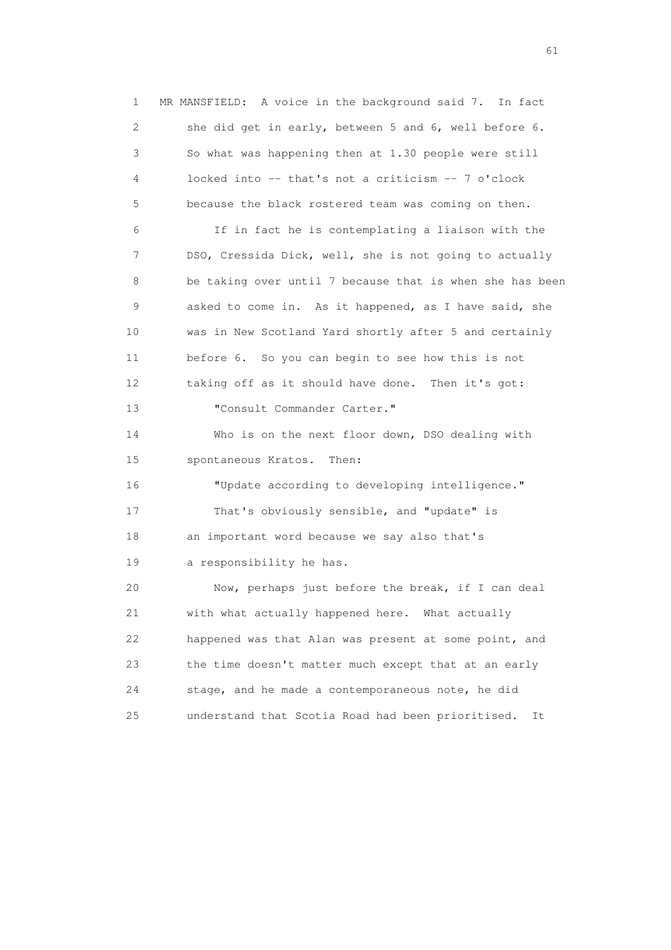1 MR MANSFIELD: A voice in the background said 7. In fact 2 she did get in early, between 5 and 6, well before 6. 3 So what was happening then at 1.30 people were still 4 locked into -- that's not a criticism -- 7 o'clock 5 because the black rostered team was coming on then. 6 If in fact he is contemplating a liaison with the 7 DSO, Cressida Dick, well, she is not going to actually 8 be taking over until 7 because that is when she has been 9 asked to come in. As it happened, as I have said, she 10 was in New Scotland Yard shortly after 5 and certainly 11 before 6. So you can begin to see how this is not 12 taking off as it should have done. Then it's got: 13 "Consult Commander Carter." 14 Who is on the next floor down, DSO dealing with 15 spontaneous Kratos. Then: 16 "Update according to developing intelligence." 17 That's obviously sensible, and "update" is 18 an important word because we say also that's 19 a responsibility he has. 20 Now, perhaps just before the break, if I can deal 21 with what actually happened here. What actually 22 happened was that Alan was present at some point, and 23 the time doesn't matter much except that at an early 24 stage, and he made a contemporaneous note, he did 25 understand that Scotia Road had been prioritised. It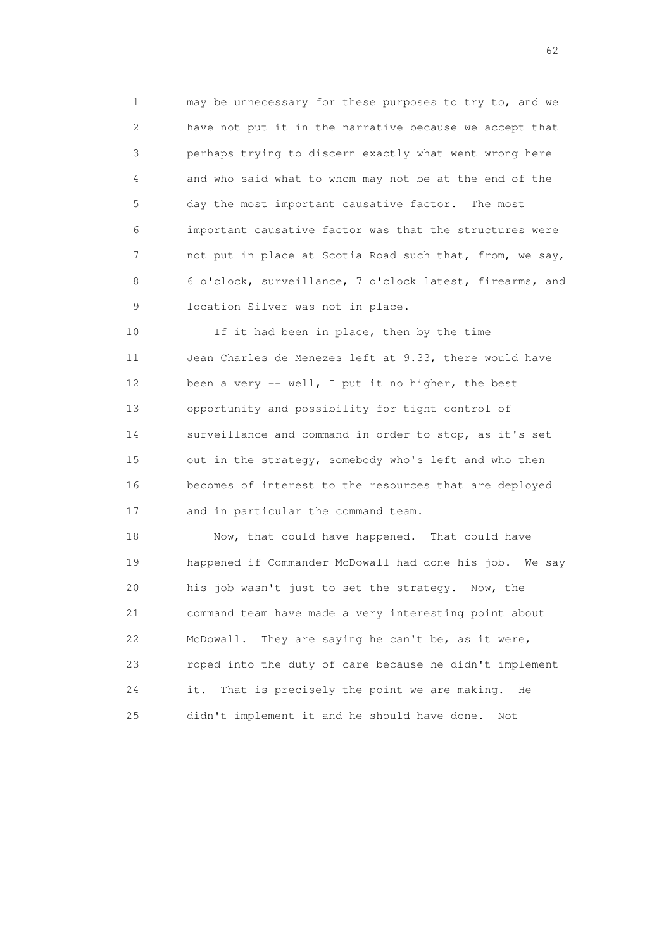1 may be unnecessary for these purposes to try to, and we 2 have not put it in the narrative because we accept that 3 perhaps trying to discern exactly what went wrong here 4 and who said what to whom may not be at the end of the 5 day the most important causative factor. The most 6 important causative factor was that the structures were 7 not put in place at Scotia Road such that, from, we say, 8 6 o'clock, surveillance, 7 o'clock latest, firearms, and 9 location Silver was not in place.

10 If it had been in place, then by the time 11 Jean Charles de Menezes left at 9.33, there would have 12 been a very -- well, I put it no higher, the best 13 opportunity and possibility for tight control of 14 surveillance and command in order to stop, as it's set 15 out in the strategy, somebody who's left and who then 16 becomes of interest to the resources that are deployed 17 and in particular the command team.

 18 Now, that could have happened. That could have 19 happened if Commander McDowall had done his job. We say 20 his job wasn't just to set the strategy. Now, the 21 command team have made a very interesting point about 22 McDowall. They are saying he can't be, as it were, 23 roped into the duty of care because he didn't implement 24 it. That is precisely the point we are making. He 25 didn't implement it and he should have done. Not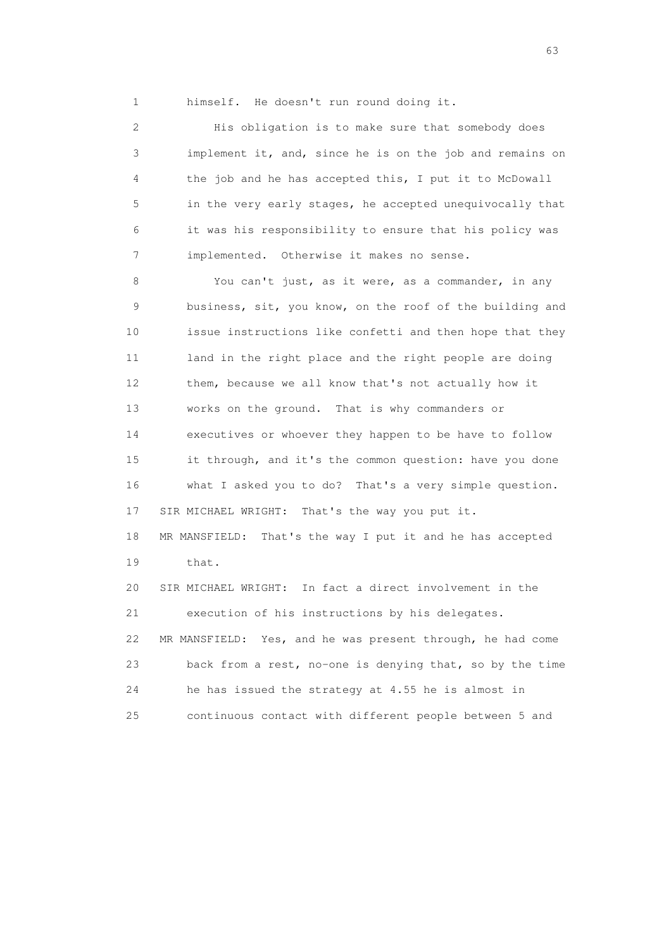1 himself. He doesn't run round doing it.

 2 His obligation is to make sure that somebody does 3 implement it, and, since he is on the job and remains on 4 the job and he has accepted this, I put it to McDowall 5 in the very early stages, he accepted unequivocally that 6 it was his responsibility to ensure that his policy was 7 implemented. Otherwise it makes no sense.

 8 You can't just, as it were, as a commander, in any 9 business, sit, you know, on the roof of the building and 10 issue instructions like confetti and then hope that they 11 land in the right place and the right people are doing 12 them, because we all know that's not actually how it 13 works on the ground. That is why commanders or 14 executives or whoever they happen to be have to follow 15 it through, and it's the common question: have you done 16 what I asked you to do? That's a very simple question. 17 SIR MICHAEL WRIGHT: That's the way you put it. 18 MR MANSFIELD: That's the way I put it and he has accepted 19 that. 20 SIR MICHAEL WRIGHT: In fact a direct involvement in the 21 execution of his instructions by his delegates. 22 MR MANSFIELD: Yes, and he was present through, he had come 23 back from a rest, no-one is denying that, so by the time 24 he has issued the strategy at 4.55 he is almost in 25 continuous contact with different people between 5 and

experience of the contract of the contract of the contract of the contract of the contract of the contract of the contract of the contract of the contract of the contract of the contract of the contract of the contract of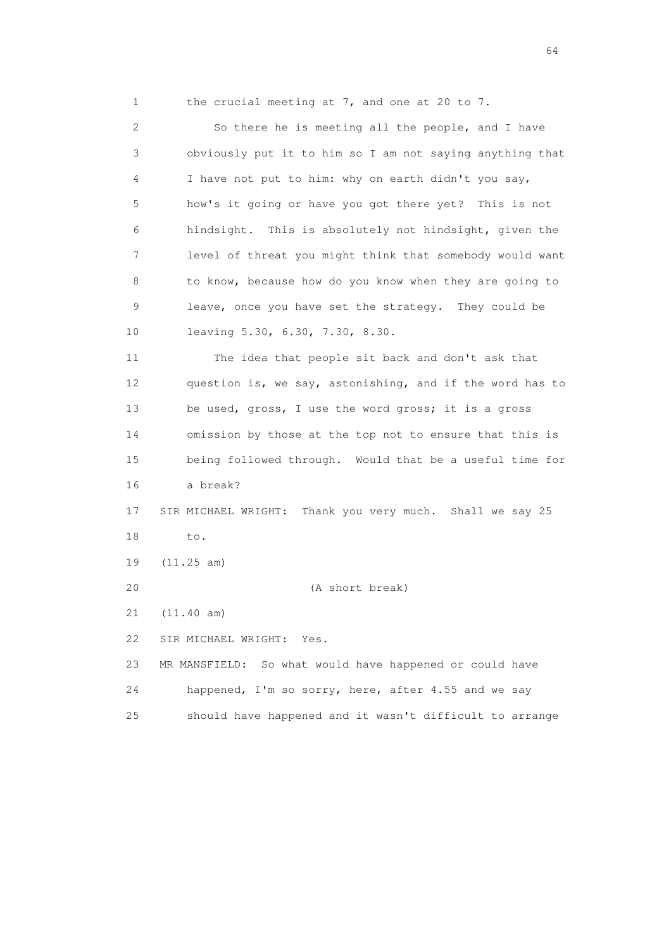1 the crucial meeting at 7, and one at 20 to 7.

 2 So there he is meeting all the people, and I have 3 obviously put it to him so I am not saying anything that 4 I have not put to him: why on earth didn't you say, 5 how's it going or have you got there yet? This is not 6 hindsight. This is absolutely not hindsight, given the 7 level of threat you might think that somebody would want 8 to know, because how do you know when they are going to 9 leave, once you have set the strategy. They could be 10 leaving 5.30, 6.30, 7.30, 8.30.

 11 The idea that people sit back and don't ask that 12 question is, we say, astonishing, and if the word has to 13 be used, gross, I use the word gross; it is a gross 14 omission by those at the top not to ensure that this is 15 being followed through. Would that be a useful time for 16 a break? 17 SIR MICHAEL WRIGHT: Thank you very much. Shall we say 25 18 to. 19 (11.25 am)

20 (A short break)

21 (11.40 am)

22 SIR MICHAEL WRIGHT: Yes.

 23 MR MANSFIELD: So what would have happened or could have 24 happened, I'm so sorry, here, after 4.55 and we say 25 should have happened and it wasn't difficult to arrange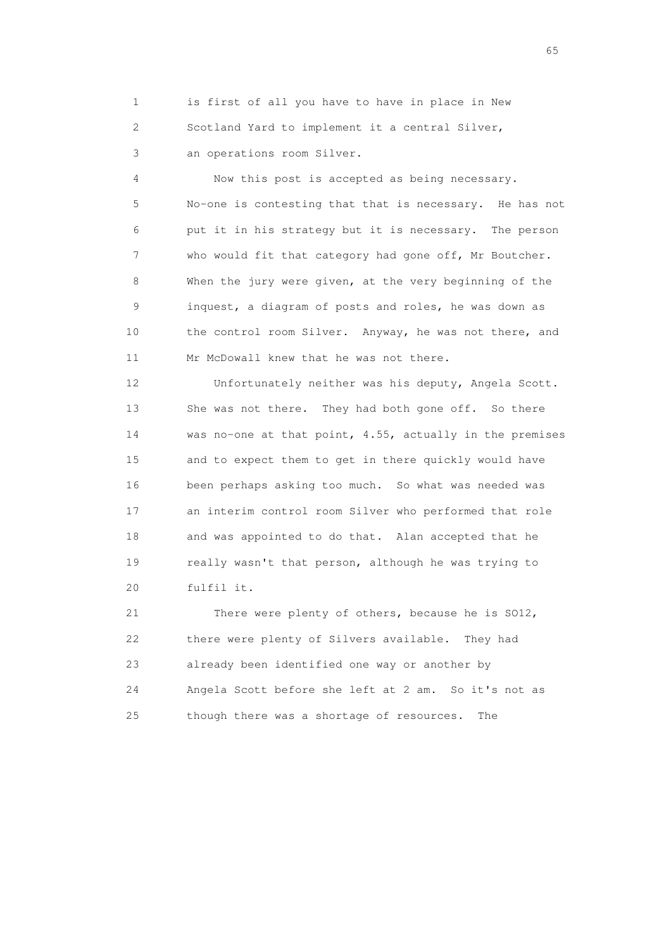1 is first of all you have to have in place in New 2 Scotland Yard to implement it a central Silver, 3 an operations room Silver.

 4 Now this post is accepted as being necessary. 5 No-one is contesting that that is necessary. He has not 6 put it in his strategy but it is necessary. The person 7 who would fit that category had gone off, Mr Boutcher. 8 When the jury were given, at the very beginning of the 9 inquest, a diagram of posts and roles, he was down as 10 the control room Silver. Anyway, he was not there, and 11 Mr McDowall knew that he was not there.

 12 Unfortunately neither was his deputy, Angela Scott. 13 She was not there. They had both gone off. So there 14 was no-one at that point, 4.55, actually in the premises 15 and to expect them to get in there quickly would have 16 been perhaps asking too much. So what was needed was 17 an interim control room Silver who performed that role 18 and was appointed to do that. Alan accepted that he 19 really wasn't that person, although he was trying to 20 fulfil it.

 21 There were plenty of others, because he is SO12, 22 there were plenty of Silvers available. They had 23 already been identified one way or another by 24 Angela Scott before she left at 2 am. So it's not as 25 though there was a shortage of resources. The

 $\sim$  65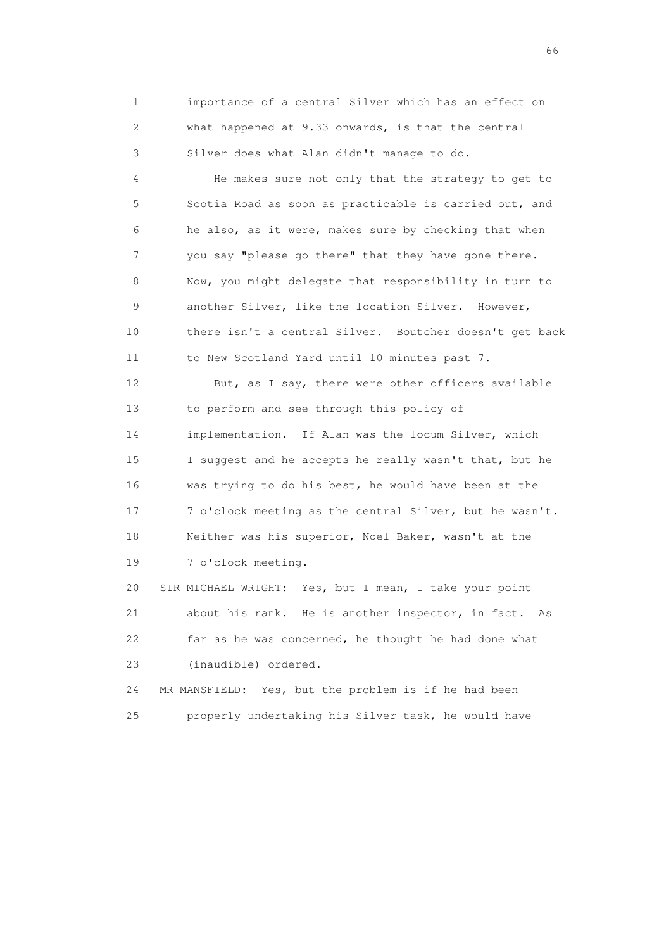1 importance of a central Silver which has an effect on 2 what happened at 9.33 onwards, is that the central 3 Silver does what Alan didn't manage to do.

 4 He makes sure not only that the strategy to get to 5 Scotia Road as soon as practicable is carried out, and 6 he also, as it were, makes sure by checking that when 7 you say "please go there" that they have gone there. 8 Now, you might delegate that responsibility in turn to 9 another Silver, like the location Silver. However, 10 there isn't a central Silver. Boutcher doesn't get back 11 to New Scotland Yard until 10 minutes past 7.

 12 But, as I say, there were other officers available 13 to perform and see through this policy of 14 implementation. If Alan was the locum Silver, which 15 I suggest and he accepts he really wasn't that, but he 16 was trying to do his best, he would have been at the 17 7 o'clock meeting as the central Silver, but he wasn't. 18 Neither was his superior, Noel Baker, wasn't at the 19 7 o'clock meeting.

 20 SIR MICHAEL WRIGHT: Yes, but I mean, I take your point 21 about his rank. He is another inspector, in fact. As 22 far as he was concerned, he thought he had done what 23 (inaudible) ordered.

 24 MR MANSFIELD: Yes, but the problem is if he had been 25 properly undertaking his Silver task, he would have

 $\sim$  66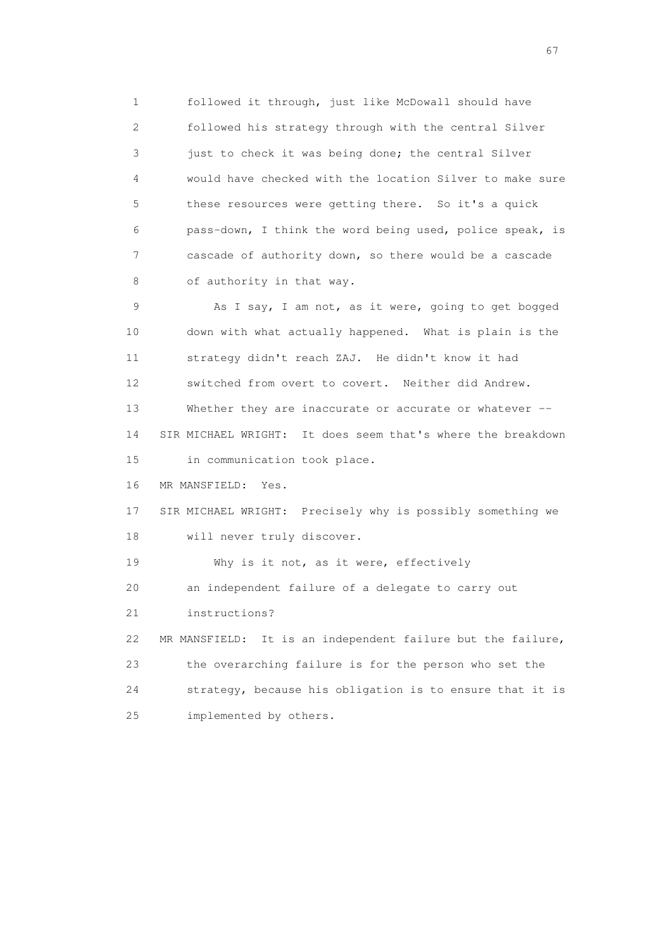1 followed it through, just like McDowall should have 2 followed his strategy through with the central Silver 3 just to check it was being done; the central Silver 4 would have checked with the location Silver to make sure 5 these resources were getting there. So it's a quick 6 pass-down, I think the word being used, police speak, is 7 cascade of authority down, so there would be a cascade 8 of authority in that way.

 9 As I say, I am not, as it were, going to get bogged 10 down with what actually happened. What is plain is the 11 strategy didn't reach ZAJ. He didn't know it had 12 switched from overt to covert. Neither did Andrew. 13 Whether they are inaccurate or accurate or whatever -- 14 SIR MICHAEL WRIGHT: It does seem that's where the breakdown 15 in communication took place.

16 MR MANSFIELD: Yes.

 17 SIR MICHAEL WRIGHT: Precisely why is possibly something we 18 will never truly discover.

19 Why is it not, as it were, effectively

20 an independent failure of a delegate to carry out

21 instructions?

 22 MR MANSFIELD: It is an independent failure but the failure, 23 the overarching failure is for the person who set the 24 strategy, because his obligation is to ensure that it is 25 implemented by others.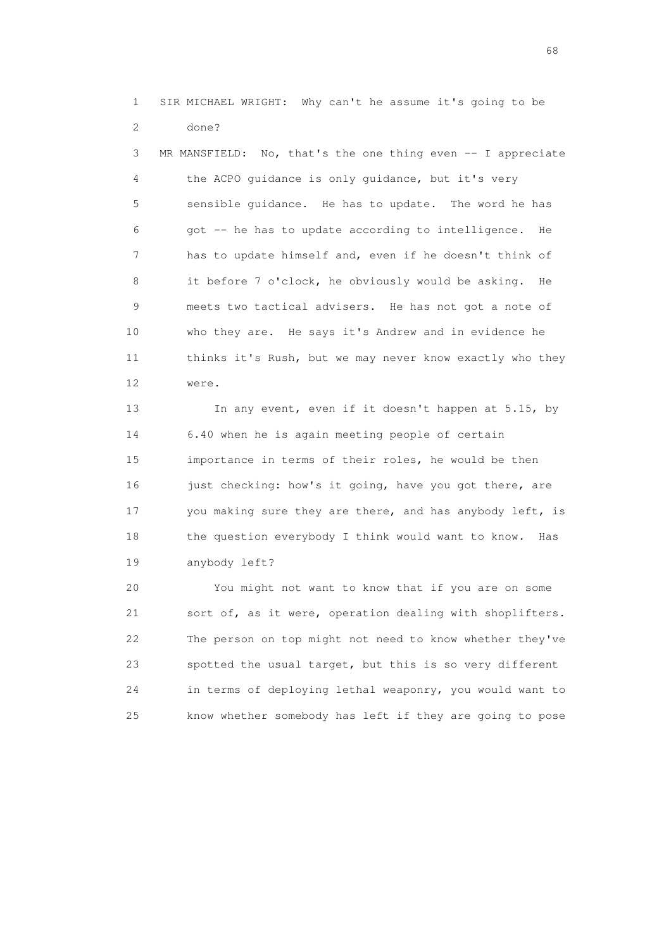1 SIR MICHAEL WRIGHT: Why can't he assume it's going to be 2 done?

 3 MR MANSFIELD: No, that's the one thing even -- I appreciate 4 the ACPO guidance is only guidance, but it's very 5 sensible guidance. He has to update. The word he has 6 got -- he has to update according to intelligence. He 7 has to update himself and, even if he doesn't think of 8 it before 7 o'clock, he obviously would be asking. He 9 meets two tactical advisers. He has not got a note of 10 who they are. He says it's Andrew and in evidence he 11 thinks it's Rush, but we may never know exactly who they 12 were.

13 In any event, even if it doesn't happen at 5.15, by 14 6.40 when he is again meeting people of certain 15 importance in terms of their roles, he would be then 16 just checking: how's it going, have you got there, are 17 you making sure they are there, and has anybody left, is 18 the question everybody I think would want to know. Has 19 anybody left?

 20 You might not want to know that if you are on some 21 sort of, as it were, operation dealing with shoplifters. 22 The person on top might not need to know whether they've 23 spotted the usual target, but this is so very different 24 in terms of deploying lethal weaponry, you would want to 25 know whether somebody has left if they are going to pose

en de la construction de la construction de la construction de la construction de la construction de la construction de la construction de la construction de la construction de la construction de la construction de la cons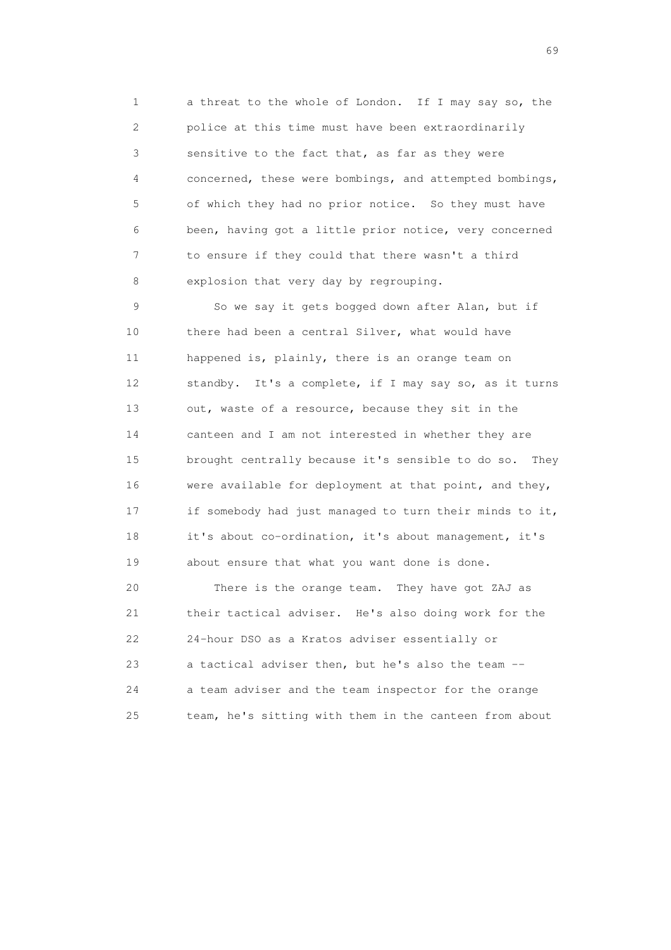1 a threat to the whole of London. If I may say so, the 2 police at this time must have been extraordinarily 3 sensitive to the fact that, as far as they were 4 concerned, these were bombings, and attempted bombings, 5 of which they had no prior notice. So they must have 6 been, having got a little prior notice, very concerned 7 to ensure if they could that there wasn't a third 8 explosion that very day by regrouping.

9 So we say it gets bogged down after Alan, but if 10 there had been a central Silver, what would have 11 happened is, plainly, there is an orange team on 12 standby. It's a complete, if I may say so, as it turns 13 out, waste of a resource, because they sit in the 14 canteen and I am not interested in whether they are 15 brought centrally because it's sensible to do so. They 16 were available for deployment at that point, and they, 17 if somebody had just managed to turn their minds to it, 18 it's about co-ordination, it's about management, it's 19 about ensure that what you want done is done.

 20 There is the orange team. They have got ZAJ as 21 their tactical adviser. He's also doing work for the 22 24-hour DSO as a Kratos adviser essentially or 23 a tactical adviser then, but he's also the team -- 24 a team adviser and the team inspector for the orange 25 team, he's sitting with them in the canteen from about

entral de la construction de la construction de la construction de la construction de la construction de la co<br>1990 : la construction de la construction de la construction de la construction de la construction de la const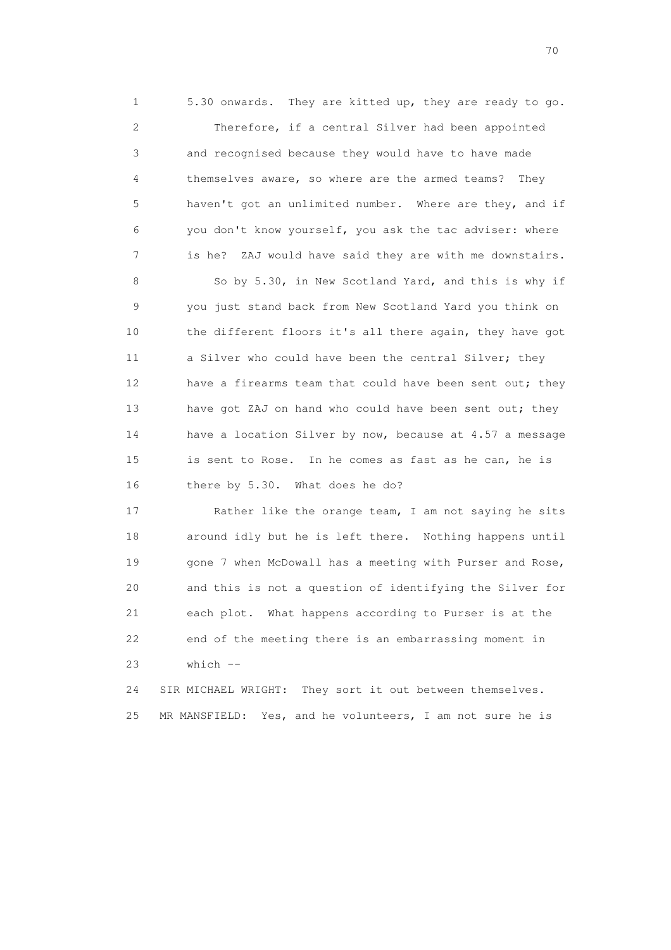1 5.30 onwards. They are kitted up, they are ready to go. 2 Therefore, if a central Silver had been appointed 3 and recognised because they would have to have made 4 themselves aware, so where are the armed teams? They 5 haven't got an unlimited number. Where are they, and if 6 you don't know yourself, you ask the tac adviser: where 7 is he? ZAJ would have said they are with me downstairs.

 8 So by 5.30, in New Scotland Yard, and this is why if 9 you just stand back from New Scotland Yard you think on 10 the different floors it's all there again, they have got 11 a Silver who could have been the central Silver; they 12 have a firearms team that could have been sent out; they 13 have got ZAJ on hand who could have been sent out; they 14 have a location Silver by now, because at 4.57 a message 15 is sent to Rose. In he comes as fast as he can, he is 16 there by 5.30. What does he do?

17 Rather like the orange team, I am not saying he sits 18 around idly but he is left there. Nothing happens until 19 gone 7 when McDowall has a meeting with Purser and Rose, 20 and this is not a question of identifying the Silver for 21 each plot. What happens according to Purser is at the 22 end of the meeting there is an embarrassing moment in  $23$  which  $-$ 

 24 SIR MICHAEL WRIGHT: They sort it out between themselves. 25 MR MANSFIELD: Yes, and he volunteers, I am not sure he is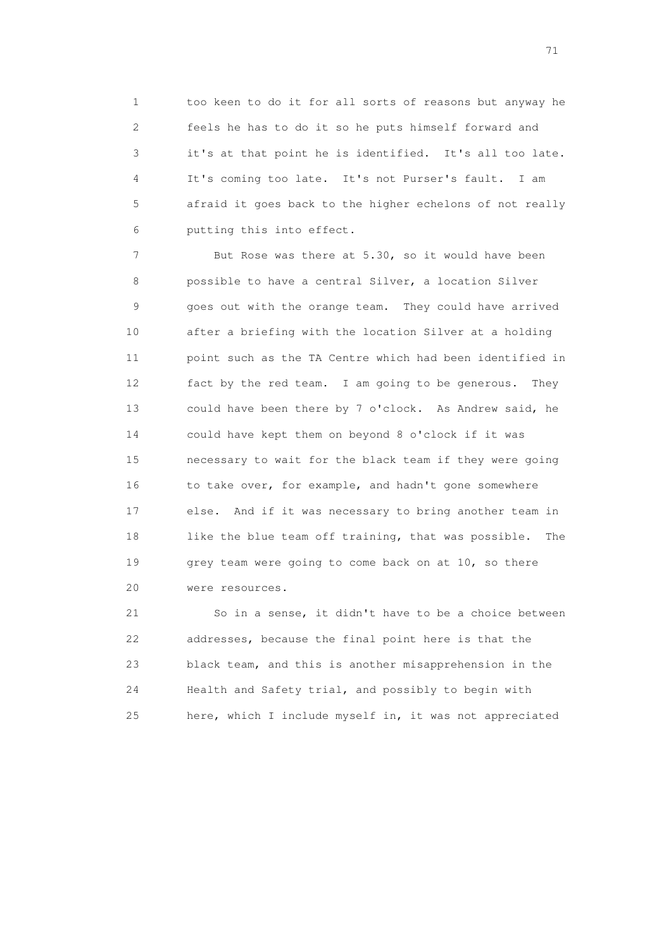1 too keen to do it for all sorts of reasons but anyway he 2 feels he has to do it so he puts himself forward and 3 it's at that point he is identified. It's all too late. 4 It's coming too late. It's not Purser's fault. I am 5 afraid it goes back to the higher echelons of not really 6 putting this into effect.

 7 But Rose was there at 5.30, so it would have been 8 possible to have a central Silver, a location Silver 9 goes out with the orange team. They could have arrived 10 after a briefing with the location Silver at a holding 11 point such as the TA Centre which had been identified in 12 fact by the red team. I am going to be generous. They 13 could have been there by 7 o'clock. As Andrew said, he 14 could have kept them on beyond 8 o'clock if it was 15 necessary to wait for the black team if they were going 16 to take over, for example, and hadn't gone somewhere 17 else. And if it was necessary to bring another team in 18 like the blue team off training, that was possible. The 19 grey team were going to come back on at 10, so there 20 were resources.

 21 So in a sense, it didn't have to be a choice between 22 addresses, because the final point here is that the 23 black team, and this is another misapprehension in the 24 Health and Safety trial, and possibly to begin with 25 here, which I include myself in, it was not appreciated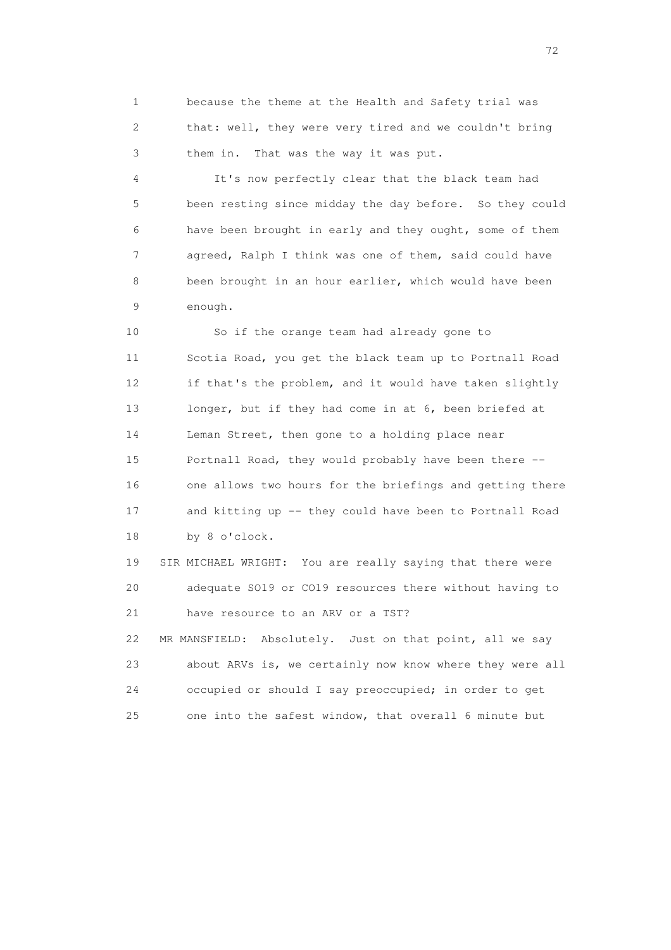1 because the theme at the Health and Safety trial was 2 that: well, they were very tired and we couldn't bring 3 them in. That was the way it was put.

 4 It's now perfectly clear that the black team had 5 been resting since midday the day before. So they could 6 have been brought in early and they ought, some of them 7 agreed, Ralph I think was one of them, said could have 8 been brought in an hour earlier, which would have been 9 enough.

 10 So if the orange team had already gone to 11 Scotia Road, you get the black team up to Portnall Road 12 if that's the problem, and it would have taken slightly 13 longer, but if they had come in at 6, been briefed at 14 Leman Street, then gone to a holding place near 15 Portnall Road, they would probably have been there -- 16 one allows two hours for the briefings and getting there 17 and kitting up -- they could have been to Portnall Road 18 by 8 o'clock.

 19 SIR MICHAEL WRIGHT: You are really saying that there were 20 adequate SO19 or CO19 resources there without having to 21 have resource to an ARV or a TST? 22 MR MANSFIELD: Absolutely. Just on that point, all we say

 23 about ARVs is, we certainly now know where they were all 24 occupied or should I say preoccupied; in order to get 25 one into the safest window, that overall 6 minute but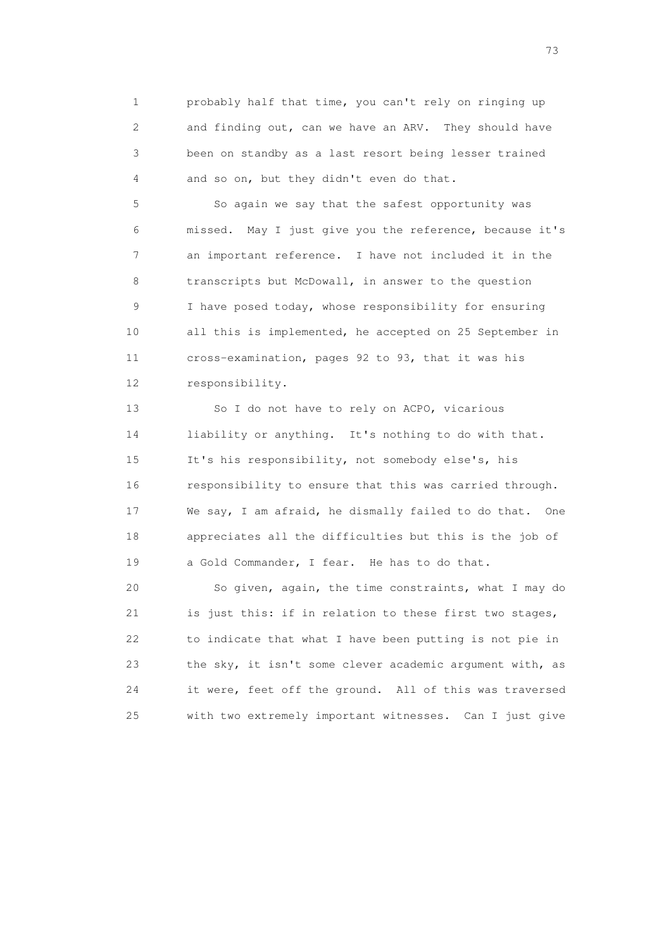1 probably half that time, you can't rely on ringing up 2 and finding out, can we have an ARV. They should have 3 been on standby as a last resort being lesser trained 4 and so on, but they didn't even do that.

 5 So again we say that the safest opportunity was 6 missed. May I just give you the reference, because it's 7 an important reference. I have not included it in the 8 transcripts but McDowall, in answer to the question 9 I have posed today, whose responsibility for ensuring 10 all this is implemented, he accepted on 25 September in 11 cross-examination, pages 92 to 93, that it was his 12 responsibility.

13 So I do not have to rely on ACPO, vicarious 14 liability or anything. It's nothing to do with that. 15 It's his responsibility, not somebody else's, his 16 responsibility to ensure that this was carried through. 17 We say, I am afraid, he dismally failed to do that. One 18 appreciates all the difficulties but this is the job of 19 a Gold Commander, I fear. He has to do that.

 20 So given, again, the time constraints, what I may do 21 is just this: if in relation to these first two stages, 22 to indicate that what I have been putting is not pie in 23 the sky, it isn't some clever academic argument with, as 24 it were, feet off the ground. All of this was traversed 25 with two extremely important witnesses. Can I just give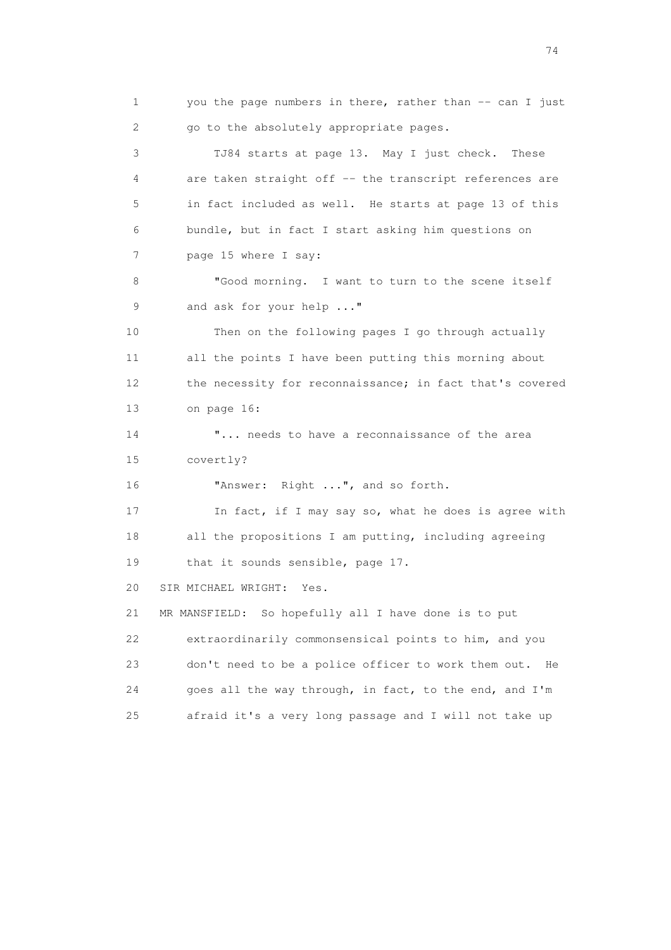1 you the page numbers in there, rather than -- can I just 2 go to the absolutely appropriate pages. 3 TJ84 starts at page 13. May I just check. These 4 are taken straight off -- the transcript references are 5 in fact included as well. He starts at page 13 of this 6 bundle, but in fact I start asking him questions on 7 page 15 where I say: 8 "Good morning. I want to turn to the scene itself 9 and ask for your help ..." 10 Then on the following pages I go through actually 11 all the points I have been putting this morning about 12 the necessity for reconnaissance; in fact that's covered 13 on page 16: 14 **"...** needs to have a reconnaissance of the area 15 covertly? 16 "Answer: Right ...", and so forth. 17 In fact, if I may say so, what he does is agree with 18 all the propositions I am putting, including agreeing 19 that it sounds sensible, page 17. 20 SIR MICHAEL WRIGHT: Yes. 21 MR MANSFIELD: So hopefully all I have done is to put 22 extraordinarily commonsensical points to him, and you 23 don't need to be a police officer to work them out. He 24 goes all the way through, in fact, to the end, and I'm 25 afraid it's a very long passage and I will not take up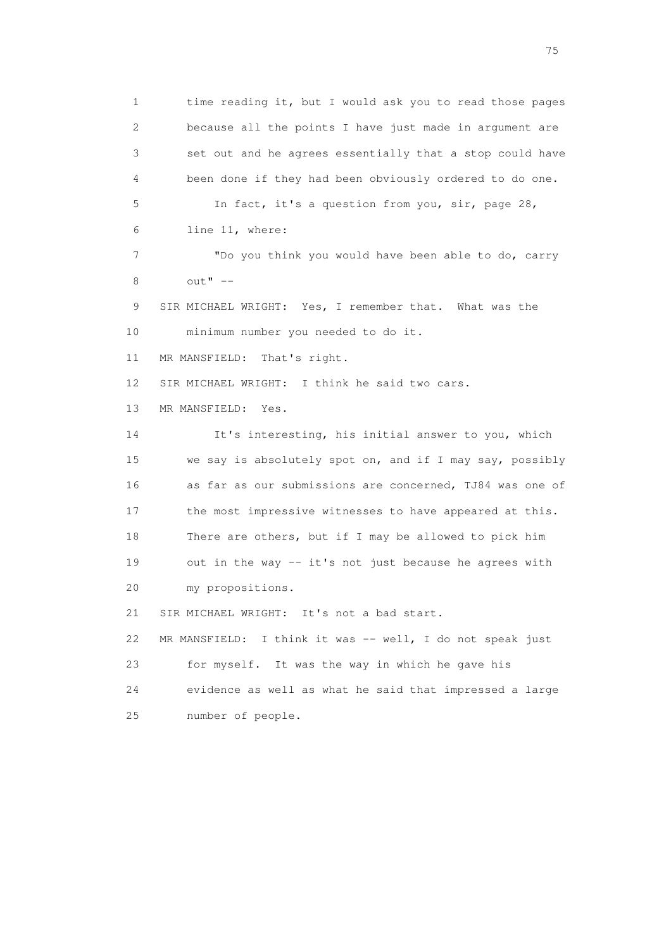1 time reading it, but I would ask you to read those pages 2 because all the points I have just made in argument are 3 set out and he agrees essentially that a stop could have 4 been done if they had been obviously ordered to do one. 5 In fact, it's a question from you, sir, page 28, 6 line 11, where: 7 "Do you think you would have been able to do, carry 8  $\text{out} \cdot \cdot \cdot$  -- 9 SIR MICHAEL WRIGHT: Yes, I remember that. What was the 10 minimum number you needed to do it. 11 MR MANSFIELD: That's right. 12 SIR MICHAEL WRIGHT: I think he said two cars. 13 MR MANSFIELD: Yes. 14 It's interesting, his initial answer to you, which 15 we say is absolutely spot on, and if I may say, possibly 16 as far as our submissions are concerned, TJ84 was one of 17 the most impressive witnesses to have appeared at this. 18 There are others, but if I may be allowed to pick him 19 out in the way -- it's not just because he agrees with 20 my propositions. 21 SIR MICHAEL WRIGHT: It's not a bad start. 22 MR MANSFIELD: I think it was -- well, I do not speak just 23 for myself. It was the way in which he gave his 24 evidence as well as what he said that impressed a large 25 number of people.

na matsay na katalog as na kasang na mga 175 may 2008. Ang isang isang nagsang nagsang nagsang nagsang nagsang<br>Tagapang nagsang nagsang nagsang nagsang nagsang nagsang nagsang nagsang nagsang nagsang nagsang nagsang nagsa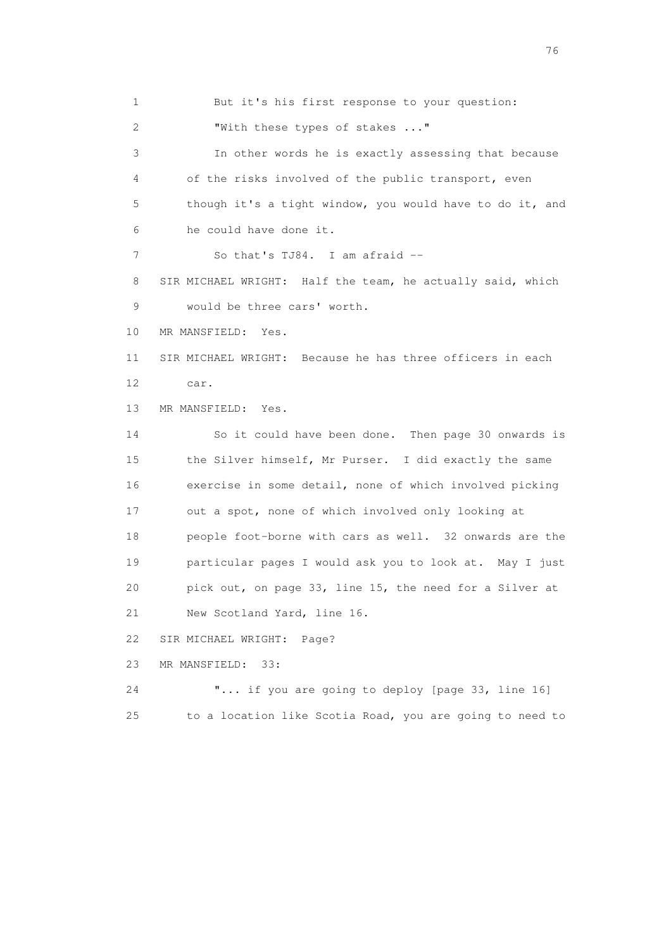1 But it's his first response to your question: 2 "With these types of stakes ..." 3 In other words he is exactly assessing that because 4 of the risks involved of the public transport, even 5 though it's a tight window, you would have to do it, and 6 he could have done it. 7 So that's TJ84. I am afraid -- 8 SIR MICHAEL WRIGHT: Half the team, he actually said, which 9 would be three cars' worth. 10 MR MANSFIELD: Yes. 11 SIR MICHAEL WRIGHT: Because he has three officers in each 12 car. 13 MR MANSFIELD: Yes. 14 So it could have been done. Then page 30 onwards is 15 the Silver himself, Mr Purser. I did exactly the same 16 exercise in some detail, none of which involved picking 17 out a spot, none of which involved only looking at 18 people foot-borne with cars as well. 32 onwards are the 19 particular pages I would ask you to look at. May I just 20 pick out, on page 33, line 15, the need for a Silver at 21 New Scotland Yard, line 16. 22 SIR MICHAEL WRIGHT: Page? 23 MR MANSFIELD: 33: 24 "... if you are going to deploy [page 33, line 16] 25 to a location like Scotia Road, you are going to need to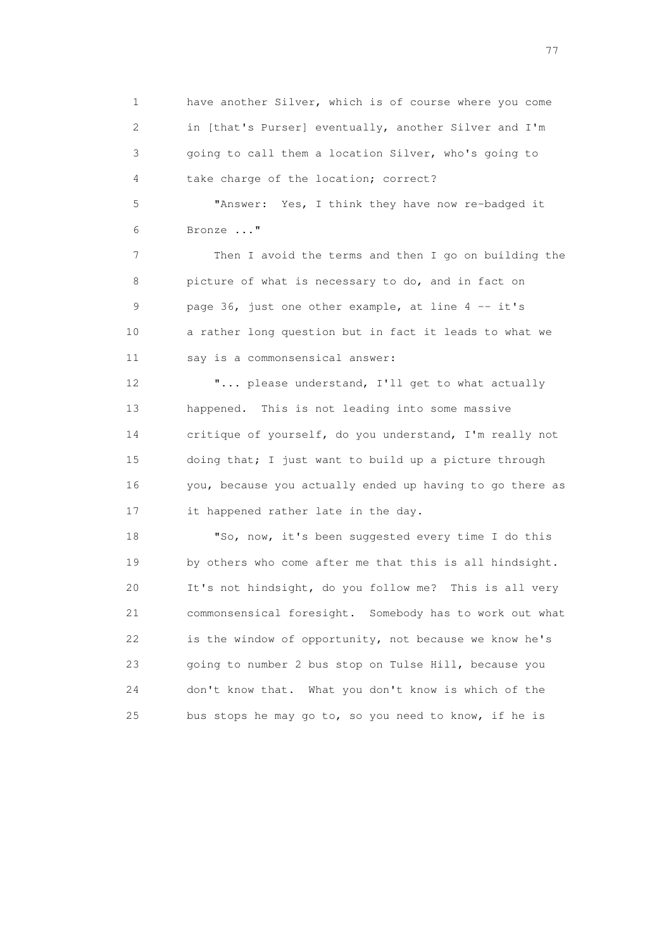1 have another Silver, which is of course where you come 2 in [that's Purser] eventually, another Silver and I'm 3 going to call them a location Silver, who's going to 4 take charge of the location; correct?

 5 "Answer: Yes, I think they have now re-badged it 6 Bronze ..."

 7 Then I avoid the terms and then I go on building the 8 picture of what is necessary to do, and in fact on 9 page 36, just one other example, at line 4 -- it's 10 a rather long question but in fact it leads to what we 11 say is a commonsensical answer:

 12 "... please understand, I'll get to what actually 13 happened. This is not leading into some massive 14 critique of yourself, do you understand, I'm really not 15 doing that; I just want to build up a picture through 16 you, because you actually ended up having to go there as 17 it happened rather late in the day.

 18 "So, now, it's been suggested every time I do this 19 by others who come after me that this is all hindsight. 20 It's not hindsight, do you follow me? This is all very 21 commonsensical foresight. Somebody has to work out what 22 is the window of opportunity, not because we know he's 23 going to number 2 bus stop on Tulse Hill, because you 24 don't know that. What you don't know is which of the 25 bus stops he may go to, so you need to know, if he is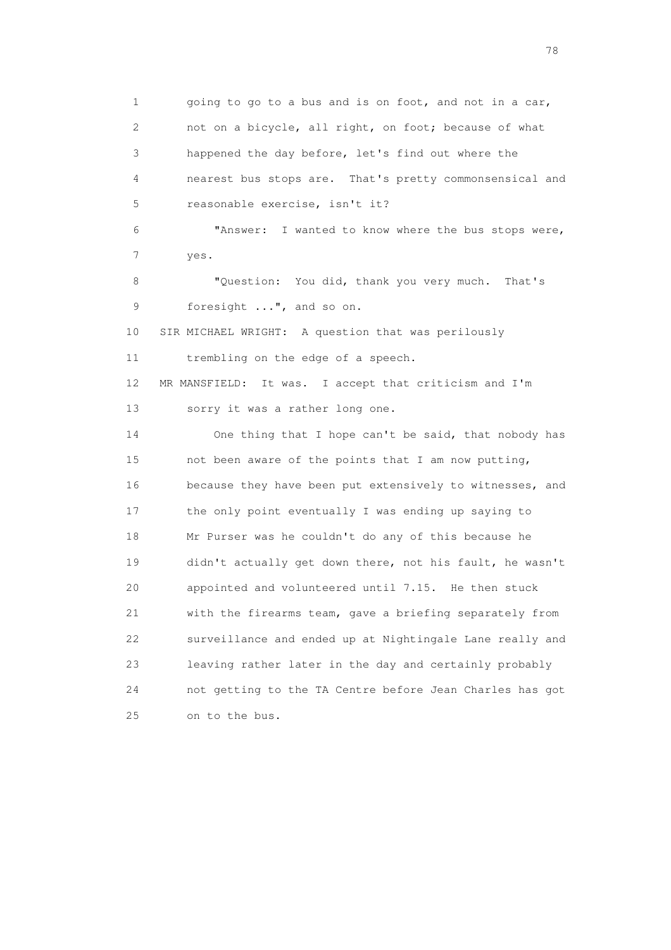1 going to go to a bus and is on foot, and not in a car, 2 not on a bicycle, all right, on foot; because of what 3 happened the day before, let's find out where the 4 nearest bus stops are. That's pretty commonsensical and 5 reasonable exercise, isn't it? 6 "Answer: I wanted to know where the bus stops were, 7 yes. 8 "Question: You did, thank you very much. That's 9 foresight ...", and so on. 10 SIR MICHAEL WRIGHT: A question that was perilously 11 trembling on the edge of a speech. 12 MR MANSFIELD: It was. I accept that criticism and I'm 13 sorry it was a rather long one. 14 One thing that I hope can't be said, that nobody has 15 not been aware of the points that I am now putting, 16 because they have been put extensively to witnesses, and 17 the only point eventually I was ending up saying to 18 Mr Purser was he couldn't do any of this because he 19 didn't actually get down there, not his fault, he wasn't 20 appointed and volunteered until 7.15. He then stuck 21 with the firearms team, gave a briefing separately from 22 surveillance and ended up at Nightingale Lane really and 23 leaving rather later in the day and certainly probably 24 not getting to the TA Centre before Jean Charles has got 25 on to the bus.

n and the state of the state of the state of the state of the state of the state of the state of the state of the state of the state of the state of the state of the state of the state of the state of the state of the stat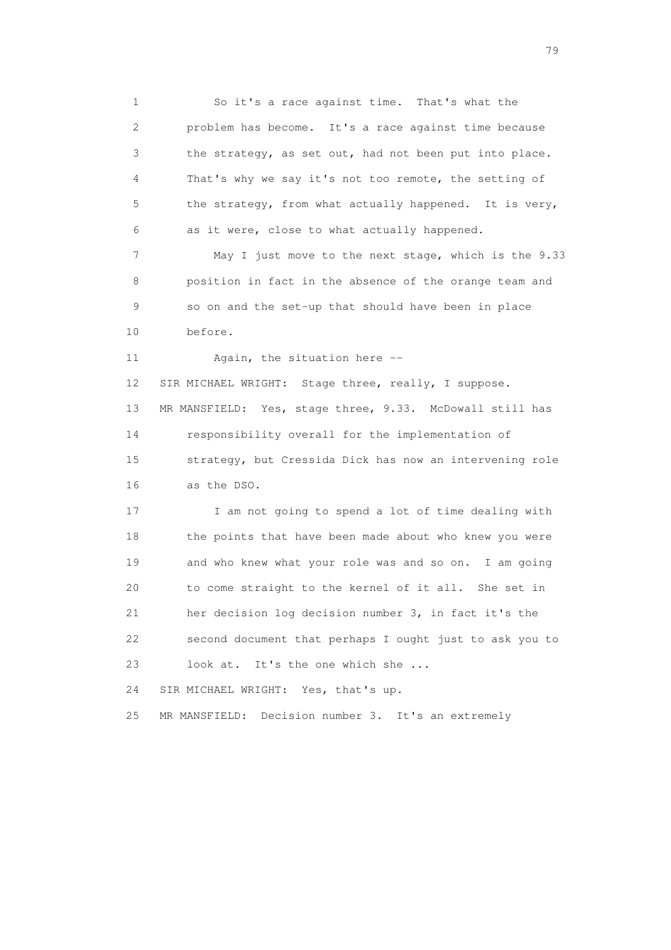1 So it's a race against time. That's what the 2 problem has become. It's a race against time because 3 the strategy, as set out, had not been put into place. 4 That's why we say it's not too remote, the setting of 5 the strategy, from what actually happened. It is very, 6 as it were, close to what actually happened. 7 May I just move to the next stage, which is the 9.33 8 position in fact in the absence of the orange team and 9 so on and the set-up that should have been in place 10 before. 11 Again, the situation here -- 12 SIR MICHAEL WRIGHT: Stage three, really, I suppose. 13 MR MANSFIELD: Yes, stage three, 9.33. McDowall still has 14 responsibility overall for the implementation of 15 strategy, but Cressida Dick has now an intervening role 16 as the DSO. 17 I am not going to spend a lot of time dealing with 18 the points that have been made about who knew you were 19 and who knew what your role was and so on. I am going 20 to come straight to the kernel of it all. She set in 21 her decision log decision number 3, in fact it's the 22 second document that perhaps I ought just to ask you to 23 look at. It's the one which she ... 24 SIR MICHAEL WRIGHT: Yes, that's up. 25 MR MANSFIELD: Decision number 3. It's an extremely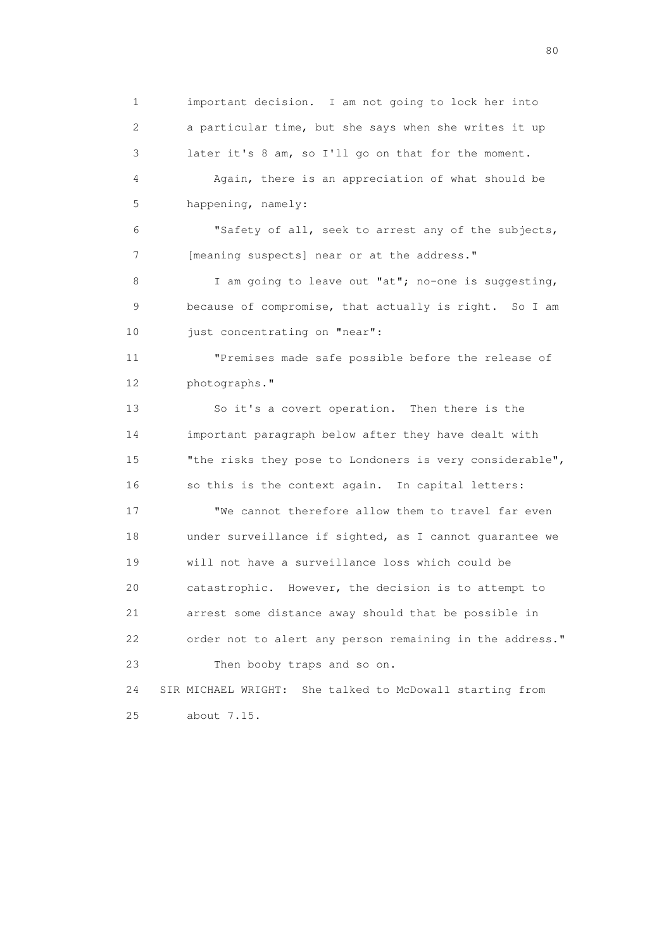1 important decision. I am not going to lock her into 2 a particular time, but she says when she writes it up 3 later it's 8 am, so I'll go on that for the moment. 4 Again, there is an appreciation of what should be 5 happening, namely:

 6 "Safety of all, seek to arrest any of the subjects, 7 [meaning suspects] near or at the address."

 8 I am going to leave out "at"; no-one is suggesting, 9 because of compromise, that actually is right. So I am 10 just concentrating on "near":

 11 "Premises made safe possible before the release of 12 photographs."

 13 So it's a covert operation. Then there is the 14 important paragraph below after they have dealt with 15 "the risks they pose to Londoners is very considerable", 16 so this is the context again. In capital letters:

 17 "We cannot therefore allow them to travel far even 18 under surveillance if sighted, as I cannot guarantee we 19 will not have a surveillance loss which could be 20 catastrophic. However, the decision is to attempt to 21 arrest some distance away should that be possible in 22 order not to alert any person remaining in the address." 23 Then booby traps and so on.

 24 SIR MICHAEL WRIGHT: She talked to McDowall starting from 25 about 7.15.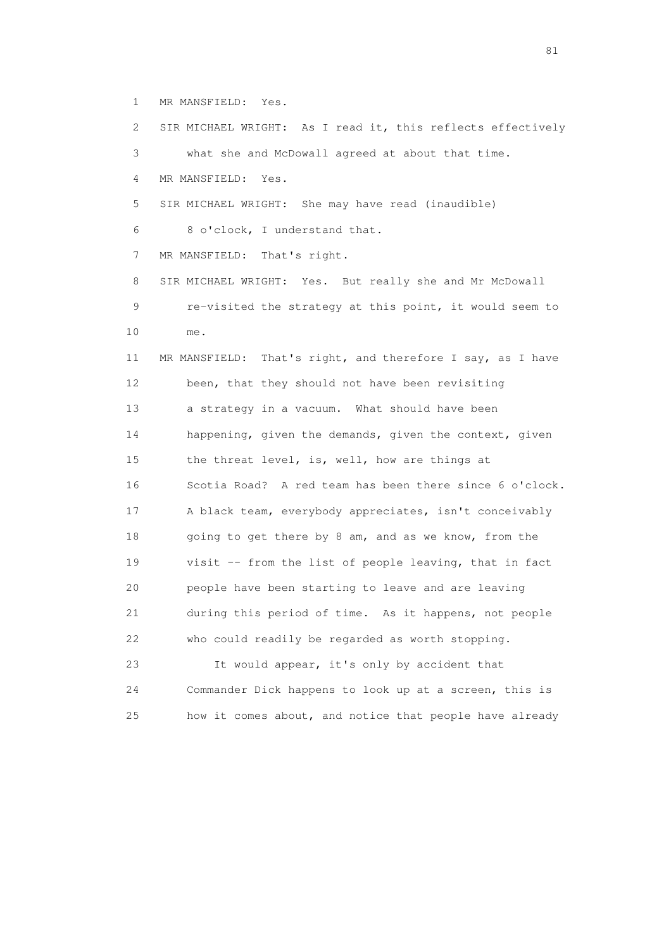1 MR MANSFIELD: Yes.

 2 SIR MICHAEL WRIGHT: As I read it, this reflects effectively 3 what she and McDowall agreed at about that time. 4 MR MANSFIELD: Yes. 5 SIR MICHAEL WRIGHT: She may have read (inaudible) 6 8 o'clock, I understand that. 7 MR MANSFIELD: That's right. 8 SIR MICHAEL WRIGHT: Yes. But really she and Mr McDowall 9 re-visited the strategy at this point, it would seem to 10 me. 11 MR MANSFIELD: That's right, and therefore I say, as I have 12 been, that they should not have been revisiting 13 a strategy in a vacuum. What should have been 14 happening, given the demands, given the context, given 15 the threat level, is, well, how are things at 16 Scotia Road? A red team has been there since 6 o'clock. 17 A black team, everybody appreciates, isn't conceivably 18 going to get there by 8 am, and as we know, from the 19 visit -- from the list of people leaving, that in fact 20 people have been starting to leave and are leaving 21 during this period of time. As it happens, not people 22 who could readily be regarded as worth stopping. 23 It would appear, it's only by accident that 24 Commander Dick happens to look up at a screen, this is

25 how it comes about, and notice that people have already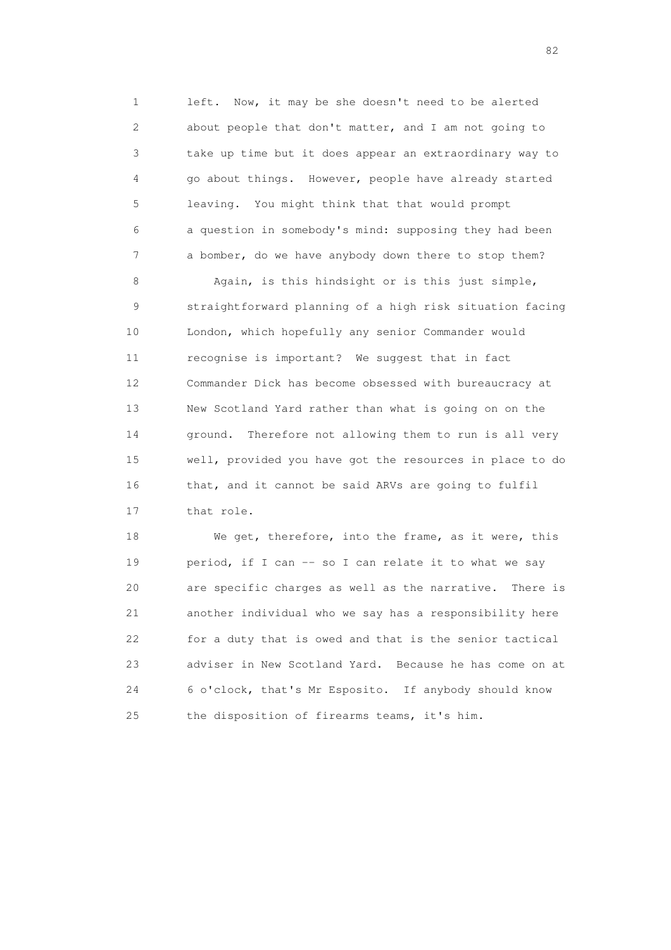1 left. Now, it may be she doesn't need to be alerted 2 about people that don't matter, and I am not going to 3 take up time but it does appear an extraordinary way to 4 go about things. However, people have already started 5 leaving. You might think that that would prompt 6 a question in somebody's mind: supposing they had been 7 a bomber, do we have anybody down there to stop them?

 8 Again, is this hindsight or is this just simple, 9 straightforward planning of a high risk situation facing 10 London, which hopefully any senior Commander would 11 recognise is important? We suggest that in fact 12 Commander Dick has become obsessed with bureaucracy at 13 New Scotland Yard rather than what is going on on the 14 ground. Therefore not allowing them to run is all very 15 well, provided you have got the resources in place to do 16 that, and it cannot be said ARVs are going to fulfil 17 that role.

 18 We get, therefore, into the frame, as it were, this 19 period, if I can -- so I can relate it to what we say 20 are specific charges as well as the narrative. There is 21 another individual who we say has a responsibility here 22 for a duty that is owed and that is the senior tactical 23 adviser in New Scotland Yard. Because he has come on at 24 6 o'clock, that's Mr Esposito. If anybody should know 25 the disposition of firearms teams, it's him.

experience of the state of the state of the state of the state of the state of the state of the state of the s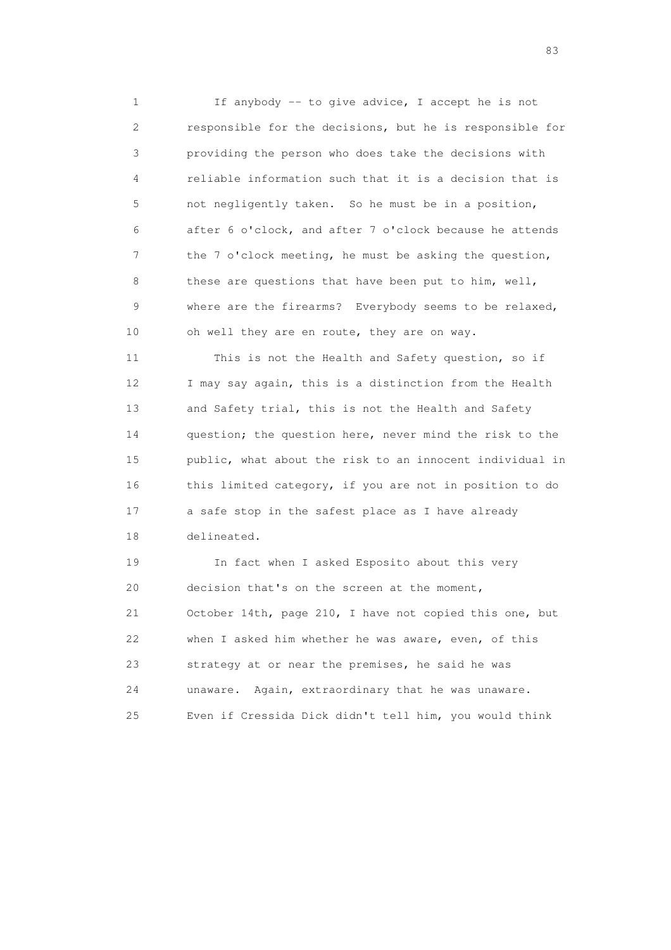1 If anybody -- to give advice, I accept he is not 2 responsible for the decisions, but he is responsible for 3 providing the person who does take the decisions with 4 reliable information such that it is a decision that is 5 not negligently taken. So he must be in a position, 6 after 6 o'clock, and after 7 o'clock because he attends 7 the 7 o'clock meeting, he must be asking the question, 8 these are questions that have been put to him, well, 9 where are the firearms? Everybody seems to be relaxed, 10 oh well they are en route, they are on way.

 11 This is not the Health and Safety question, so if 12 I may say again, this is a distinction from the Health 13 and Safety trial, this is not the Health and Safety 14 question; the question here, never mind the risk to the 15 public, what about the risk to an innocent individual in 16 this limited category, if you are not in position to do 17 a safe stop in the safest place as I have already 18 delineated.

 19 In fact when I asked Esposito about this very 20 decision that's on the screen at the moment, 21 October 14th, page 210, I have not copied this one, but 22 when I asked him whether he was aware, even, of this 23 strategy at or near the premises, he said he was 24 unaware. Again, extraordinary that he was unaware. 25 Even if Cressida Dick didn't tell him, you would think

experience and the contract of the contract of the contract of the contract of the contract of the contract of the contract of the contract of the contract of the contract of the contract of the contract of the contract of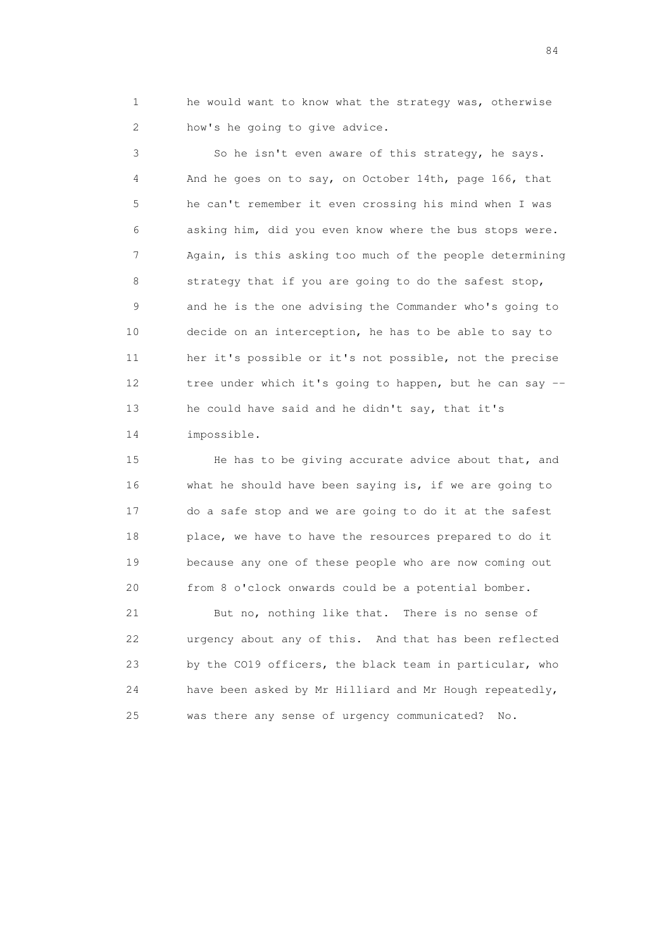1 he would want to know what the strategy was, otherwise 2 how's he going to give advice.

 3 So he isn't even aware of this strategy, he says. 4 And he goes on to say, on October 14th, page 166, that 5 he can't remember it even crossing his mind when I was 6 asking him, did you even know where the bus stops were. 7 Again, is this asking too much of the people determining 8 strategy that if you are going to do the safest stop, 9 and he is the one advising the Commander who's going to 10 decide on an interception, he has to be able to say to 11 her it's possible or it's not possible, not the precise 12 tree under which it's going to happen, but he can say -- 13 he could have said and he didn't say, that it's 14 impossible.

15 He has to be giving accurate advice about that, and 16 what he should have been saying is, if we are going to 17 do a safe stop and we are going to do it at the safest 18 place, we have to have the resources prepared to do it 19 because any one of these people who are now coming out 20 from 8 o'clock onwards could be a potential bomber.

 21 But no, nothing like that. There is no sense of 22 urgency about any of this. And that has been reflected 23 by the CO19 officers, the black team in particular, who 24 have been asked by Mr Hilliard and Mr Hough repeatedly, 25 was there any sense of urgency communicated? No.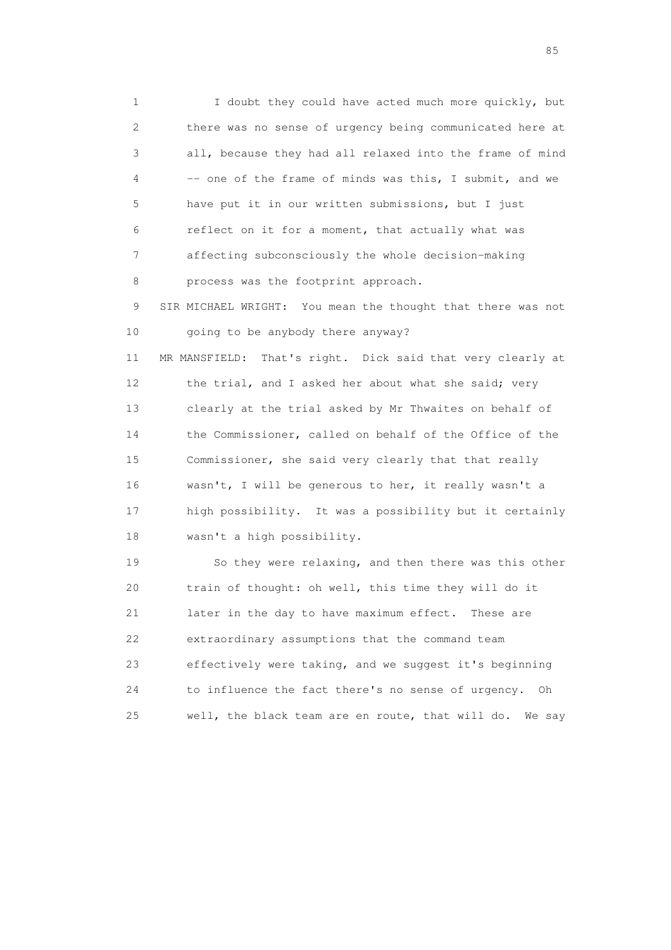1 I doubt they could have acted much more quickly, but 2 there was no sense of urgency being communicated here at 3 all, because they had all relaxed into the frame of mind 4 -- one of the frame of minds was this, I submit, and we 5 have put it in our written submissions, but I just 6 reflect on it for a moment, that actually what was 7 affecting subconsciously the whole decision-making 8 process was the footprint approach.

 9 SIR MICHAEL WRIGHT: You mean the thought that there was not 10 going to be anybody there anyway?

 11 MR MANSFIELD: That's right. Dick said that very clearly at 12 the trial, and I asked her about what she said; very 13 clearly at the trial asked by Mr Thwaites on behalf of 14 the Commissioner, called on behalf of the Office of the 15 Commissioner, she said very clearly that that really 16 wasn't, I will be generous to her, it really wasn't a 17 high possibility. It was a possibility but it certainly 18 wasn't a high possibility.

 19 So they were relaxing, and then there was this other 20 train of thought: oh well, this time they will do it 21 later in the day to have maximum effect. These are 22 extraordinary assumptions that the command team 23 effectively were taking, and we suggest it's beginning 24 to influence the fact there's no sense of urgency. Oh 25 well, the black team are en route, that will do. We say

experience of the contract of the contract of the contract of the contract of the contract of the contract of the contract of the contract of the contract of the contract of the contract of the contract of the contract of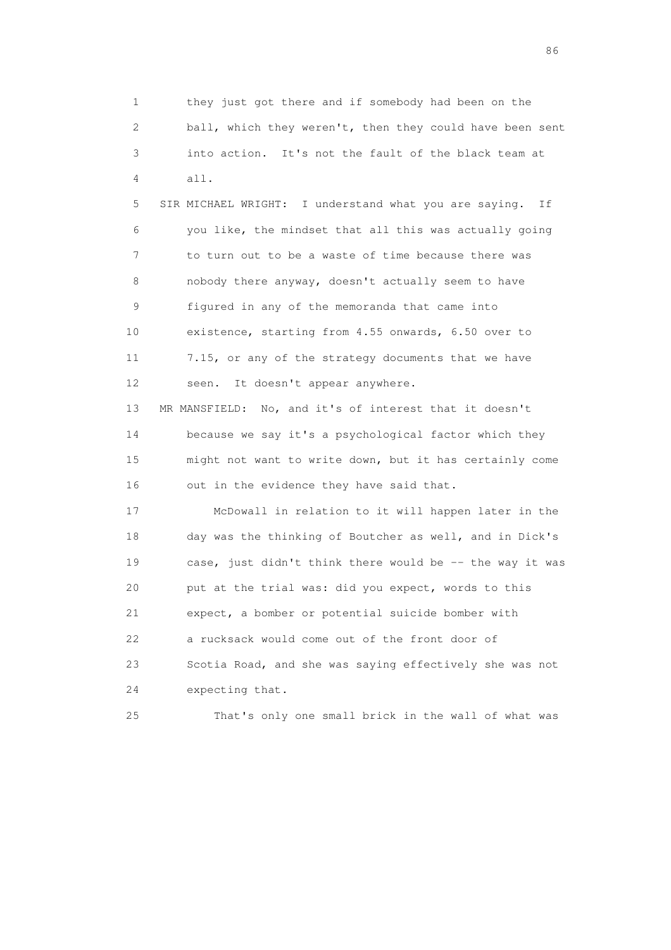1 they just got there and if somebody had been on the 2 ball, which they weren't, then they could have been sent 3 into action. It's not the fault of the black team at 4 all. 5 SIR MICHAEL WRIGHT: I understand what you are saying. If 6 you like, the mindset that all this was actually going 7 to turn out to be a waste of time because there was

 8 nobody there anyway, doesn't actually seem to have 9 figured in any of the memoranda that came into 10 existence, starting from 4.55 onwards, 6.50 over to 11 7.15, or any of the strategy documents that we have 12 seen. It doesn't appear anywhere.

 13 MR MANSFIELD: No, and it's of interest that it doesn't 14 because we say it's a psychological factor which they 15 might not want to write down, but it has certainly come 16 out in the evidence they have said that.

 17 McDowall in relation to it will happen later in the 18 day was the thinking of Boutcher as well, and in Dick's 19 case, just didn't think there would be -- the way it was 20 put at the trial was: did you expect, words to this 21 expect, a bomber or potential suicide bomber with 22 a rucksack would come out of the front door of 23 Scotia Road, and she was saying effectively she was not 24 expecting that.

25 That's only one small brick in the wall of what was

entration of the contract of the contract of the contract of the contract of the contract of the contract of the contract of the contract of the contract of the contract of the contract of the contract of the contract of t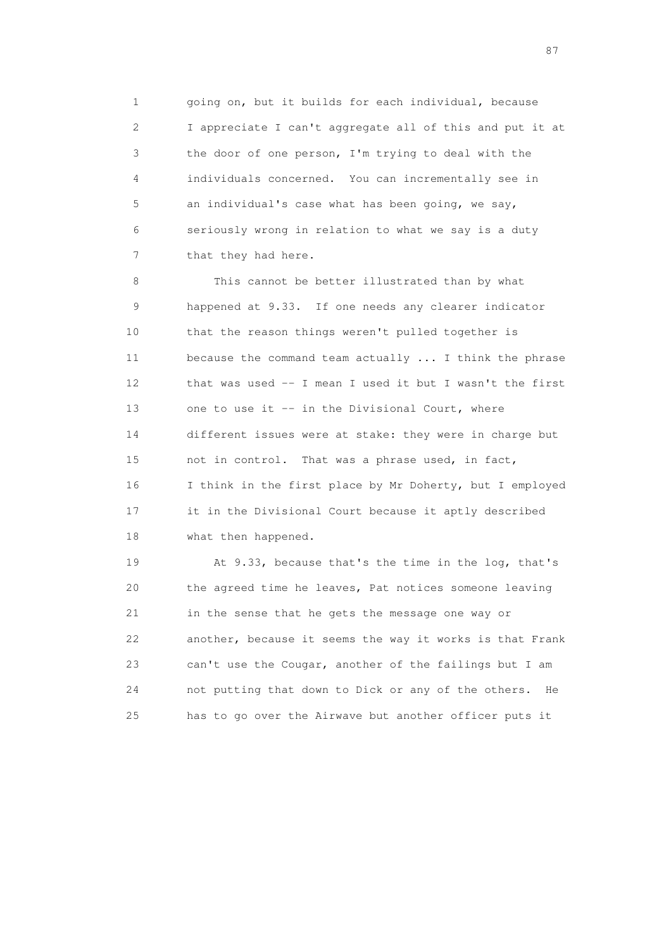1 going on, but it builds for each individual, because 2 I appreciate I can't aggregate all of this and put it at 3 the door of one person, I'm trying to deal with the 4 individuals concerned. You can incrementally see in 5 an individual's case what has been going, we say, 6 seriously wrong in relation to what we say is a duty 7 that they had here.

 8 This cannot be better illustrated than by what 9 happened at 9.33. If one needs any clearer indicator 10 that the reason things weren't pulled together is 11 because the command team actually ... I think the phrase 12 that was used -- I mean I used it but I wasn't the first 13 one to use it -- in the Divisional Court, where 14 different issues were at stake: they were in charge but 15 not in control. That was a phrase used, in fact, 16 I think in the first place by Mr Doherty, but I employed 17 it in the Divisional Court because it aptly described 18 what then happened.

 19 At 9.33, because that's the time in the log, that's 20 the agreed time he leaves, Pat notices someone leaving 21 in the sense that he gets the message one way or 22 another, because it seems the way it works is that Frank 23 can't use the Cougar, another of the failings but I am 24 not putting that down to Dick or any of the others. He 25 has to go over the Airwave but another officer puts it

experience of the state of the state of the state of the state of the state of the state of the state of the state of the state of the state of the state of the state of the state of the state of the state of the state of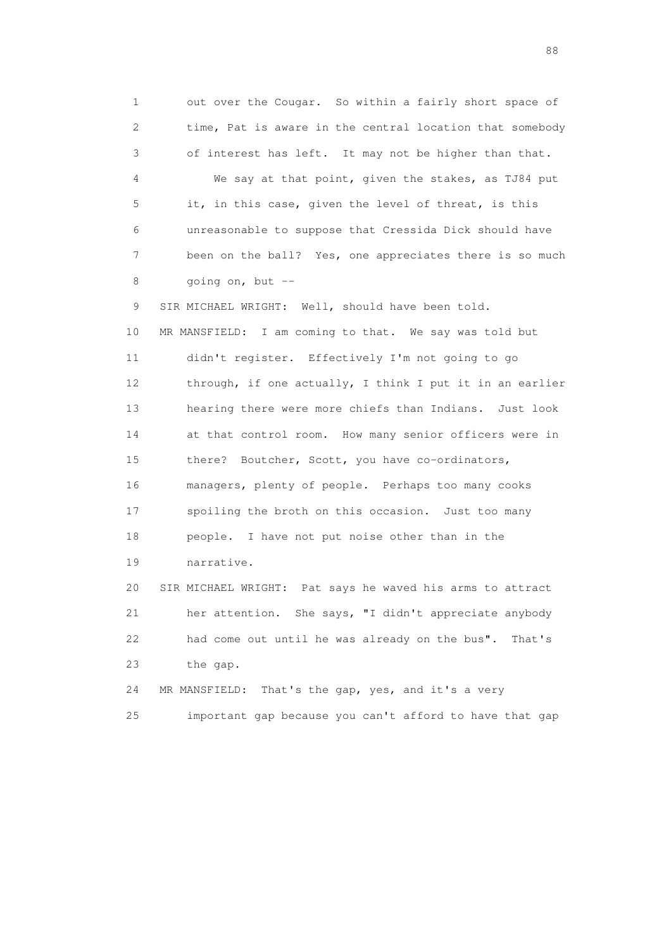1 out over the Cougar. So within a fairly short space of 2 time, Pat is aware in the central location that somebody 3 of interest has left. It may not be higher than that. 4 We say at that point, given the stakes, as TJ84 put 5 it, in this case, given the level of threat, is this 6 unreasonable to suppose that Cressida Dick should have 7 been on the ball? Yes, one appreciates there is so much 8 going on, but -- 9 SIR MICHAEL WRIGHT: Well, should have been told. 10 MR MANSFIELD: I am coming to that. We say was told but 11 didn't register. Effectively I'm not going to go 12 through, if one actually, I think I put it in an earlier 13 hearing there were more chiefs than Indians. Just look 14 at that control room. How many senior officers were in 15 there? Boutcher, Scott, you have co-ordinators, 16 managers, plenty of people. Perhaps too many cooks 17 spoiling the broth on this occasion. Just too many 18 people. I have not put noise other than in the 19 narrative. 20 SIR MICHAEL WRIGHT: Pat says he waved his arms to attract 21 her attention. She says, "I didn't appreciate anybody 22 had come out until he was already on the bus". That's 23 the gap. 24 MR MANSFIELD: That's the gap, yes, and it's a very

25 important gap because you can't afford to have that gap

en de la construction de la construction de la construction de la construction de la construction de la constr<br>1880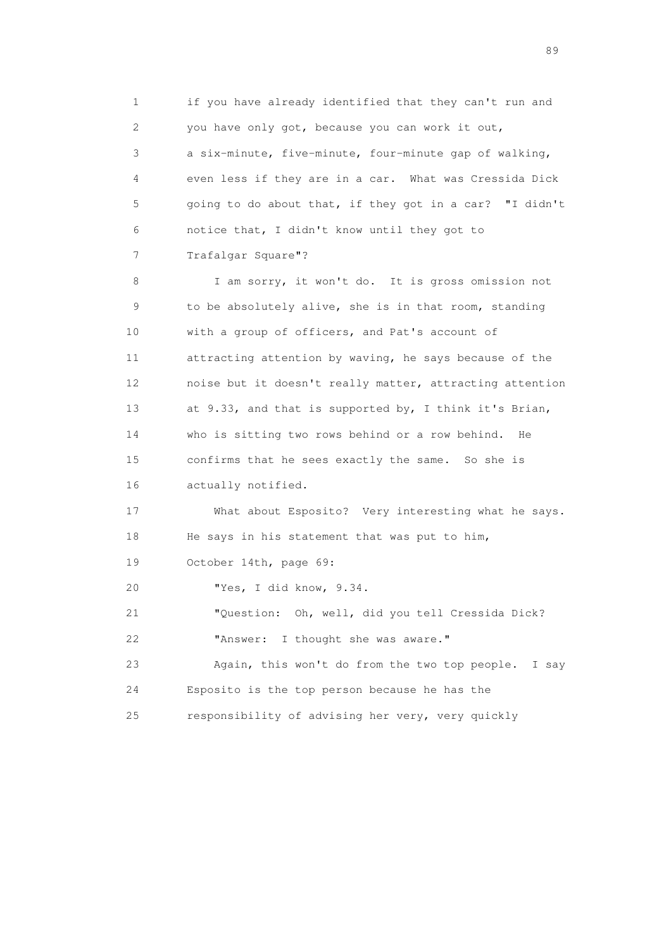1 if you have already identified that they can't run and 2 you have only got, because you can work it out, 3 a six-minute, five-minute, four-minute gap of walking, 4 even less if they are in a car. What was Cressida Dick 5 going to do about that, if they got in a car? "I didn't 6 notice that, I didn't know until they got to 7 Trafalgar Square"?

 8 I am sorry, it won't do. It is gross omission not 9 to be absolutely alive, she is in that room, standing 10 with a group of officers, and Pat's account of 11 attracting attention by waving, he says because of the 12 noise but it doesn't really matter, attracting attention 13 at 9.33, and that is supported by, I think it's Brian, 14 who is sitting two rows behind or a row behind. He 15 confirms that he sees exactly the same. So she is 16 actually notified.

 17 What about Esposito? Very interesting what he says. 18 He says in his statement that was put to him,

19 October 14th, page 69:

20 "Yes, I did know, 9.34.

 21 "Question: Oh, well, did you tell Cressida Dick? 22 "Answer: I thought she was aware."

 23 Again, this won't do from the two top people. I say 24 Esposito is the top person because he has the

25 responsibility of advising her very, very quickly

en andere en de la seule de la constantin de la constantin de la constantin de la constantin de la constantin<br>189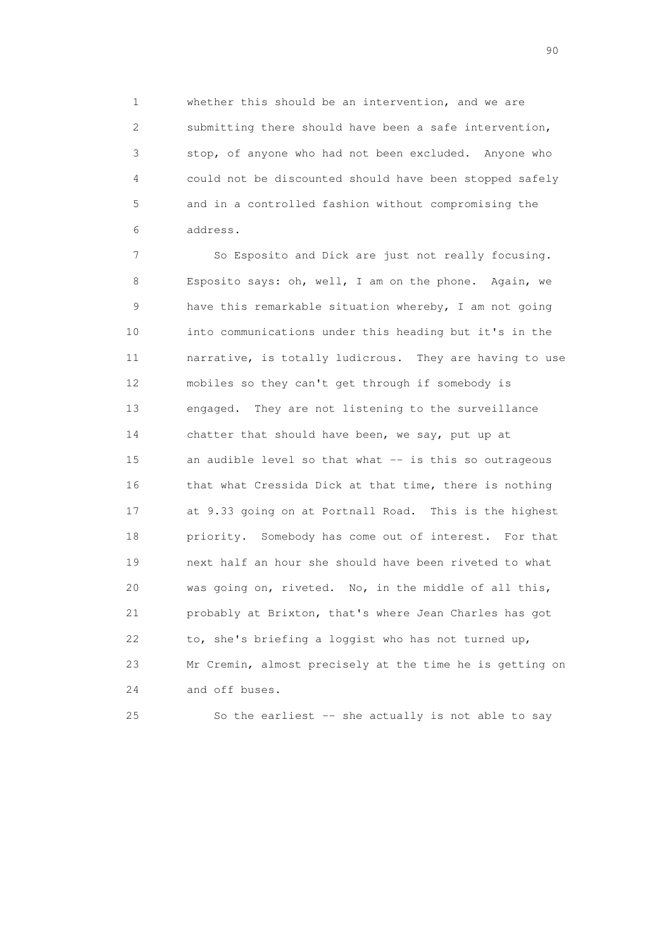1 whether this should be an intervention, and we are 2 submitting there should have been a safe intervention, 3 stop, of anyone who had not been excluded. Anyone who 4 could not be discounted should have been stopped safely 5 and in a controlled fashion without compromising the 6 address.

 7 So Esposito and Dick are just not really focusing. 8 Esposito says: oh, well, I am on the phone. Again, we 9 have this remarkable situation whereby, I am not going 10 into communications under this heading but it's in the 11 narrative, is totally ludicrous. They are having to use 12 mobiles so they can't get through if somebody is 13 engaged. They are not listening to the surveillance 14 chatter that should have been, we say, put up at 15 an audible level so that what -- is this so outrageous 16 that what Cressida Dick at that time, there is nothing 17 at 9.33 going on at Portnall Road. This is the highest 18 priority. Somebody has come out of interest. For that 19 next half an hour she should have been riveted to what 20 was going on, riveted. No, in the middle of all this, 21 probably at Brixton, that's where Jean Charles has got 22 to, she's briefing a loggist who has not turned up, 23 Mr Cremin, almost precisely at the time he is getting on 24 and off buses.

25 So the earliest -- she actually is not able to say

entration of the contract of the contract of the contract of the contract of the contract of the contract of the contract of the contract of the contract of the contract of the contract of the contract of the contract of t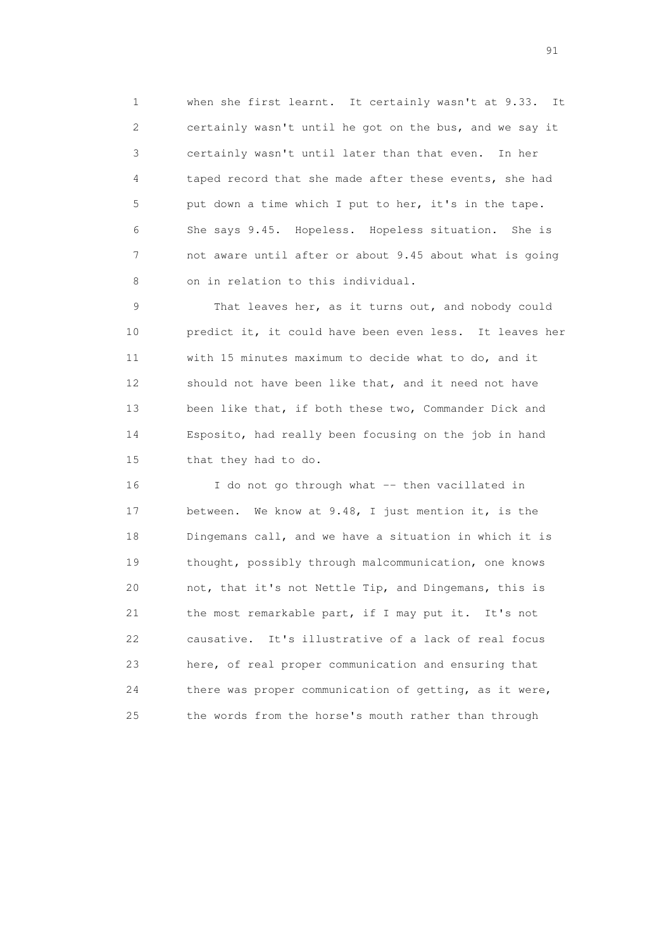1 when she first learnt. It certainly wasn't at 9.33. It 2 certainly wasn't until he got on the bus, and we say it 3 certainly wasn't until later than that even. In her 4 taped record that she made after these events, she had 5 put down a time which I put to her, it's in the tape. 6 She says 9.45. Hopeless. Hopeless situation. She is 7 not aware until after or about 9.45 about what is going 8 on in relation to this individual.

 9 That leaves her, as it turns out, and nobody could 10 predict it, it could have been even less. It leaves her 11 with 15 minutes maximum to decide what to do, and it 12 should not have been like that, and it need not have 13 been like that, if both these two, Commander Dick and 14 Esposito, had really been focusing on the job in hand 15 that they had to do.

 16 I do not go through what -- then vacillated in 17 between. We know at 9.48, I just mention it, is the 18 Dingemans call, and we have a situation in which it is 19 thought, possibly through malcommunication, one knows 20 not, that it's not Nettle Tip, and Dingemans, this is 21 the most remarkable part, if I may put it. It's not 22 causative. It's illustrative of a lack of real focus 23 here, of real proper communication and ensuring that 24 there was proper communication of getting, as it were, 25 the words from the horse's mouth rather than through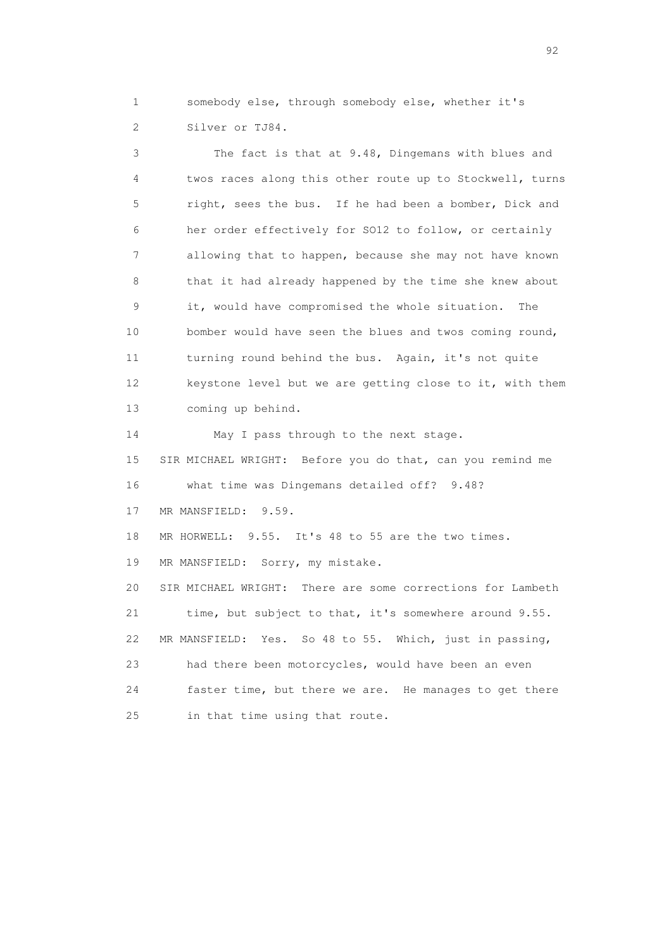1 somebody else, through somebody else, whether it's 2 Silver or TJ84.

 3 The fact is that at 9.48, Dingemans with blues and 4 twos races along this other route up to Stockwell, turns 5 right, sees the bus. If he had been a bomber, Dick and 6 her order effectively for SO12 to follow, or certainly 7 allowing that to happen, because she may not have known 8 that it had already happened by the time she knew about 9 it, would have compromised the whole situation. The 10 bomber would have seen the blues and twos coming round, 11 turning round behind the bus. Again, it's not quite 12 keystone level but we are getting close to it, with them 13 coming up behind. 14 May I pass through to the next stage. 15 SIR MICHAEL WRIGHT: Before you do that, can you remind me 16 what time was Dingemans detailed off? 9.48? 17 MR MANSFIELD: 9.59. 18 MR HORWELL: 9.55. It's 48 to 55 are the two times. 19 MR MANSFIELD: Sorry, my mistake. 20 SIR MICHAEL WRIGHT: There are some corrections for Lambeth 21 time, but subject to that, it's somewhere around 9.55. 22 MR MANSFIELD: Yes. So 48 to 55. Which, just in passing, 23 had there been motorcycles, would have been an even 24 faster time, but there we are. He manages to get there 25 in that time using that route.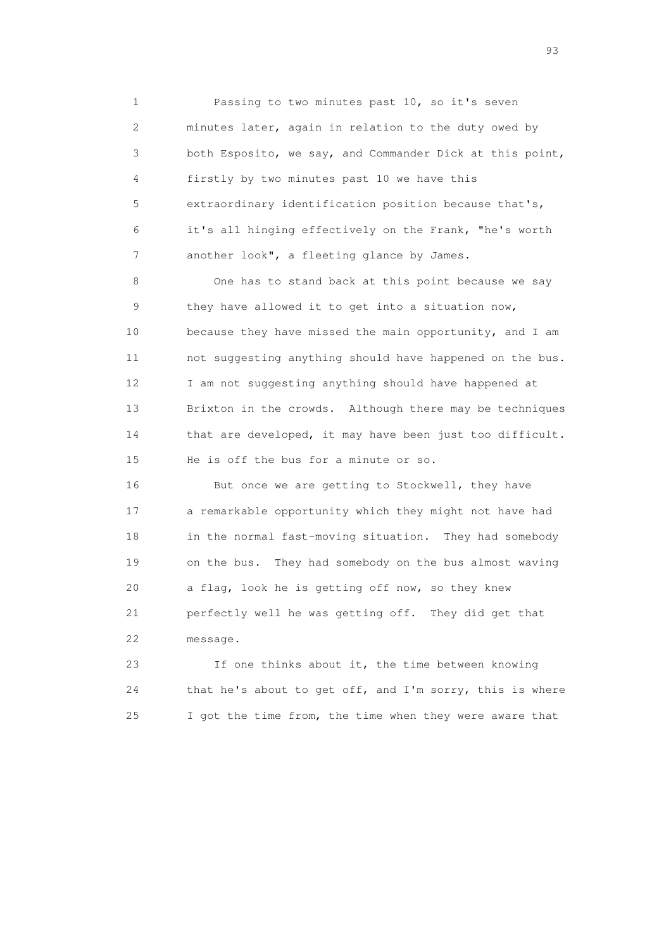1 Passing to two minutes past 10, so it's seven 2 minutes later, again in relation to the duty owed by 3 both Esposito, we say, and Commander Dick at this point, 4 firstly by two minutes past 10 we have this 5 extraordinary identification position because that's, 6 it's all hinging effectively on the Frank, "he's worth 7 another look", a fleeting glance by James.

 8 One has to stand back at this point because we say 9 they have allowed it to get into a situation now, 10 because they have missed the main opportunity, and I am 11 not suggesting anything should have happened on the bus. 12 I am not suggesting anything should have happened at 13 Brixton in the crowds. Although there may be techniques 14 that are developed, it may have been just too difficult. 15 He is off the bus for a minute or so.

16 But once we are getting to Stockwell, they have 17 a remarkable opportunity which they might not have had 18 in the normal fast-moving situation. They had somebody 19 on the bus. They had somebody on the bus almost waving 20 a flag, look he is getting off now, so they knew 21 perfectly well he was getting off. They did get that 22 message.

 23 If one thinks about it, the time between knowing 24 that he's about to get off, and I'm sorry, this is where 25 I got the time from, the time when they were aware that

experience of the contract of the contract of the contract of the contract of the contract of the contract of the contract of the contract of the contract of the contract of the contract of the contract of the contract of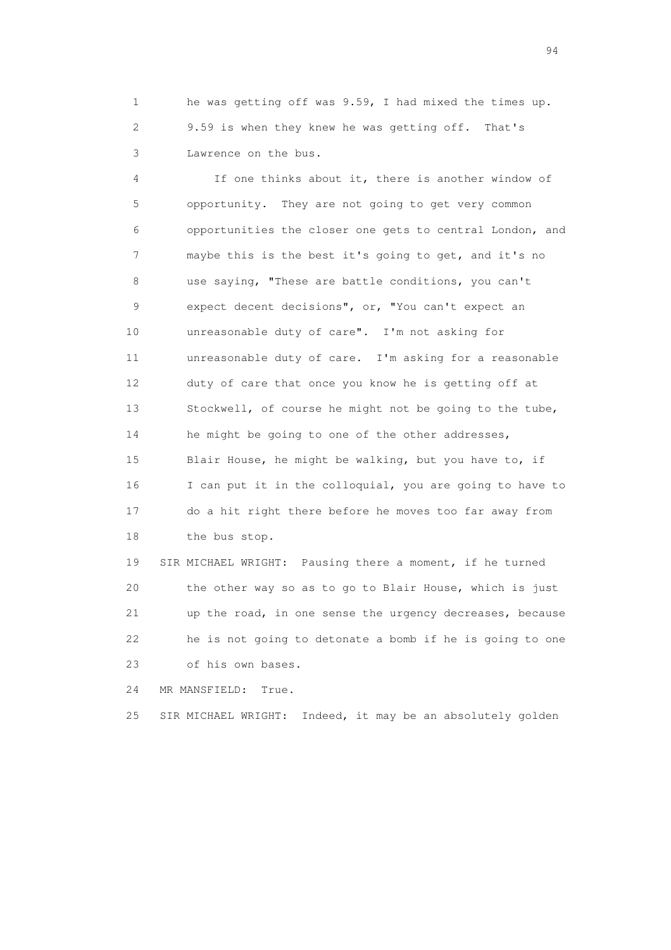1 he was getting off was 9.59, I had mixed the times up. 2 9.59 is when they knew he was getting off. That's 3 Lawrence on the bus.

 4 If one thinks about it, there is another window of 5 opportunity. They are not going to get very common 6 opportunities the closer one gets to central London, and 7 maybe this is the best it's going to get, and it's no 8 use saying, "These are battle conditions, you can't 9 expect decent decisions", or, "You can't expect an 10 unreasonable duty of care". I'm not asking for 11 unreasonable duty of care. I'm asking for a reasonable 12 duty of care that once you know he is getting off at 13 Stockwell, of course he might not be going to the tube, 14 he might be going to one of the other addresses, 15 Blair House, he might be walking, but you have to, if 16 I can put it in the colloquial, you are going to have to 17 do a hit right there before he moves too far away from 18 the bus stop.

 19 SIR MICHAEL WRIGHT: Pausing there a moment, if he turned 20 the other way so as to go to Blair House, which is just 21 up the road, in one sense the urgency decreases, because 22 he is not going to detonate a bomb if he is going to one 23 of his own bases.

24 MR MANSFIELD: True.

25 SIR MICHAEL WRIGHT: Indeed, it may be an absolutely golden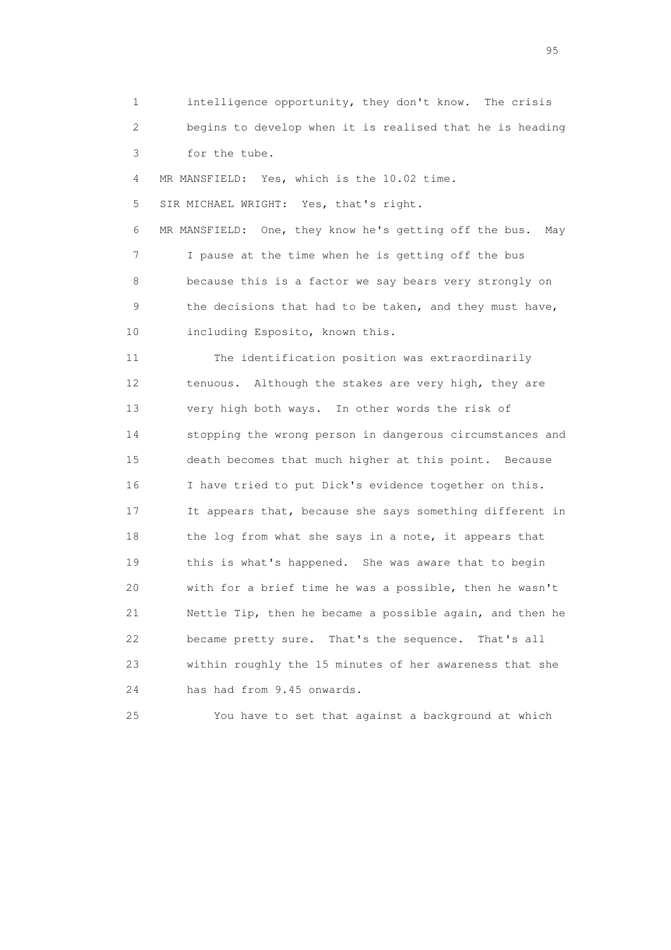1 intelligence opportunity, they don't know. The crisis 2 begins to develop when it is realised that he is heading 3 for the tube.

4 MR MANSFIELD: Yes, which is the 10.02 time.

5 SIR MICHAEL WRIGHT: Yes, that's right.

 6 MR MANSFIELD: One, they know he's getting off the bus. May 7 I pause at the time when he is getting off the bus 8 because this is a factor we say bears very strongly on 9 the decisions that had to be taken, and they must have, 10 including Esposito, known this.

 11 The identification position was extraordinarily 12 tenuous. Although the stakes are very high, they are 13 very high both ways. In other words the risk of 14 stopping the wrong person in dangerous circumstances and 15 death becomes that much higher at this point. Because 16 I have tried to put Dick's evidence together on this. 17 It appears that, because she says something different in 18 the log from what she says in a note, it appears that 19 this is what's happened. She was aware that to begin 20 with for a brief time he was a possible, then he wasn't 21 Nettle Tip, then he became a possible again, and then he 22 became pretty sure. That's the sequence. That's all 23 within roughly the 15 minutes of her awareness that she 24 has had from 9.45 onwards.

25 You have to set that against a background at which

experience of the contract of the contract of the contract of the contract of the contract of the contract of the contract of the contract of the contract of the contract of the contract of the contract of the contract of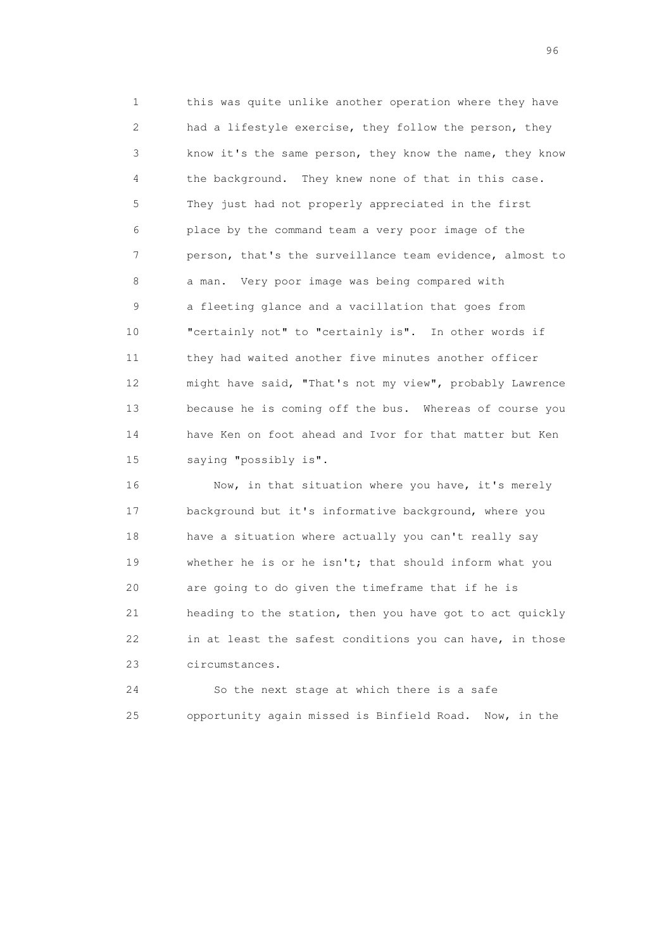1 this was quite unlike another operation where they have 2 had a lifestyle exercise, they follow the person, they 3 know it's the same person, they know the name, they know 4 the background. They knew none of that in this case. 5 They just had not properly appreciated in the first 6 place by the command team a very poor image of the 7 person, that's the surveillance team evidence, almost to 8 a man. Very poor image was being compared with 9 a fleeting glance and a vacillation that goes from 10 "certainly not" to "certainly is". In other words if 11 they had waited another five minutes another officer 12 might have said, "That's not my view", probably Lawrence 13 because he is coming off the bus. Whereas of course you 14 have Ken on foot ahead and Ivor for that matter but Ken 15 saying "possibly is".

16 Now, in that situation where you have, it's merely 17 background but it's informative background, where you 18 have a situation where actually you can't really say 19 whether he is or he isn't; that should inform what you 20 are going to do given the timeframe that if he is 21 heading to the station, then you have got to act quickly 22 in at least the safest conditions you can have, in those 23 circumstances.

 24 So the next stage at which there is a safe 25 opportunity again missed is Binfield Road. Now, in the

<u>96 and the state of the state of the state of the state of the state of the state of the state of the state of the state of the state of the state of the state of the state of the state of the state of the state of the st</u>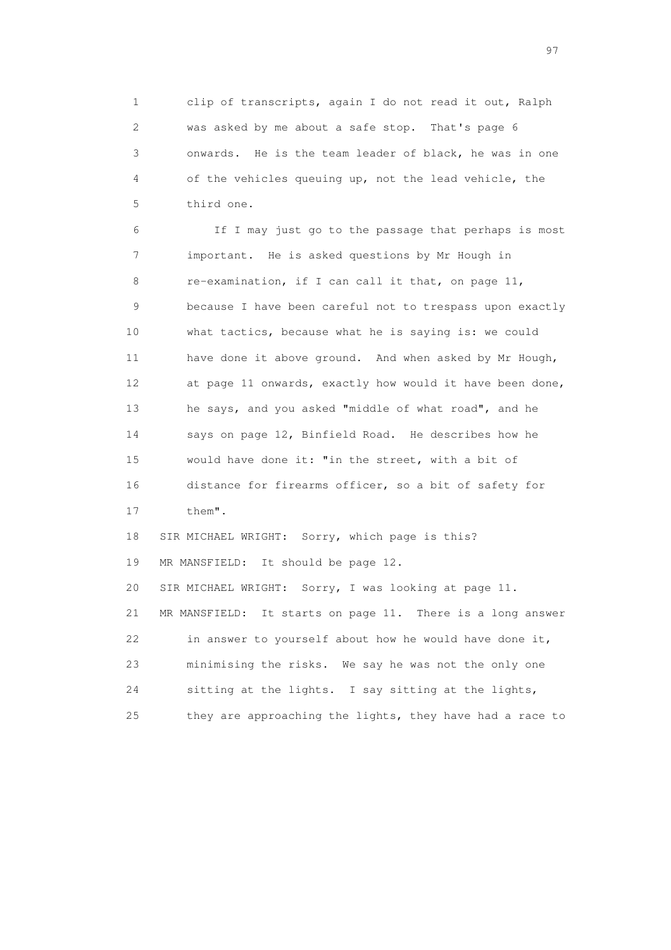1 clip of transcripts, again I do not read it out, Ralph 2 was asked by me about a safe stop. That's page 6 3 onwards. He is the team leader of black, he was in one 4 of the vehicles queuing up, not the lead vehicle, the 5 third one.

 6 If I may just go to the passage that perhaps is most 7 important. He is asked questions by Mr Hough in 8 re-examination, if I can call it that, on page 11, 9 because I have been careful not to trespass upon exactly 10 what tactics, because what he is saying is: we could 11 have done it above ground. And when asked by Mr Hough, 12 at page 11 onwards, exactly how would it have been done, 13 he says, and you asked "middle of what road", and he 14 says on page 12, Binfield Road. He describes how he 15 would have done it: "in the street, with a bit of 16 distance for firearms officer, so a bit of safety for 17 them". 18 SIR MICHAEL WRIGHT: Sorry, which page is this? 19 MR MANSFIELD: It should be page 12. 20 SIR MICHAEL WRIGHT: Sorry, I was looking at page 11. 21 MR MANSFIELD: It starts on page 11. There is a long answer 22 in answer to yourself about how he would have done it, 23 minimising the risks. We say he was not the only one 24 sitting at the lights. I say sitting at the lights,

25 they are approaching the lights, they have had a race to

experience of the contract of the contract of the contract of the contract of the contract of the contract of the contract of the contract of the contract of the contract of the contract of the contract of the contract of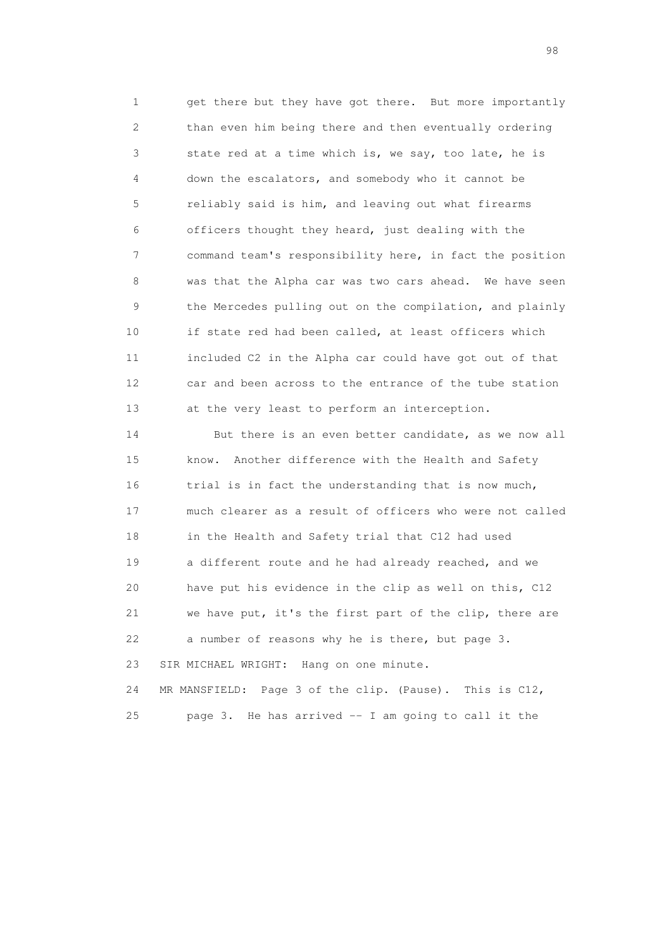1 get there but they have got there. But more importantly 2 than even him being there and then eventually ordering 3 state red at a time which is, we say, too late, he is 4 down the escalators, and somebody who it cannot be 5 reliably said is him, and leaving out what firearms 6 officers thought they heard, just dealing with the 7 command team's responsibility here, in fact the position 8 was that the Alpha car was two cars ahead. We have seen 9 the Mercedes pulling out on the compilation, and plainly 10 if state red had been called, at least officers which 11 included C2 in the Alpha car could have got out of that 12 car and been across to the entrance of the tube station 13 at the very least to perform an interception.

 14 But there is an even better candidate, as we now all 15 know. Another difference with the Health and Safety 16 trial is in fact the understanding that is now much, 17 much clearer as a result of officers who were not called 18 in the Health and Safety trial that C12 had used 19 a different route and he had already reached, and we 20 have put his evidence in the clip as well on this, C12 21 we have put, it's the first part of the clip, there are 22 a number of reasons why he is there, but page 3. 23 SIR MICHAEL WRIGHT: Hang on one minute. 24 MR MANSFIELD: Page 3 of the clip. (Pause). This is C12,

25 page 3. He has arrived -- I am going to call it the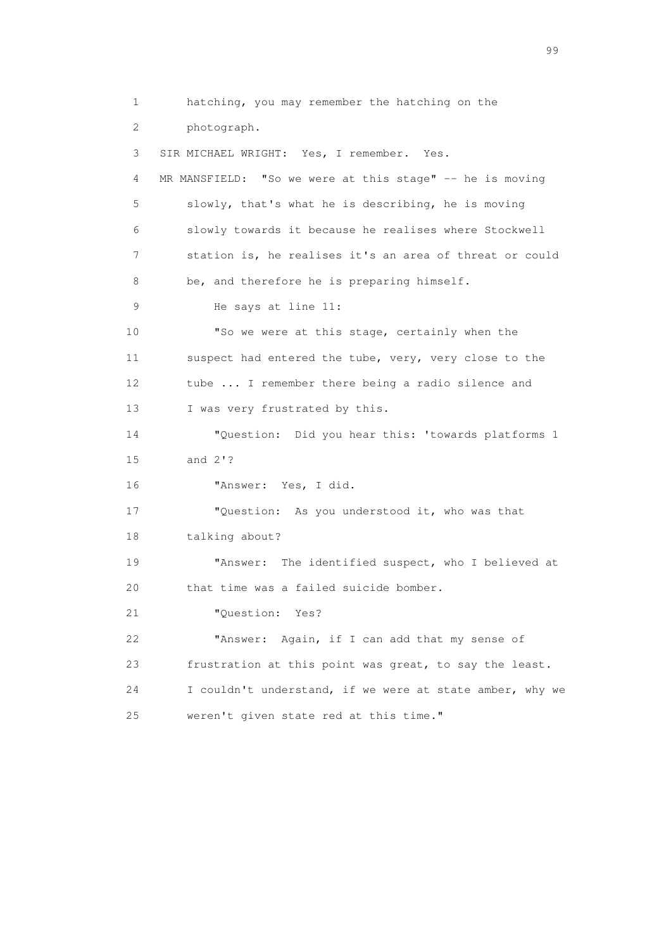1 hatching, you may remember the hatching on the 2 photograph. 3 SIR MICHAEL WRIGHT: Yes, I remember. Yes. 4 MR MANSFIELD: "So we were at this stage" -- he is moving 5 slowly, that's what he is describing, he is moving 6 slowly towards it because he realises where Stockwell 7 station is, he realises it's an area of threat or could 8 be, and therefore he is preparing himself. 9 He says at line 11: 10 "So we were at this stage, certainly when the 11 suspect had entered the tube, very, very close to the 12 tube ... I remember there being a radio silence and 13 I was very frustrated by this. 14 "Question: Did you hear this: 'towards platforms 1 15 and 2'? 16 "Answer: Yes, I did. 17 "Question: As you understood it, who was that 18 talking about? 19 "Answer: The identified suspect, who I believed at 20 that time was a failed suicide bomber. 21 "Question: Yes? 22 "Answer: Again, if I can add that my sense of 23 frustration at this point was great, to say the least. 24 I couldn't understand, if we were at state amber, why we 25 weren't given state red at this time."

en de la construction de la construction de la construction de la construction de la construction de la constr<br>1990 : le construction de la construction de la construction de la construction de la construction de la const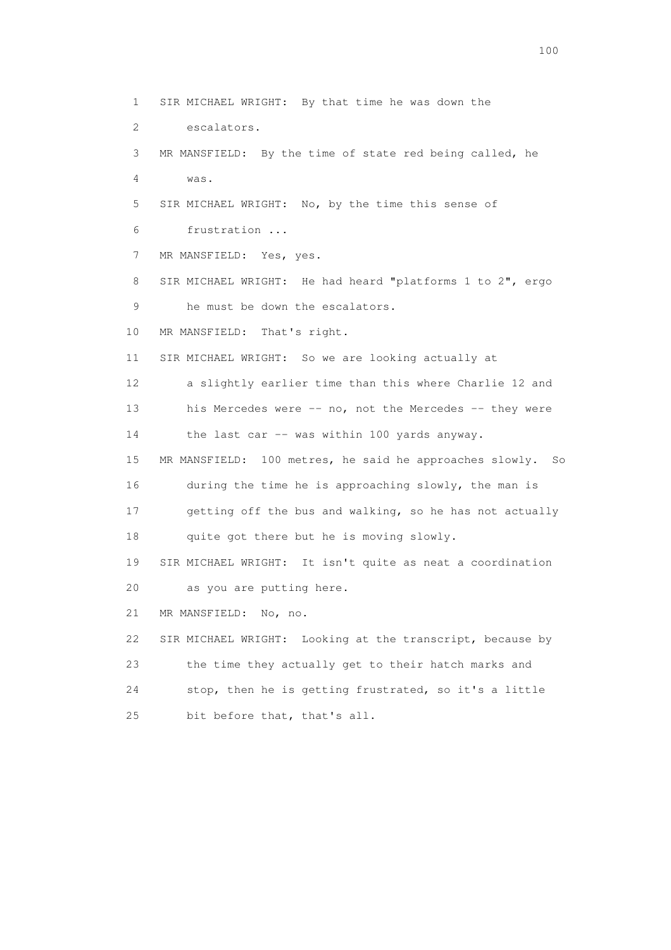1 SIR MICHAEL WRIGHT: By that time he was down the 2 escalators. 3 MR MANSFIELD: By the time of state red being called, he 4 was. 5 SIR MICHAEL WRIGHT: No, by the time this sense of 6 frustration ... 7 MR MANSFIELD: Yes, yes. 8 SIR MICHAEL WRIGHT: He had heard "platforms 1 to 2", ergo 9 he must be down the escalators. 10 MR MANSFIELD: That's right. 11 SIR MICHAEL WRIGHT: So we are looking actually at 12 a slightly earlier time than this where Charlie 12 and 13 his Mercedes were -- no, not the Mercedes -- they were 14 the last car -- was within 100 yards anyway. 15 MR MANSFIELD: 100 metres, he said he approaches slowly. So 16 during the time he is approaching slowly, the man is 17 getting off the bus and walking, so he has not actually 18 quite got there but he is moving slowly. 19 SIR MICHAEL WRIGHT: It isn't quite as neat a coordination 20 as you are putting here. 21 MR MANSFIELD: No, no. 22 SIR MICHAEL WRIGHT: Looking at the transcript, because by 23 the time they actually get to their hatch marks and 24 stop, then he is getting frustrated, so it's a little 25 bit before that, that's all.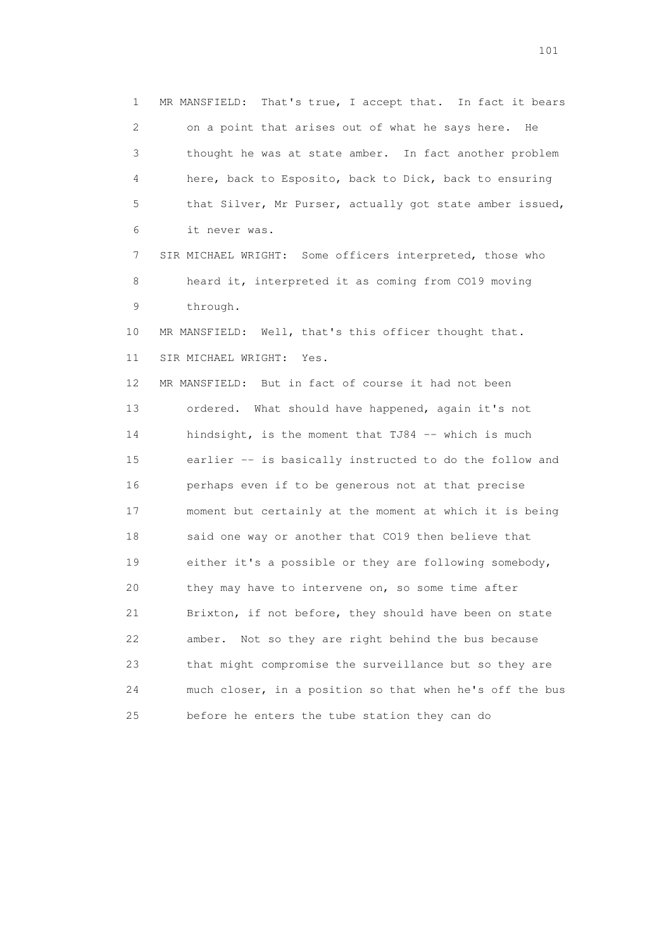1 MR MANSFIELD: That's true, I accept that. In fact it bears 2 on a point that arises out of what he says here. He 3 thought he was at state amber. In fact another problem 4 here, back to Esposito, back to Dick, back to ensuring 5 that Silver, Mr Purser, actually got state amber issued, 6 it never was. 7 SIR MICHAEL WRIGHT: Some officers interpreted, those who 8 heard it, interpreted it as coming from CO19 moving 9 through. 10 MR MANSFIELD: Well, that's this officer thought that. 11 SIR MICHAEL WRIGHT: Yes. 12 MR MANSFIELD: But in fact of course it had not been 13 ordered. What should have happened, again it's not 14 hindsight, is the moment that TJ84 -- which is much 15 earlier -- is basically instructed to do the follow and 16 perhaps even if to be generous not at that precise 17 moment but certainly at the moment at which it is being 18 said one way or another that CO19 then believe that 19 either it's a possible or they are following somebody, 20 they may have to intervene on, so some time after 21 Brixton, if not before, they should have been on state 22 amber. Not so they are right behind the bus because 23 that might compromise the surveillance but so they are 24 much closer, in a position so that when he's off the bus 25 before he enters the tube station they can do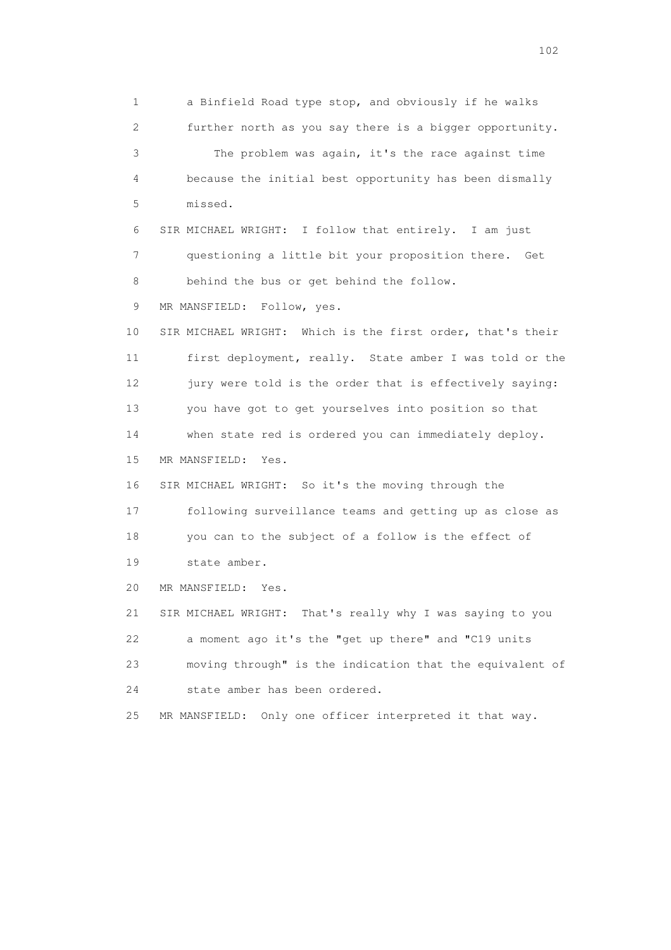1 a Binfield Road type stop, and obviously if he walks 2 further north as you say there is a bigger opportunity. 3 The problem was again, it's the race against time 4 because the initial best opportunity has been dismally 5 missed. 6 SIR MICHAEL WRIGHT: I follow that entirely. I am just 7 questioning a little bit your proposition there. Get 8 behind the bus or get behind the follow. 9 MR MANSFIELD: Follow, yes. 10 SIR MICHAEL WRIGHT: Which is the first order, that's their 11 first deployment, really. State amber I was told or the 12 jury were told is the order that is effectively saying: 13 you have got to get yourselves into position so that 14 when state red is ordered you can immediately deploy. 15 MR MANSFIELD: Yes. 16 SIR MICHAEL WRIGHT: So it's the moving through the 17 following surveillance teams and getting up as close as 18 you can to the subject of a follow is the effect of 19 state amber. 20 MR MANSFIELD: Yes. 21 SIR MICHAEL WRIGHT: That's really why I was saying to you 22 a moment ago it's the "get up there" and "C19 units 23 moving through" is the indication that the equivalent of 24 state amber has been ordered. 25 MR MANSFIELD: Only one officer interpreted it that way.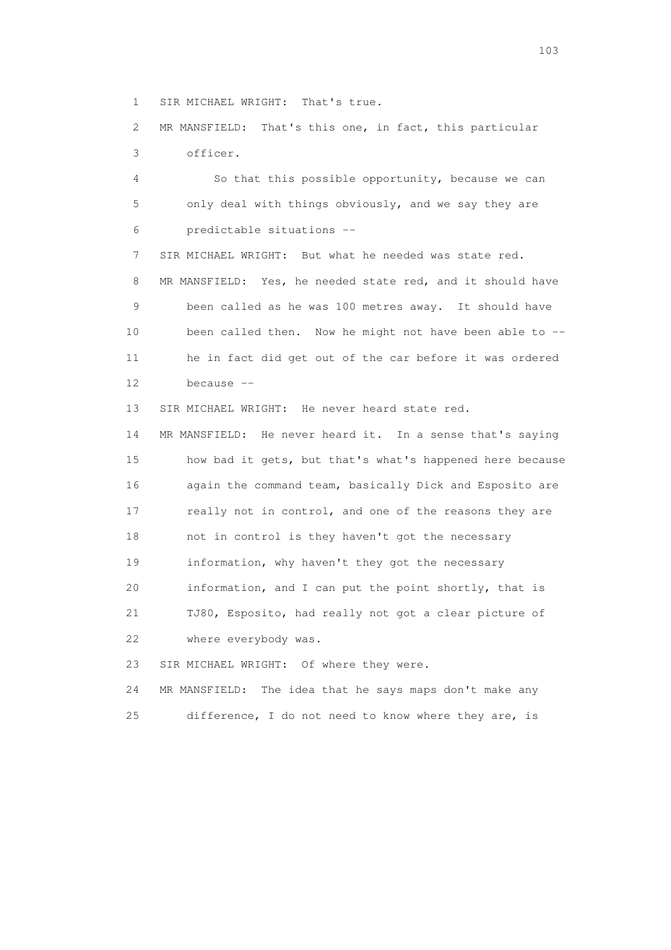1 SIR MICHAEL WRIGHT: That's true.

 2 MR MANSFIELD: That's this one, in fact, this particular 3 officer.

 4 So that this possible opportunity, because we can 5 only deal with things obviously, and we say they are 6 predictable situations --

 7 SIR MICHAEL WRIGHT: But what he needed was state red. 8 MR MANSFIELD: Yes, he needed state red, and it should have 9 been called as he was 100 metres away. It should have 10 been called then. Now he might not have been able to -- 11 he in fact did get out of the car before it was ordered 12 because --

13 SIR MICHAEL WRIGHT: He never heard state red.

 14 MR MANSFIELD: He never heard it. In a sense that's saying 15 how bad it gets, but that's what's happened here because 16 again the command team, basically Dick and Esposito are 17 really not in control, and one of the reasons they are 18 not in control is they haven't got the necessary 19 information, why haven't they got the necessary 20 information, and I can put the point shortly, that is 21 TJ80, Esposito, had really not got a clear picture of 22 where everybody was.

23 SIR MICHAEL WRIGHT: Of where they were.

 24 MR MANSFIELD: The idea that he says maps don't make any 25 difference, I do not need to know where they are, is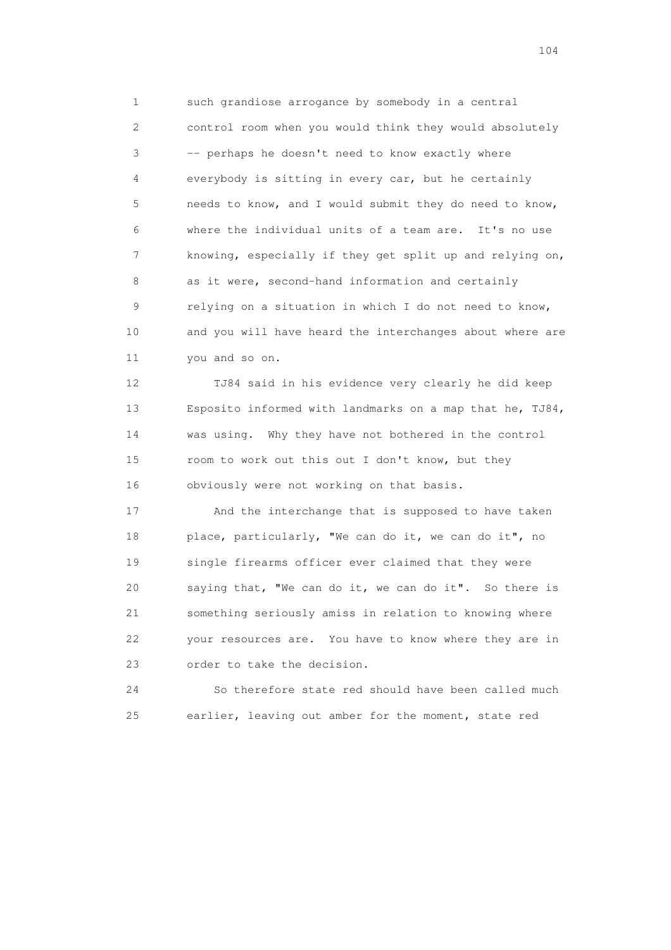1 such grandiose arrogance by somebody in a central 2 control room when you would think they would absolutely 3 -- perhaps he doesn't need to know exactly where 4 everybody is sitting in every car, but he certainly 5 needs to know, and I would submit they do need to know, 6 where the individual units of a team are. It's no use 7 knowing, especially if they get split up and relying on, 8 as it were, second-hand information and certainly 9 relying on a situation in which I do not need to know, 10 and you will have heard the interchanges about where are 11 you and so on.

 12 TJ84 said in his evidence very clearly he did keep 13 Esposito informed with landmarks on a map that he, TJ84, 14 was using. Why they have not bothered in the control 15 room to work out this out I don't know, but they 16 obviously were not working on that basis.

 17 And the interchange that is supposed to have taken 18 place, particularly, "We can do it, we can do it", no 19 single firearms officer ever claimed that they were 20 saying that, "We can do it, we can do it". So there is 21 something seriously amiss in relation to knowing where 22 your resources are. You have to know where they are in 23 order to take the decision.

 24 So therefore state red should have been called much 25 earlier, leaving out amber for the moment, state red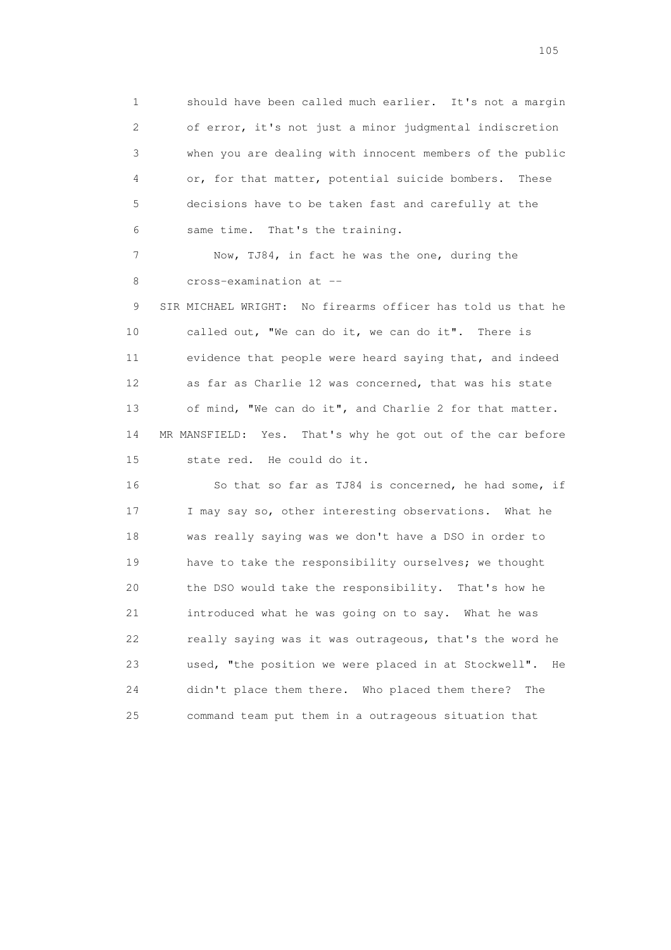1 should have been called much earlier. It's not a margin 2 of error, it's not just a minor judgmental indiscretion 3 when you are dealing with innocent members of the public 4 or, for that matter, potential suicide bombers. These 5 decisions have to be taken fast and carefully at the 6 same time. That's the training.

 7 Now, TJ84, in fact he was the one, during the 8 cross-examination at --

 9 SIR MICHAEL WRIGHT: No firearms officer has told us that he 10 called out, "We can do it, we can do it". There is 11 evidence that people were heard saying that, and indeed 12 as far as Charlie 12 was concerned, that was his state 13 of mind, "We can do it", and Charlie 2 for that matter. 14 MR MANSFIELD: Yes. That's why he got out of the car before 15 state red. He could do it.

16 So that so far as TJ84 is concerned, he had some, if 17 I may say so, other interesting observations. What he 18 was really saying was we don't have a DSO in order to 19 have to take the responsibility ourselves; we thought 20 the DSO would take the responsibility. That's how he 21 introduced what he was going on to say. What he was 22 really saying was it was outrageous, that's the word he 23 used, "the position we were placed in at Stockwell". He 24 didn't place them there. Who placed them there? The 25 command team put them in a outrageous situation that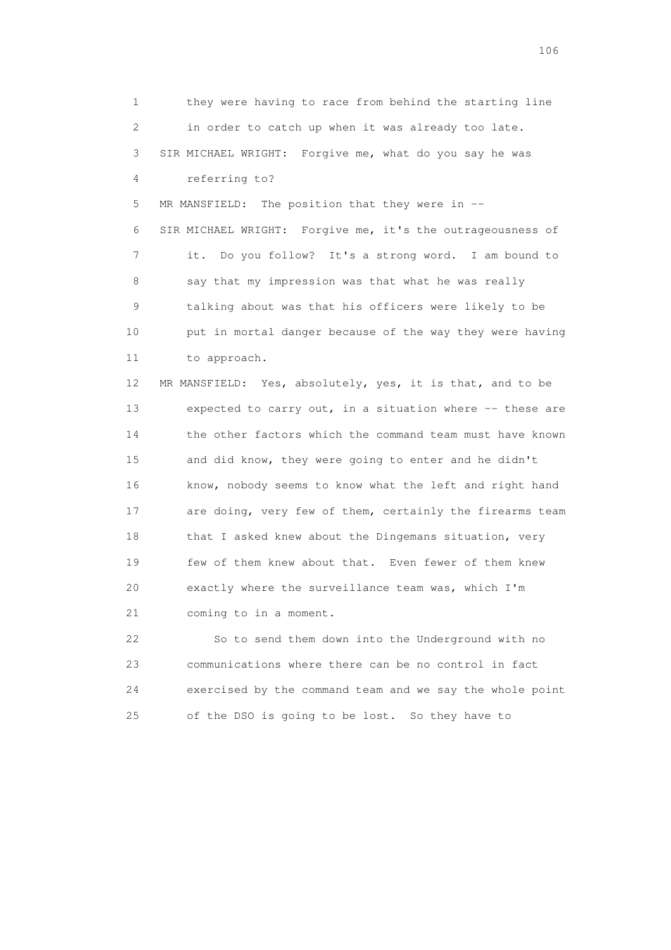1 they were having to race from behind the starting line 2 in order to catch up when it was already too late. 3 SIR MICHAEL WRIGHT: Forgive me, what do you say he was 4 referring to? 5 MR MANSFIELD: The position that they were in -- 6 SIR MICHAEL WRIGHT: Forgive me, it's the outrageousness of 7 it. Do you follow? It's a strong word. I am bound to 8 say that my impression was that what he was really 9 talking about was that his officers were likely to be 10 put in mortal danger because of the way they were having 11 to approach. 12 MR MANSFIELD: Yes, absolutely, yes, it is that, and to be 13 expected to carry out, in a situation where -- these are 14 the other factors which the command team must have known 15 and did know, they were going to enter and he didn't 16 know, nobody seems to know what the left and right hand 17 are doing, very few of them, certainly the firearms team 18 that I asked knew about the Dingemans situation, very 19 few of them knew about that. Even fewer of them knew 20 exactly where the surveillance team was, which I'm 21 coming to in a moment. 22 So to send them down into the Underground with no

 23 communications where there can be no control in fact 24 exercised by the command team and we say the whole point 25 of the DSO is going to be lost. So they have to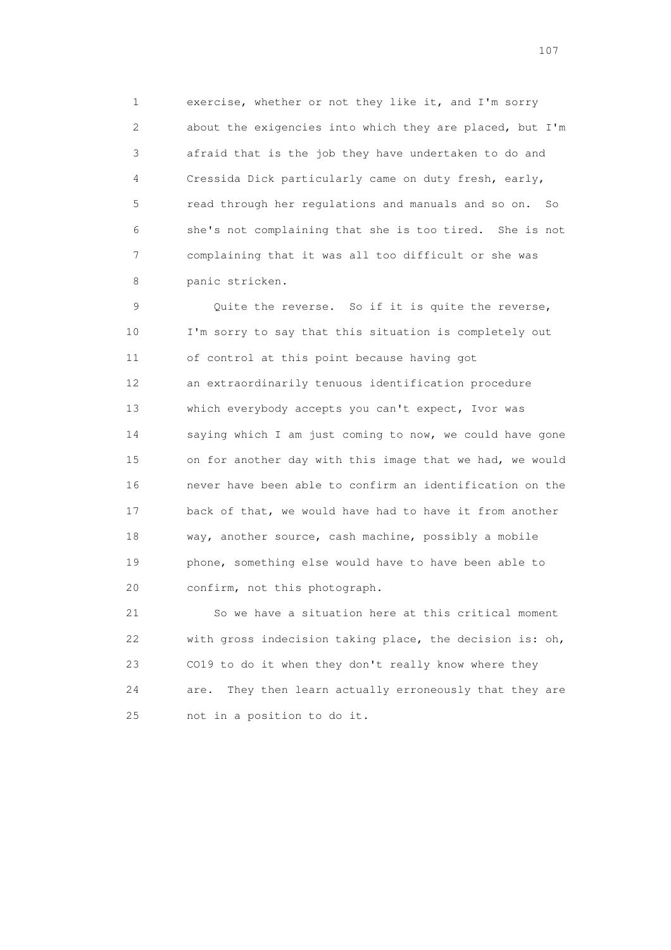1 exercise, whether or not they like it, and I'm sorry 2 about the exigencies into which they are placed, but I'm 3 afraid that is the job they have undertaken to do and 4 Cressida Dick particularly came on duty fresh, early, 5 read through her regulations and manuals and so on. So 6 she's not complaining that she is too tired. She is not 7 complaining that it was all too difficult or she was 8 panic stricken.

 9 Quite the reverse. So if it is quite the reverse, 10 I'm sorry to say that this situation is completely out 11 of control at this point because having got 12 an extraordinarily tenuous identification procedure 13 which everybody accepts you can't expect, Ivor was 14 saying which I am just coming to now, we could have gone 15 on for another day with this image that we had, we would 16 never have been able to confirm an identification on the 17 back of that, we would have had to have it from another 18 way, another source, cash machine, possibly a mobile 19 phone, something else would have to have been able to 20 confirm, not this photograph.

 21 So we have a situation here at this critical moment 22 with gross indecision taking place, the decision is: oh, 23 CO19 to do it when they don't really know where they 24 are. They then learn actually erroneously that they are 25 not in a position to do it.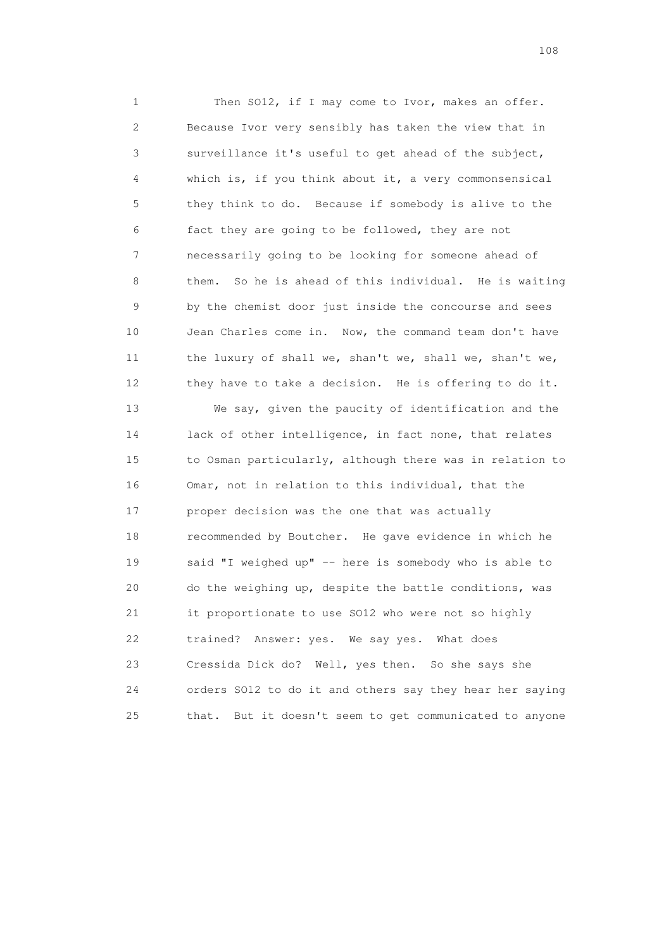1 Then SO12, if I may come to Ivor, makes an offer. 2 Because Ivor very sensibly has taken the view that in 3 surveillance it's useful to get ahead of the subject, 4 which is, if you think about it, a very commonsensical 5 they think to do. Because if somebody is alive to the 6 fact they are going to be followed, they are not 7 necessarily going to be looking for someone ahead of 8 them. So he is ahead of this individual. He is waiting 9 by the chemist door just inside the concourse and sees 10 Jean Charles come in. Now, the command team don't have 11 the luxury of shall we, shan't we, shall we, shan't we, 12 they have to take a decision. He is offering to do it. 13 We say, given the paucity of identification and the

 14 lack of other intelligence, in fact none, that relates 15 to Osman particularly, although there was in relation to 16 Omar, not in relation to this individual, that the 17 proper decision was the one that was actually 18 recommended by Boutcher. He gave evidence in which he 19 said "I weighed up" -- here is somebody who is able to 20 do the weighing up, despite the battle conditions, was 21 it proportionate to use SO12 who were not so highly 22 trained? Answer: yes. We say yes. What does 23 Cressida Dick do? Well, yes then. So she says she 24 orders SO12 to do it and others say they hear her saying 25 that. But it doesn't seem to get communicated to anyone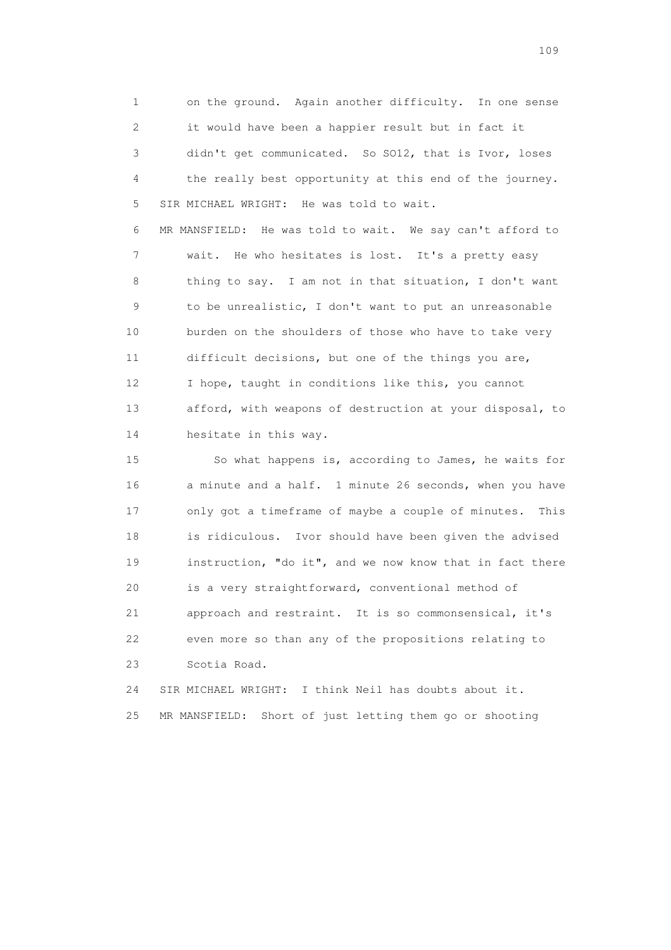1 on the ground. Again another difficulty. In one sense 2 it would have been a happier result but in fact it 3 didn't get communicated. So SO12, that is Ivor, loses 4 the really best opportunity at this end of the journey. 5 SIR MICHAEL WRIGHT: He was told to wait.

 6 MR MANSFIELD: He was told to wait. We say can't afford to 7 wait. He who hesitates is lost. It's a pretty easy 8 thing to say. I am not in that situation, I don't want 9 to be unrealistic, I don't want to put an unreasonable 10 burden on the shoulders of those who have to take very 11 difficult decisions, but one of the things you are, 12 I hope, taught in conditions like this, you cannot 13 afford, with weapons of destruction at your disposal, to 14 hesitate in this way.

 15 So what happens is, according to James, he waits for 16 a minute and a half. 1 minute 26 seconds, when you have 17 only got a timeframe of maybe a couple of minutes. This 18 is ridiculous. Ivor should have been given the advised 19 instruction, "do it", and we now know that in fact there 20 is a very straightforward, conventional method of 21 approach and restraint. It is so commonsensical, it's 22 even more so than any of the propositions relating to 23 Scotia Road.

 24 SIR MICHAEL WRIGHT: I think Neil has doubts about it. 25 MR MANSFIELD: Short of just letting them go or shooting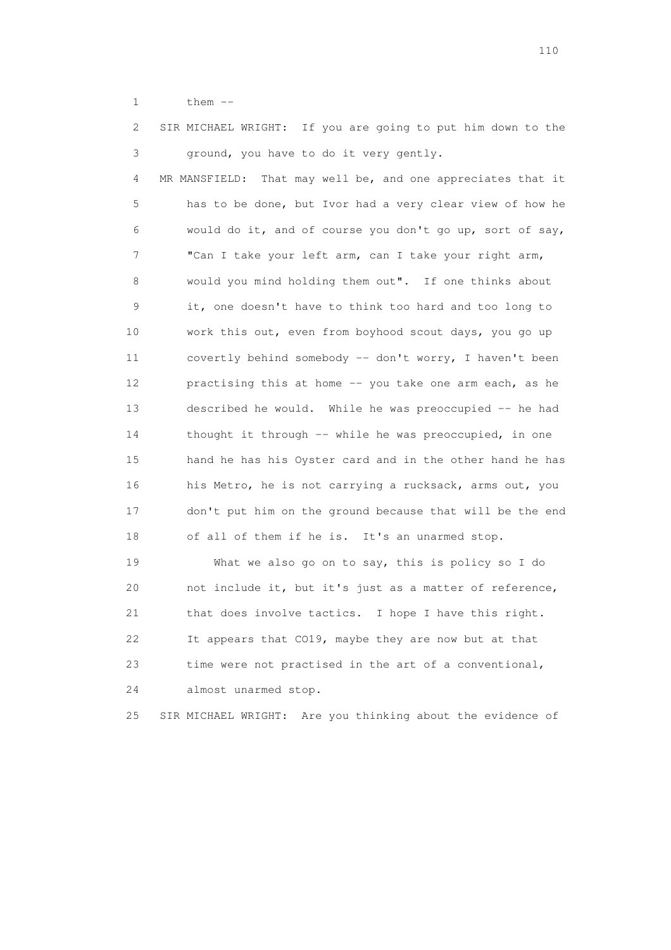1 them --

| 2  | SIR MICHAEL WRIGHT: If you are going to put him down to the |
|----|-------------------------------------------------------------|
| 3  | ground, you have to do it very gently.                      |
| 4  | MR MANSFIELD: That may well be, and one appreciates that it |
| 5  | has to be done, but Ivor had a very clear view of how he    |
| 6  | would do it, and of course you don't go up, sort of say,    |
| 7  | "Can I take your left arm, can I take your right arm,       |
| 8  | would you mind holding them out". If one thinks about       |
| 9  | it, one doesn't have to think too hard and too long to      |
| 10 | work this out, even from boyhood scout days, you go up      |
| 11 | covertly behind somebody -- don't worry, I haven't been     |
| 12 | practising this at home -- you take one arm each, as he     |
| 13 | described he would. While he was preoccupied -- he had      |
| 14 | thought it through -- while he was preoccupied, in one      |
| 15 | hand he has his Oyster card and in the other hand he has    |
| 16 | his Metro, he is not carrying a rucksack, arms out, you     |
| 17 | don't put him on the ground because that will be the end    |
| 18 | of all of them if he is. It's an unarmed stop.              |
| 19 | What we also go on to say, this is policy so I do           |

 20 not include it, but it's just as a matter of reference, 21 that does involve tactics. I hope I have this right. 22 It appears that CO19, maybe they are now but at that 23 time were not practised in the art of a conventional, 24 almost unarmed stop.

25 SIR MICHAEL WRIGHT: Are you thinking about the evidence of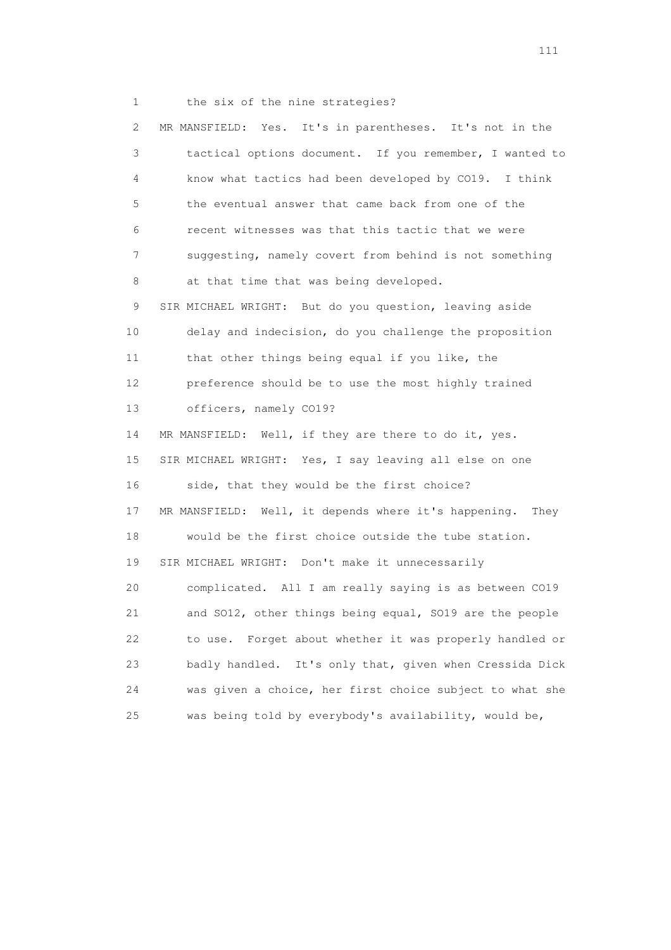1 the six of the nine strategies?

 2 MR MANSFIELD: Yes. It's in parentheses. It's not in the 3 tactical options document. If you remember, I wanted to 4 know what tactics had been developed by CO19. I think 5 the eventual answer that came back from one of the 6 recent witnesses was that this tactic that we were 7 suggesting, namely covert from behind is not something 8 at that time that was being developed. 9 SIR MICHAEL WRIGHT: But do you question, leaving aside 10 delay and indecision, do you challenge the proposition 11 that other things being equal if you like, the 12 preference should be to use the most highly trained 13 officers, namely CO19? 14 MR MANSFIELD: Well, if they are there to do it, yes. 15 SIR MICHAEL WRIGHT: Yes, I say leaving all else on one 16 side, that they would be the first choice? 17 MR MANSFIELD: Well, it depends where it's happening. They 18 would be the first choice outside the tube station. 19 SIR MICHAEL WRIGHT: Don't make it unnecessarily 20 complicated. All I am really saying is as between CO19 21 and SO12, other things being equal, SO19 are the people 22 to use. Forget about whether it was properly handled or 23 badly handled. It's only that, given when Cressida Dick 24 was given a choice, her first choice subject to what she 25 was being told by everybody's availability, would be,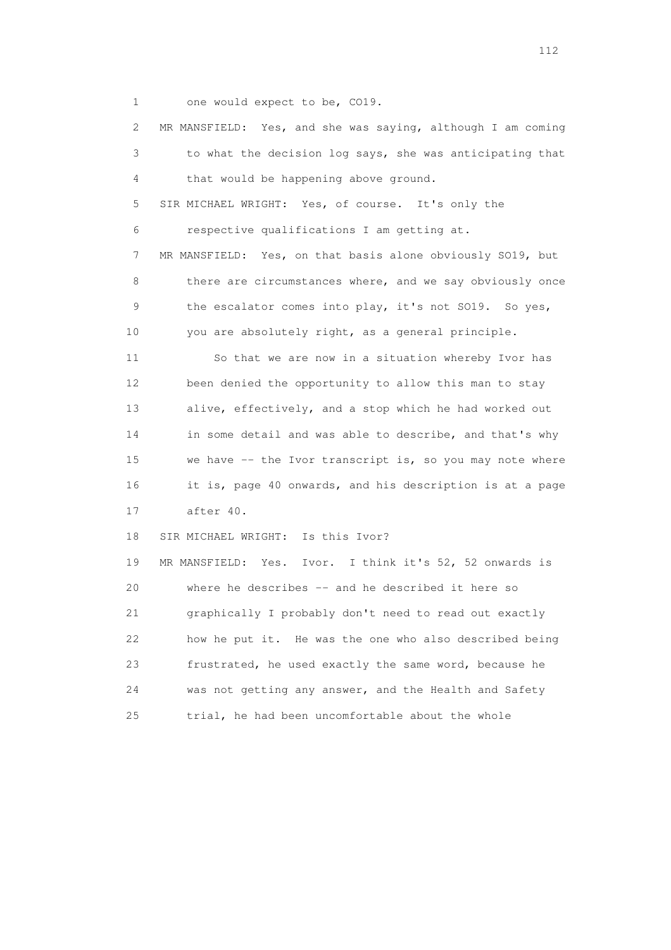1 one would expect to be, CO19.

 2 MR MANSFIELD: Yes, and she was saying, although I am coming 3 to what the decision log says, she was anticipating that 4 that would be happening above ground. 5 SIR MICHAEL WRIGHT: Yes, of course. It's only the 6 respective qualifications I am getting at. 7 MR MANSFIELD: Yes, on that basis alone obviously SO19, but 8 there are circumstances where, and we say obviously once 9 the escalator comes into play, it's not SO19. So yes, 10 you are absolutely right, as a general principle. 11 So that we are now in a situation whereby Ivor has 12 been denied the opportunity to allow this man to stay 13 alive, effectively, and a stop which he had worked out 14 in some detail and was able to describe, and that's why 15 we have -- the Ivor transcript is, so you may note where 16 it is, page 40 onwards, and his description is at a page 17 after 40. 18 SIR MICHAEL WRIGHT: Is this Ivor? 19 MR MANSFIELD: Yes. Ivor. I think it's 52, 52 onwards is 20 where he describes -- and he described it here so 21 graphically I probably don't need to read out exactly 22 how he put it. He was the one who also described being 23 frustrated, he used exactly the same word, because he 24 was not getting any answer, and the Health and Safety 25 trial, he had been uncomfortable about the whole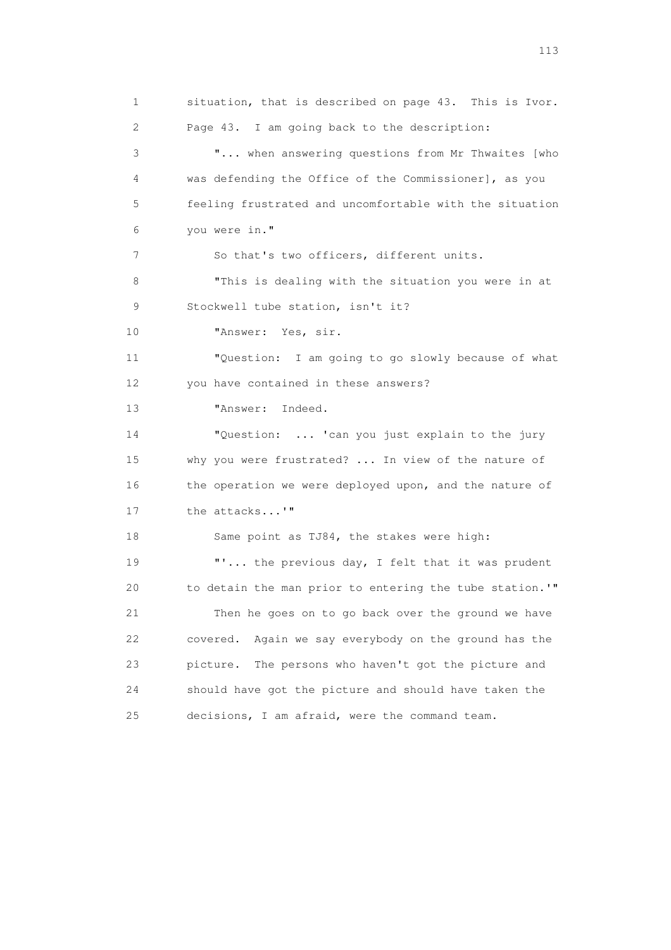1 situation, that is described on page 43. This is Ivor. 2 Page 43. I am going back to the description: 3 "... when answering questions from Mr Thwaites [who 4 was defending the Office of the Commissioner], as you 5 feeling frustrated and uncomfortable with the situation 6 you were in." 7 So that's two officers, different units. 8 "This is dealing with the situation you were in at 9 Stockwell tube station, isn't it? 10 "Answer: Yes, sir. 11 "Question: I am going to go slowly because of what 12 you have contained in these answers? 13 "Answer: Indeed. 14 "Question: ... 'can you just explain to the jury 15 why you were frustrated? ... In view of the nature of 16 the operation we were deployed upon, and the nature of 17 the attacks...'" 18 Same point as TJ84, the stakes were high: 19 **"'...** the previous day, I felt that it was prudent 20 to detain the man prior to entering the tube station.'" 21 Then he goes on to go back over the ground we have 22 covered. Again we say everybody on the ground has the 23 picture. The persons who haven't got the picture and 24 should have got the picture and should have taken the 25 decisions, I am afraid, were the command team.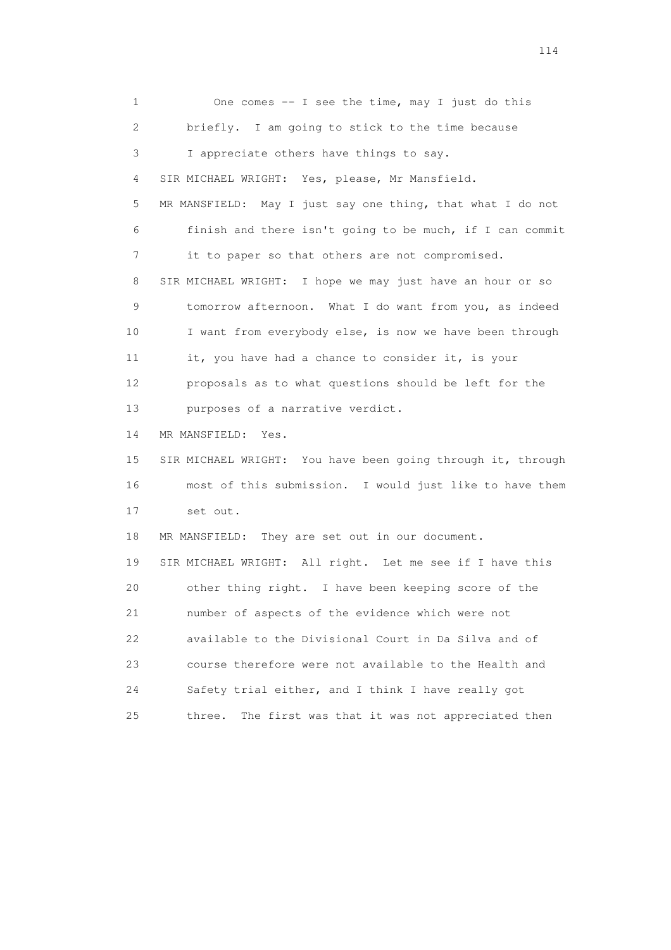1 One comes -- I see the time, may I just do this 2 briefly. I am going to stick to the time because 3 I appreciate others have things to say. 4 SIR MICHAEL WRIGHT: Yes, please, Mr Mansfield. 5 MR MANSFIELD: May I just say one thing, that what I do not 6 finish and there isn't going to be much, if I can commit 7 it to paper so that others are not compromised. 8 SIR MICHAEL WRIGHT: I hope we may just have an hour or so 9 tomorrow afternoon. What I do want from you, as indeed 10 I want from everybody else, is now we have been through 11 it, you have had a chance to consider it, is your 12 proposals as to what questions should be left for the 13 purposes of a narrative verdict. 14 MR MANSFIELD: Yes. 15 SIR MICHAEL WRIGHT: You have been going through it, through 16 most of this submission. I would just like to have them 17 set out. 18 MR MANSFIELD: They are set out in our document. 19 SIR MICHAEL WRIGHT: All right. Let me see if I have this 20 other thing right. I have been keeping score of the 21 number of aspects of the evidence which were not 22 available to the Divisional Court in Da Silva and of 23 course therefore were not available to the Health and 24 Safety trial either, and I think I have really got 25 three. The first was that it was not appreciated then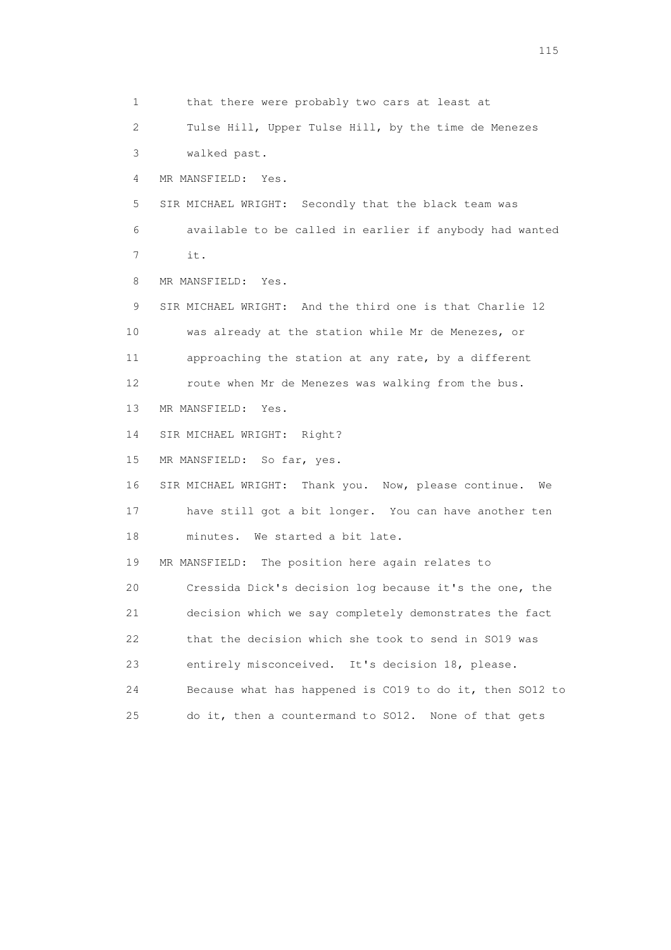1 that there were probably two cars at least at 2 Tulse Hill, Upper Tulse Hill, by the time de Menezes 3 walked past. 4 MR MANSFIELD: Yes. 5 SIR MICHAEL WRIGHT: Secondly that the black team was 6 available to be called in earlier if anybody had wanted 7 it. 8 MR MANSFIELD: Yes. 9 SIR MICHAEL WRIGHT: And the third one is that Charlie 12 10 was already at the station while Mr de Menezes, or 11 approaching the station at any rate, by a different 12 route when Mr de Menezes was walking from the bus. 13 MR MANSFIELD: Yes. 14 SIR MICHAEL WRIGHT: Right? 15 MR MANSFIELD: So far, yes. 16 SIR MICHAEL WRIGHT: Thank you. Now, please continue. We 17 have still got a bit longer. You can have another ten 18 minutes. We started a bit late. 19 MR MANSFIELD: The position here again relates to 20 Cressida Dick's decision log because it's the one, the 21 decision which we say completely demonstrates the fact 22 that the decision which she took to send in SO19 was 23 entirely misconceived. It's decision 18, please. 24 Because what has happened is CO19 to do it, then SO12 to

25 do it, then a countermand to SO12. None of that gets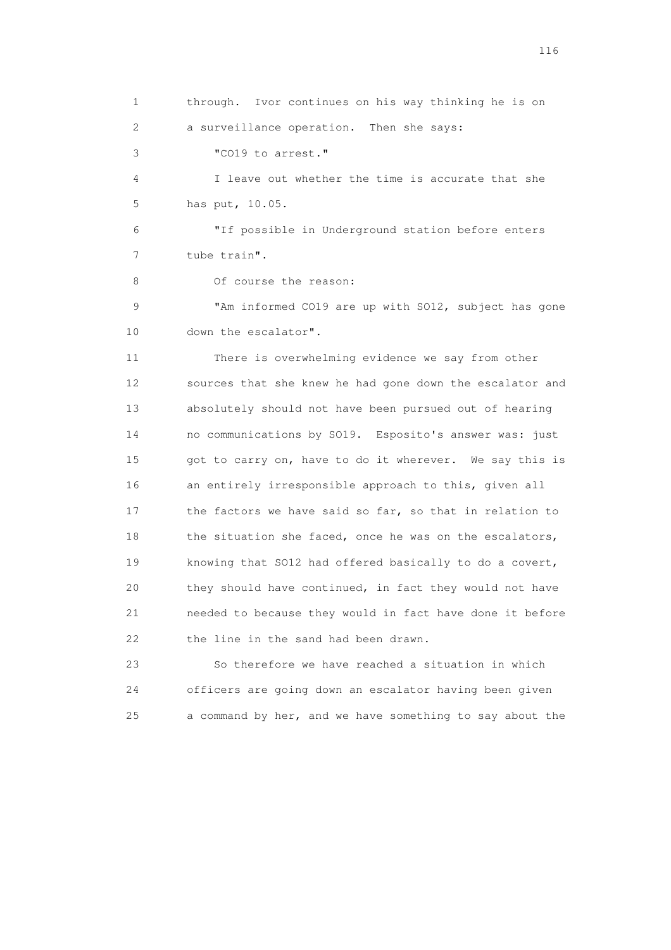1 through. Ivor continues on his way thinking he is on 2 a surveillance operation. Then she says: 3 "CO19 to arrest." 4 I leave out whether the time is accurate that she 5 has put, 10.05. 6 "If possible in Underground station before enters 7 tube train". 8 Of course the reason: 9 "Am informed CO19 are up with SO12, subject has gone 10 down the escalator". 11 There is overwhelming evidence we say from other 12 sources that she knew he had gone down the escalator and 13 absolutely should not have been pursued out of hearing 14 no communications by SO19. Esposito's answer was: just 15 got to carry on, have to do it wherever. We say this is 16 an entirely irresponsible approach to this, given all 17 the factors we have said so far, so that in relation to 18 the situation she faced, once he was on the escalators, 19 knowing that SO12 had offered basically to do a covert, 20 they should have continued, in fact they would not have 21 needed to because they would in fact have done it before 22 the line in the sand had been drawn. 23 So therefore we have reached a situation in which

 24 officers are going down an escalator having been given 25 a command by her, and we have something to say about the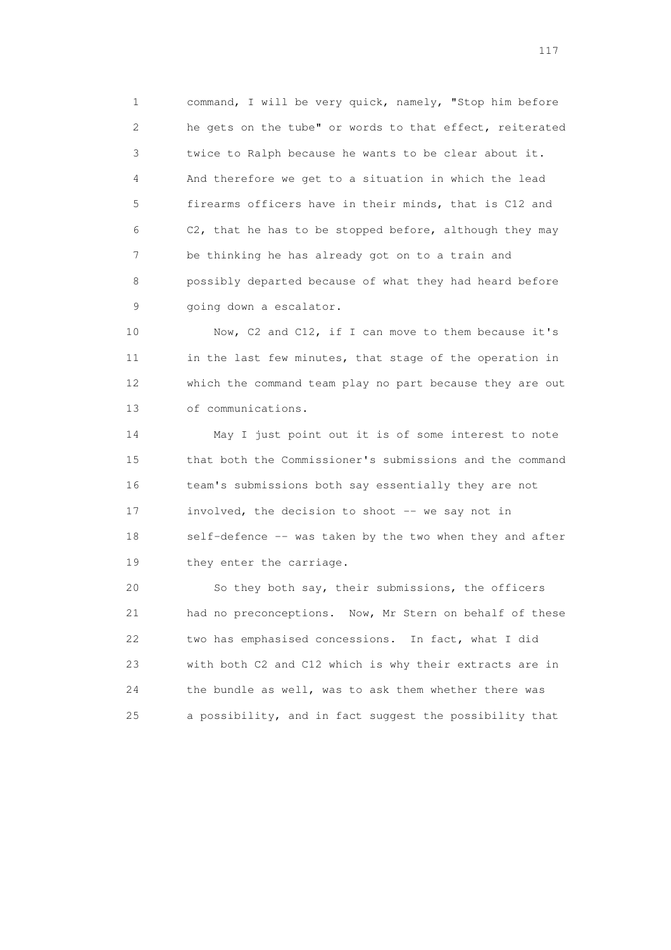1 command, I will be very quick, namely, "Stop him before 2 he gets on the tube" or words to that effect, reiterated 3 twice to Ralph because he wants to be clear about it. 4 And therefore we get to a situation in which the lead 5 firearms officers have in their minds, that is C12 and 6 C2, that he has to be stopped before, although they may 7 be thinking he has already got on to a train and 8 possibly departed because of what they had heard before 9 going down a escalator.

 10 Now, C2 and C12, if I can move to them because it's 11 in the last few minutes, that stage of the operation in 12 which the command team play no part because they are out 13 of communications.

 14 May I just point out it is of some interest to note 15 that both the Commissioner's submissions and the command 16 team's submissions both say essentially they are not 17 involved, the decision to shoot -- we say not in 18 self-defence -- was taken by the two when they and after 19 they enter the carriage.

 20 So they both say, their submissions, the officers 21 had no preconceptions. Now, Mr Stern on behalf of these 22 two has emphasised concessions. In fact, what I did 23 with both C2 and C12 which is why their extracts are in 24 the bundle as well, was to ask them whether there was 25 a possibility, and in fact suggest the possibility that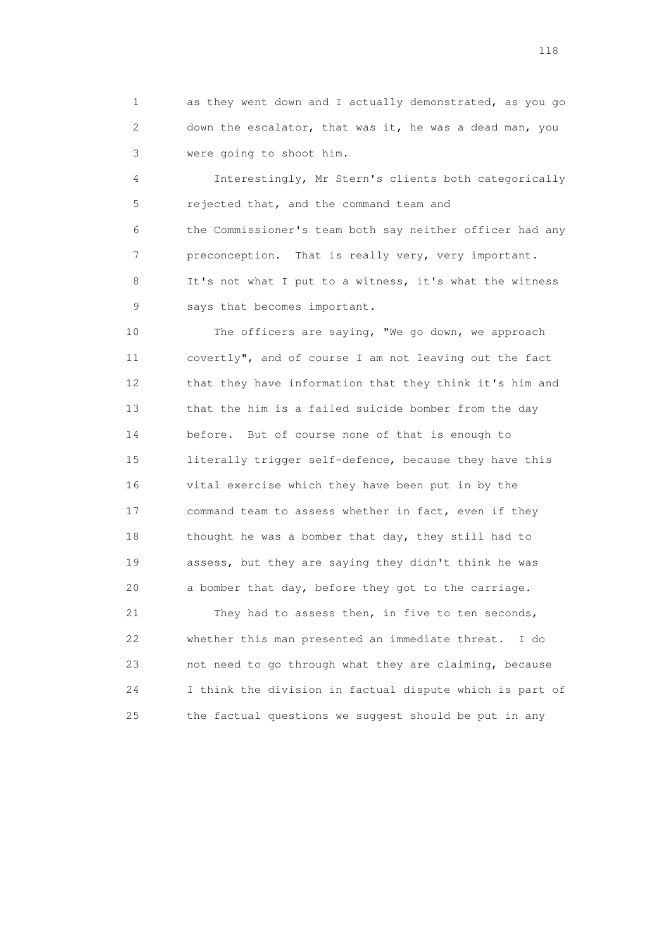1 as they went down and I actually demonstrated, as you go 2 down the escalator, that was it, he was a dead man, you 3 were going to shoot him.

 4 Interestingly, Mr Stern's clients both categorically 5 rejected that, and the command team and 6 the Commissioner's team both say neither officer had any 7 preconception. That is really very, very important. 8 It's not what I put to a witness, it's what the witness 9 says that becomes important.

 10 The officers are saying, "We go down, we approach 11 covertly", and of course I am not leaving out the fact 12 that they have information that they think it's him and 13 that the him is a failed suicide bomber from the day 14 before. But of course none of that is enough to 15 literally trigger self-defence, because they have this 16 vital exercise which they have been put in by the 17 command team to assess whether in fact, even if they 18 thought he was a bomber that day, they still had to 19 assess, but they are saying they didn't think he was 20 a bomber that day, before they got to the carriage.

 21 They had to assess then, in five to ten seconds, 22 whether this man presented an immediate threat. I do 23 not need to go through what they are claiming, because 24 I think the division in factual dispute which is part of 25 the factual questions we suggest should be put in any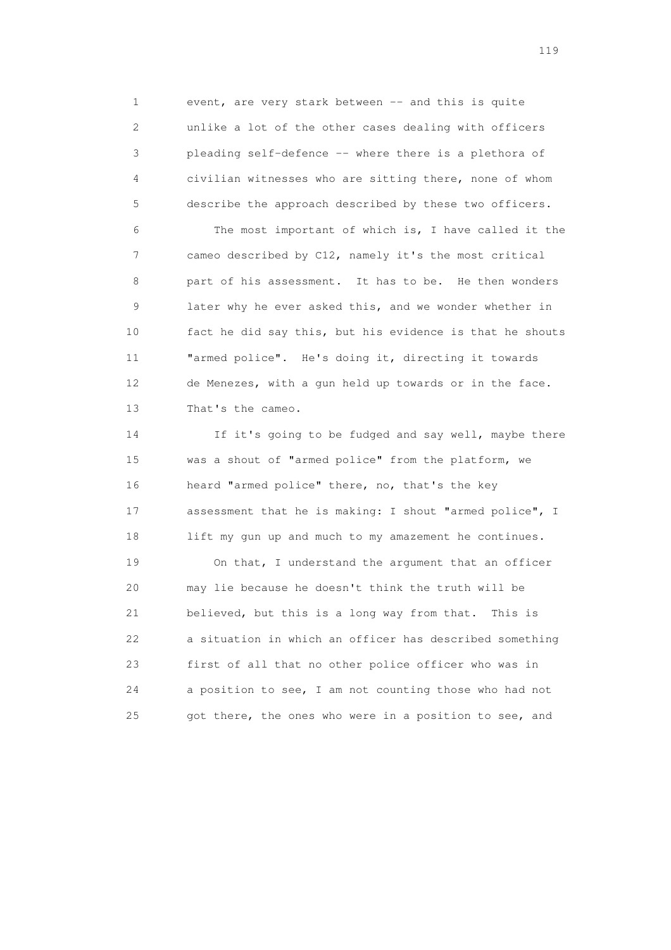1 event, are very stark between -- and this is quite 2 unlike a lot of the other cases dealing with officers 3 pleading self-defence -- where there is a plethora of 4 civilian witnesses who are sitting there, none of whom 5 describe the approach described by these two officers.

 6 The most important of which is, I have called it the 7 cameo described by C12, namely it's the most critical 8 part of his assessment. It has to be. He then wonders 9 later why he ever asked this, and we wonder whether in 10 fact he did say this, but his evidence is that he shouts 11 "armed police". He's doing it, directing it towards 12 de Menezes, with a gun held up towards or in the face. 13 That's the cameo.

 14 If it's going to be fudged and say well, maybe there 15 was a shout of "armed police" from the platform, we 16 heard "armed police" there, no, that's the key 17 assessment that he is making: I shout "armed police", I 18 lift my gun up and much to my amazement he continues.

 19 On that, I understand the argument that an officer 20 may lie because he doesn't think the truth will be 21 believed, but this is a long way from that. This is 22 a situation in which an officer has described something 23 first of all that no other police officer who was in 24 a position to see, I am not counting those who had not 25 got there, the ones who were in a position to see, and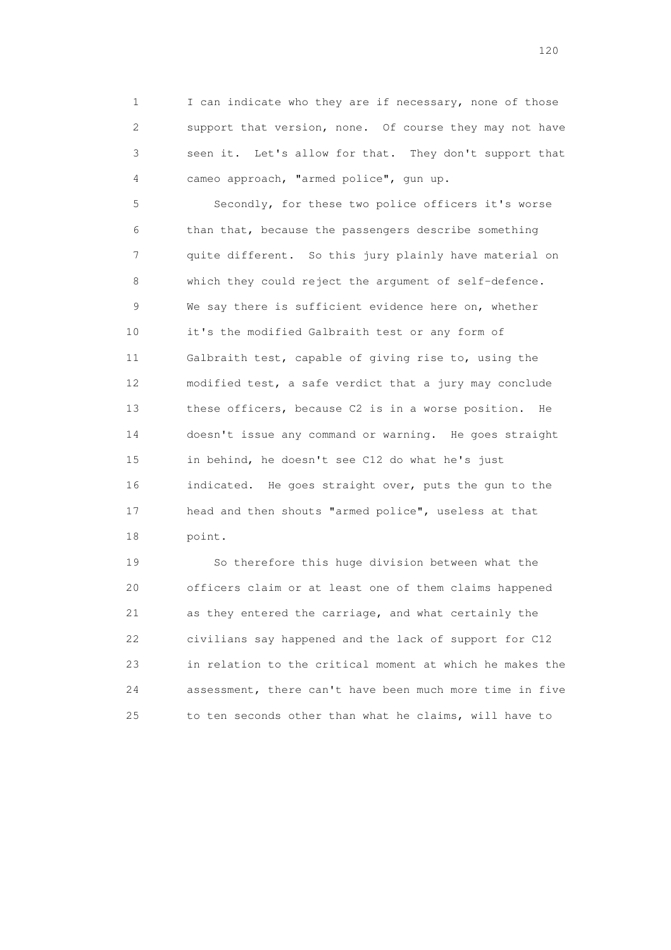1 I can indicate who they are if necessary, none of those 2 support that version, none. Of course they may not have 3 seen it. Let's allow for that. They don't support that 4 cameo approach, "armed police", gun up.

 5 Secondly, for these two police officers it's worse 6 than that, because the passengers describe something 7 quite different. So this jury plainly have material on 8 which they could reject the argument of self-defence. 9 We say there is sufficient evidence here on, whether 10 it's the modified Galbraith test or any form of 11 Galbraith test, capable of giving rise to, using the 12 modified test, a safe verdict that a jury may conclude 13 these officers, because C2 is in a worse position. He 14 doesn't issue any command or warning. He goes straight 15 in behind, he doesn't see C12 do what he's just 16 indicated. He goes straight over, puts the gun to the 17 head and then shouts "armed police", useless at that 18 point.

 19 So therefore this huge division between what the 20 officers claim or at least one of them claims happened 21 as they entered the carriage, and what certainly the 22 civilians say happened and the lack of support for C12 23 in relation to the critical moment at which he makes the 24 assessment, there can't have been much more time in five 25 to ten seconds other than what he claims, will have to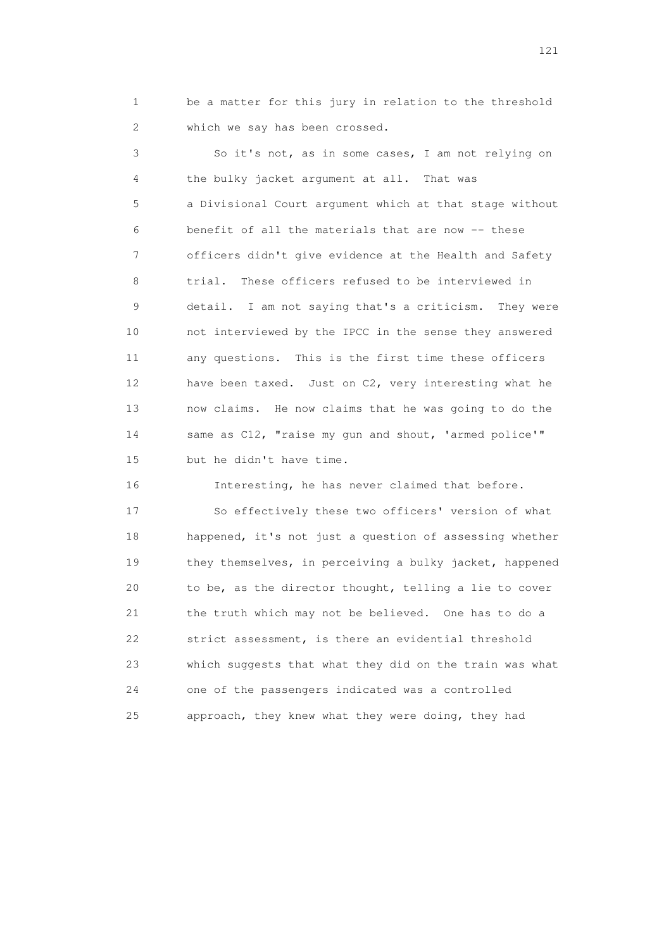1 be a matter for this jury in relation to the threshold 2 which we say has been crossed.

 3 So it's not, as in some cases, I am not relying on 4 the bulky jacket argument at all. That was 5 a Divisional Court argument which at that stage without 6 benefit of all the materials that are now -- these 7 officers didn't give evidence at the Health and Safety 8 trial. These officers refused to be interviewed in 9 detail. I am not saying that's a criticism. They were 10 not interviewed by the IPCC in the sense they answered 11 any questions. This is the first time these officers 12 have been taxed. Just on C2, very interesting what he 13 now claims. He now claims that he was going to do the 14 same as C12, "raise my gun and shout, 'armed police'" 15 but he didn't have time.

 16 Interesting, he has never claimed that before. 17 So effectively these two officers' version of what 18 happened, it's not just a question of assessing whether 19 they themselves, in perceiving a bulky jacket, happened 20 to be, as the director thought, telling a lie to cover 21 the truth which may not be believed. One has to do a 22 strict assessment, is there an evidential threshold 23 which suggests that what they did on the train was what 24 one of the passengers indicated was a controlled 25 approach, they knew what they were doing, they had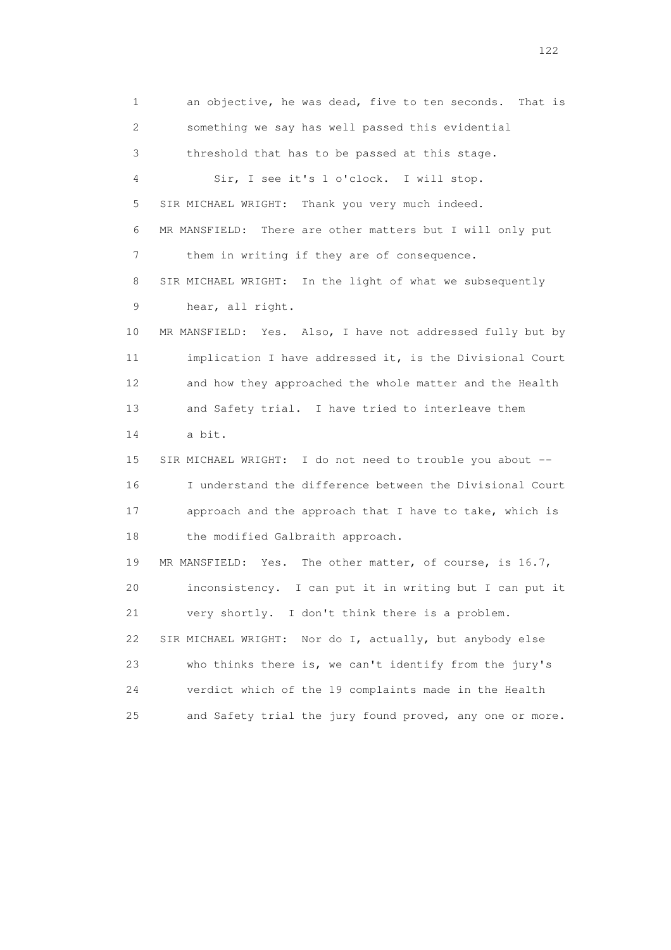1 an objective, he was dead, five to ten seconds. That is 2 something we say has well passed this evidential 3 threshold that has to be passed at this stage. 4 Sir, I see it's 1 o'clock. I will stop. 5 SIR MICHAEL WRIGHT: Thank you very much indeed. 6 MR MANSFIELD: There are other matters but I will only put 7 them in writing if they are of consequence. 8 SIR MICHAEL WRIGHT: In the light of what we subsequently 9 hear, all right. 10 MR MANSFIELD: Yes. Also, I have not addressed fully but by 11 implication I have addressed it, is the Divisional Court 12 and how they approached the whole matter and the Health 13 and Safety trial. I have tried to interleave them 14 a bit. 15 SIR MICHAEL WRIGHT: I do not need to trouble you about -- 16 I understand the difference between the Divisional Court 17 approach and the approach that I have to take, which is 18 the modified Galbraith approach. 19 MR MANSFIELD: Yes. The other matter, of course, is 16.7, 20 inconsistency. I can put it in writing but I can put it 21 very shortly. I don't think there is a problem. 22 SIR MICHAEL WRIGHT: Nor do I, actually, but anybody else 23 who thinks there is, we can't identify from the jury's 24 verdict which of the 19 complaints made in the Health 25 and Safety trial the jury found proved, any one or more.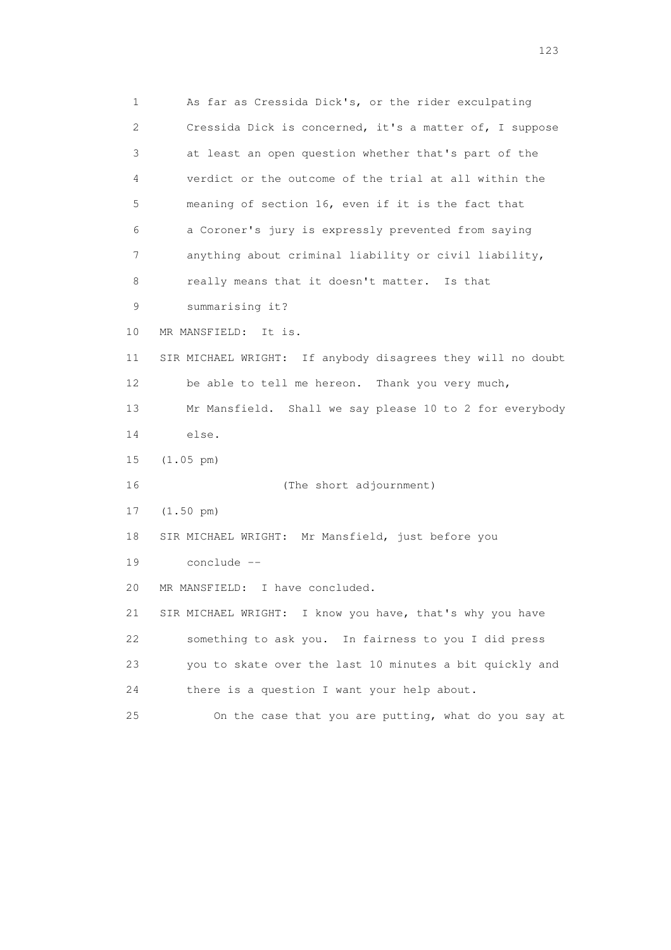1 As far as Cressida Dick's, or the rider exculpating 2 Cressida Dick is concerned, it's a matter of, I suppose 3 at least an open question whether that's part of the 4 verdict or the outcome of the trial at all within the 5 meaning of section 16, even if it is the fact that 6 a Coroner's jury is expressly prevented from saying 7 anything about criminal liability or civil liability, 8 really means that it doesn't matter. Is that 9 summarising it? 10 MR MANSFIELD: It is. 11 SIR MICHAEL WRIGHT: If anybody disagrees they will no doubt 12 be able to tell me hereon. Thank you very much, 13 Mr Mansfield. Shall we say please 10 to 2 for everybody 14 else. 15 (1.05 pm) 16 (The short adjournment) 17 (1.50 pm) 18 SIR MICHAEL WRIGHT: Mr Mansfield, just before you 19 conclude -- 20 MR MANSFIELD: I have concluded. 21 SIR MICHAEL WRIGHT: I know you have, that's why you have 22 something to ask you. In fairness to you I did press 23 you to skate over the last 10 minutes a bit quickly and 24 there is a question I want your help about. 25 On the case that you are putting, what do you say at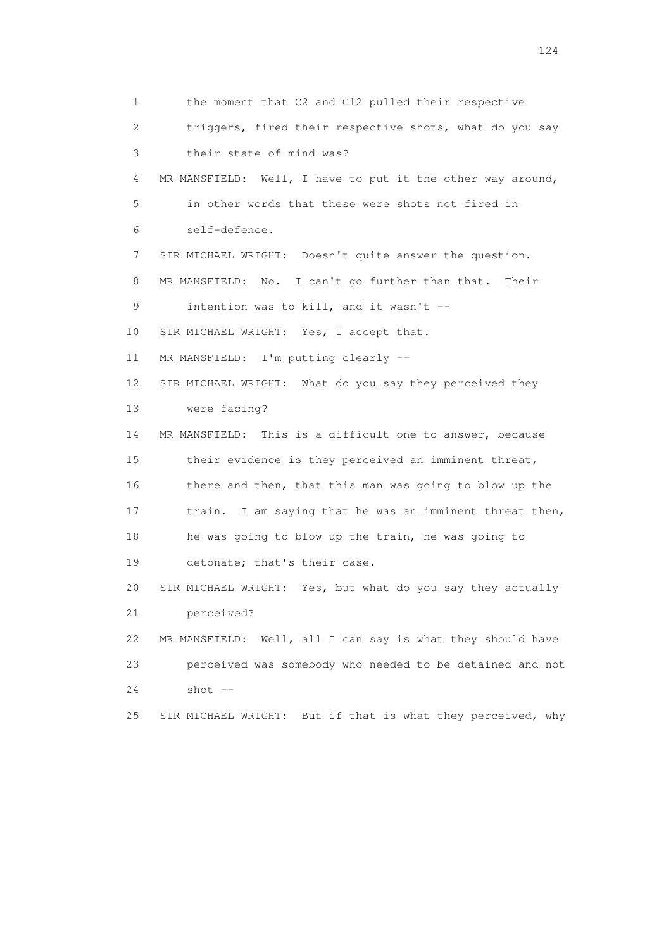1 the moment that C2 and C12 pulled their respective 2 triggers, fired their respective shots, what do you say 3 their state of mind was? 4 MR MANSFIELD: Well, I have to put it the other way around, 5 in other words that these were shots not fired in 6 self-defence. 7 SIR MICHAEL WRIGHT: Doesn't quite answer the question. 8 MR MANSFIELD: No. I can't go further than that. Their 9 intention was to kill, and it wasn't -- 10 SIR MICHAEL WRIGHT: Yes, I accept that. 11 MR MANSFIELD: I'm putting clearly -- 12 SIR MICHAEL WRIGHT: What do you say they perceived they 13 were facing? 14 MR MANSFIELD: This is a difficult one to answer, because 15 their evidence is they perceived an imminent threat, 16 there and then, that this man was going to blow up the 17 train. I am saying that he was an imminent threat then, 18 he was going to blow up the train, he was going to 19 detonate; that's their case. 20 SIR MICHAEL WRIGHT: Yes, but what do you say they actually 21 perceived? 22 MR MANSFIELD: Well, all I can say is what they should have 23 perceived was somebody who needed to be detained and not 24 shot -- 25 SIR MICHAEL WRIGHT: But if that is what they perceived, why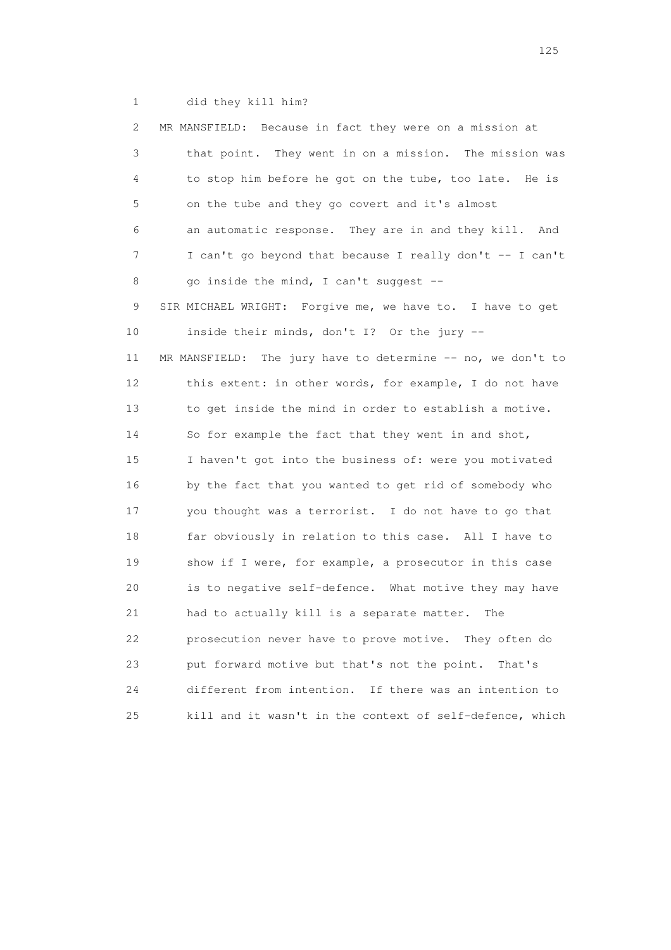1 did they kill him?

| 2  | MR MANSFIELD: Because in fact they were on a mission at     |
|----|-------------------------------------------------------------|
| 3  | that point. They went in on a mission. The mission was      |
| 4  | to stop him before he got on the tube, too late. He is      |
| 5  | on the tube and they go covert and it's almost              |
| 6  | an automatic response. They are in and they kill.<br>And    |
| 7  | I can't go beyond that because I really don't -- I can't    |
| 8  | go inside the mind, I can't suggest --                      |
| 9  | SIR MICHAEL WRIGHT: Forgive me, we have to. I have to get   |
| 10 | inside their minds, don't I? Or the jury --                 |
| 11 | MR MANSFIELD: The jury have to determine -- no, we don't to |
| 12 | this extent: in other words, for example, I do not have     |
| 13 | to get inside the mind in order to establish a motive.      |
| 14 | So for example the fact that they went in and shot,         |
| 15 | I haven't got into the business of: were you motivated      |
| 16 | by the fact that you wanted to get rid of somebody who      |
| 17 | you thought was a terrorist. I do not have to go that       |
| 18 | far obviously in relation to this case. All I have to       |
| 19 | show if I were, for example, a prosecutor in this case      |
| 20 | is to negative self-defence. What motive they may have      |
| 21 | had to actually kill is a separate matter.<br>The           |
| 22 | prosecution never have to prove motive. They often do       |
| 23 | put forward motive but that's not the point.<br>That's      |
| 24 | different from intention.<br>If there was an intention to   |
| 25 | kill and it wasn't in the context of self-defence, which    |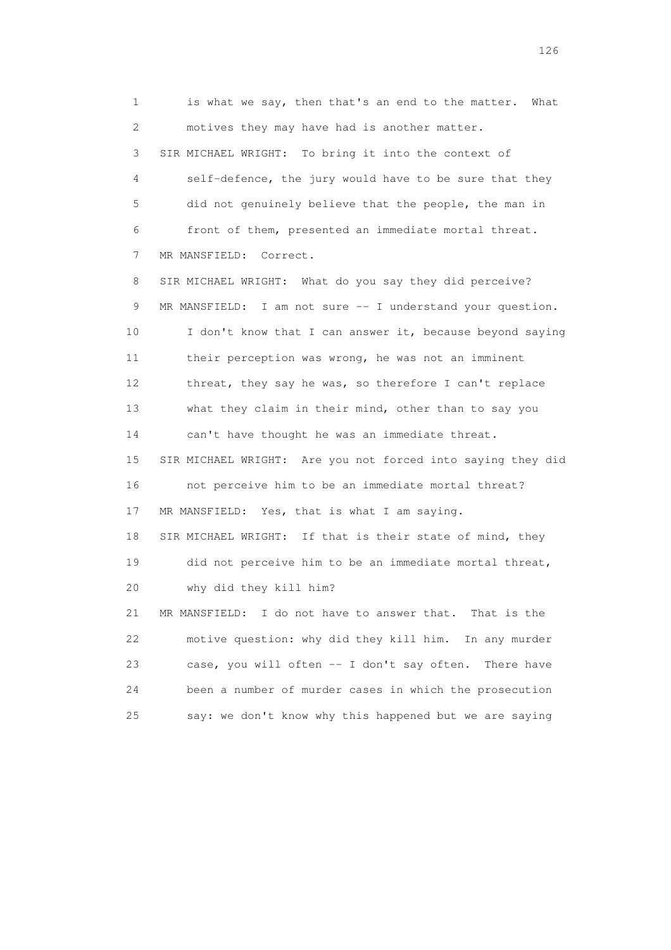1 is what we say, then that's an end to the matter. What 2 motives they may have had is another matter. 3 SIR MICHAEL WRIGHT: To bring it into the context of 4 self-defence, the jury would have to be sure that they 5 did not genuinely believe that the people, the man in 6 front of them, presented an immediate mortal threat. 7 MR MANSFIELD: Correct. 8 SIR MICHAEL WRIGHT: What do you say they did perceive? 9 MR MANSFIELD: I am not sure -- I understand your question. 10 I don't know that I can answer it, because beyond saying 11 their perception was wrong, he was not an imminent 12 threat, they say he was, so therefore I can't replace 13 what they claim in their mind, other than to say you 14 can't have thought he was an immediate threat. 15 SIR MICHAEL WRIGHT: Are you not forced into saying they did 16 not perceive him to be an immediate mortal threat? 17 MR MANSFIELD: Yes, that is what I am saying. 18 SIR MICHAEL WRIGHT: If that is their state of mind, they 19 did not perceive him to be an immediate mortal threat, 20 why did they kill him? 21 MR MANSFIELD: I do not have to answer that. That is the 22 motive question: why did they kill him. In any murder 23 case, you will often -- I don't say often. There have 24 been a number of murder cases in which the prosecution 25 say: we don't know why this happened but we are saying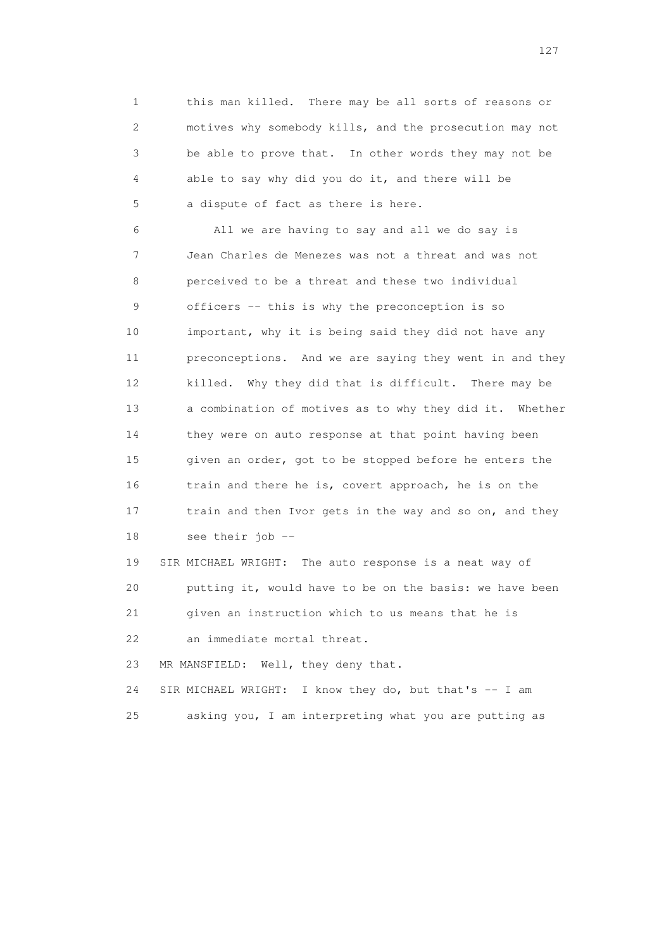1 this man killed. There may be all sorts of reasons or 2 motives why somebody kills, and the prosecution may not 3 be able to prove that. In other words they may not be 4 able to say why did you do it, and there will be 5 a dispute of fact as there is here.

 6 All we are having to say and all we do say is 7 Jean Charles de Menezes was not a threat and was not 8 perceived to be a threat and these two individual 9 officers -- this is why the preconception is so 10 important, why it is being said they did not have any 11 preconceptions. And we are saying they went in and they 12 killed. Why they did that is difficult. There may be 13 a combination of motives as to why they did it. Whether 14 they were on auto response at that point having been 15 given an order, got to be stopped before he enters the 16 train and there he is, covert approach, he is on the 17 train and then Ivor gets in the way and so on, and they 18 see their job --

 19 SIR MICHAEL WRIGHT: The auto response is a neat way of 20 putting it, would have to be on the basis: we have been 21 given an instruction which to us means that he is 22 an immediate mortal threat.

23 MR MANSFIELD: Well, they deny that.

24 SIR MICHAEL WRIGHT: I know they do, but that's -- I am

25 asking you, I am interpreting what you are putting as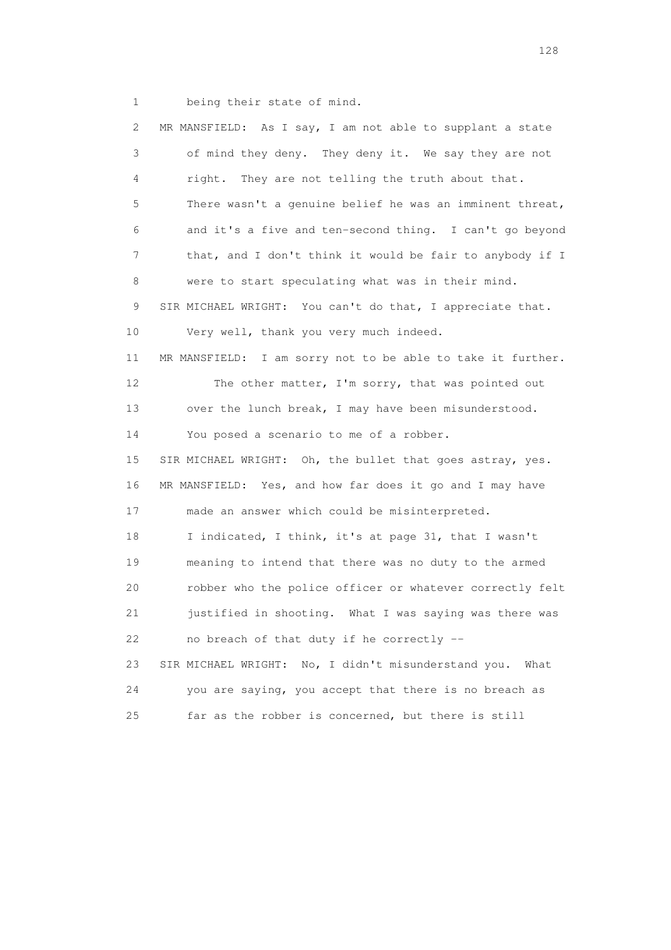1 being their state of mind.

 2 MR MANSFIELD: As I say, I am not able to supplant a state 3 of mind they deny. They deny it. We say they are not 4 right. They are not telling the truth about that. 5 There wasn't a genuine belief he was an imminent threat, 6 and it's a five and ten-second thing. I can't go beyond 7 that, and I don't think it would be fair to anybody if I 8 were to start speculating what was in their mind. 9 SIR MICHAEL WRIGHT: You can't do that, I appreciate that. 10 Very well, thank you very much indeed. 11 MR MANSFIELD: I am sorry not to be able to take it further. 12 The other matter, I'm sorry, that was pointed out 13 over the lunch break, I may have been misunderstood. 14 You posed a scenario to me of a robber. 15 SIR MICHAEL WRIGHT: Oh, the bullet that goes astray, yes. 16 MR MANSFIELD: Yes, and how far does it go and I may have 17 made an answer which could be misinterpreted. 18 I indicated, I think, it's at page 31, that I wasn't 19 meaning to intend that there was no duty to the armed 20 robber who the police officer or whatever correctly felt 21 justified in shooting. What I was saying was there was 22 no breach of that duty if he correctly -- 23 SIR MICHAEL WRIGHT: No, I didn't misunderstand you. What 24 you are saying, you accept that there is no breach as 25 far as the robber is concerned, but there is still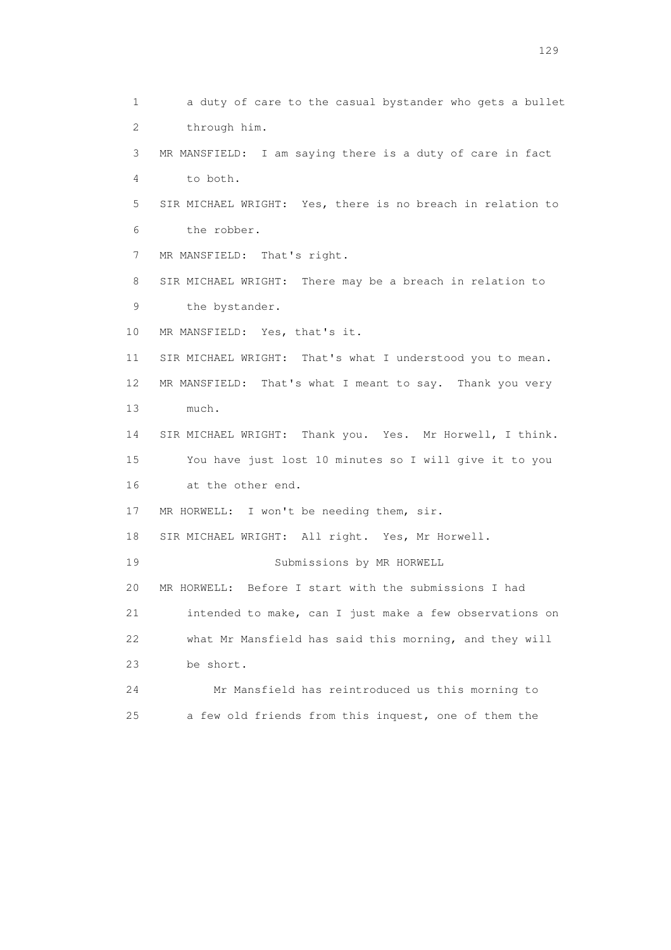1 a duty of care to the casual bystander who gets a bullet 2 through him. 3 MR MANSFIELD: I am saying there is a duty of care in fact 4 to both. 5 SIR MICHAEL WRIGHT: Yes, there is no breach in relation to 6 the robber. 7 MR MANSFIELD: That's right. 8 SIR MICHAEL WRIGHT: There may be a breach in relation to 9 the bystander. 10 MR MANSFIELD: Yes, that's it. 11 SIR MICHAEL WRIGHT: That's what I understood you to mean. 12 MR MANSFIELD: That's what I meant to say. Thank you very 13 much. 14 SIR MICHAEL WRIGHT: Thank you. Yes. Mr Horwell, I think. 15 You have just lost 10 minutes so I will give it to you 16 at the other end. 17 MR HORWELL: I won't be needing them, sir. 18 SIR MICHAEL WRIGHT: All right. Yes, Mr Horwell. 19 Submissions by MR HORWELL 20 MR HORWELL: Before I start with the submissions I had 21 intended to make, can I just make a few observations on 22 what Mr Mansfield has said this morning, and they will 23 be short. 24 Mr Mansfield has reintroduced us this morning to 25 a few old friends from this inquest, one of them the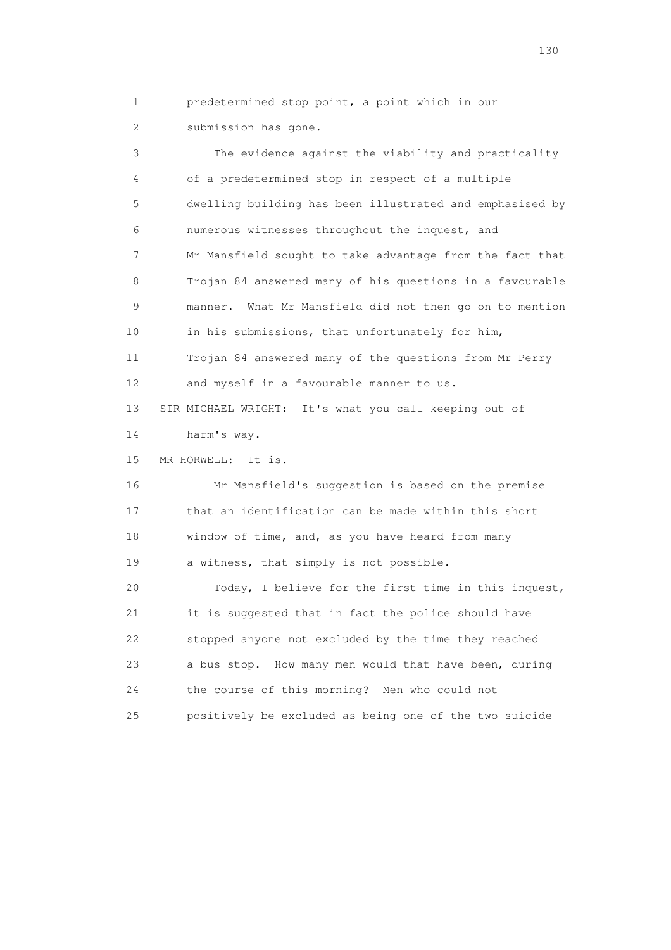1 predetermined stop point, a point which in our 2 submission has gone.

 3 The evidence against the viability and practicality 4 of a predetermined stop in respect of a multiple 5 dwelling building has been illustrated and emphasised by 6 numerous witnesses throughout the inquest, and 7 Mr Mansfield sought to take advantage from the fact that 8 Trojan 84 answered many of his questions in a favourable 9 manner. What Mr Mansfield did not then go on to mention 10 in his submissions, that unfortunately for him, 11 Trojan 84 answered many of the questions from Mr Perry 12 and myself in a favourable manner to us. 13 SIR MICHAEL WRIGHT: It's what you call keeping out of 14 harm's way. 15 MR HORWELL: It is. 16 Mr Mansfield's suggestion is based on the premise 17 that an identification can be made within this short 18 window of time, and, as you have heard from many 19 a witness, that simply is not possible. 20 Today, I believe for the first time in this inquest, 21 it is suggested that in fact the police should have 22 stopped anyone not excluded by the time they reached 23 a bus stop. How many men would that have been, during 24 the course of this morning? Men who could not 25 positively be excluded as being one of the two suicide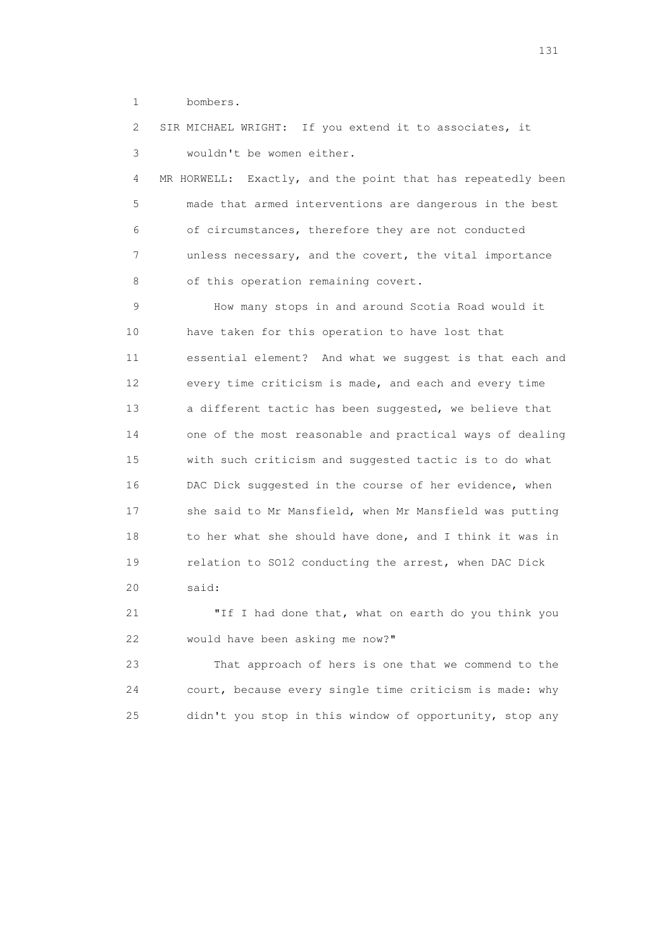1 bombers.

 2 SIR MICHAEL WRIGHT: If you extend it to associates, it 3 wouldn't be women either. 4 MR HORWELL: Exactly, and the point that has repeatedly been 5 made that armed interventions are dangerous in the best 6 of circumstances, therefore they are not conducted 7 unless necessary, and the covert, the vital importance 8 of this operation remaining covert. 9 How many stops in and around Scotia Road would it 10 have taken for this operation to have lost that 11 essential element? And what we suggest is that each and 12 every time criticism is made, and each and every time 13 a different tactic has been suggested, we believe that 14 one of the most reasonable and practical ways of dealing 15 with such criticism and suggested tactic is to do what 16 DAC Dick suggested in the course of her evidence, when 17 she said to Mr Mansfield, when Mr Mansfield was putting 18 to her what she should have done, and I think it was in 19 relation to SO12 conducting the arrest, when DAC Dick 20 said: 21 "If I had done that, what on earth do you think you

22 would have been asking me now?"

 23 That approach of hers is one that we commend to the 24 court, because every single time criticism is made: why 25 didn't you stop in this window of opportunity, stop any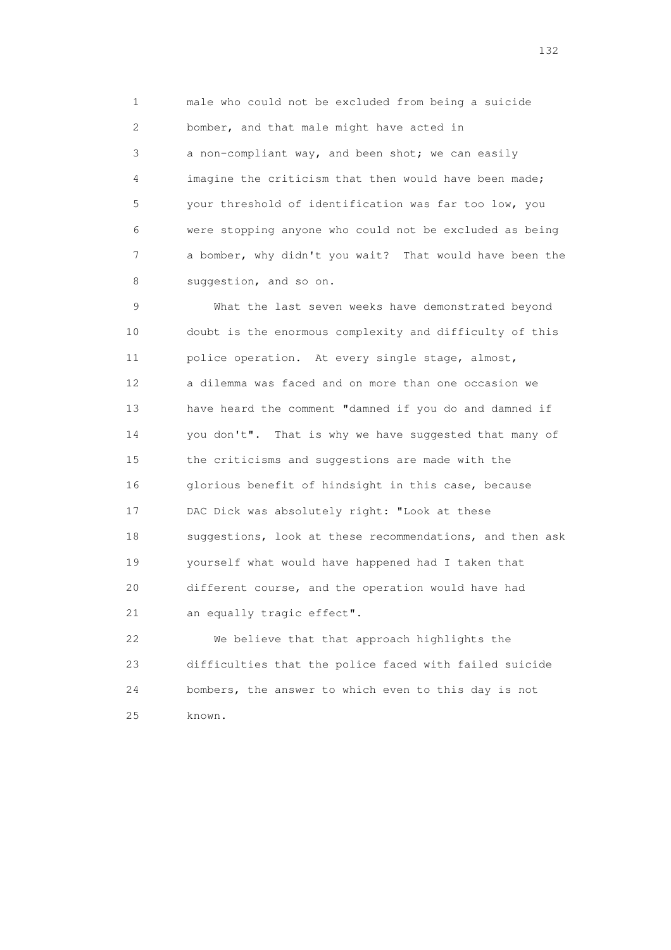1 male who could not be excluded from being a suicide 2 bomber, and that male might have acted in 3 a non-compliant way, and been shot; we can easily 4 imagine the criticism that then would have been made; 5 your threshold of identification was far too low, you 6 were stopping anyone who could not be excluded as being 7 a bomber, why didn't you wait? That would have been the 8 suggestion, and so on.

 9 What the last seven weeks have demonstrated beyond 10 doubt is the enormous complexity and difficulty of this 11 police operation. At every single stage, almost, 12 a dilemma was faced and on more than one occasion we 13 have heard the comment "damned if you do and damned if 14 you don't". That is why we have suggested that many of 15 the criticisms and suggestions are made with the 16 glorious benefit of hindsight in this case, because 17 DAC Dick was absolutely right: "Look at these 18 suggestions, look at these recommendations, and then ask 19 yourself what would have happened had I taken that 20 different course, and the operation would have had 21 an equally tragic effect".

 22 We believe that that approach highlights the 23 difficulties that the police faced with failed suicide 24 bombers, the answer to which even to this day is not 25 known.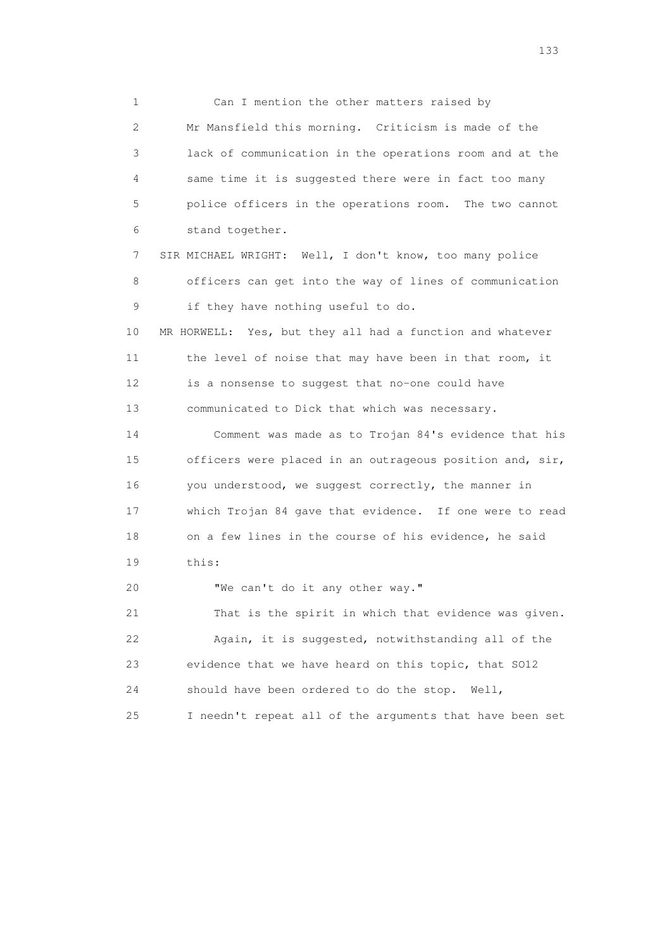1 Can I mention the other matters raised by 2 Mr Mansfield this morning. Criticism is made of the 3 lack of communication in the operations room and at the 4 same time it is suggested there were in fact too many 5 police officers in the operations room. The two cannot 6 stand together.

 7 SIR MICHAEL WRIGHT: Well, I don't know, too many police 8 officers can get into the way of lines of communication 9 if they have nothing useful to do.

 10 MR HORWELL: Yes, but they all had a function and whatever 11 the level of noise that may have been in that room, it 12 is a nonsense to suggest that no-one could have 13 communicated to Dick that which was necessary.

 14 Comment was made as to Trojan 84's evidence that his 15 officers were placed in an outrageous position and, sir, 16 you understood, we suggest correctly, the manner in 17 which Trojan 84 gave that evidence. If one were to read 18 on a few lines in the course of his evidence, he said 19 this:

20 "We can't do it any other way."

 21 That is the spirit in which that evidence was given. 22 Again, it is suggested, notwithstanding all of the 23 evidence that we have heard on this topic, that SO12 24 should have been ordered to do the stop. Well, 25 I needn't repeat all of the arguments that have been set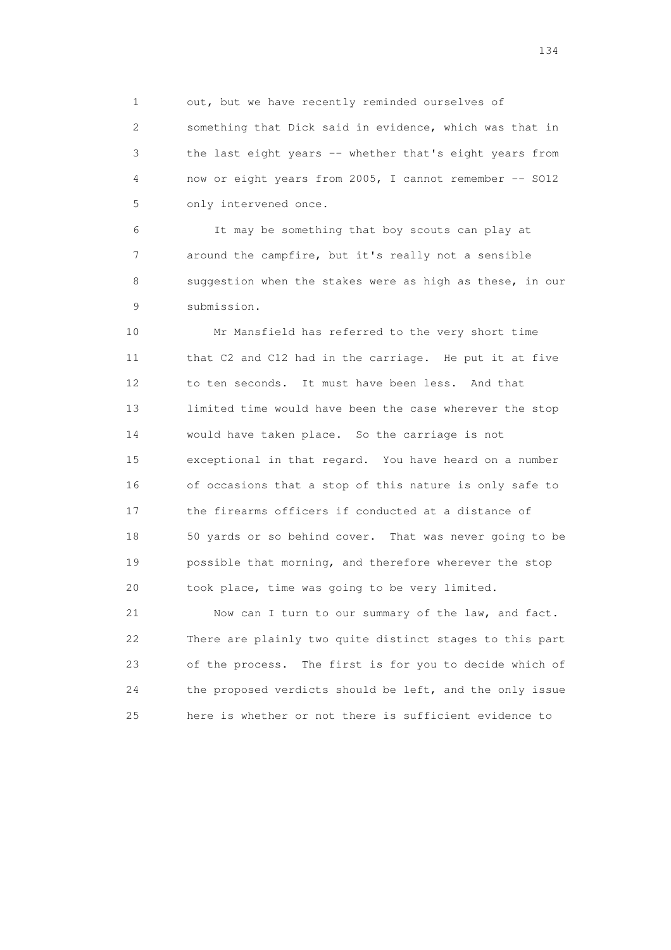1 out, but we have recently reminded ourselves of

 2 something that Dick said in evidence, which was that in 3 the last eight years -- whether that's eight years from 4 now or eight years from 2005, I cannot remember -- SO12 5 only intervened once.

 6 It may be something that boy scouts can play at 7 around the campfire, but it's really not a sensible 8 suggestion when the stakes were as high as these, in our 9 submission.

 10 Mr Mansfield has referred to the very short time 11 that C2 and C12 had in the carriage. He put it at five 12 to ten seconds. It must have been less. And that 13 limited time would have been the case wherever the stop 14 would have taken place. So the carriage is not 15 exceptional in that regard. You have heard on a number 16 of occasions that a stop of this nature is only safe to 17 the firearms officers if conducted at a distance of 18 50 yards or so behind cover. That was never going to be 19 possible that morning, and therefore wherever the stop 20 took place, time was going to be very limited.

 21 Now can I turn to our summary of the law, and fact. 22 There are plainly two quite distinct stages to this part 23 of the process. The first is for you to decide which of 24 the proposed verdicts should be left, and the only issue 25 here is whether or not there is sufficient evidence to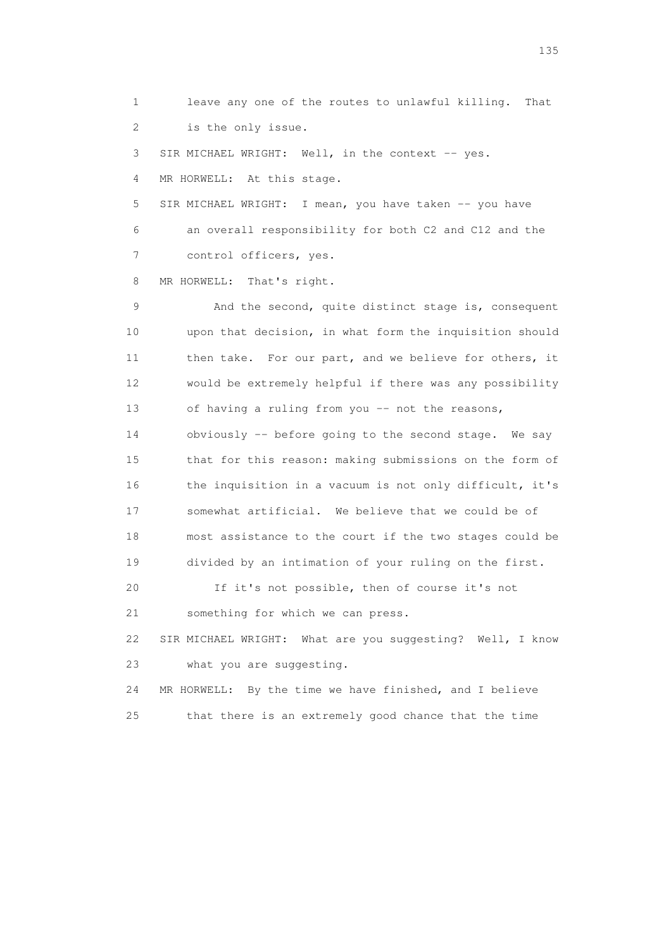1 leave any one of the routes to unlawful killing. That 2 is the only issue.

3 SIR MICHAEL WRIGHT: Well, in the context -- yes. 4 MR HORWELL: At this stage.

5 SIR MICHAEL WRIGHT: I mean, you have taken -- you have 6 an overall responsibility for both C2 and C12 and the 7 control officers, yes.

8 MR HORWELL: That's right.

 9 And the second, quite distinct stage is, consequent 10 upon that decision, in what form the inquisition should 11 then take. For our part, and we believe for others, it 12 would be extremely helpful if there was any possibility 13 of having a ruling from you -- not the reasons, 14 obviously -- before going to the second stage. We say 15 that for this reason: making submissions on the form of 16 the inquisition in a vacuum is not only difficult, it's 17 somewhat artificial. We believe that we could be of 18 most assistance to the court if the two stages could be 19 divided by an intimation of your ruling on the first. 20 If it's not possible, then of course it's not 21 something for which we can press.

 22 SIR MICHAEL WRIGHT: What are you suggesting? Well, I know 23 what you are suggesting.

 24 MR HORWELL: By the time we have finished, and I believe 25 that there is an extremely good chance that the time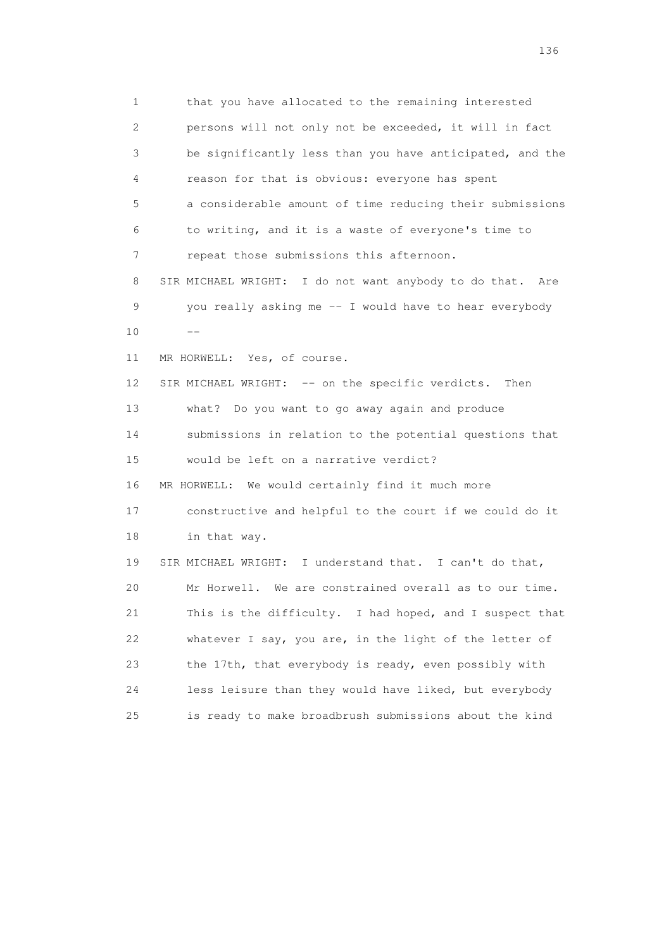1 that you have allocated to the remaining interested 2 persons will not only not be exceeded, it will in fact 3 be significantly less than you have anticipated, and the 4 reason for that is obvious: everyone has spent 5 a considerable amount of time reducing their submissions 6 to writing, and it is a waste of everyone's time to 7 repeat those submissions this afternoon. 8 SIR MICHAEL WRIGHT: I do not want anybody to do that. Are 9 you really asking me -- I would have to hear everybody  $10$  -- 11 MR HORWELL: Yes, of course. 12 SIR MICHAEL WRIGHT: -- on the specific verdicts. Then 13 what? Do you want to go away again and produce 14 submissions in relation to the potential questions that 15 would be left on a narrative verdict? 16 MR HORWELL: We would certainly find it much more 17 constructive and helpful to the court if we could do it 18 in that way. 19 SIR MICHAEL WRIGHT: I understand that. I can't do that, 20 Mr Horwell. We are constrained overall as to our time. 21 This is the difficulty. I had hoped, and I suspect that 22 whatever I say, you are, in the light of the letter of 23 the 17th, that everybody is ready, even possibly with 24 less leisure than they would have liked, but everybody 25 is ready to make broadbrush submissions about the kind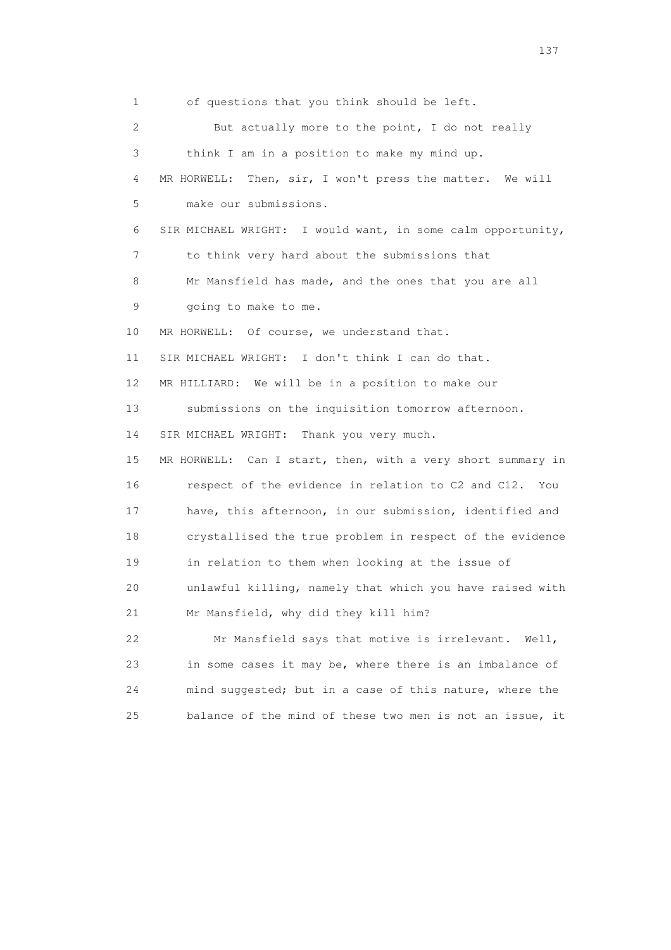1 of questions that you think should be left. 2 But actually more to the point, I do not really 3 think I am in a position to make my mind up. 4 MR HORWELL: Then, sir, I won't press the matter. We will 5 make our submissions. 6 SIR MICHAEL WRIGHT: I would want, in some calm opportunity, 7 to think very hard about the submissions that 8 Mr Mansfield has made, and the ones that you are all 9 going to make to me. 10 MR HORWELL: Of course, we understand that. 11 SIR MICHAEL WRIGHT: I don't think I can do that. 12 MR HILLIARD: We will be in a position to make our 13 submissions on the inquisition tomorrow afternoon. 14 SIR MICHAEL WRIGHT: Thank you very much. 15 MR HORWELL: Can I start, then, with a very short summary in 16 respect of the evidence in relation to C2 and C12. You 17 have, this afternoon, in our submission, identified and 18 crystallised the true problem in respect of the evidence 19 in relation to them when looking at the issue of 20 unlawful killing, namely that which you have raised with 21 Mr Mansfield, why did they kill him? 22 Mr Mansfield says that motive is irrelevant. Well, 23 in some cases it may be, where there is an imbalance of 24 mind suggested; but in a case of this nature, where the 25 balance of the mind of these two men is not an issue, it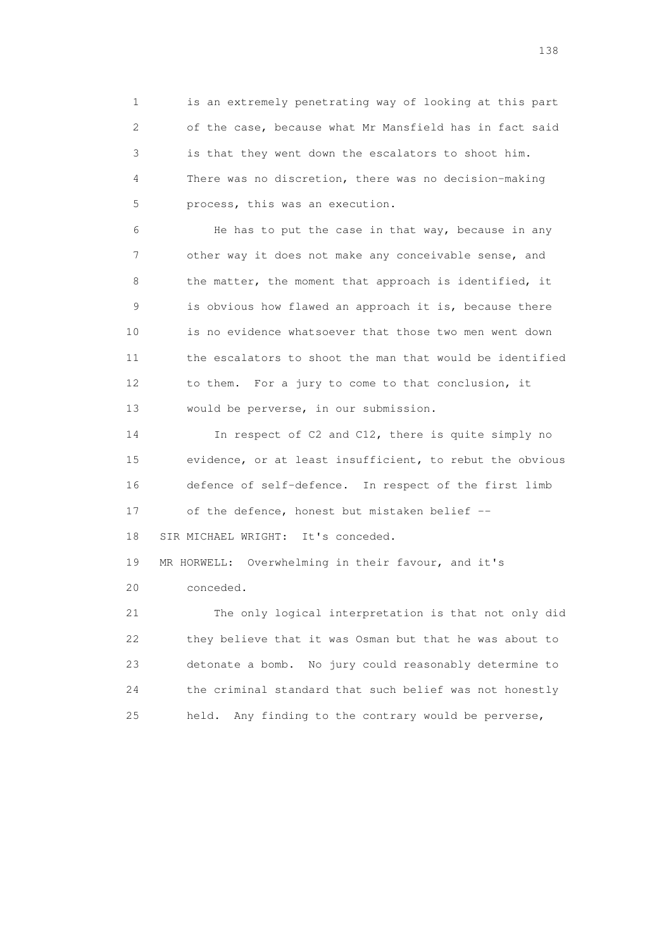1 is an extremely penetrating way of looking at this part 2 of the case, because what Mr Mansfield has in fact said 3 is that they went down the escalators to shoot him. 4 There was no discretion, there was no decision-making 5 process, this was an execution.

 6 He has to put the case in that way, because in any 7 other way it does not make any conceivable sense, and 8 the matter, the moment that approach is identified, it 9 is obvious how flawed an approach it is, because there 10 is no evidence whatsoever that those two men went down 11 the escalators to shoot the man that would be identified 12 to them. For a jury to come to that conclusion, it 13 would be perverse, in our submission.

 14 In respect of C2 and C12, there is quite simply no 15 evidence, or at least insufficient, to rebut the obvious 16 defence of self-defence. In respect of the first limb 17 of the defence, honest but mistaken belief --

18 SIR MICHAEL WRIGHT: It's conceded.

 19 MR HORWELL: Overwhelming in their favour, and it's 20 conceded.

 21 The only logical interpretation is that not only did 22 they believe that it was Osman but that he was about to 23 detonate a bomb. No jury could reasonably determine to 24 the criminal standard that such belief was not honestly 25 held. Any finding to the contrary would be perverse,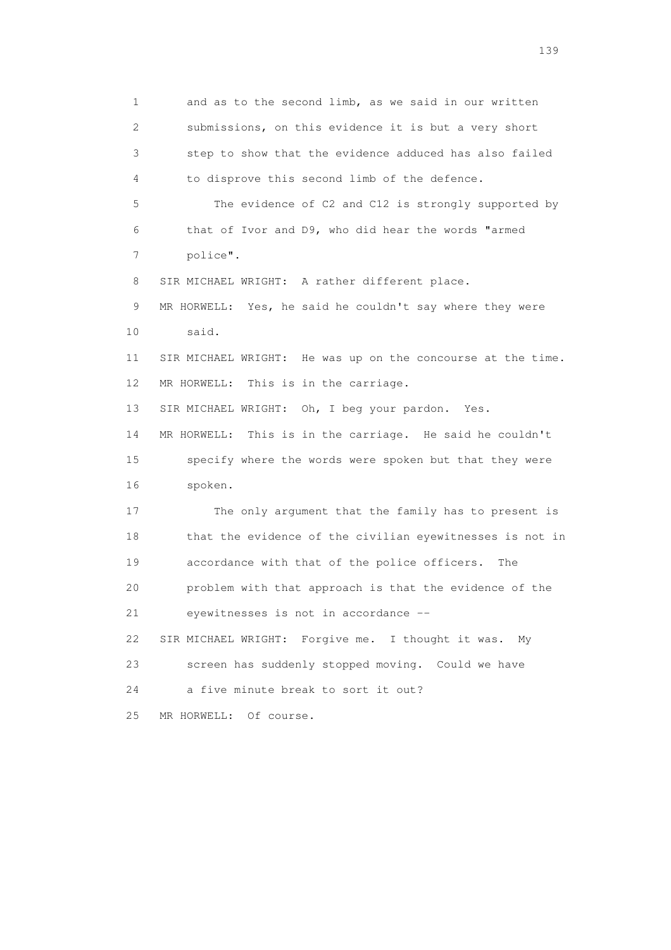1 and as to the second limb, as we said in our written 2 submissions, on this evidence it is but a very short 3 step to show that the evidence adduced has also failed 4 to disprove this second limb of the defence. 5 The evidence of C2 and C12 is strongly supported by 6 that of Ivor and D9, who did hear the words "armed 7 police". 8 SIR MICHAEL WRIGHT: A rather different place. 9 MR HORWELL: Yes, he said he couldn't say where they were 10 said. 11 SIR MICHAEL WRIGHT: He was up on the concourse at the time. 12 MR HORWELL: This is in the carriage. 13 SIR MICHAEL WRIGHT: Oh, I beg your pardon. Yes. 14 MR HORWELL: This is in the carriage. He said he couldn't 15 specify where the words were spoken but that they were 16 spoken. 17 The only argument that the family has to present is 18 that the evidence of the civilian eyewitnesses is not in 19 accordance with that of the police officers. The 20 problem with that approach is that the evidence of the 21 eyewitnesses is not in accordance -- 22 SIR MICHAEL WRIGHT: Forgive me. I thought it was. My 23 screen has suddenly stopped moving. Could we have 24 a five minute break to sort it out? 25 MR HORWELL: Of course.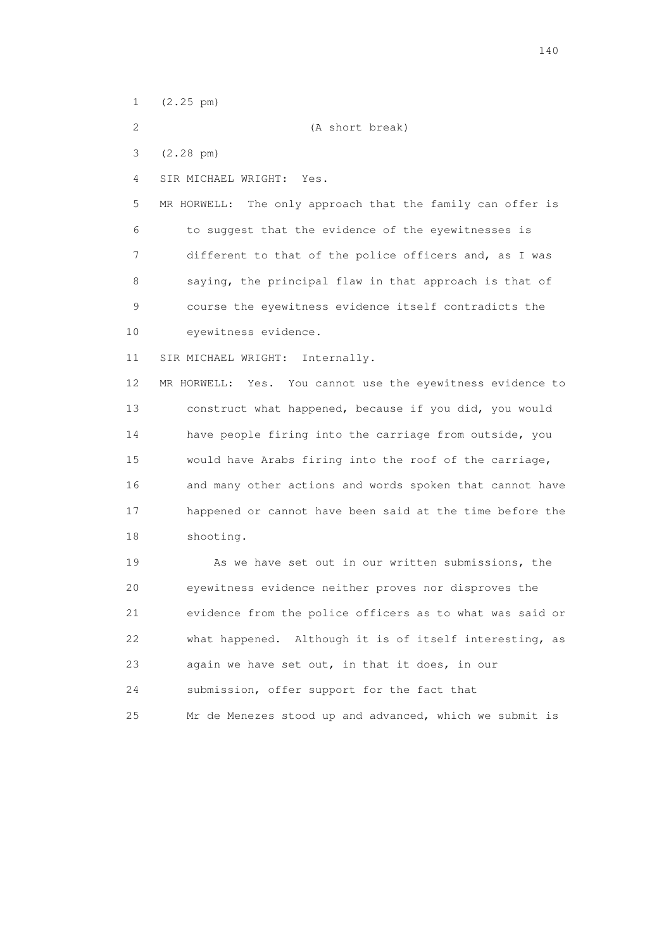1 (2.25 pm)

2 (A short break)

3 (2.28 pm)

4 SIR MICHAEL WRIGHT: Yes.

 5 MR HORWELL: The only approach that the family can offer is 6 to suggest that the evidence of the eyewitnesses is 7 different to that of the police officers and, as I was 8 saying, the principal flaw in that approach is that of 9 course the eyewitness evidence itself contradicts the 10 eyewitness evidence.

11 SIR MICHAEL WRIGHT: Internally.

 12 MR HORWELL: Yes. You cannot use the eyewitness evidence to 13 construct what happened, because if you did, you would 14 have people firing into the carriage from outside, you 15 would have Arabs firing into the roof of the carriage, 16 and many other actions and words spoken that cannot have 17 happened or cannot have been said at the time before the 18 shooting.

19 As we have set out in our written submissions, the 20 eyewitness evidence neither proves nor disproves the 21 evidence from the police officers as to what was said or 22 what happened. Although it is of itself interesting, as 23 again we have set out, in that it does, in our 24 submission, offer support for the fact that 25 Mr de Menezes stood up and advanced, which we submit is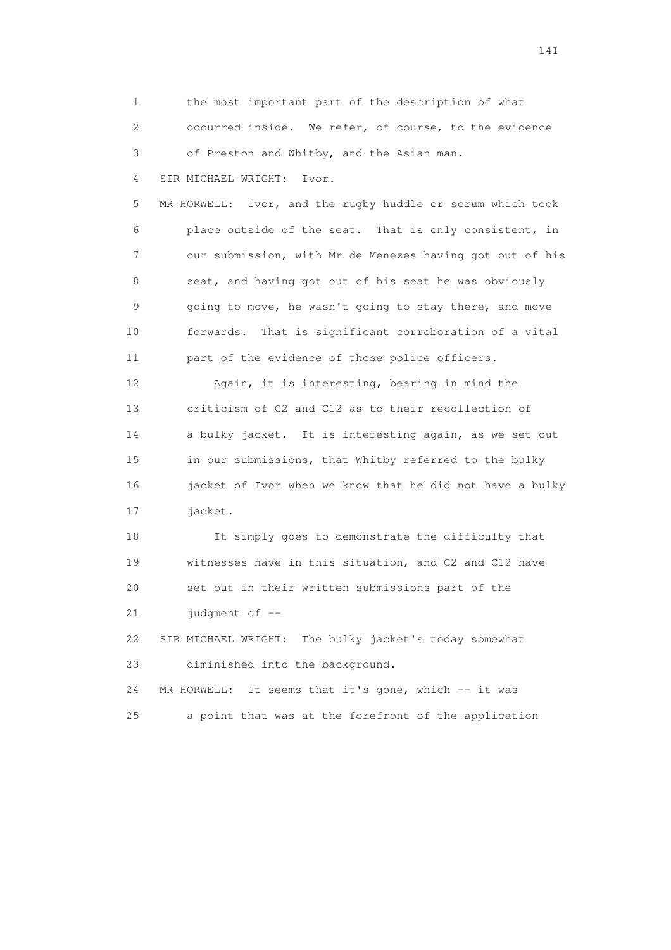1 the most important part of the description of what 2 occurred inside. We refer, of course, to the evidence 3 of Preston and Whitby, and the Asian man.

4 SIR MICHAEL WRIGHT: Ivor.

 5 MR HORWELL: Ivor, and the rugby huddle or scrum which took 6 place outside of the seat. That is only consistent, in 7 our submission, with Mr de Menezes having got out of his 8 seat, and having got out of his seat he was obviously 9 going to move, he wasn't going to stay there, and move 10 forwards. That is significant corroboration of a vital 11 part of the evidence of those police officers.

 12 Again, it is interesting, bearing in mind the 13 criticism of C2 and C12 as to their recollection of 14 a bulky jacket. It is interesting again, as we set out 15 in our submissions, that Whitby referred to the bulky 16 jacket of Ivor when we know that he did not have a bulky 17 jacket.

 18 It simply goes to demonstrate the difficulty that 19 witnesses have in this situation, and C2 and C12 have 20 set out in their written submissions part of the 21 judgment of --

 22 SIR MICHAEL WRIGHT: The bulky jacket's today somewhat 23 diminished into the background.

24 MR HORWELL: It seems that it's gone, which -- it was 25 a point that was at the forefront of the application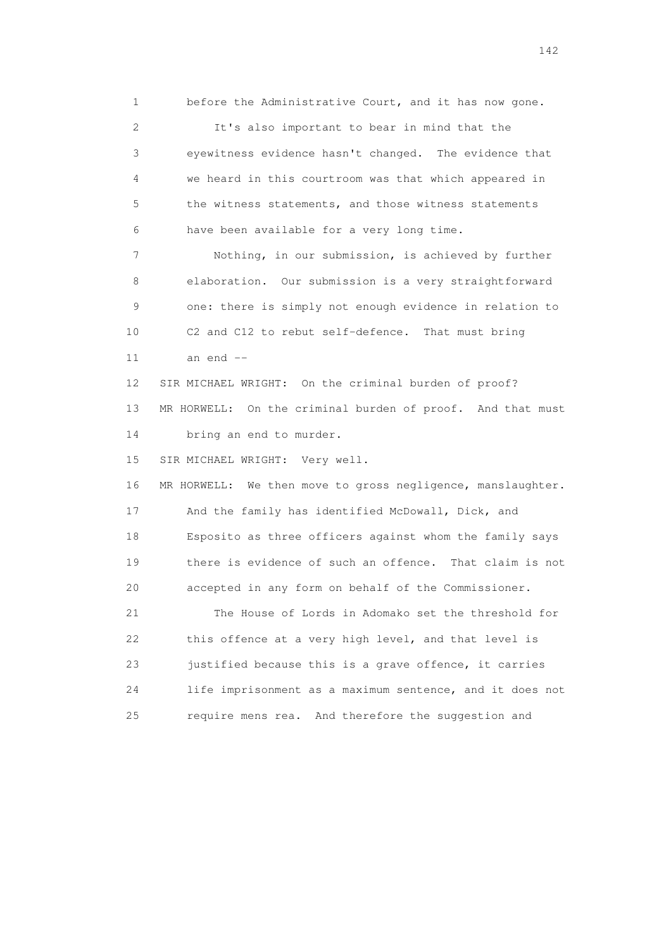1 before the Administrative Court, and it has now gone. 2 It's also important to bear in mind that the 3 eyewitness evidence hasn't changed. The evidence that 4 we heard in this courtroom was that which appeared in 5 the witness statements, and those witness statements 6 have been available for a very long time. 7 Nothing, in our submission, is achieved by further 8 elaboration. Our submission is a very straightforward 9 one: there is simply not enough evidence in relation to 10 C2 and C12 to rebut self-defence. That must bring 11 an end -- 12 SIR MICHAEL WRIGHT: On the criminal burden of proof? 13 MR HORWELL: On the criminal burden of proof. And that must 14 bring an end to murder. 15 SIR MICHAEL WRIGHT: Very well. 16 MR HORWELL: We then move to gross negligence, manslaughter. 17 And the family has identified McDowall, Dick, and 18 Esposito as three officers against whom the family says 19 there is evidence of such an offence. That claim is not 20 accepted in any form on behalf of the Commissioner. 21 The House of Lords in Adomako set the threshold for 22 this offence at a very high level, and that level is 23 justified because this is a grave offence, it carries 24 life imprisonment as a maximum sentence, and it does not 25 require mens rea. And therefore the suggestion and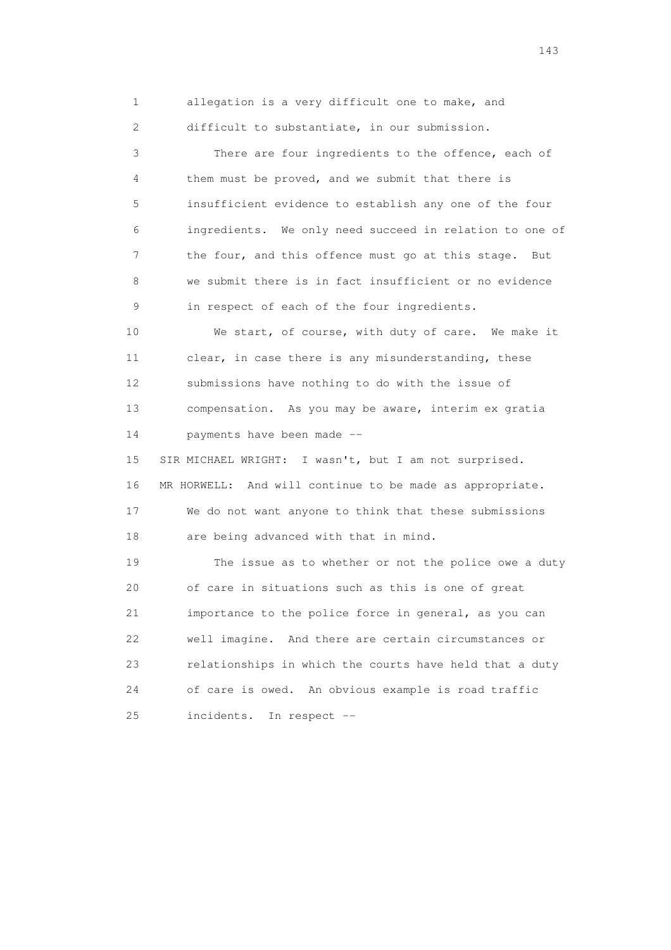1 allegation is a very difficult one to make, and 2 difficult to substantiate, in our submission.

 3 There are four ingredients to the offence, each of 4 them must be proved, and we submit that there is 5 insufficient evidence to establish any one of the four 6 ingredients. We only need succeed in relation to one of 7 the four, and this offence must go at this stage. But 8 we submit there is in fact insufficient or no evidence 9 in respect of each of the four ingredients.

 10 We start, of course, with duty of care. We make it 11 clear, in case there is any misunderstanding, these 12 submissions have nothing to do with the issue of 13 compensation. As you may be aware, interim ex gratia 14 payments have been made --

 15 SIR MICHAEL WRIGHT: I wasn't, but I am not surprised. 16 MR HORWELL: And will continue to be made as appropriate. 17 We do not want anyone to think that these submissions 18 are being advanced with that in mind.

 19 The issue as to whether or not the police owe a duty 20 of care in situations such as this is one of great 21 importance to the police force in general, as you can 22 well imagine. And there are certain circumstances or 23 relationships in which the courts have held that a duty 24 of care is owed. An obvious example is road traffic 25 incidents. In respect --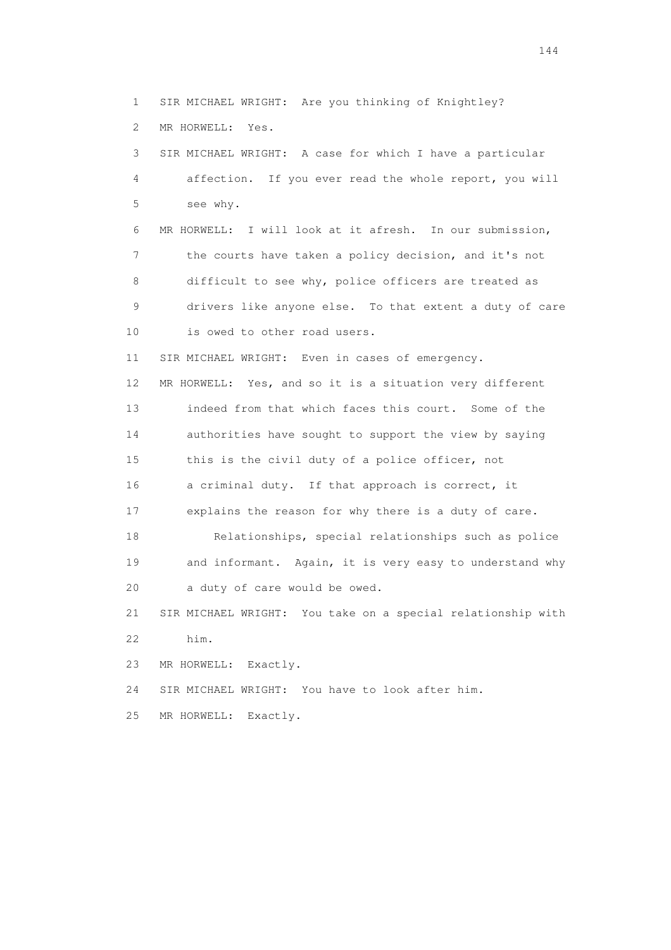1 SIR MICHAEL WRIGHT: Are you thinking of Knightley? 2 MR HORWELL: Yes. 3 SIR MICHAEL WRIGHT: A case for which I have a particular 4 affection. If you ever read the whole report, you will 5 see why. 6 MR HORWELL: I will look at it afresh. In our submission, 7 the courts have taken a policy decision, and it's not 8 difficult to see why, police officers are treated as 9 drivers like anyone else. To that extent a duty of care 10 is owed to other road users. 11 SIR MICHAEL WRIGHT: Even in cases of emergency. 12 MR HORWELL: Yes, and so it is a situation very different 13 indeed from that which faces this court. Some of the 14 authorities have sought to support the view by saying 15 this is the civil duty of a police officer, not 16 a criminal duty. If that approach is correct, it 17 explains the reason for why there is a duty of care. 18 Relationships, special relationships such as police 19 and informant. Again, it is very easy to understand why 20 a duty of care would be owed. 21 SIR MICHAEL WRIGHT: You take on a special relationship with 22 him. 23 MR HORWELL: Exactly. 24 SIR MICHAEL WRIGHT: You have to look after him. 25 MR HORWELL: Exactly.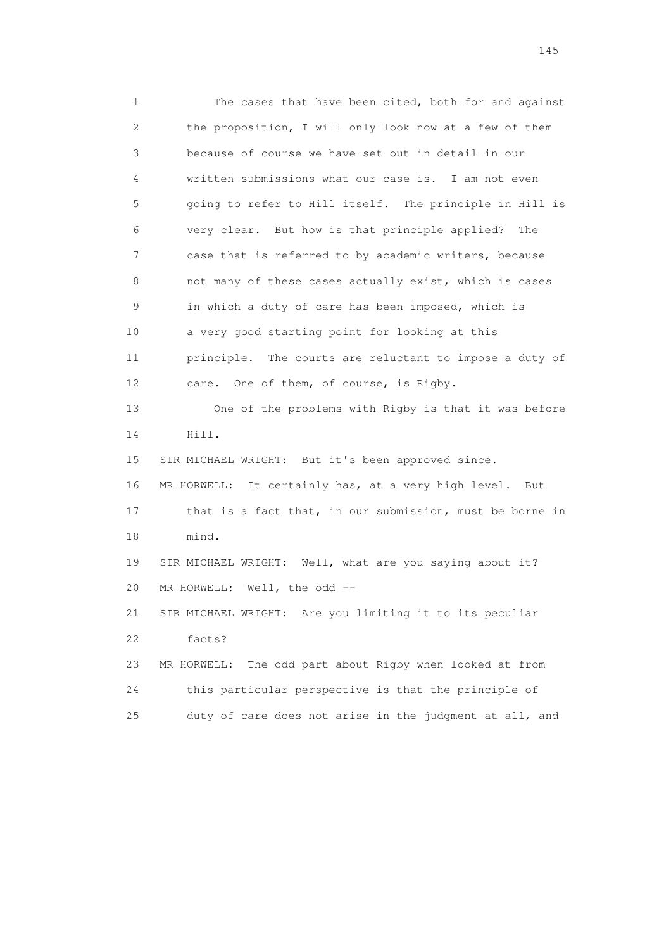1 The cases that have been cited, both for and against 2 the proposition, I will only look now at a few of them 3 because of course we have set out in detail in our 4 written submissions what our case is. I am not even 5 going to refer to Hill itself. The principle in Hill is 6 very clear. But how is that principle applied? The 7 case that is referred to by academic writers, because 8 not many of these cases actually exist, which is cases 9 in which a duty of care has been imposed, which is 10 a very good starting point for looking at this 11 principle. The courts are reluctant to impose a duty of 12 care. One of them, of course, is Rigby. 13 One of the problems with Rigby is that it was before 14 Hill. 15 SIR MICHAEL WRIGHT: But it's been approved since. 16 MR HORWELL: It certainly has, at a very high level. But 17 that is a fact that, in our submission, must be borne in 18 mind. 19 SIR MICHAEL WRIGHT: Well, what are you saying about it? 20 MR HORWELL: Well, the odd -- 21 SIR MICHAEL WRIGHT: Are you limiting it to its peculiar 22 facts? 23 MR HORWELL: The odd part about Rigby when looked at from 24 this particular perspective is that the principle of 25 duty of care does not arise in the judgment at all, and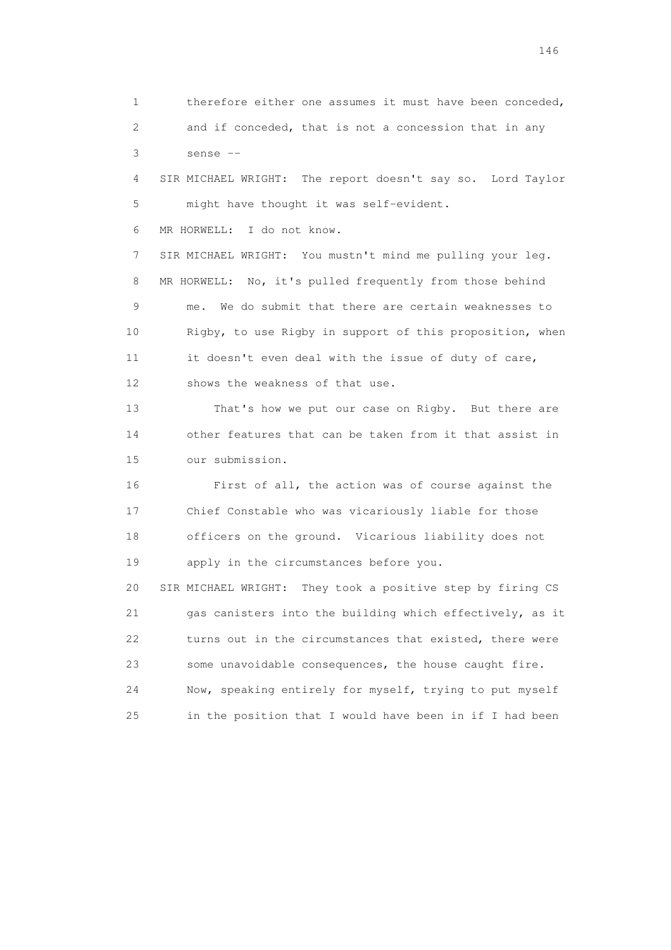1 therefore either one assumes it must have been conceded, 2 and if conceded, that is not a concession that in any 3 sense -- 4 SIR MICHAEL WRIGHT: The report doesn't say so. Lord Taylor 5 might have thought it was self-evident. 6 MR HORWELL: I do not know. 7 SIR MICHAEL WRIGHT: You mustn't mind me pulling your leg. 8 MR HORWELL: No, it's pulled frequently from those behind 9 me. We do submit that there are certain weaknesses to 10 Rigby, to use Rigby in support of this proposition, when 11 it doesn't even deal with the issue of duty of care, 12 shows the weakness of that use. 13 That's how we put our case on Rigby. But there are 14 other features that can be taken from it that assist in 15 our submission. 16 First of all, the action was of course against the 17 Chief Constable who was vicariously liable for those 18 officers on the ground. Vicarious liability does not 19 apply in the circumstances before you. 20 SIR MICHAEL WRIGHT: They took a positive step by firing CS 21 gas canisters into the building which effectively, as it 22 turns out in the circumstances that existed, there were 23 some unavoidable consequences, the house caught fire. 24 Now, speaking entirely for myself, trying to put myself 25 in the position that I would have been in if I had been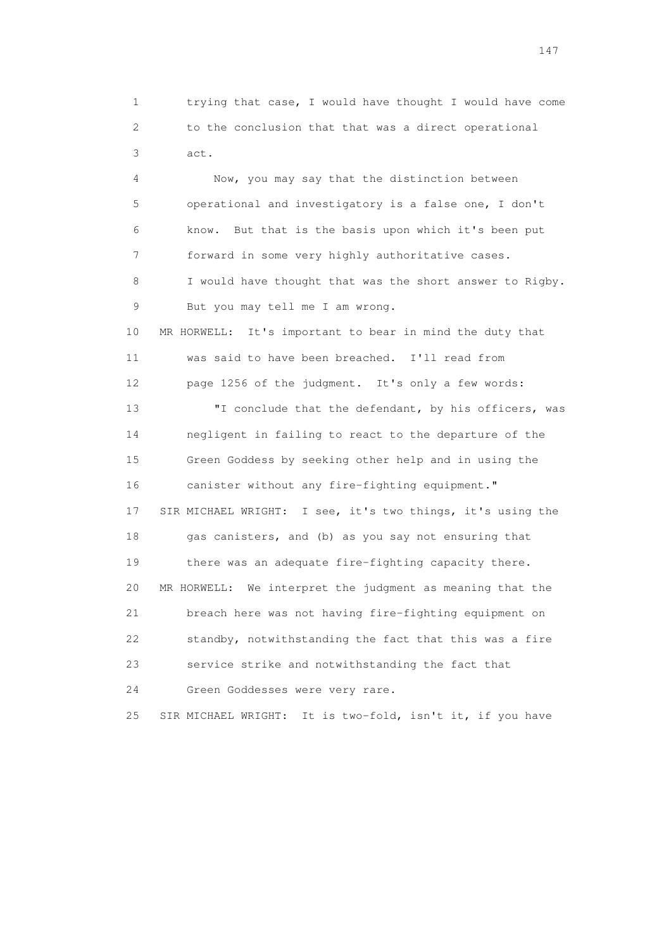1 trying that case, I would have thought I would have come 2 to the conclusion that that was a direct operational 3 act.

 4 Now, you may say that the distinction between 5 operational and investigatory is a false one, I don't 6 know. But that is the basis upon which it's been put 7 forward in some very highly authoritative cases. 8 I would have thought that was the short answer to Rigby. 9 But you may tell me I am wrong. 10 MR HORWELL: It's important to bear in mind the duty that 11 was said to have been breached. I'll read from 12 page 1256 of the judgment. It's only a few words: 13 TI conclude that the defendant, by his officers, was 14 negligent in failing to react to the departure of the 15 Green Goddess by seeking other help and in using the 16 canister without any fire-fighting equipment." 17 SIR MICHAEL WRIGHT: I see, it's two things, it's using the 18 gas canisters, and (b) as you say not ensuring that 19 there was an adequate fire-fighting capacity there. 20 MR HORWELL: We interpret the judgment as meaning that the 21 breach here was not having fire-fighting equipment on 22 standby, notwithstanding the fact that this was a fire 23 service strike and notwithstanding the fact that 24 Green Goddesses were very rare. 25 SIR MICHAEL WRIGHT: It is two-fold, isn't it, if you have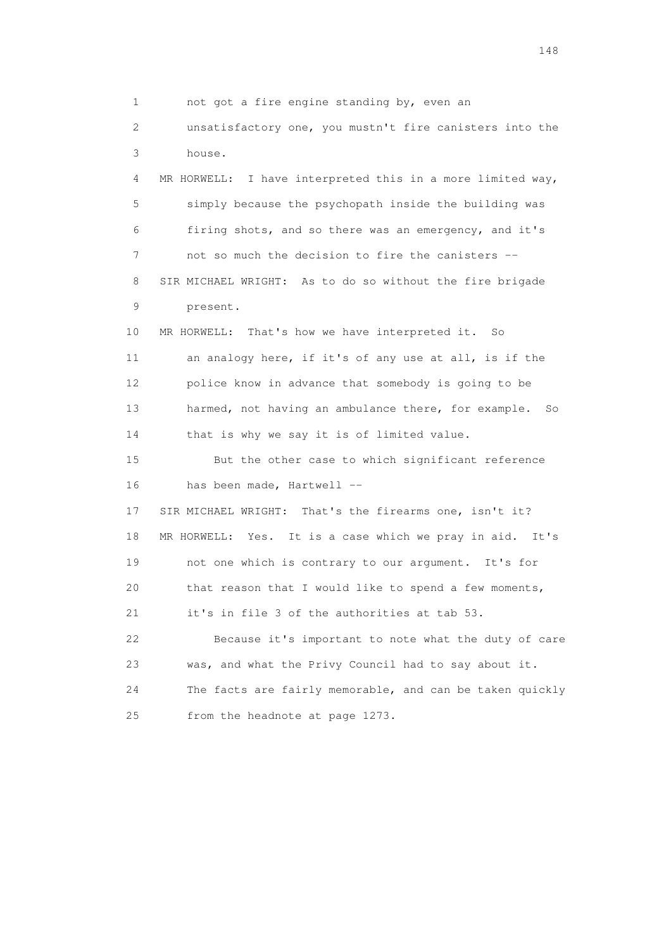1 not got a fire engine standing by, even an 2 unsatisfactory one, you mustn't fire canisters into the 3 house. 4 MR HORWELL: I have interpreted this in a more limited way, 5 simply because the psychopath inside the building was 6 firing shots, and so there was an emergency, and it's 7 not so much the decision to fire the canisters -- 8 SIR MICHAEL WRIGHT: As to do so without the fire brigade 9 present. 10 MR HORWELL: That's how we have interpreted it. So 11 an analogy here, if it's of any use at all, is if the 12 police know in advance that somebody is going to be 13 harmed, not having an ambulance there, for example. So 14 that is why we say it is of limited value. 15 But the other case to which significant reference 16 has been made, Hartwell -- 17 SIR MICHAEL WRIGHT: That's the firearms one, isn't it? 18 MR HORWELL: Yes. It is a case which we pray in aid. It's 19 not one which is contrary to our argument. It's for 20 that reason that I would like to spend a few moments, 21 it's in file 3 of the authorities at tab 53. 22 Because it's important to note what the duty of care 23 was, and what the Privy Council had to say about it. 24 The facts are fairly memorable, and can be taken quickly 25 from the headnote at page 1273.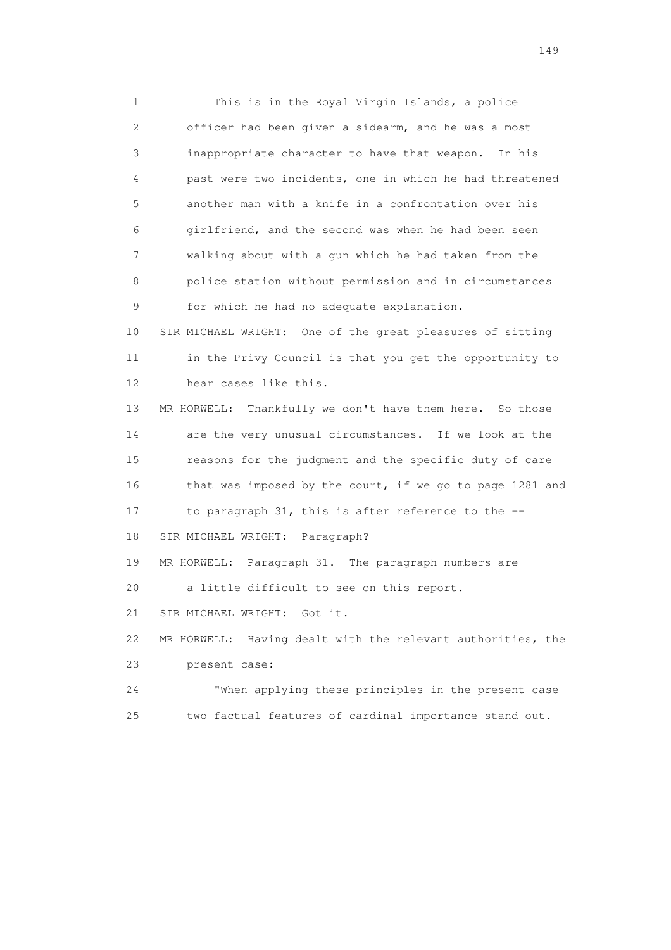1 This is in the Royal Virgin Islands, a police 2 officer had been given a sidearm, and he was a most 3 inappropriate character to have that weapon. In his 4 past were two incidents, one in which he had threatened 5 another man with a knife in a confrontation over his 6 girlfriend, and the second was when he had been seen 7 walking about with a gun which he had taken from the 8 police station without permission and in circumstances 9 for which he had no adequate explanation. 10 SIR MICHAEL WRIGHT: One of the great pleasures of sitting 11 in the Privy Council is that you get the opportunity to 12 hear cases like this. 13 MR HORWELL: Thankfully we don't have them here. So those 14 are the very unusual circumstances. If we look at the 15 reasons for the judgment and the specific duty of care 16 that was imposed by the court, if we go to page 1281 and 17 to paragraph 31, this is after reference to the -- 18 SIR MICHAEL WRIGHT: Paragraph? 19 MR HORWELL: Paragraph 31. The paragraph numbers are 20 a little difficult to see on this report. 21 SIR MICHAEL WRIGHT: Got it. 22 MR HORWELL: Having dealt with the relevant authorities, the 23 present case: 24 "When applying these principles in the present case 25 two factual features of cardinal importance stand out.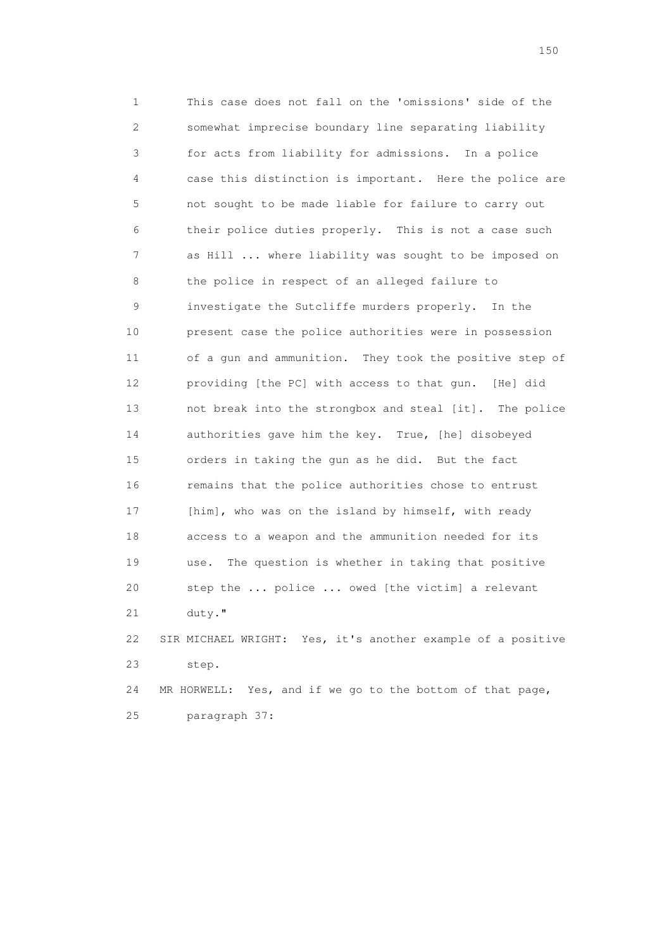1 This case does not fall on the 'omissions' side of the 2 somewhat imprecise boundary line separating liability 3 for acts from liability for admissions. In a police 4 case this distinction is important. Here the police are 5 not sought to be made liable for failure to carry out 6 their police duties properly. This is not a case such 7 as Hill ... where liability was sought to be imposed on 8 the police in respect of an alleged failure to 9 investigate the Sutcliffe murders properly. In the 10 present case the police authorities were in possession 11 of a gun and ammunition. They took the positive step of 12 providing [the PC] with access to that gun. [He] did 13 not break into the strongbox and steal [it]. The police 14 authorities gave him the key. True, [he] disobeyed 15 orders in taking the gun as he did. But the fact 16 remains that the police authorities chose to entrust 17 [him], who was on the island by himself, with ready 18 access to a weapon and the ammunition needed for its 19 use. The question is whether in taking that positive 20 step the ... police ... owed [the victim] a relevant 21 duty." 22 SIR MICHAEL WRIGHT: Yes, it's another example of a positive 23 step.

 24 MR HORWELL: Yes, and if we go to the bottom of that page, 25 paragraph 37: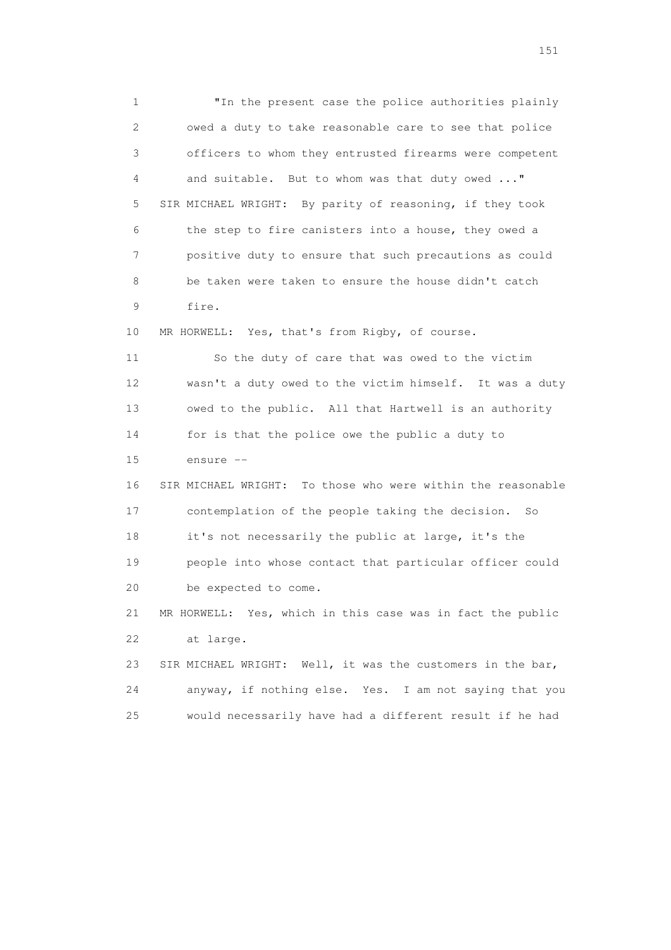1 "In the present case the police authorities plainly 2 owed a duty to take reasonable care to see that police 3 officers to whom they entrusted firearms were competent 4 and suitable. But to whom was that duty owed ..." 5 SIR MICHAEL WRIGHT: By parity of reasoning, if they took 6 the step to fire canisters into a house, they owed a 7 positive duty to ensure that such precautions as could 8 be taken were taken to ensure the house didn't catch 9 fire. 10 MR HORWELL: Yes, that's from Rigby, of course. 11 So the duty of care that was owed to the victim 12 wasn't a duty owed to the victim himself. It was a duty 13 owed to the public. All that Hartwell is an authority 14 for is that the police owe the public a duty to 15 ensure -- 16 SIR MICHAEL WRIGHT: To those who were within the reasonable 17 contemplation of the people taking the decision. So 18 it's not necessarily the public at large, it's the 19 people into whose contact that particular officer could 20 be expected to come. 21 MR HORWELL: Yes, which in this case was in fact the public 22 at large. 23 SIR MICHAEL WRIGHT: Well, it was the customers in the bar, 24 anyway, if nothing else. Yes. I am not saying that you 25 would necessarily have had a different result if he had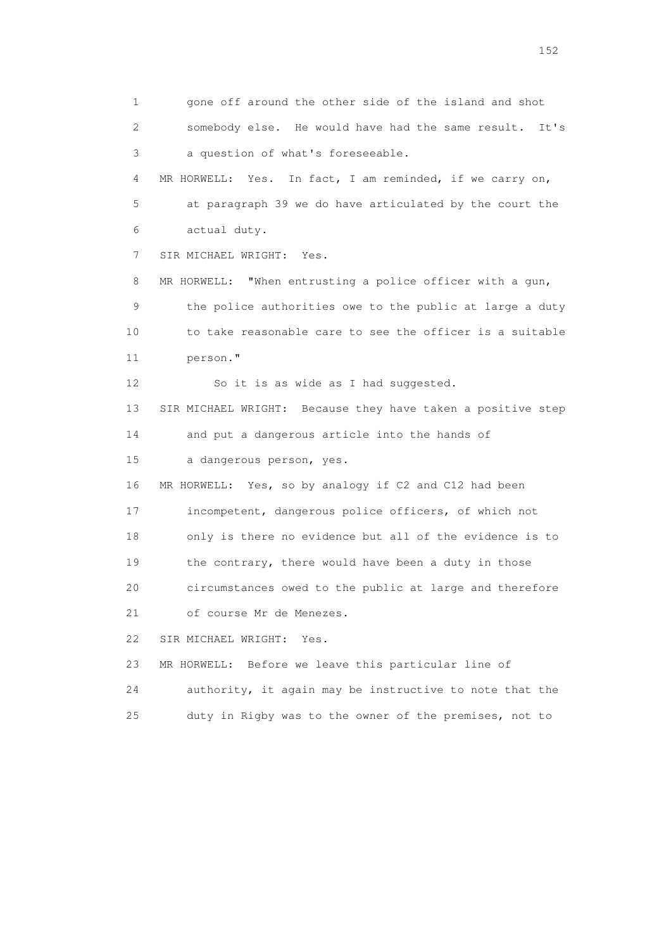1 gone off around the other side of the island and shot 2 somebody else. He would have had the same result. It's 3 a question of what's foreseeable. 4 MR HORWELL: Yes. In fact, I am reminded, if we carry on, 5 at paragraph 39 we do have articulated by the court the 6 actual duty. 7 SIR MICHAEL WRIGHT: Yes. 8 MR HORWELL: "When entrusting a police officer with a gun, 9 the police authorities owe to the public at large a duty 10 to take reasonable care to see the officer is a suitable 11 person." 12 So it is as wide as I had suggested. 13 SIR MICHAEL WRIGHT: Because they have taken a positive step 14 and put a dangerous article into the hands of 15 a dangerous person, yes. 16 MR HORWELL: Yes, so by analogy if C2 and C12 had been 17 incompetent, dangerous police officers, of which not 18 only is there no evidence but all of the evidence is to 19 the contrary, there would have been a duty in those 20 circumstances owed to the public at large and therefore 21 of course Mr de Menezes. 22 SIR MICHAEL WRIGHT: Yes. 23 MR HORWELL: Before we leave this particular line of 24 authority, it again may be instructive to note that the 25 duty in Rigby was to the owner of the premises, not to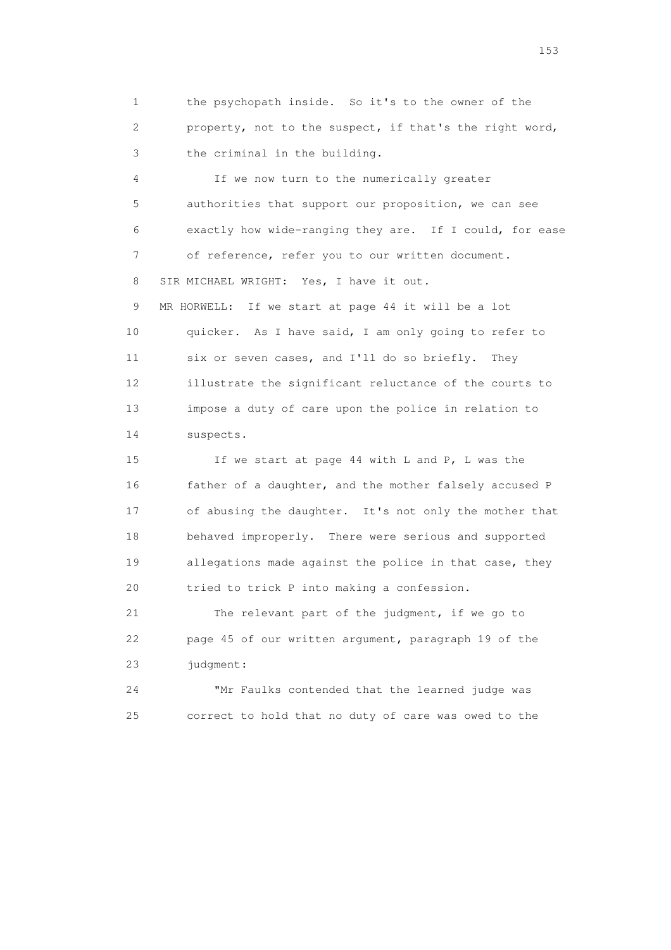1 the psychopath inside. So it's to the owner of the 2 property, not to the suspect, if that's the right word, 3 the criminal in the building.

 4 If we now turn to the numerically greater 5 authorities that support our proposition, we can see 6 exactly how wide-ranging they are. If I could, for ease 7 of reference, refer you to our written document. 8 SIR MICHAEL WRIGHT: Yes, I have it out. 9 MR HORWELL: If we start at page 44 it will be a lot 10 quicker. As I have said, I am only going to refer to 11 six or seven cases, and I'll do so briefly. They 12 illustrate the significant reluctance of the courts to 13 impose a duty of care upon the police in relation to 14 suspects.

 15 If we start at page 44 with L and P, L was the 16 father of a daughter, and the mother falsely accused P 17 of abusing the daughter. It's not only the mother that 18 behaved improperly. There were serious and supported 19 allegations made against the police in that case, they 20 tried to trick P into making a confession.

 21 The relevant part of the judgment, if we go to 22 page 45 of our written argument, paragraph 19 of the 23 judgment:

 24 "Mr Faulks contended that the learned judge was 25 correct to hold that no duty of care was owed to the

<u>153</u>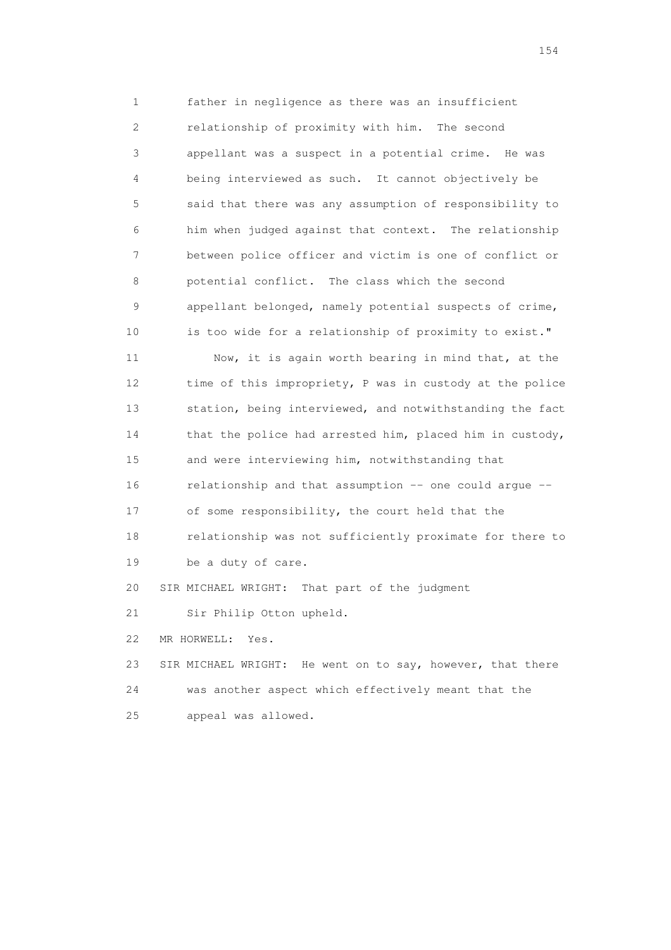1 father in negligence as there was an insufficient 2 relationship of proximity with him. The second 3 appellant was a suspect in a potential crime. He was 4 being interviewed as such. It cannot objectively be 5 said that there was any assumption of responsibility to 6 him when judged against that context. The relationship 7 between police officer and victim is one of conflict or 8 potential conflict. The class which the second 9 appellant belonged, namely potential suspects of crime, 10 is too wide for a relationship of proximity to exist."

 11 Now, it is again worth bearing in mind that, at the 12 time of this impropriety, P was in custody at the police 13 station, being interviewed, and notwithstanding the fact 14 that the police had arrested him, placed him in custody, 15 and were interviewing him, notwithstanding that 16 relationship and that assumption -- one could argue -- 17 of some responsibility, the court held that the 18 relationship was not sufficiently proximate for there to 19 be a duty of care. 20 SIR MICHAEL WRIGHT: That part of the judgment

21 Sir Philip Otton upheld.

22 MR HORWELL: Yes.

 23 SIR MICHAEL WRIGHT: He went on to say, however, that there 24 was another aspect which effectively meant that the 25 appeal was allowed.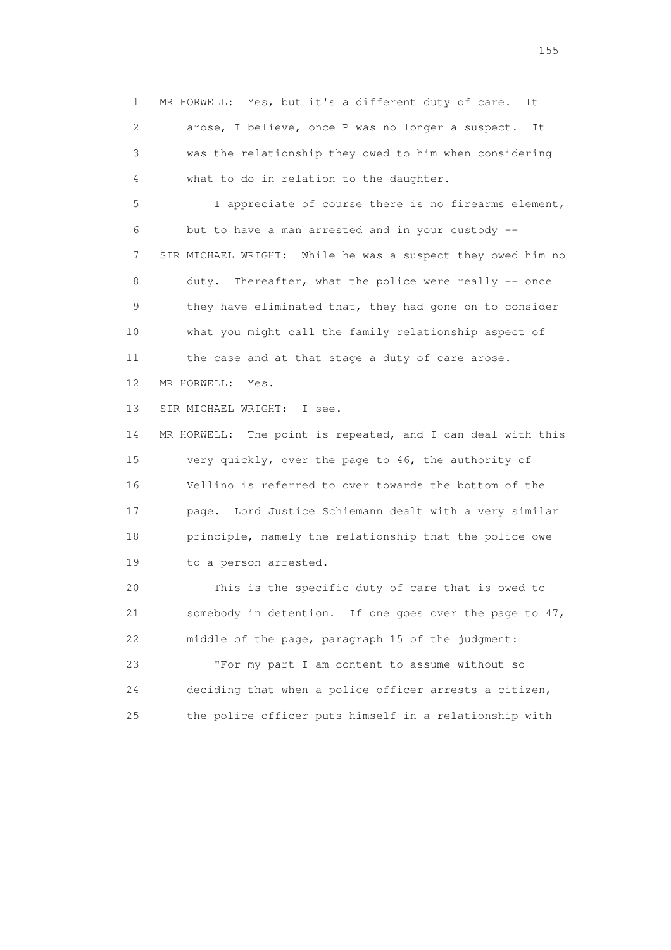1 MR HORWELL: Yes, but it's a different duty of care. It 2 arose, I believe, once P was no longer a suspect. It 3 was the relationship they owed to him when considering 4 what to do in relation to the daughter.

 5 I appreciate of course there is no firearms element, 6 but to have a man arrested and in your custody -- 7 SIR MICHAEL WRIGHT: While he was a suspect they owed him no 8 duty. Thereafter, what the police were really -- once 9 they have eliminated that, they had gone on to consider 10 what you might call the family relationship aspect of 11 the case and at that stage a duty of care arose. 12 MR HORWELL: Yes.

13 SIR MICHAEL WRIGHT: I see.

 14 MR HORWELL: The point is repeated, and I can deal with this 15 very quickly, over the page to 46, the authority of 16 Vellino is referred to over towards the bottom of the 17 page. Lord Justice Schiemann dealt with a very similar 18 principle, namely the relationship that the police owe 19 to a person arrested.

 20 This is the specific duty of care that is owed to 21 somebody in detention. If one goes over the page to 47, 22 middle of the page, paragraph 15 of the judgment:

 23 "For my part I am content to assume without so 24 deciding that when a police officer arrests a citizen, 25 the police officer puts himself in a relationship with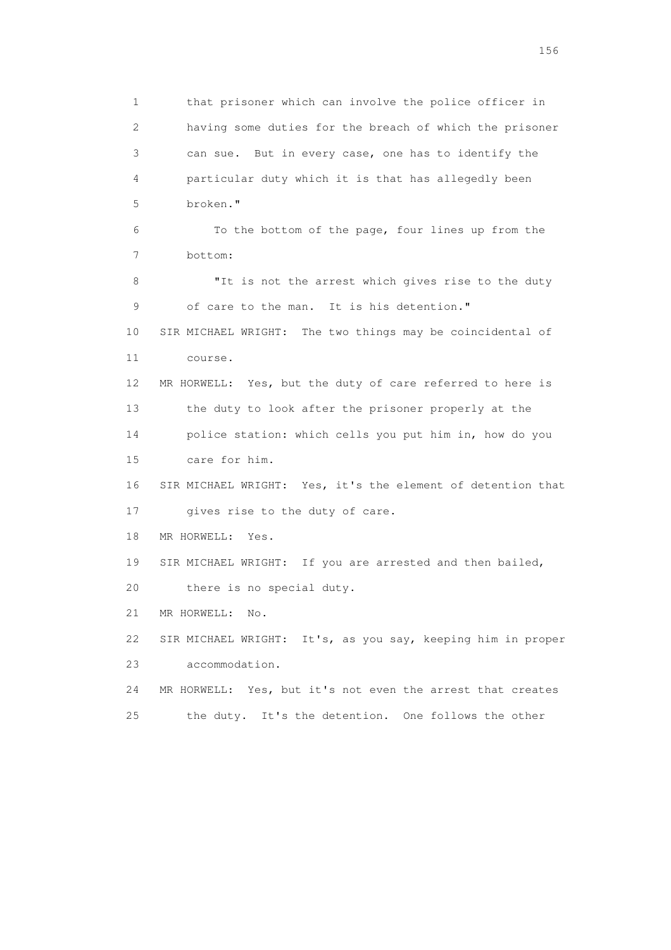1 that prisoner which can involve the police officer in 2 having some duties for the breach of which the prisoner 3 can sue. But in every case, one has to identify the 4 particular duty which it is that has allegedly been 5 broken." 6 To the bottom of the page, four lines up from the 7 bottom: 8 "It is not the arrest which gives rise to the duty 9 of care to the man. It is his detention." 10 SIR MICHAEL WRIGHT: The two things may be coincidental of 11 course. 12 MR HORWELL: Yes, but the duty of care referred to here is 13 the duty to look after the prisoner properly at the 14 police station: which cells you put him in, how do you 15 care for him. 16 SIR MICHAEL WRIGHT: Yes, it's the element of detention that 17 gives rise to the duty of care. 18 MR HORWELL: Yes. 19 SIR MICHAEL WRIGHT: If you are arrested and then bailed, 20 there is no special duty. 21 MR HORWELL: No. 22 SIR MICHAEL WRIGHT: It's, as you say, keeping him in proper 23 accommodation. 24 MR HORWELL: Yes, but it's not even the arrest that creates 25 the duty. It's the detention. One follows the other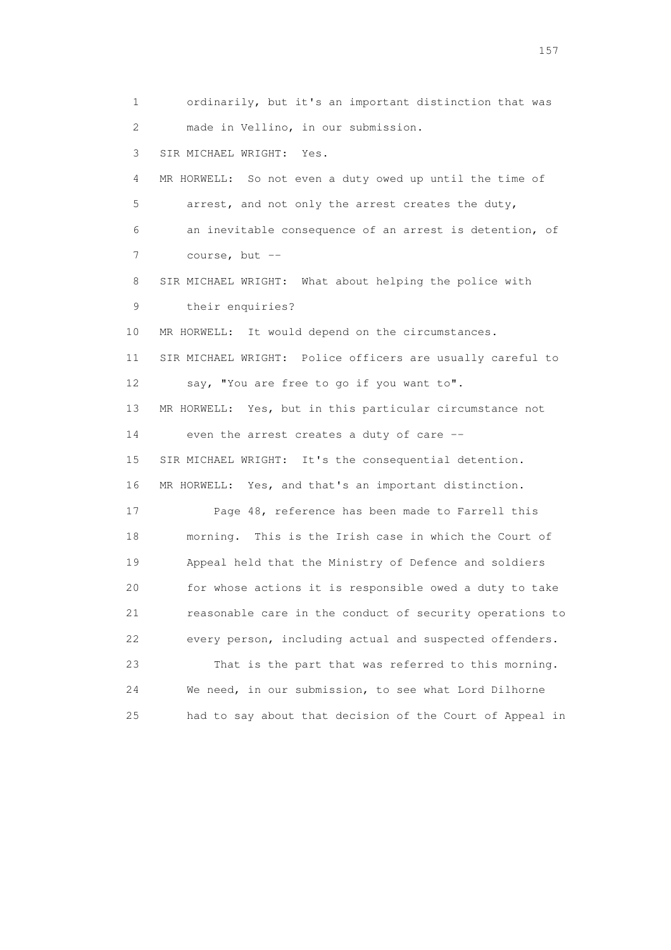1 ordinarily, but it's an important distinction that was 2 made in Vellino, in our submission. 3 SIR MICHAEL WRIGHT: Yes. 4 MR HORWELL: So not even a duty owed up until the time of 5 arrest, and not only the arrest creates the duty, 6 an inevitable consequence of an arrest is detention, of 7 course, but -- 8 SIR MICHAEL WRIGHT: What about helping the police with 9 their enquiries? 10 MR HORWELL: It would depend on the circumstances. 11 SIR MICHAEL WRIGHT: Police officers are usually careful to 12 say, "You are free to go if you want to". 13 MR HORWELL: Yes, but in this particular circumstance not 14 even the arrest creates a duty of care -- 15 SIR MICHAEL WRIGHT: It's the consequential detention. 16 MR HORWELL: Yes, and that's an important distinction. 17 Page 48, reference has been made to Farrell this 18 morning. This is the Irish case in which the Court of 19 Appeal held that the Ministry of Defence and soldiers 20 for whose actions it is responsible owed a duty to take 21 reasonable care in the conduct of security operations to 22 every person, including actual and suspected offenders. 23 That is the part that was referred to this morning. 24 We need, in our submission, to see what Lord Dilhorne 25 had to say about that decision of the Court of Appeal in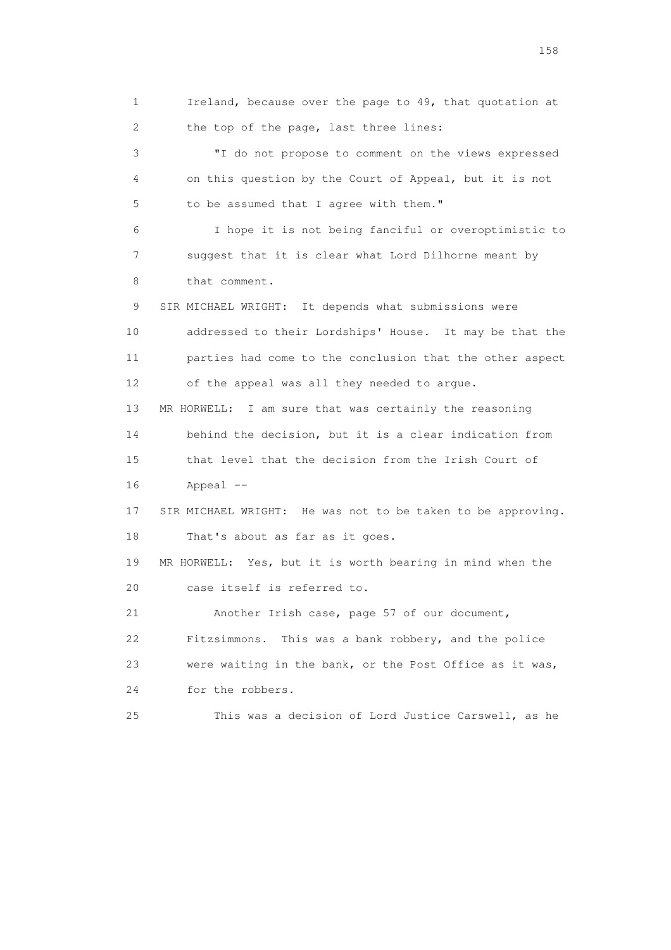1 Ireland, because over the page to 49, that quotation at 2 the top of the page, last three lines: 3 "I do not propose to comment on the views expressed 4 on this question by the Court of Appeal, but it is not 5 to be assumed that I agree with them." 6 I hope it is not being fanciful or overoptimistic to 7 suggest that it is clear what Lord Dilhorne meant by 8 that comment. 9 SIR MICHAEL WRIGHT: It depends what submissions were 10 addressed to their Lordships' House. It may be that the 11 parties had come to the conclusion that the other aspect 12 of the appeal was all they needed to argue. 13 MR HORWELL: I am sure that was certainly the reasoning 14 behind the decision, but it is a clear indication from 15 that level that the decision from the Irish Court of 16 Appeal -- 17 SIR MICHAEL WRIGHT: He was not to be taken to be approving. 18 That's about as far as it goes. 19 MR HORWELL: Yes, but it is worth bearing in mind when the 20 case itself is referred to. 21 Another Irish case, page 57 of our document, 22 Fitzsimmons. This was a bank robbery, and the police 23 were waiting in the bank, or the Post Office as it was, 24 for the robbers. 25 This was a decision of Lord Justice Carswell, as he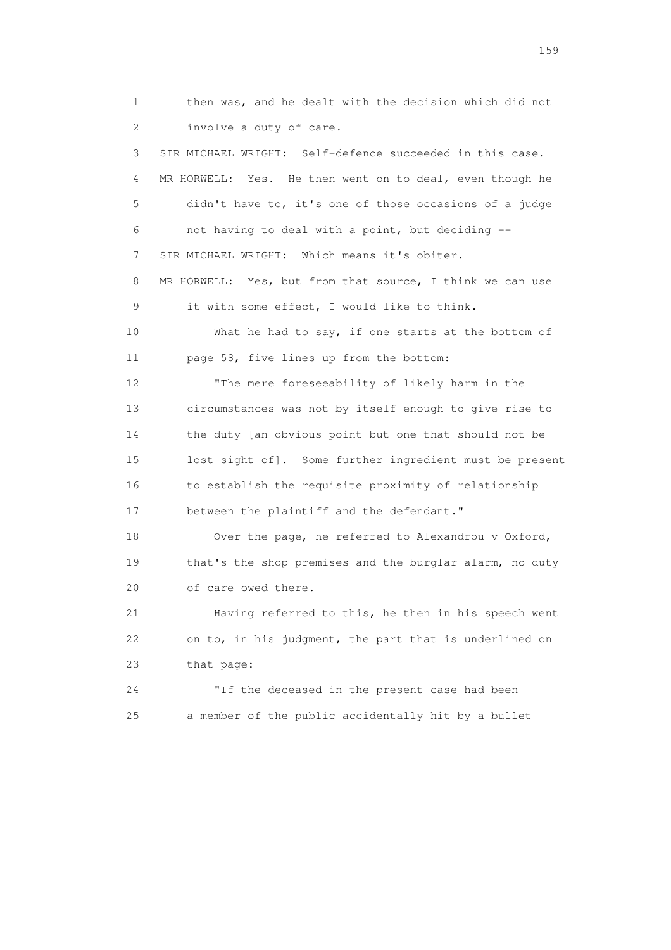1 then was, and he dealt with the decision which did not 2 involve a duty of care. 3 SIR MICHAEL WRIGHT: Self-defence succeeded in this case. 4 MR HORWELL: Yes. He then went on to deal, even though he 5 didn't have to, it's one of those occasions of a judge 6 not having to deal with a point, but deciding -- 7 SIR MICHAEL WRIGHT: Which means it's obiter. 8 MR HORWELL: Yes, but from that source, I think we can use 9 it with some effect, I would like to think. 10 What he had to say, if one starts at the bottom of 11 page 58, five lines up from the bottom: 12 "The mere foreseeability of likely harm in the 13 circumstances was not by itself enough to give rise to 14 the duty [an obvious point but one that should not be 15 lost sight of]. Some further ingredient must be present 16 to establish the requisite proximity of relationship 17 between the plaintiff and the defendant." 18 Over the page, he referred to Alexandrou v Oxford, 19 that's the shop premises and the burglar alarm, no duty 20 of care owed there. 21 Having referred to this, he then in his speech went 22 on to, in his judgment, the part that is underlined on 23 that page: 24 "If the deceased in the present case had been 25 a member of the public accidentally hit by a bullet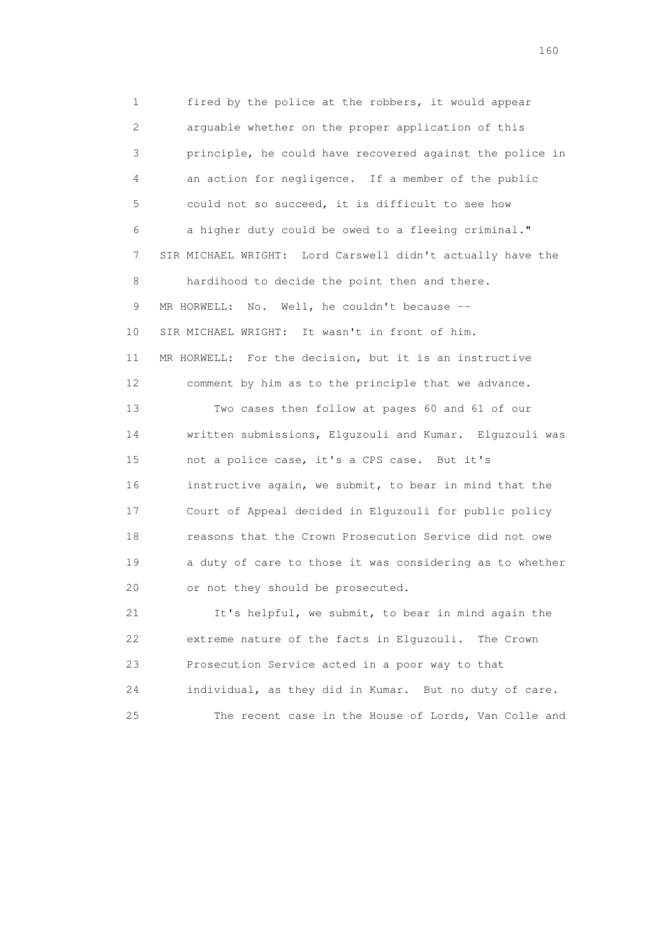1 fired by the police at the robbers, it would appear 2 arguable whether on the proper application of this 3 principle, he could have recovered against the police in 4 an action for negligence. If a member of the public 5 could not so succeed, it is difficult to see how 6 a higher duty could be owed to a fleeing criminal." 7 SIR MICHAEL WRIGHT: Lord Carswell didn't actually have the 8 hardihood to decide the point then and there. 9 MR HORWELL: No. Well, he couldn't because -- 10 SIR MICHAEL WRIGHT: It wasn't in front of him. 11 MR HORWELL: For the decision, but it is an instructive 12 comment by him as to the principle that we advance. 13 Two cases then follow at pages 60 and 61 of our 14 written submissions, Elguzouli and Kumar. Elguzouli was 15 not a police case, it's a CPS case. But it's 16 instructive again, we submit, to bear in mind that the 17 Court of Appeal decided in Elguzouli for public policy 18 reasons that the Crown Prosecution Service did not owe 19 a duty of care to those it was considering as to whether 20 or not they should be prosecuted. 21 It's helpful, we submit, to bear in mind again the

 22 extreme nature of the facts in Elguzouli. The Crown 23 Prosecution Service acted in a poor way to that 24 individual, as they did in Kumar. But no duty of care. 25 The recent case in the House of Lords, Van Colle and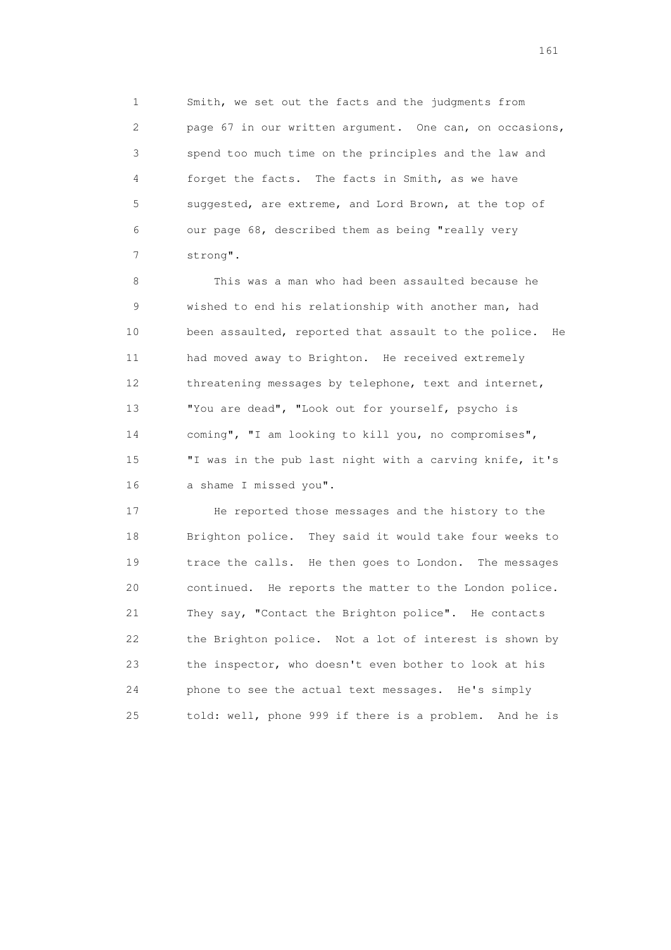1 Smith, we set out the facts and the judgments from 2 page 67 in our written argument. One can, on occasions, 3 spend too much time on the principles and the law and 4 forget the facts. The facts in Smith, as we have 5 suggested, are extreme, and Lord Brown, at the top of 6 our page 68, described them as being "really very 7 strong".

 8 This was a man who had been assaulted because he 9 wished to end his relationship with another man, had 10 been assaulted, reported that assault to the police. He 11 had moved away to Brighton. He received extremely 12 threatening messages by telephone, text and internet, 13 "You are dead", "Look out for yourself, psycho is 14 coming", "I am looking to kill you, no compromises", 15 "I was in the pub last night with a carving knife, it's 16 a shame I missed you".

 17 He reported those messages and the history to the 18 Brighton police. They said it would take four weeks to 19 trace the calls. He then goes to London. The messages 20 continued. He reports the matter to the London police. 21 They say, "Contact the Brighton police". He contacts 22 the Brighton police. Not a lot of interest is shown by 23 the inspector, who doesn't even bother to look at his 24 phone to see the actual text messages. He's simply 25 told: well, phone 999 if there is a problem. And he is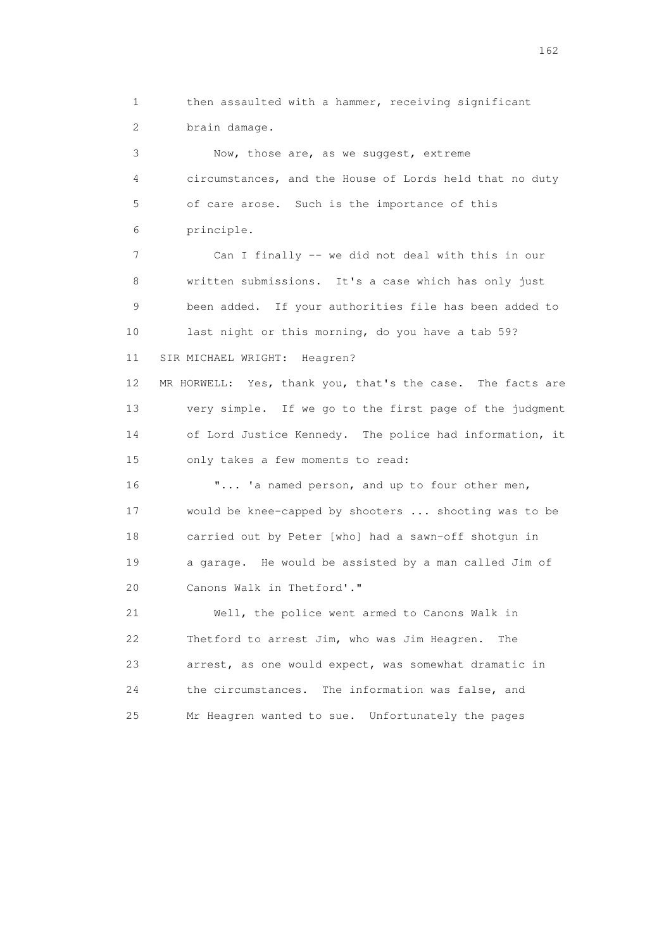1 then assaulted with a hammer, receiving significant 2 brain damage. 3 Now, those are, as we suggest, extreme 4 circumstances, and the House of Lords held that no duty 5 of care arose. Such is the importance of this 6 principle. 7 Can I finally -- we did not deal with this in our 8 written submissions. It's a case which has only just 9 been added. If your authorities file has been added to 10 last night or this morning, do you have a tab 59? 11 SIR MICHAEL WRIGHT: Heagren? 12 MR HORWELL: Yes, thank you, that's the case. The facts are 13 very simple. If we go to the first page of the judgment 14 of Lord Justice Kennedy. The police had information, it 15 only takes a few moments to read: 16 "... 'a named person, and up to four other men, 17 would be knee-capped by shooters ... shooting was to be 18 carried out by Peter [who] had a sawn-off shotgun in 19 a garage. He would be assisted by a man called Jim of 20 Canons Walk in Thetford'." 21 Well, the police went armed to Canons Walk in 22 Thetford to arrest Jim, who was Jim Heagren. The 23 arrest, as one would expect, was somewhat dramatic in 24 the circumstances. The information was false, and

25 Mr Heagren wanted to sue. Unfortunately the pages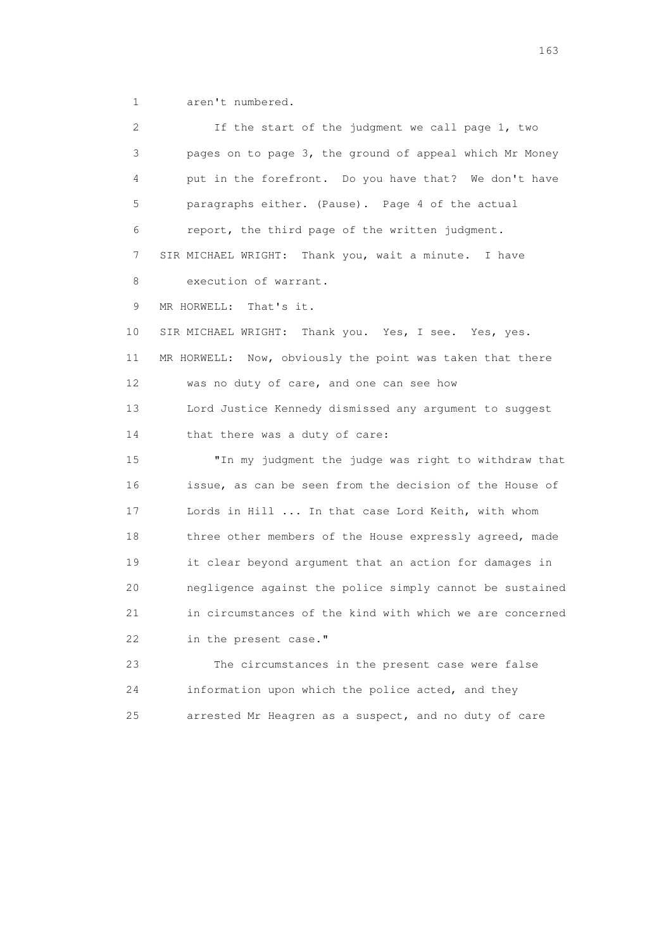1 aren't numbered.

 2 If the start of the judgment we call page 1, two 3 pages on to page 3, the ground of appeal which Mr Money 4 put in the forefront. Do you have that? We don't have 5 paragraphs either. (Pause). Page 4 of the actual 6 report, the third page of the written judgment. 7 SIR MICHAEL WRIGHT: Thank you, wait a minute. I have 8 execution of warrant. 9 MR HORWELL: That's it. 10 SIR MICHAEL WRIGHT: Thank you. Yes, I see. Yes, yes. 11 MR HORWELL: Now, obviously the point was taken that there 12 was no duty of care, and one can see how 13 Lord Justice Kennedy dismissed any argument to suggest 14 that there was a duty of care: 15 "In my judgment the judge was right to withdraw that 16 issue, as can be seen from the decision of the House of 17 Lords in Hill ... In that case Lord Keith, with whom 18 three other members of the House expressly agreed, made 19 it clear beyond argument that an action for damages in 20 negligence against the police simply cannot be sustained 21 in circumstances of the kind with which we are concerned 22 in the present case." 23 The circumstances in the present case were false 24 information upon which the police acted, and they 25 arrested Mr Heagren as a suspect, and no duty of care

<u>163</u>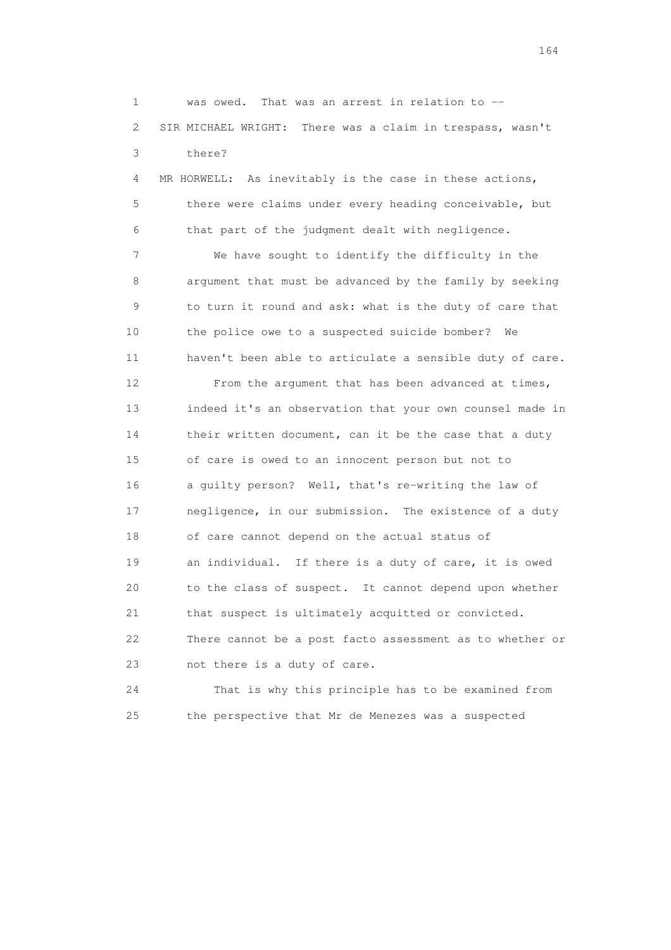1 was owed. That was an arrest in relation to -- 2 SIR MICHAEL WRIGHT: There was a claim in trespass, wasn't 3 there?

 4 MR HORWELL: As inevitably is the case in these actions, 5 there were claims under every heading conceivable, but 6 that part of the judgment dealt with negligence.

 7 We have sought to identify the difficulty in the 8 argument that must be advanced by the family by seeking 9 to turn it round and ask: what is the duty of care that 10 the police owe to a suspected suicide bomber? We 11 haven't been able to articulate a sensible duty of care.

 12 From the argument that has been advanced at times, 13 indeed it's an observation that your own counsel made in 14 their written document, can it be the case that a duty 15 of care is owed to an innocent person but not to 16 a guilty person? Well, that's re-writing the law of 17 negligence, in our submission. The existence of a duty 18 of care cannot depend on the actual status of 19 an individual. If there is a duty of care, it is owed 20 to the class of suspect. It cannot depend upon whether 21 that suspect is ultimately acquitted or convicted. 22 There cannot be a post facto assessment as to whether or 23 not there is a duty of care.

 24 That is why this principle has to be examined from 25 the perspective that Mr de Menezes was a suspected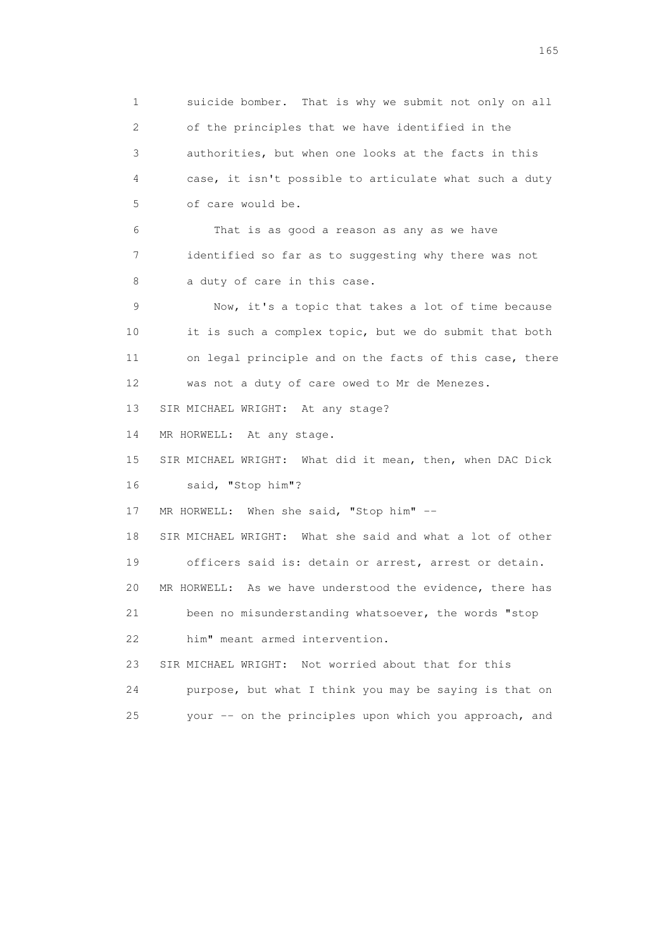1 suicide bomber. That is why we submit not only on all 2 of the principles that we have identified in the 3 authorities, but when one looks at the facts in this 4 case, it isn't possible to articulate what such a duty 5 of care would be. 6 That is as good a reason as any as we have 7 identified so far as to suggesting why there was not 8 a duty of care in this case. 9 Now, it's a topic that takes a lot of time because 10 it is such a complex topic, but we do submit that both 11 on legal principle and on the facts of this case, there 12 was not a duty of care owed to Mr de Menezes. 13 SIR MICHAEL WRIGHT: At any stage? 14 MR HORWELL: At any stage. 15 SIR MICHAEL WRIGHT: What did it mean, then, when DAC Dick 16 said, "Stop him"? 17 MR HORWELL: When she said, "Stop him" -- 18 SIR MICHAEL WRIGHT: What she said and what a lot of other 19 officers said is: detain or arrest, arrest or detain. 20 MR HORWELL: As we have understood the evidence, there has 21 been no misunderstanding whatsoever, the words "stop 22 him" meant armed intervention. 23 SIR MICHAEL WRIGHT: Not worried about that for this 24 purpose, but what I think you may be saying is that on 25 your -- on the principles upon which you approach, and

<u>165</u>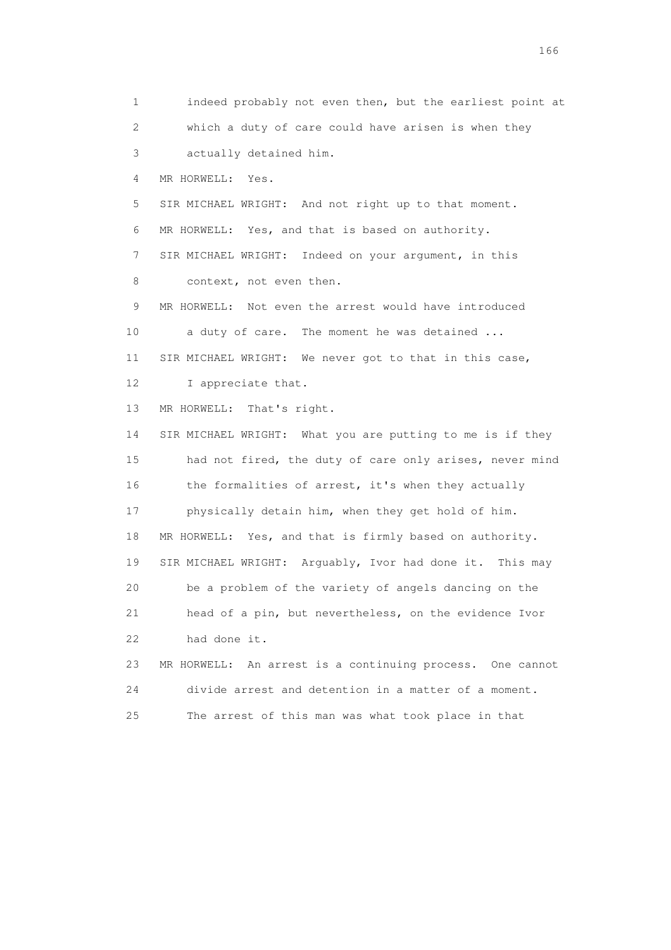1 indeed probably not even then, but the earliest point at 2 which a duty of care could have arisen is when they 3 actually detained him. 4 MR HORWELL: Yes. 5 SIR MICHAEL WRIGHT: And not right up to that moment. 6 MR HORWELL: Yes, and that is based on authority. 7 SIR MICHAEL WRIGHT: Indeed on your argument, in this 8 context, not even then. 9 MR HORWELL: Not even the arrest would have introduced 10 a duty of care. The moment he was detained ... 11 SIR MICHAEL WRIGHT: We never got to that in this case, 12 I appreciate that. 13 MR HORWELL: That's right. 14 SIR MICHAEL WRIGHT: What you are putting to me is if they 15 had not fired, the duty of care only arises, never mind 16 the formalities of arrest, it's when they actually 17 physically detain him, when they get hold of him. 18 MR HORWELL: Yes, and that is firmly based on authority. 19 SIR MICHAEL WRIGHT: Arguably, Ivor had done it. This may 20 be a problem of the variety of angels dancing on the 21 head of a pin, but nevertheless, on the evidence Ivor 22 had done it. 23 MR HORWELL: An arrest is a continuing process. One cannot 24 divide arrest and detention in a matter of a moment. 25 The arrest of this man was what took place in that

<u>166</u> **166**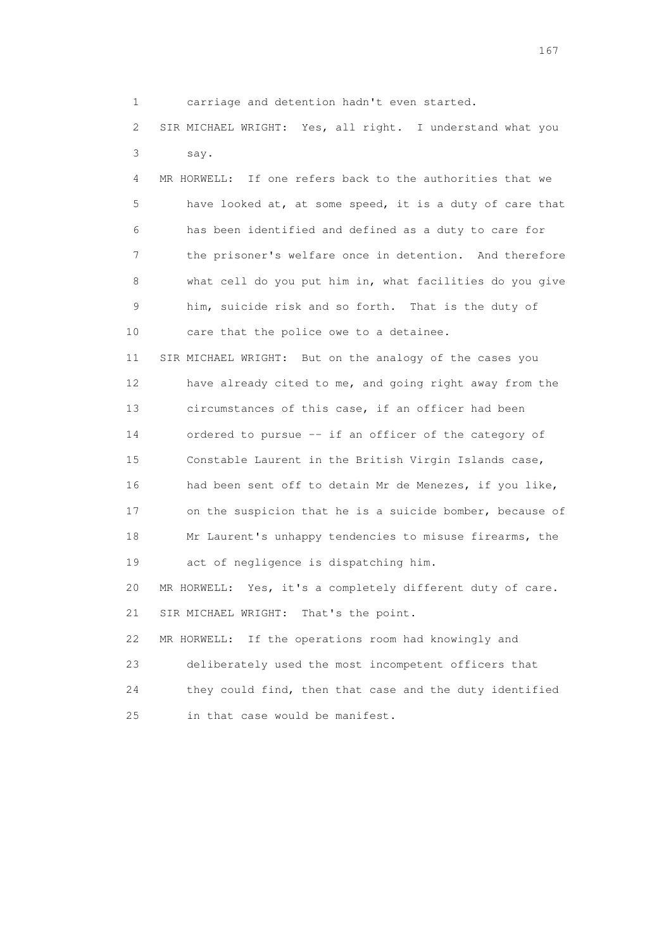1 carriage and detention hadn't even started.

 2 SIR MICHAEL WRIGHT: Yes, all right. I understand what you 3 say.

 4 MR HORWELL: If one refers back to the authorities that we 5 have looked at, at some speed, it is a duty of care that 6 has been identified and defined as a duty to care for 7 the prisoner's welfare once in detention. And therefore 8 what cell do you put him in, what facilities do you give 9 him, suicide risk and so forth. That is the duty of 10 care that the police owe to a detainee.

 11 SIR MICHAEL WRIGHT: But on the analogy of the cases you 12 have already cited to me, and going right away from the 13 circumstances of this case, if an officer had been 14 ordered to pursue -- if an officer of the category of 15 Constable Laurent in the British Virgin Islands case, 16 had been sent off to detain Mr de Menezes, if you like, 17 on the suspicion that he is a suicide bomber, because of 18 Mr Laurent's unhappy tendencies to misuse firearms, the 19 act of negligence is dispatching him.

 20 MR HORWELL: Yes, it's a completely different duty of care. 21 SIR MICHAEL WRIGHT: That's the point.

22 MR HORWELL: If the operations room had knowingly and

 23 deliberately used the most incompetent officers that 24 they could find, then that case and the duty identified 25 in that case would be manifest.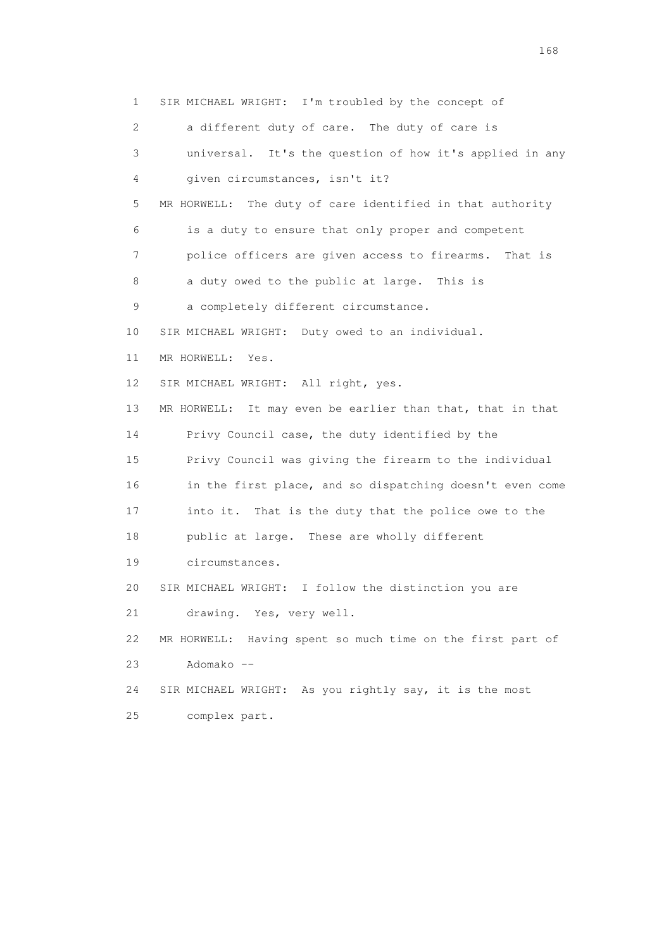1 SIR MICHAEL WRIGHT: I'm troubled by the concept of 2 a different duty of care. The duty of care is 3 universal. It's the question of how it's applied in any 4 given circumstances, isn't it? 5 MR HORWELL: The duty of care identified in that authority 6 is a duty to ensure that only proper and competent 7 police officers are given access to firearms. That is 8 a duty owed to the public at large. This is 9 a completely different circumstance. 10 SIR MICHAEL WRIGHT: Duty owed to an individual. 11 MR HORWELL: Yes. 12 SIR MICHAEL WRIGHT: All right, yes. 13 MR HORWELL: It may even be earlier than that, that in that 14 Privy Council case, the duty identified by the 15 Privy Council was giving the firearm to the individual 16 in the first place, and so dispatching doesn't even come 17 into it. That is the duty that the police owe to the 18 public at large. These are wholly different 19 circumstances. 20 SIR MICHAEL WRIGHT: I follow the distinction you are 21 drawing. Yes, very well. 22 MR HORWELL: Having spent so much time on the first part of 23 Adomako -- 24 SIR MICHAEL WRIGHT: As you rightly say, it is the most 25 complex part.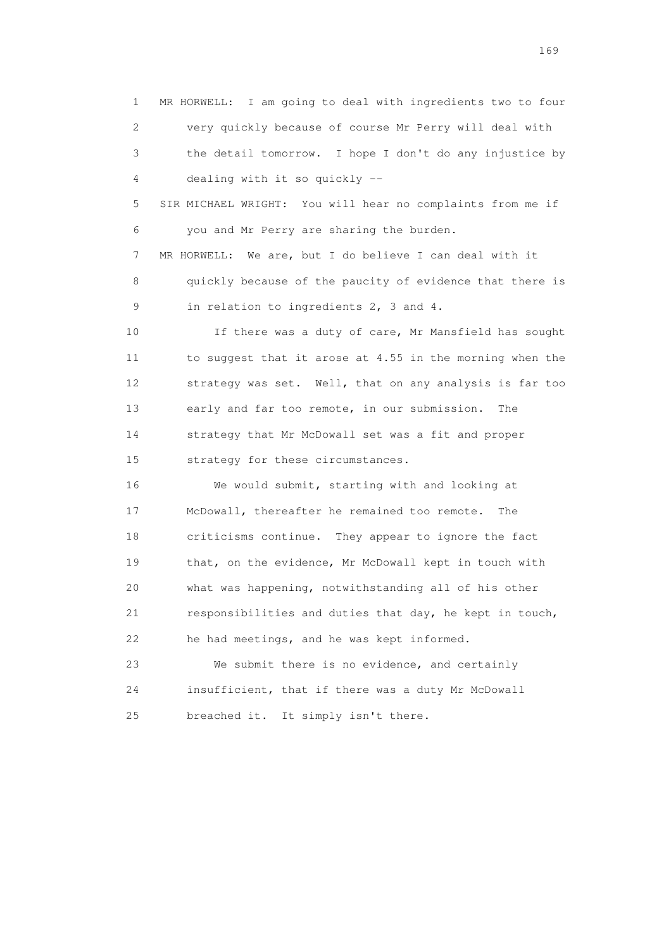1 MR HORWELL: I am going to deal with ingredients two to four 2 very quickly because of course Mr Perry will deal with 3 the detail tomorrow. I hope I don't do any injustice by 4 dealing with it so quickly -- 5 SIR MICHAEL WRIGHT: You will hear no complaints from me if 6 you and Mr Perry are sharing the burden. 7 MR HORWELL: We are, but I do believe I can deal with it 8 quickly because of the paucity of evidence that there is 9 in relation to ingredients 2, 3 and 4. 10 10 If there was a duty of care, Mr Mansfield has sought 11 to suggest that it arose at 4.55 in the morning when the 12 strategy was set. Well, that on any analysis is far too 13 early and far too remote, in our submission. The 14 strategy that Mr McDowall set was a fit and proper 15 strategy for these circumstances. 16 We would submit, starting with and looking at 17 McDowall, thereafter he remained too remote. The 18 criticisms continue. They appear to ignore the fact 19 that, on the evidence, Mr McDowall kept in touch with 20 what was happening, notwithstanding all of his other 21 responsibilities and duties that day, he kept in touch, 22 he had meetings, and he was kept informed. 23 We submit there is no evidence, and certainly 24 insufficient, that if there was a duty Mr McDowall 25 breached it. It simply isn't there.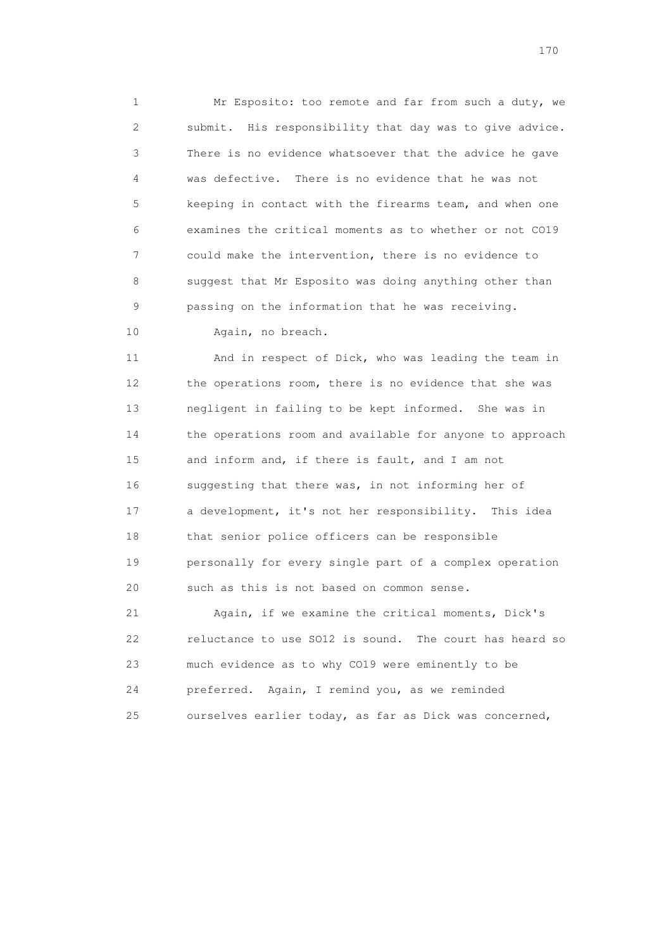1 Mr Esposito: too remote and far from such a duty, we 2 submit. His responsibility that day was to give advice. 3 There is no evidence whatsoever that the advice he gave 4 was defective. There is no evidence that he was not 5 keeping in contact with the firearms team, and when one 6 examines the critical moments as to whether or not CO19 7 could make the intervention, there is no evidence to 8 suggest that Mr Esposito was doing anything other than 9 passing on the information that he was receiving. 10 Again, no breach.

11 And in respect of Dick, who was leading the team in

 12 the operations room, there is no evidence that she was 13 negligent in failing to be kept informed. She was in 14 the operations room and available for anyone to approach 15 and inform and, if there is fault, and I am not 16 suggesting that there was, in not informing her of 17 a development, it's not her responsibility. This idea 18 that senior police officers can be responsible 19 personally for every single part of a complex operation 20 such as this is not based on common sense.

 21 Again, if we examine the critical moments, Dick's 22 reluctance to use SO12 is sound. The court has heard so 23 much evidence as to why CO19 were eminently to be 24 preferred. Again, I remind you, as we reminded 25 ourselves earlier today, as far as Dick was concerned,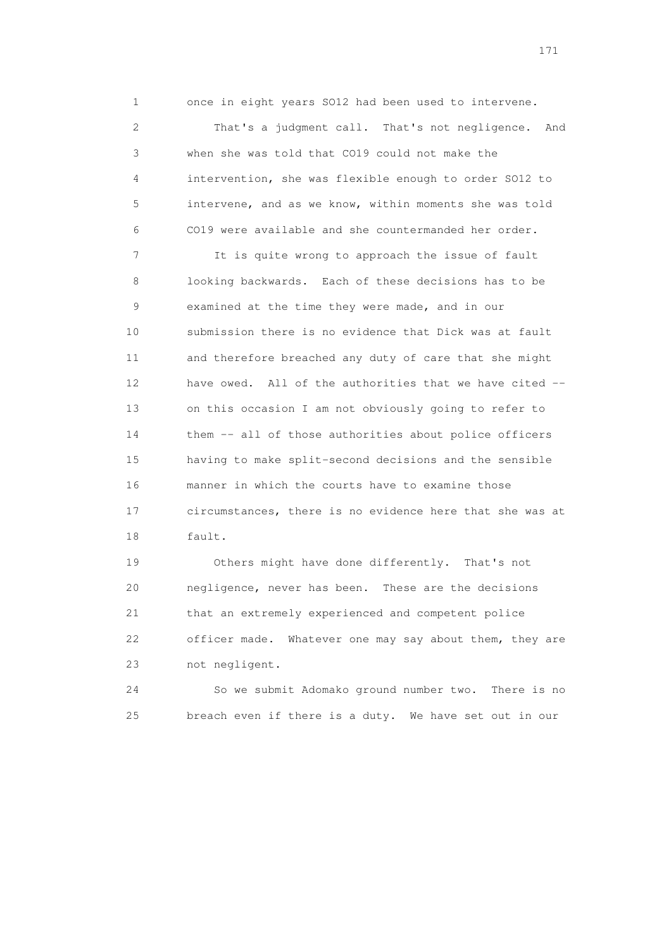1 once in eight years SO12 had been used to intervene.

 2 That's a judgment call. That's not negligence. And 3 when she was told that CO19 could not make the 4 intervention, she was flexible enough to order SO12 to 5 intervene, and as we know, within moments she was told 6 CO19 were available and she countermanded her order.

 7 It is quite wrong to approach the issue of fault 8 looking backwards. Each of these decisions has to be 9 examined at the time they were made, and in our 10 submission there is no evidence that Dick was at fault 11 and therefore breached any duty of care that she might 12 have owed. All of the authorities that we have cited -- 13 on this occasion I am not obviously going to refer to 14 them -- all of those authorities about police officers 15 having to make split-second decisions and the sensible 16 manner in which the courts have to examine those 17 circumstances, there is no evidence here that she was at 18 fault.

 19 Others might have done differently. That's not 20 negligence, never has been. These are the decisions 21 that an extremely experienced and competent police 22 officer made. Whatever one may say about them, they are 23 not negligent.

 24 So we submit Adomako ground number two. There is no 25 breach even if there is a duty. We have set out in our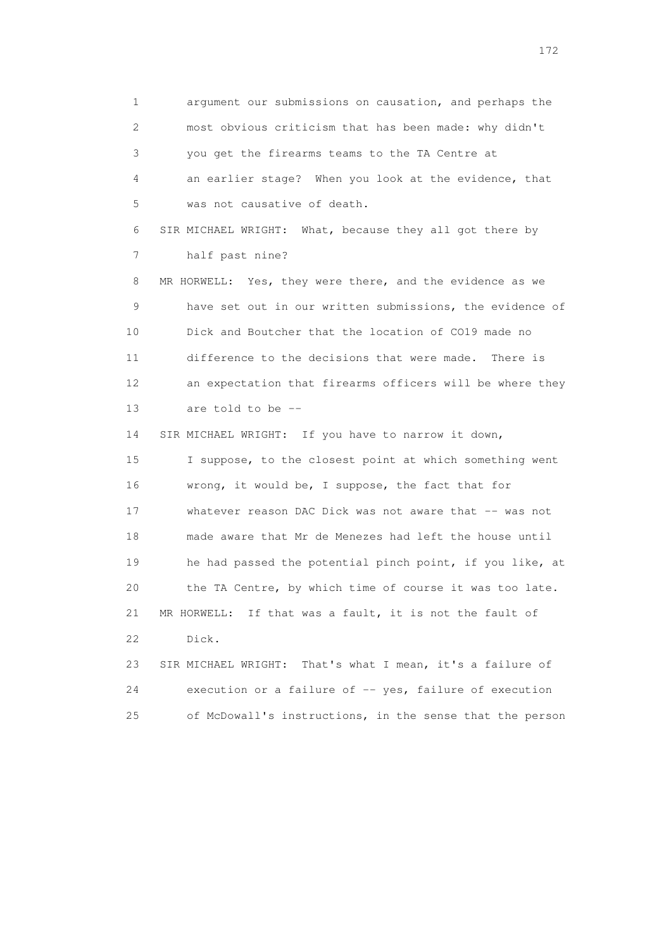1 argument our submissions on causation, and perhaps the 2 most obvious criticism that has been made: why didn't 3 you get the firearms teams to the TA Centre at 4 an earlier stage? When you look at the evidence, that 5 was not causative of death. 6 SIR MICHAEL WRIGHT: What, because they all got there by 7 half past nine? 8 MR HORWELL: Yes, they were there, and the evidence as we 9 have set out in our written submissions, the evidence of 10 Dick and Boutcher that the location of CO19 made no 11 difference to the decisions that were made. There is 12 an expectation that firearms officers will be where they 13 are told to be -- 14 SIR MICHAEL WRIGHT: If you have to narrow it down, 15 I suppose, to the closest point at which something went 16 wrong, it would be, I suppose, the fact that for 17 whatever reason DAC Dick was not aware that -- was not 18 made aware that Mr de Menezes had left the house until 19 he had passed the potential pinch point, if you like, at 20 the TA Centre, by which time of course it was too late. 21 MR HORWELL: If that was a fault, it is not the fault of 22 Dick. 23 SIR MICHAEL WRIGHT: That's what I mean, it's a failure of 24 execution or a failure of -- yes, failure of execution

25 of McDowall's instructions, in the sense that the person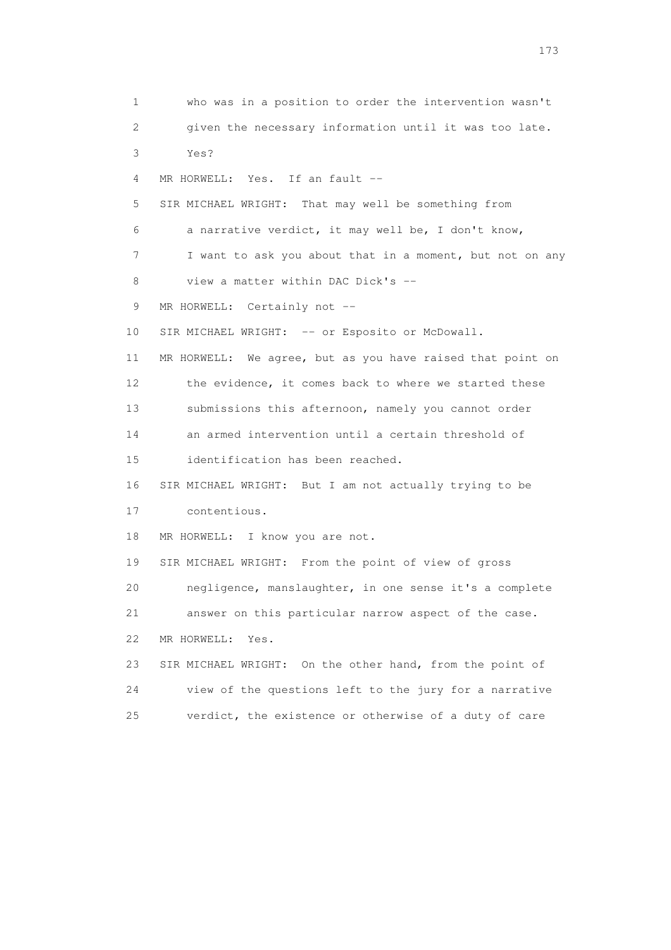1 who was in a position to order the intervention wasn't 2 given the necessary information until it was too late. 3 Yes? 4 MR HORWELL: Yes. If an fault -- 5 SIR MICHAEL WRIGHT: That may well be something from 6 a narrative verdict, it may well be, I don't know, 7 I want to ask you about that in a moment, but not on any 8 view a matter within DAC Dick's -- 9 MR HORWELL: Certainly not --10 SIR MICHAEL WRIGHT: -- or Esposito or McDowall. 11 MR HORWELL: We agree, but as you have raised that point on 12 the evidence, it comes back to where we started these 13 submissions this afternoon, namely you cannot order 14 an armed intervention until a certain threshold of 15 identification has been reached. 16 SIR MICHAEL WRIGHT: But I am not actually trying to be 17 contentious. 18 MR HORWELL: I know you are not. 19 SIR MICHAEL WRIGHT: From the point of view of gross 20 negligence, manslaughter, in one sense it's a complete 21 answer on this particular narrow aspect of the case. 22 MR HORWELL: Yes. 23 SIR MICHAEL WRIGHT: On the other hand, from the point of 24 view of the questions left to the jury for a narrative 25 verdict, the existence or otherwise of a duty of care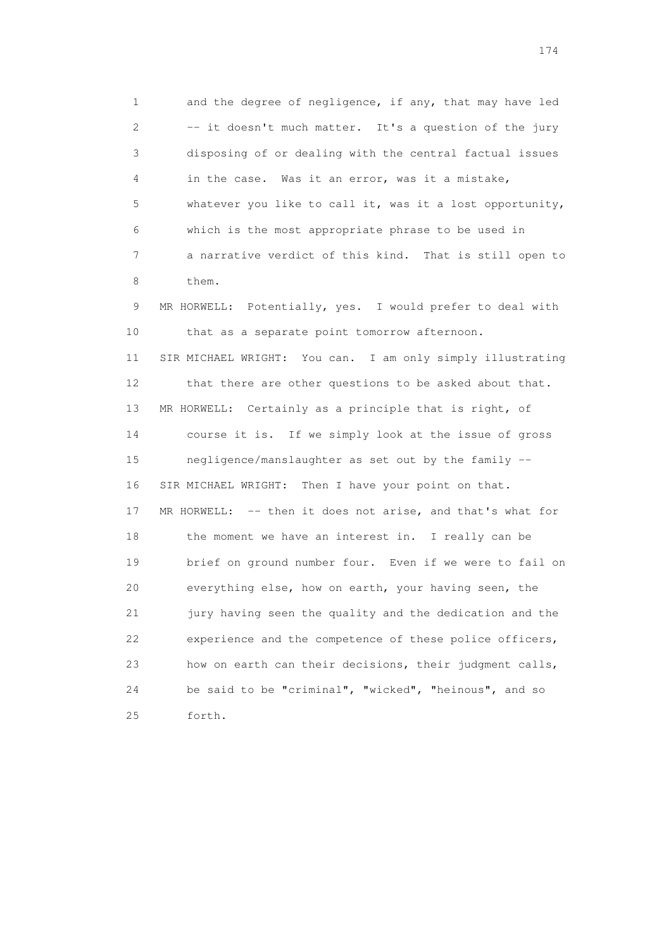1 and the degree of negligence, if any, that may have led 2 -- it doesn't much matter. It's a question of the jury 3 disposing of or dealing with the central factual issues 4 in the case. Was it an error, was it a mistake, 5 whatever you like to call it, was it a lost opportunity, 6 which is the most appropriate phrase to be used in 7 a narrative verdict of this kind. That is still open to 8 them. 9 MR HORWELL: Potentially, yes. I would prefer to deal with 10 that as a separate point tomorrow afternoon. 11 SIR MICHAEL WRIGHT: You can. I am only simply illustrating 12 that there are other questions to be asked about that. 13 MR HORWELL: Certainly as a principle that is right, of 14 course it is. If we simply look at the issue of gross 15 negligence/manslaughter as set out by the family -- 16 SIR MICHAEL WRIGHT: Then I have your point on that. 17 MR HORWELL: -- then it does not arise, and that's what for 18 the moment we have an interest in. I really can be 19 brief on ground number four. Even if we were to fail on 20 everything else, how on earth, your having seen, the 21 jury having seen the quality and the dedication and the 22 experience and the competence of these police officers, 23 how on earth can their decisions, their judgment calls, 24 be said to be "criminal", "wicked", "heinous", and so 25 forth.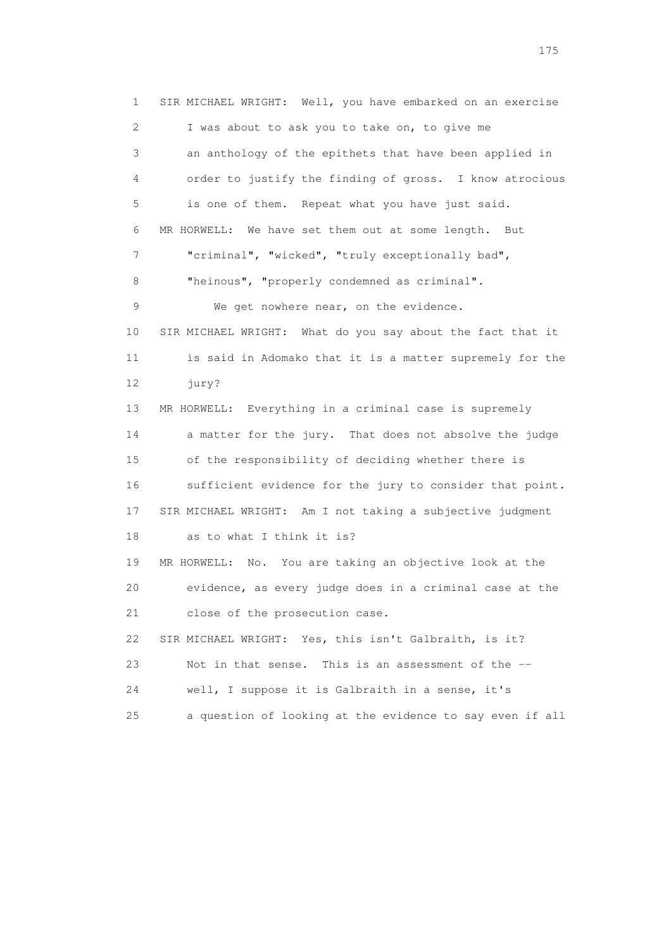1 SIR MICHAEL WRIGHT: Well, you have embarked on an exercise 2 I was about to ask you to take on, to give me 3 an anthology of the epithets that have been applied in 4 order to justify the finding of gross. I know atrocious 5 is one of them. Repeat what you have just said. 6 MR HORWELL: We have set them out at some length. But 7 "criminal", "wicked", "truly exceptionally bad", 8 "heinous", "properly condemned as criminal". 9 We get nowhere near, on the evidence. 10 SIR MICHAEL WRIGHT: What do you say about the fact that it 11 is said in Adomako that it is a matter supremely for the 12 jury? 13 MR HORWELL: Everything in a criminal case is supremely 14 a matter for the jury. That does not absolve the judge 15 of the responsibility of deciding whether there is 16 sufficient evidence for the jury to consider that point. 17 SIR MICHAEL WRIGHT: Am I not taking a subjective judgment 18 as to what I think it is? 19 MR HORWELL: No. You are taking an objective look at the 20 evidence, as every judge does in a criminal case at the 21 close of the prosecution case. 22 SIR MICHAEL WRIGHT: Yes, this isn't Galbraith, is it? 23 Not in that sense. This is an assessment of the -- 24 well, I suppose it is Galbraith in a sense, it's 25 a question of looking at the evidence to say even if all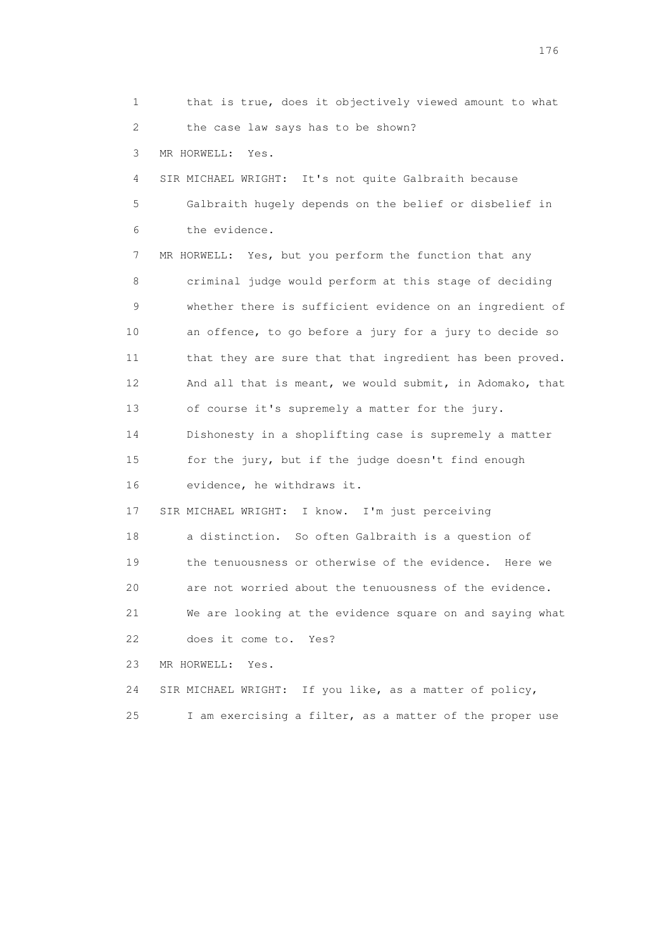1 that is true, does it objectively viewed amount to what 2 the case law says has to be shown? 3 MR HORWELL: Yes. 4 SIR MICHAEL WRIGHT: It's not quite Galbraith because 5 Galbraith hugely depends on the belief or disbelief in 6 the evidence. 7 MR HORWELL: Yes, but you perform the function that any 8 criminal judge would perform at this stage of deciding 9 whether there is sufficient evidence on an ingredient of 10 an offence, to go before a jury for a jury to decide so 11 that they are sure that that ingredient has been proved. 12 And all that is meant, we would submit, in Adomako, that 13 of course it's supremely a matter for the jury. 14 Dishonesty in a shoplifting case is supremely a matter 15 for the jury, but if the judge doesn't find enough 16 evidence, he withdraws it. 17 SIR MICHAEL WRIGHT: I know. I'm just perceiving 18 a distinction. So often Galbraith is a question of 19 the tenuousness or otherwise of the evidence. Here we 20 are not worried about the tenuousness of the evidence. 21 We are looking at the evidence square on and saying what 22 does it come to. Yes? 23 MR HORWELL: Yes. 24 SIR MICHAEL WRIGHT: If you like, as a matter of policy,

25 I am exercising a filter, as a matter of the proper use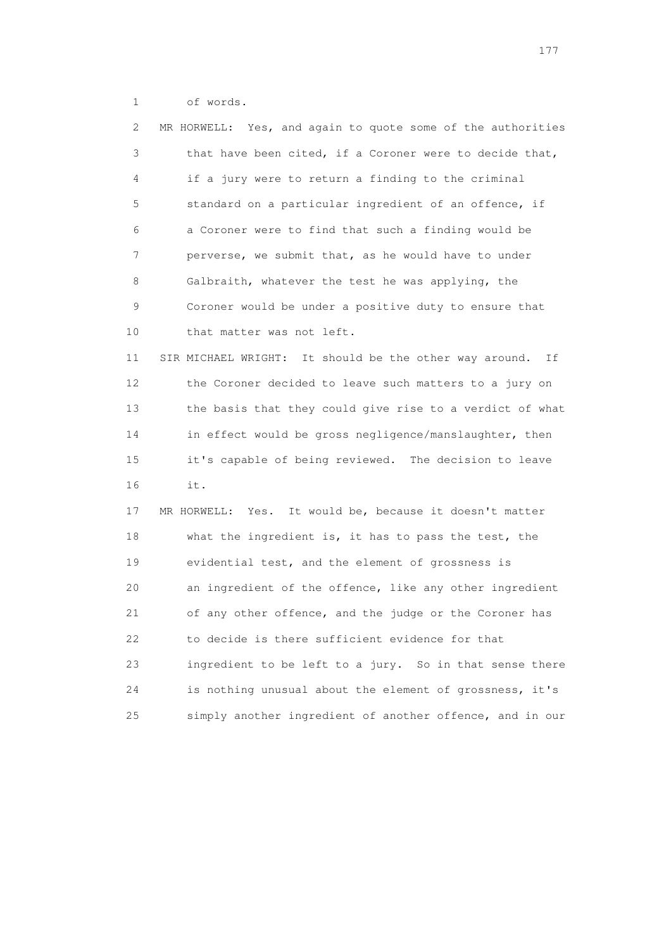1 of words.

| 2  | MR HORWELL: Yes, and again to quote some of the authorities  |
|----|--------------------------------------------------------------|
| 3  | that have been cited, if a Coroner were to decide that,      |
| 4  | if a jury were to return a finding to the criminal           |
| 5  | standard on a particular ingredient of an offence, if        |
| 6  | a Coroner were to find that such a finding would be          |
| 7  | perverse, we submit that, as he would have to under          |
| 8  | Galbraith, whatever the test he was applying, the            |
| 9  | Coroner would be under a positive duty to ensure that        |
| 10 | that matter was not left.                                    |
| 11 | SIR MICHAEL WRIGHT: It should be the other way around.<br>Ιf |
| 12 | the Coroner decided to leave such matters to a jury on       |
| 13 | the basis that they could give rise to a verdict of what     |
| 14 | in effect would be gross negligence/manslaughter, then       |
| 15 | it's capable of being reviewed. The decision to leave        |
| 16 | it.                                                          |
| 17 | MR HORWELL:<br>Yes. It would be, because it doesn't matter   |
| 18 | what the ingredient is, it has to pass the test, the         |
| 19 | evidential test, and the element of grossness is             |
| 20 | an ingredient of the offence, like any other ingredient      |
| 21 | of any other offence, and the judge or the Coroner has       |
| 22 | to decide is there sufficient evidence for that              |
| 23 | ingredient to be left to a jury. So in that sense there      |
| 24 | is nothing unusual about the element of grossness, it's      |
| 25 | simply another ingredient of another offence, and in our     |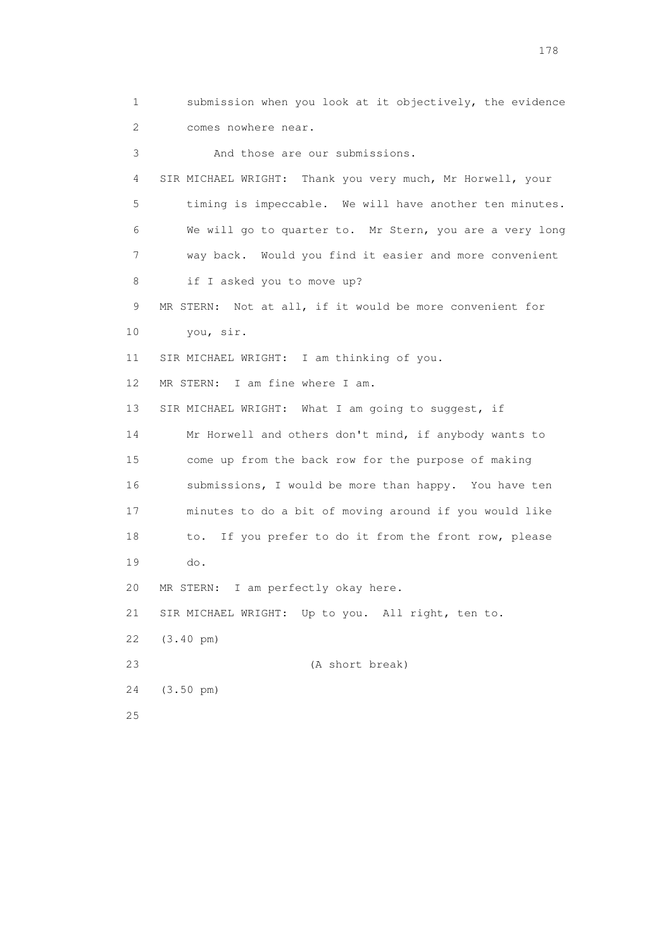1 submission when you look at it objectively, the evidence 2 comes nowhere near. 3 And those are our submissions. 4 SIR MICHAEL WRIGHT: Thank you very much, Mr Horwell, your 5 timing is impeccable. We will have another ten minutes. 6 We will go to quarter to. Mr Stern, you are a very long 7 way back. Would you find it easier and more convenient 8 if I asked you to move up? 9 MR STERN: Not at all, if it would be more convenient for 10 you, sir. 11 SIR MICHAEL WRIGHT: I am thinking of you. 12 MR STERN: I am fine where I am. 13 SIR MICHAEL WRIGHT: What I am going to suggest, if 14 Mr Horwell and others don't mind, if anybody wants to 15 come up from the back row for the purpose of making 16 submissions, I would be more than happy. You have ten 17 minutes to do a bit of moving around if you would like 18 to. If you prefer to do it from the front row, please 19 do. 20 MR STERN: I am perfectly okay here. 21 SIR MICHAEL WRIGHT: Up to you. All right, ten to. 22 (3.40 pm) 23 (A short break) 24 (3.50 pm) 25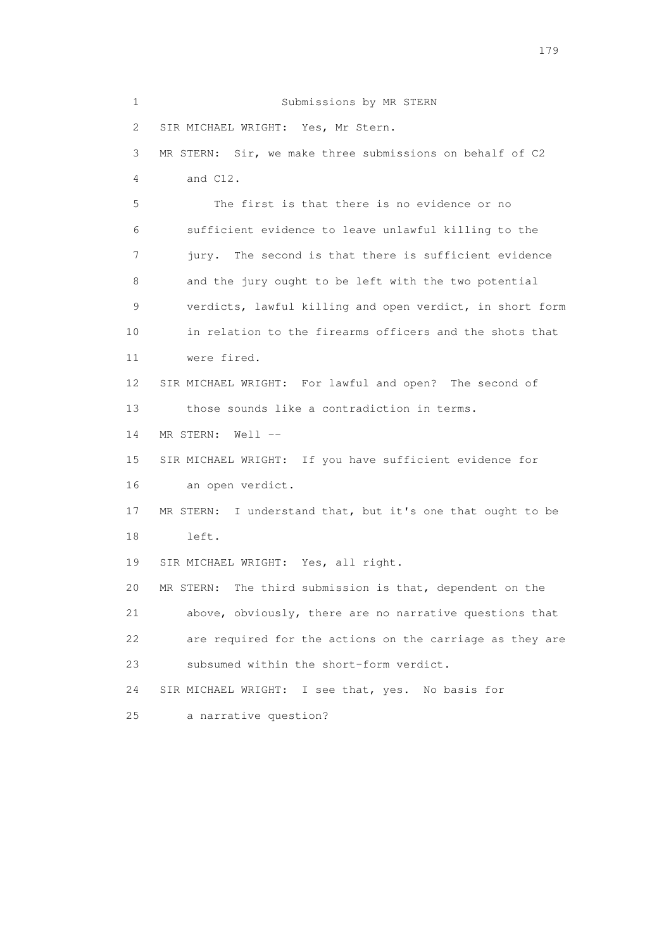1 Submissions by MR STERN 2 SIR MICHAEL WRIGHT: Yes, Mr Stern. 3 MR STERN: Sir, we make three submissions on behalf of C2 4 and C12. 5 The first is that there is no evidence or no 6 sufficient evidence to leave unlawful killing to the 7 jury. The second is that there is sufficient evidence 8 and the jury ought to be left with the two potential 9 verdicts, lawful killing and open verdict, in short form 10 in relation to the firearms officers and the shots that 11 were fired. 12 SIR MICHAEL WRIGHT: For lawful and open? The second of 13 those sounds like a contradiction in terms. 14 MR STERN: Well -- 15 SIR MICHAEL WRIGHT: If you have sufficient evidence for 16 an open verdict. 17 MR STERN: I understand that, but it's one that ought to be 18 left. 19 SIR MICHAEL WRIGHT: Yes, all right. 20 MR STERN: The third submission is that, dependent on the 21 above, obviously, there are no narrative questions that 22 are required for the actions on the carriage as they are 23 subsumed within the short-form verdict. 24 SIR MICHAEL WRIGHT: I see that, yes. No basis for 25 a narrative question?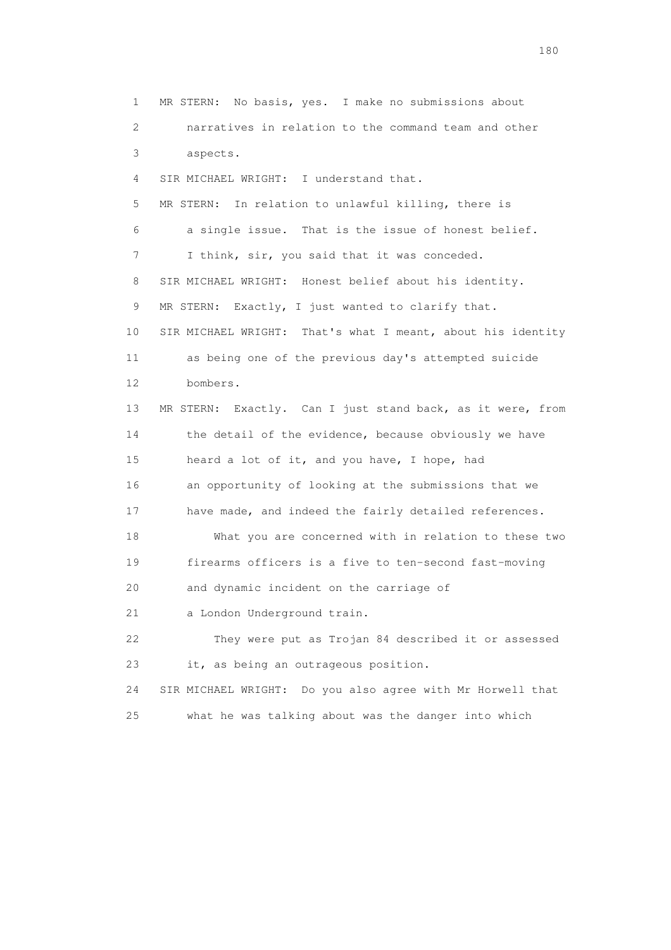1 MR STERN: No basis, yes. I make no submissions about 2 narratives in relation to the command team and other 3 aspects. 4 SIR MICHAEL WRIGHT: I understand that. 5 MR STERN: In relation to unlawful killing, there is 6 a single issue. That is the issue of honest belief. 7 I think, sir, you said that it was conceded. 8 SIR MICHAEL WRIGHT: Honest belief about his identity. 9 MR STERN: Exactly, I just wanted to clarify that. 10 SIR MICHAEL WRIGHT: That's what I meant, about his identity 11 as being one of the previous day's attempted suicide 12 bombers. 13 MR STERN: Exactly. Can I just stand back, as it were, from 14 the detail of the evidence, because obviously we have 15 heard a lot of it, and you have, I hope, had 16 an opportunity of looking at the submissions that we 17 have made, and indeed the fairly detailed references. 18 What you are concerned with in relation to these two 19 firearms officers is a five to ten-second fast-moving 20 and dynamic incident on the carriage of 21 a London Underground train. 22 They were put as Trojan 84 described it or assessed 23 it, as being an outrageous position. 24 SIR MICHAEL WRIGHT: Do you also agree with Mr Horwell that 25 what he was talking about was the danger into which

180 and 180 and 180 and 180 and 180 and 180 and 180 and 180 and 180 and 180 and 180 and 180 and 180 and 180 and 180 and 180 and 180 and 180 and 180 and 180 and 180 and 180 and 180 and 180 and 180 and 180 and 180 and 180 an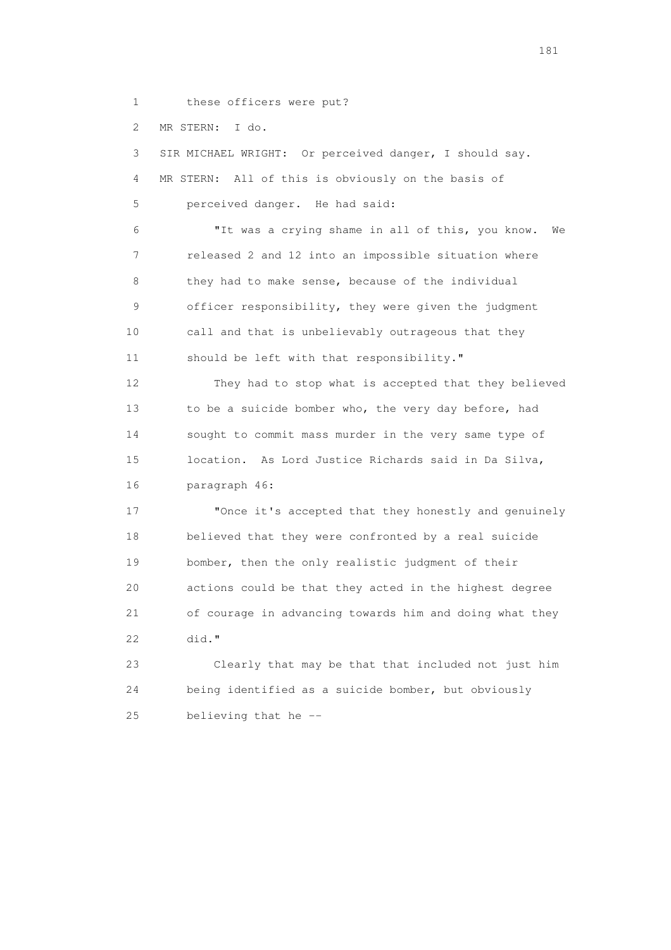1 these officers were put?

2 MR STERN: I do.

 3 SIR MICHAEL WRIGHT: Or perceived danger, I should say. 4 MR STERN: All of this is obviously on the basis of 5 perceived danger. He had said: 6 "It was a crying shame in all of this, you know. We 7 released 2 and 12 into an impossible situation where 8 they had to make sense, because of the individual 9 officer responsibility, they were given the judgment 10 call and that is unbelievably outrageous that they 11 should be left with that responsibility." 12 They had to stop what is accepted that they believed 13 to be a suicide bomber who, the very day before, had 14 sought to commit mass murder in the very same type of 15 location. As Lord Justice Richards said in Da Silva, 16 paragraph 46: 17 "Once it's accepted that they honestly and genuinely 18 believed that they were confronted by a real suicide 19 bomber, then the only realistic judgment of their

 20 actions could be that they acted in the highest degree 21 of courage in advancing towards him and doing what they 22 did."

 23 Clearly that may be that that included not just him 24 being identified as a suicide bomber, but obviously 25 believing that he --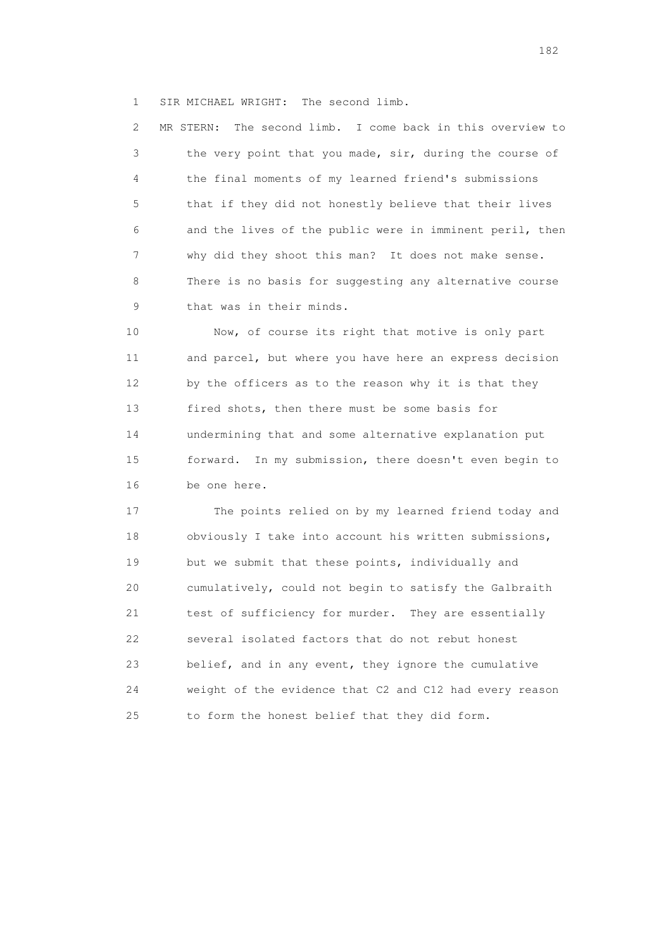1 SIR MICHAEL WRIGHT: The second limb.

 2 MR STERN: The second limb. I come back in this overview to 3 the very point that you made, sir, during the course of 4 the final moments of my learned friend's submissions 5 that if they did not honestly believe that their lives 6 and the lives of the public were in imminent peril, then 7 why did they shoot this man? It does not make sense. 8 There is no basis for suggesting any alternative course 9 that was in their minds.

 10 Now, of course its right that motive is only part 11 and parcel, but where you have here an express decision 12 by the officers as to the reason why it is that they 13 fired shots, then there must be some basis for 14 undermining that and some alternative explanation put 15 forward. In my submission, there doesn't even begin to 16 be one here.

 17 The points relied on by my learned friend today and 18 obviously I take into account his written submissions, 19 but we submit that these points, individually and 20 cumulatively, could not begin to satisfy the Galbraith 21 test of sufficiency for murder. They are essentially 22 several isolated factors that do not rebut honest 23 belief, and in any event, they ignore the cumulative 24 weight of the evidence that C2 and C12 had every reason 25 to form the honest belief that they did form.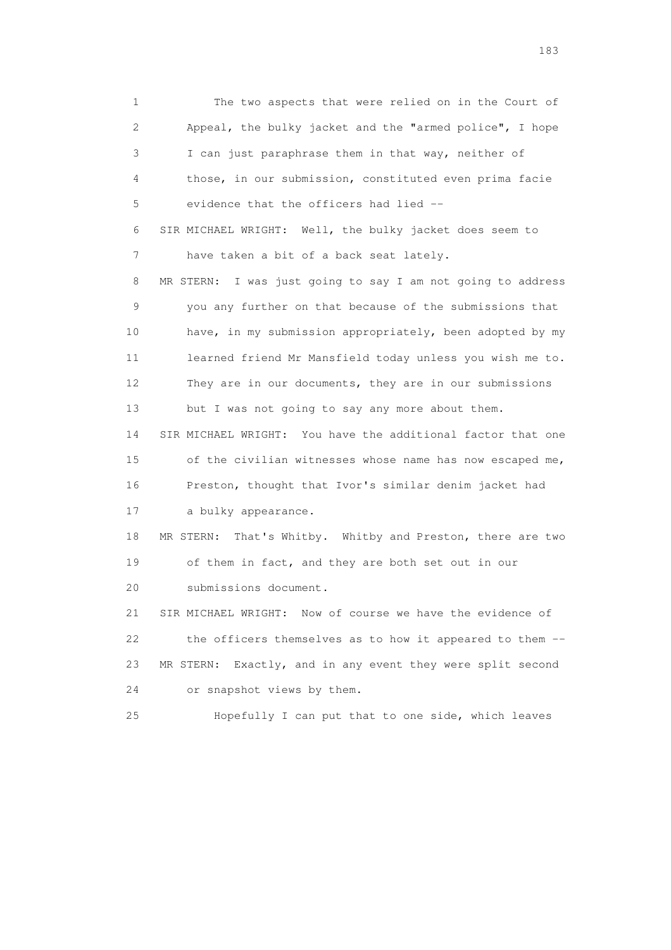1 The two aspects that were relied on in the Court of 2 Appeal, the bulky jacket and the "armed police", I hope 3 I can just paraphrase them in that way, neither of 4 those, in our submission, constituted even prima facie 5 evidence that the officers had lied -- 6 SIR MICHAEL WRIGHT: Well, the bulky jacket does seem to 7 have taken a bit of a back seat lately. 8 MR STERN: I was just going to say I am not going to address 9 you any further on that because of the submissions that 10 have, in my submission appropriately, been adopted by my 11 learned friend Mr Mansfield today unless you wish me to. 12 They are in our documents, they are in our submissions 13 but I was not going to say any more about them. 14 SIR MICHAEL WRIGHT: You have the additional factor that one 15 of the civilian witnesses whose name has now escaped me, 16 Preston, thought that Ivor's similar denim jacket had 17 a bulky appearance. 18 MR STERN: That's Whitby. Whitby and Preston, there are two 19 of them in fact, and they are both set out in our 20 submissions document. 21 SIR MICHAEL WRIGHT: Now of course we have the evidence of 22 the officers themselves as to how it appeared to them -- 23 MR STERN: Exactly, and in any event they were split second 24 or snapshot views by them. 25 Hopefully I can put that to one side, which leaves

183 and the contract of the contract of the contract of the contract of the contract of the contract of the contract of the contract of the contract of the contract of the contract of the contract of the contract of the co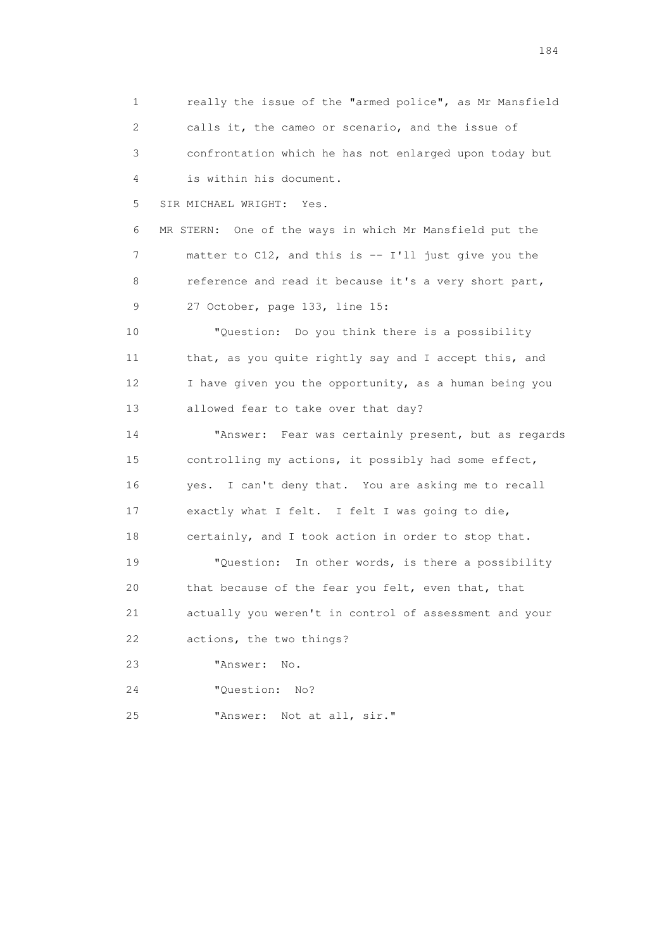1 really the issue of the "armed police", as Mr Mansfield 2 calls it, the cameo or scenario, and the issue of 3 confrontation which he has not enlarged upon today but 4 is within his document. 5 SIR MICHAEL WRIGHT: Yes. 6 MR STERN: One of the ways in which Mr Mansfield put the 7 matter to C12, and this is -- I'll just give you the 8 reference and read it because it's a very short part, 9 27 October, page 133, line 15: 10 "Question: Do you think there is a possibility 11 that, as you quite rightly say and I accept this, and 12 I have given you the opportunity, as a human being you 13 allowed fear to take over that day? 14 "Answer: Fear was certainly present, but as regards 15 controlling my actions, it possibly had some effect, 16 yes. I can't deny that. You are asking me to recall 17 exactly what I felt. I felt I was going to die, 18 certainly, and I took action in order to stop that. 19 "Question: In other words, is there a possibility 20 that because of the fear you felt, even that, that 21 actually you weren't in control of assessment and your 22 actions, the two things? 23 "Answer: No. 24 "Question: No? 25 "Answer: Not at all, sir."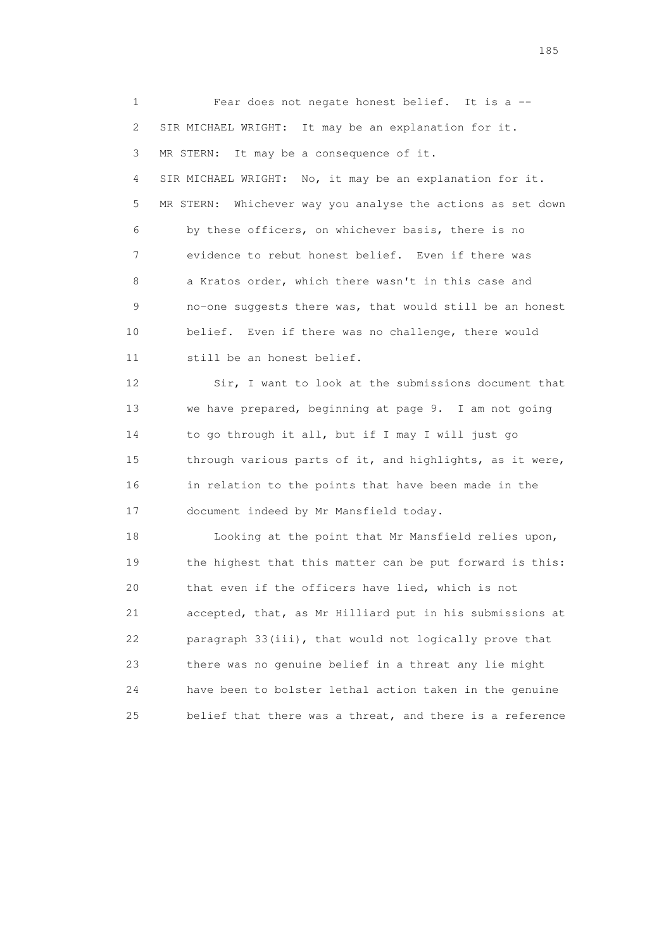1 Fear does not negate honest belief. It is a -- 2 SIR MICHAEL WRIGHT: It may be an explanation for it. 3 MR STERN: It may be a consequence of it. 4 SIR MICHAEL WRIGHT: No, it may be an explanation for it. 5 MR STERN: Whichever way you analyse the actions as set down 6 by these officers, on whichever basis, there is no 7 evidence to rebut honest belief. Even if there was 8 a Kratos order, which there wasn't in this case and 9 no-one suggests there was, that would still be an honest 10 belief. Even if there was no challenge, there would 11 still be an honest belief. 12 Sir, I want to look at the submissions document that 13 we have prepared, beginning at page 9. I am not going 14 to go through it all, but if I may I will just go 15 through various parts of it, and highlights, as it were, 16 in relation to the points that have been made in the 17 document indeed by Mr Mansfield today. 18 Looking at the point that Mr Mansfield relies upon, 19 the highest that this matter can be put forward is this: 20 that even if the officers have lied, which is not 21 accepted, that, as Mr Hilliard put in his submissions at 22 paragraph 33(iii), that would not logically prove that 23 there was no genuine belief in a threat any lie might 24 have been to bolster lethal action taken in the genuine 25 belief that there was a threat, and there is a reference

<u>185</u>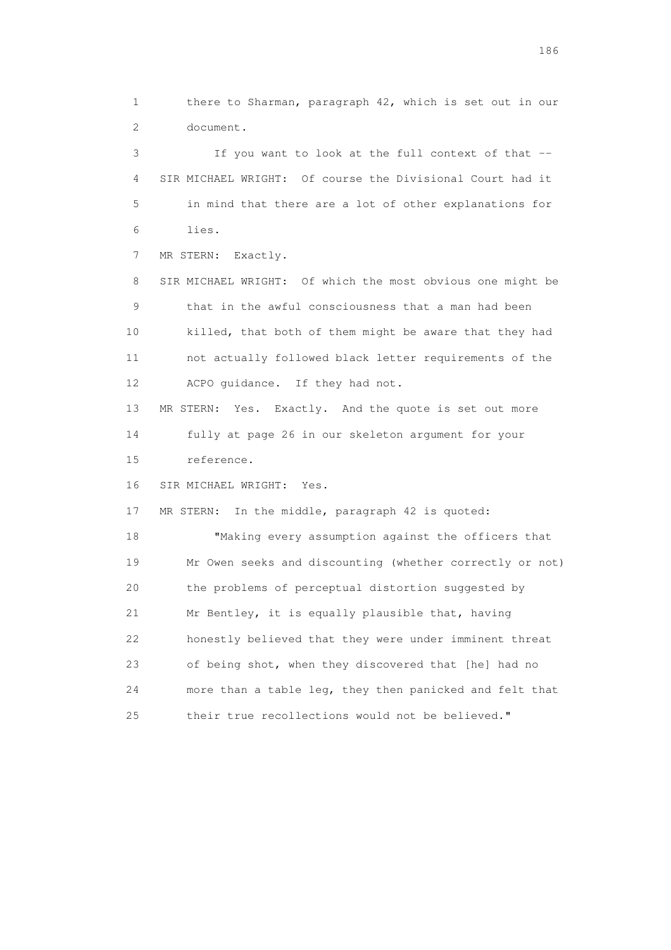1 there to Sharman, paragraph 42, which is set out in our 2 document.

 3 If you want to look at the full context of that -- 4 SIR MICHAEL WRIGHT: Of course the Divisional Court had it 5 in mind that there are a lot of other explanations for 6 lies.

7 MR STERN: Exactly.

 8 SIR MICHAEL WRIGHT: Of which the most obvious one might be 9 that in the awful consciousness that a man had been 10 killed, that both of them might be aware that they had 11 not actually followed black letter requirements of the 12 ACPO guidance. If they had not.

 13 MR STERN: Yes. Exactly. And the quote is set out more 14 fully at page 26 in our skeleton argument for your 15 reference.

16 SIR MICHAEL WRIGHT: Yes.

17 MR STERN: In the middle, paragraph 42 is quoted:

 18 "Making every assumption against the officers that 19 Mr Owen seeks and discounting (whether correctly or not) 20 the problems of perceptual distortion suggested by 21 Mr Bentley, it is equally plausible that, having 22 honestly believed that they were under imminent threat 23 of being shot, when they discovered that [he] had no 24 more than a table leg, they then panicked and felt that 25 their true recollections would not be believed."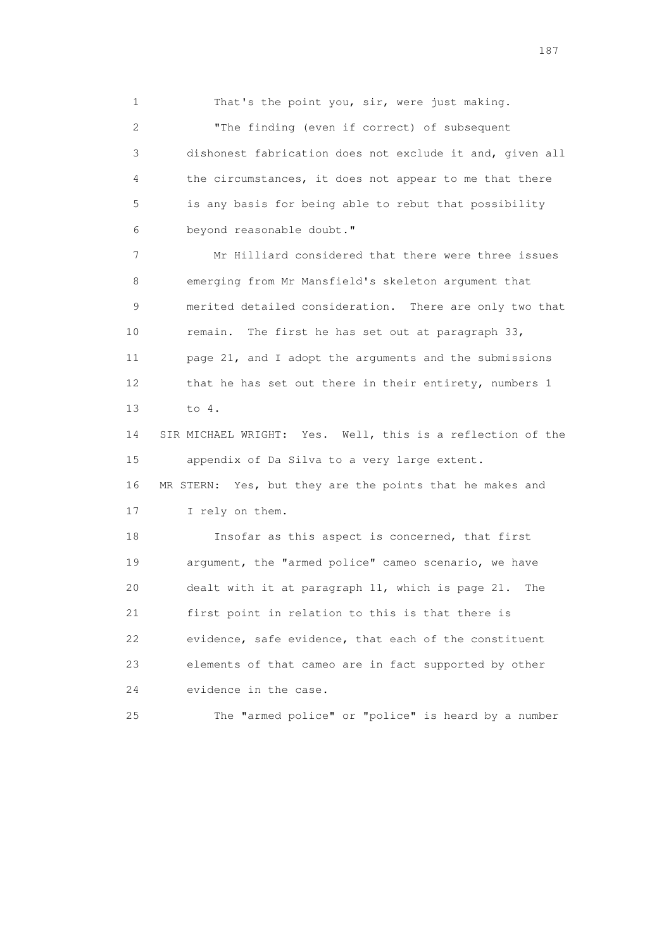1 That's the point you, sir, were just making.

 2 "The finding (even if correct) of subsequent 3 dishonest fabrication does not exclude it and, given all 4 the circumstances, it does not appear to me that there 5 is any basis for being able to rebut that possibility 6 beyond reasonable doubt."

 7 Mr Hilliard considered that there were three issues 8 emerging from Mr Mansfield's skeleton argument that 9 merited detailed consideration. There are only two that 10 remain. The first he has set out at paragraph 33, 11 page 21, and I adopt the arguments and the submissions 12 that he has set out there in their entirety, numbers 1 13 to 4.

 14 SIR MICHAEL WRIGHT: Yes. Well, this is a reflection of the 15 appendix of Da Silva to a very large extent. 16 MR STERN: Yes, but they are the points that he makes and

17 I rely on them.

 18 Insofar as this aspect is concerned, that first 19 argument, the "armed police" cameo scenario, we have 20 dealt with it at paragraph 11, which is page 21. The 21 first point in relation to this is that there is 22 evidence, safe evidence, that each of the constituent 23 elements of that cameo are in fact supported by other 24 evidence in the case.

25 The "armed police" or "police" is heard by a number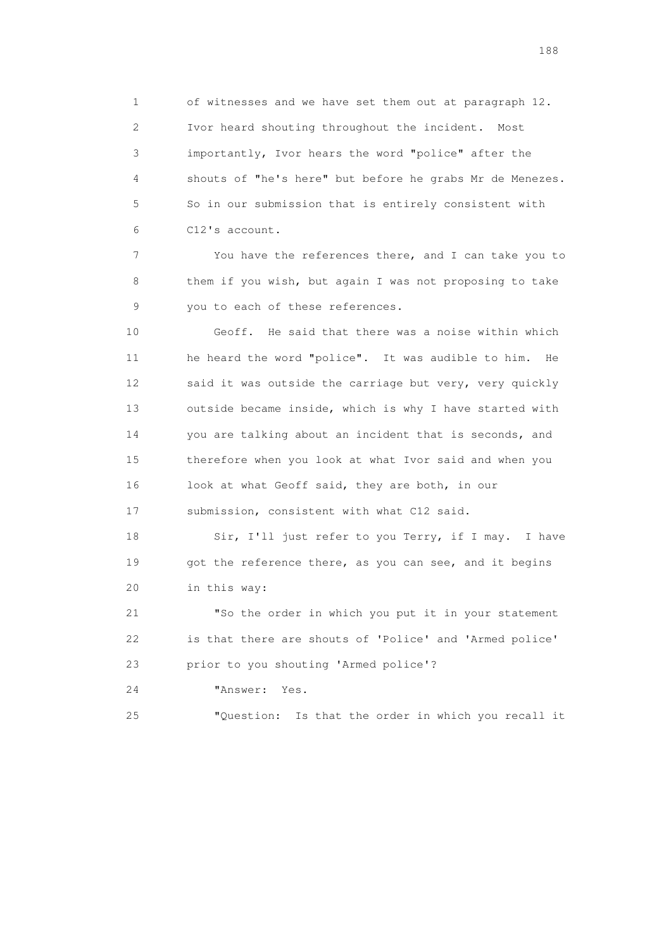1 of witnesses and we have set them out at paragraph 12. 2 Ivor heard shouting throughout the incident. Most 3 importantly, Ivor hears the word "police" after the 4 shouts of "he's here" but before he grabs Mr de Menezes. 5 So in our submission that is entirely consistent with 6 C12's account.

 7 You have the references there, and I can take you to 8 them if you wish, but again I was not proposing to take 9 you to each of these references.

 10 Geoff. He said that there was a noise within which 11 he heard the word "police". It was audible to him. He 12 said it was outside the carriage but very, very quickly 13 outside became inside, which is why I have started with 14 you are talking about an incident that is seconds, and 15 therefore when you look at what Ivor said and when you 16 look at what Geoff said, they are both, in our 17 submission, consistent with what C12 said.

18 Sir, I'll just refer to you Terry, if I may. I have 19 got the reference there, as you can see, and it begins 20 in this way:

 21 "So the order in which you put it in your statement 22 is that there are shouts of 'Police' and 'Armed police' 23 prior to you shouting 'Armed police'?

24 "Answer: Yes.

25 "Question: Is that the order in which you recall it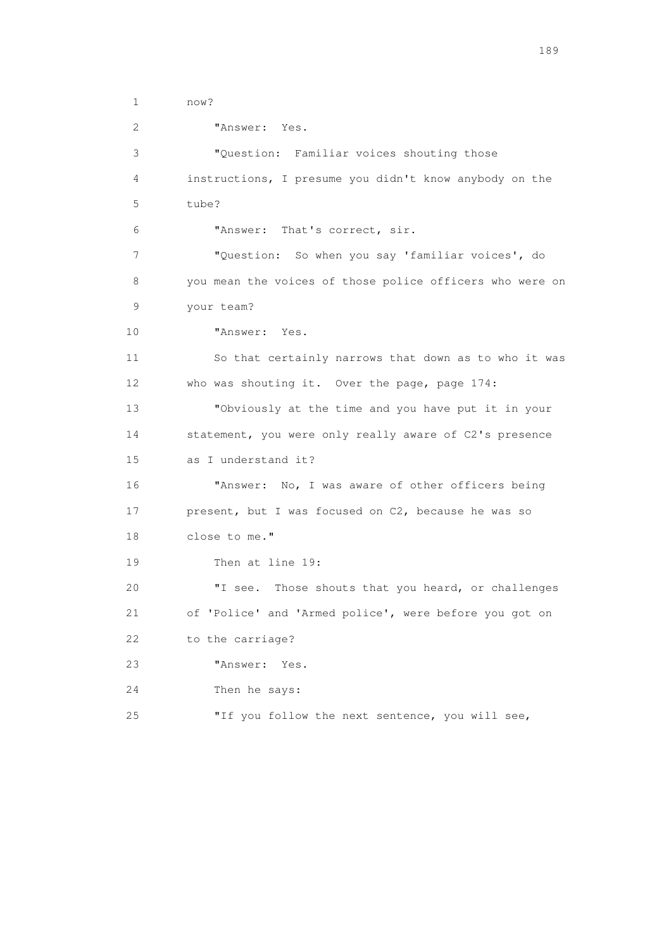1 now? 2 "Answer: Yes. 3 "Question: Familiar voices shouting those 4 instructions, I presume you didn't know anybody on the 5 tube? 6 "Answer: That's correct, sir. 7 "Question: So when you say 'familiar voices', do 8 you mean the voices of those police officers who were on 9 your team? 10 "Answer: Yes. 11 So that certainly narrows that down as to who it was 12 who was shouting it. Over the page, page 174: 13 "Obviously at the time and you have put it in your 14 statement, you were only really aware of C2's presence 15 as I understand it? 16 "Answer: No, I was aware of other officers being 17 present, but I was focused on C2, because he was so 18 close to me." 19 Then at line 19: 20 "I see. Those shouts that you heard, or challenges 21 of 'Police' and 'Armed police', were before you got on 22 to the carriage? 23 "Answer: Yes. 24 Then he says: 25 "If you follow the next sentence, you will see,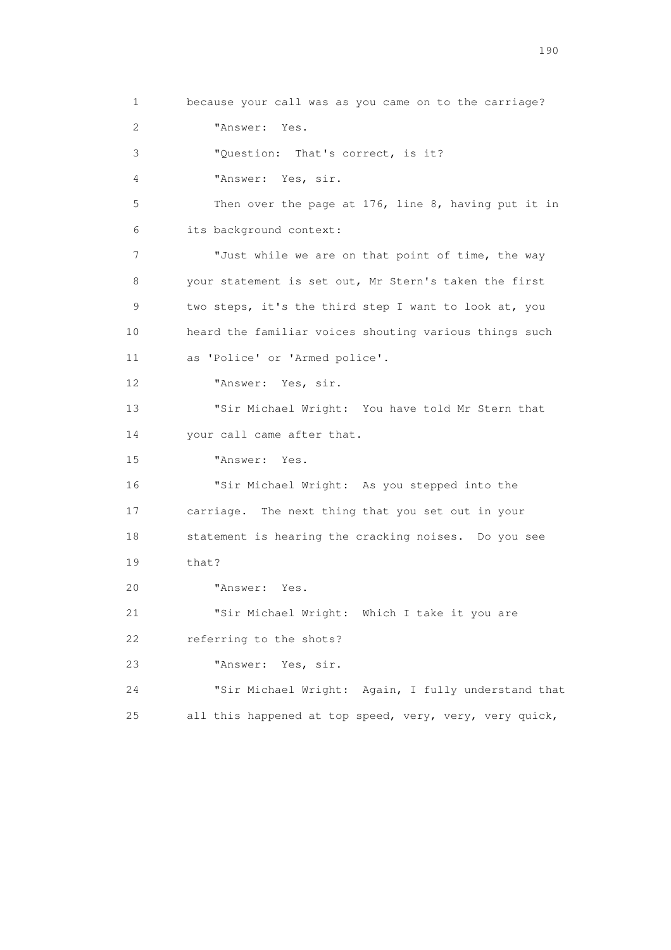1 because your call was as you came on to the carriage? 2 "Answer: Yes. 3 "Question: That's correct, is it? 4 "Answer: Yes, sir. 5 Then over the page at 176, line 8, having put it in 6 its background context: 7 "Just while we are on that point of time, the way 8 your statement is set out, Mr Stern's taken the first 9 two steps, it's the third step I want to look at, you 10 heard the familiar voices shouting various things such 11 as 'Police' or 'Armed police'. 12 "Answer: Yes, sir. 13 "Sir Michael Wright: You have told Mr Stern that 14 your call came after that. 15 "Answer: Yes. 16 "Sir Michael Wright: As you stepped into the 17 carriage. The next thing that you set out in your 18 statement is hearing the cracking noises. Do you see 19 that? 20 "Answer: Yes. 21 "Sir Michael Wright: Which I take it you are 22 referring to the shots? 23 "Answer: Yes, sir. 24 "Sir Michael Wright: Again, I fully understand that 25 all this happened at top speed, very, very, very quick,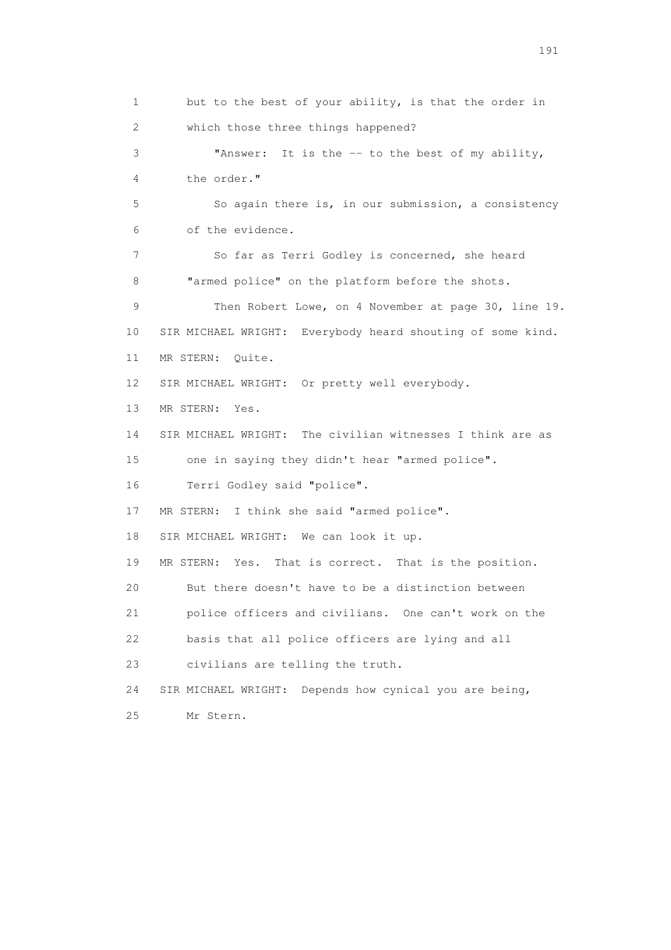1 but to the best of your ability, is that the order in 2 which those three things happened? 3 "Answer: It is the -- to the best of my ability, 4 the order." 5 So again there is, in our submission, a consistency 6 of the evidence. 7 So far as Terri Godley is concerned, she heard 8 "armed police" on the platform before the shots. 9 Then Robert Lowe, on 4 November at page 30, line 19. 10 SIR MICHAEL WRIGHT: Everybody heard shouting of some kind. 11 MR STERN: Quite. 12 SIR MICHAEL WRIGHT: Or pretty well everybody. 13 MR STERN: Yes. 14 SIR MICHAEL WRIGHT: The civilian witnesses I think are as 15 one in saying they didn't hear "armed police". 16 Terri Godley said "police". 17 MR STERN: I think she said "armed police". 18 SIR MICHAEL WRIGHT: We can look it up. 19 MR STERN: Yes. That is correct. That is the position. 20 But there doesn't have to be a distinction between 21 police officers and civilians. One can't work on the 22 basis that all police officers are lying and all 23 civilians are telling the truth. 24 SIR MICHAEL WRIGHT: Depends how cynical you are being, 25 Mr Stern.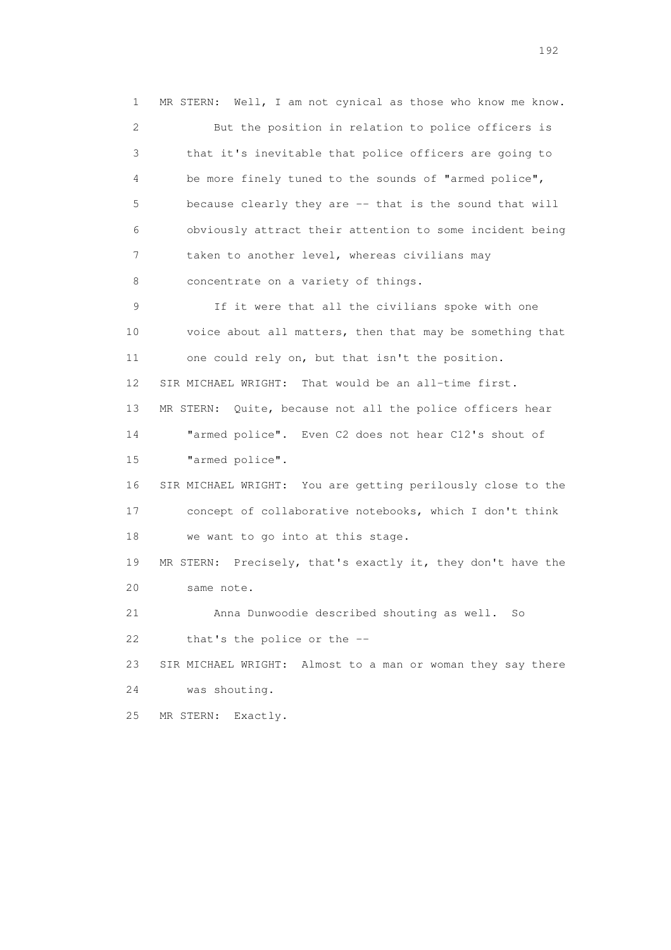1 MR STERN: Well, I am not cynical as those who know me know. 2 But the position in relation to police officers is 3 that it's inevitable that police officers are going to 4 be more finely tuned to the sounds of "armed police", 5 because clearly they are -- that is the sound that will 6 obviously attract their attention to some incident being 7 taken to another level, whereas civilians may 8 concentrate on a variety of things. 9 If it were that all the civilians spoke with one 10 voice about all matters, then that may be something that 11 one could rely on, but that isn't the position. 12 SIR MICHAEL WRIGHT: That would be an all-time first. 13 MR STERN: Quite, because not all the police officers hear 14 "armed police". Even C2 does not hear C12's shout of 15 "armed police". 16 SIR MICHAEL WRIGHT: You are getting perilously close to the 17 concept of collaborative notebooks, which I don't think 18 we want to go into at this stage. 19 MR STERN: Precisely, that's exactly it, they don't have the 20 same note. 21 Anna Dunwoodie described shouting as well. So 22 that's the police or the -- 23 SIR MICHAEL WRIGHT: Almost to a man or woman they say there 24 was shouting. 25 MR STERN: Exactly.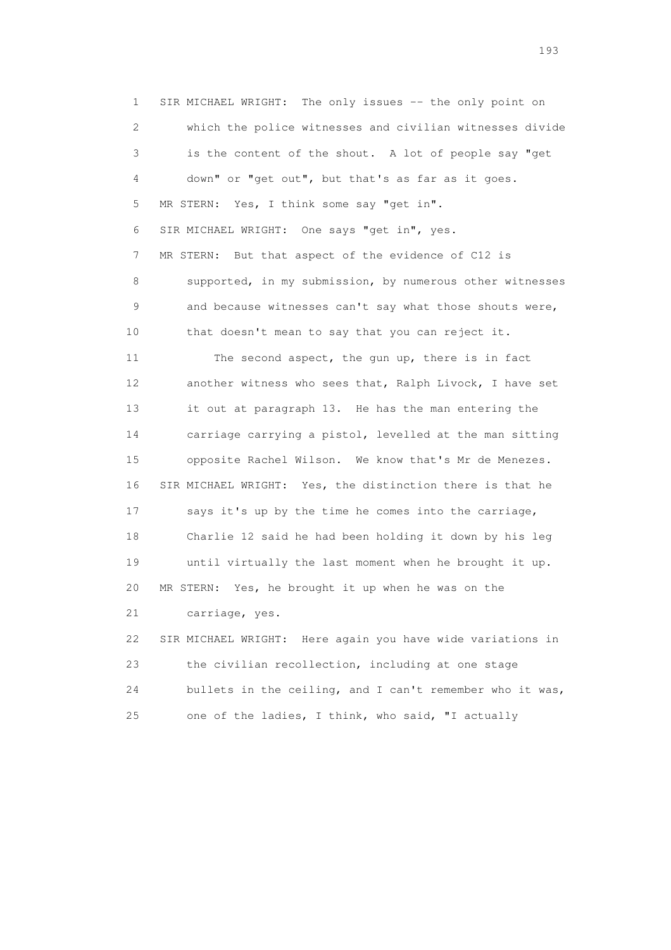1 SIR MICHAEL WRIGHT: The only issues -- the only point on 2 which the police witnesses and civilian witnesses divide 3 is the content of the shout. A lot of people say "get 4 down" or "get out", but that's as far as it goes. 5 MR STERN: Yes, I think some say "get in". 6 SIR MICHAEL WRIGHT: One says "get in", yes. 7 MR STERN: But that aspect of the evidence of C12 is 8 supported, in my submission, by numerous other witnesses 9 and because witnesses can't say what those shouts were, 10 that doesn't mean to say that you can reject it. 11 The second aspect, the gun up, there is in fact 12 another witness who sees that, Ralph Livock, I have set 13 it out at paragraph 13. He has the man entering the 14 carriage carrying a pistol, levelled at the man sitting 15 opposite Rachel Wilson. We know that's Mr de Menezes. 16 SIR MICHAEL WRIGHT: Yes, the distinction there is that he 17 says it's up by the time he comes into the carriage, 18 Charlie 12 said he had been holding it down by his leg 19 until virtually the last moment when he brought it up. 20 MR STERN: Yes, he brought it up when he was on the 21 carriage, yes. 22 SIR MICHAEL WRIGHT: Here again you have wide variations in 23 the civilian recollection, including at one stage 24 bullets in the ceiling, and I can't remember who it was,

25 one of the ladies, I think, who said, "I actually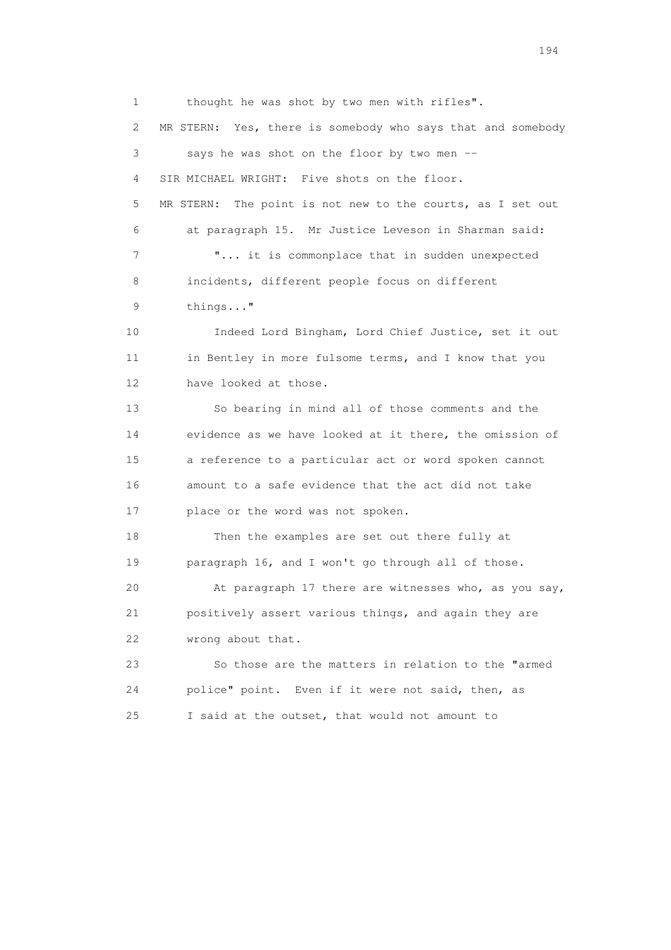1 thought he was shot by two men with rifles". 2 MR STERN: Yes, there is somebody who says that and somebody 3 says he was shot on the floor by two men -- 4 SIR MICHAEL WRIGHT: Five shots on the floor. 5 MR STERN: The point is not new to the courts, as I set out 6 at paragraph 15. Mr Justice Leveson in Sharman said: 7 **"...** it is commonplace that in sudden unexpected 8 incidents, different people focus on different 9 things..." 10 Indeed Lord Bingham, Lord Chief Justice, set it out 11 in Bentley in more fulsome terms, and I know that you 12 have looked at those. 13 So bearing in mind all of those comments and the 14 evidence as we have looked at it there, the omission of 15 a reference to a particular act or word spoken cannot 16 amount to a safe evidence that the act did not take 17 place or the word was not spoken. 18 Then the examples are set out there fully at 19 paragraph 16, and I won't go through all of those. 20 At paragraph 17 there are witnesses who, as you say, 21 positively assert various things, and again they are 22 wrong about that. 23 So those are the matters in relation to the "armed 24 police" point. Even if it were not said, then, as 25 I said at the outset, that would not amount to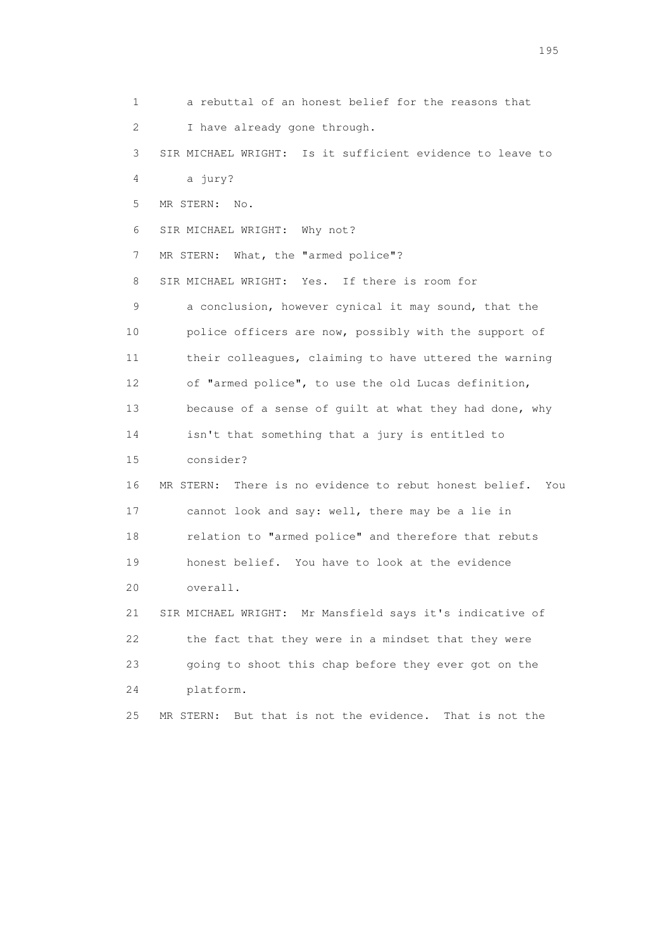1 a rebuttal of an honest belief for the reasons that 2 I have already gone through. 3 SIR MICHAEL WRIGHT: Is it sufficient evidence to leave to 4 a jury? 5 MR STERN: No. 6 SIR MICHAEL WRIGHT: Why not? 7 MR STERN: What, the "armed police"? 8 SIR MICHAEL WRIGHT: Yes. If there is room for 9 a conclusion, however cynical it may sound, that the 10 police officers are now, possibly with the support of 11 their colleagues, claiming to have uttered the warning 12 of "armed police", to use the old Lucas definition, 13 because of a sense of guilt at what they had done, why 14 isn't that something that a jury is entitled to 15 consider? 16 MR STERN: There is no evidence to rebut honest belief. You 17 cannot look and say: well, there may be a lie in 18 relation to "armed police" and therefore that rebuts 19 honest belief. You have to look at the evidence 20 overall. 21 SIR MICHAEL WRIGHT: Mr Mansfield says it's indicative of 22 the fact that they were in a mindset that they were 23 going to shoot this chap before they ever got on the 24 platform. 25 MR STERN: But that is not the evidence. That is not the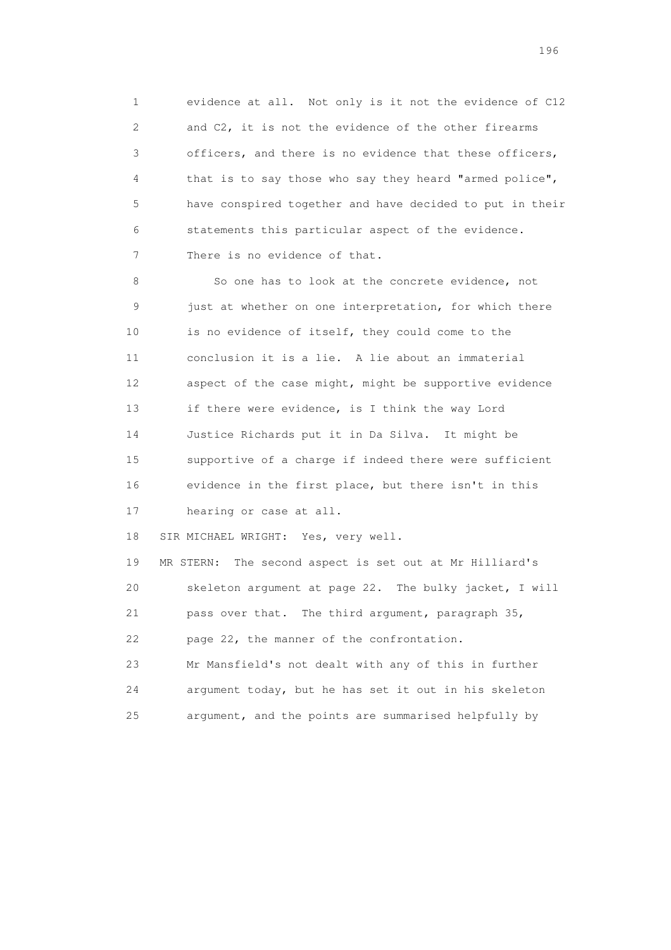1 evidence at all. Not only is it not the evidence of C12 2 and C2, it is not the evidence of the other firearms 3 officers, and there is no evidence that these officers, 4 that is to say those who say they heard "armed police", 5 have conspired together and have decided to put in their 6 statements this particular aspect of the evidence. 7 There is no evidence of that.

8 So one has to look at the concrete evidence, not 9 just at whether on one interpretation, for which there 10 is no evidence of itself, they could come to the 11 conclusion it is a lie. A lie about an immaterial 12 aspect of the case might, might be supportive evidence 13 if there were evidence, is I think the way Lord 14 Justice Richards put it in Da Silva. It might be 15 supportive of a charge if indeed there were sufficient 16 evidence in the first place, but there isn't in this 17 hearing or case at all.

18 SIR MICHAEL WRIGHT: Yes, very well.

 19 MR STERN: The second aspect is set out at Mr Hilliard's 20 skeleton argument at page 22. The bulky jacket, I will 21 pass over that. The third argument, paragraph 35, 22 page 22, the manner of the confrontation. 23 Mr Mansfield's not dealt with any of this in further 24 argument today, but he has set it out in his skeleton

25 argument, and the points are summarised helpfully by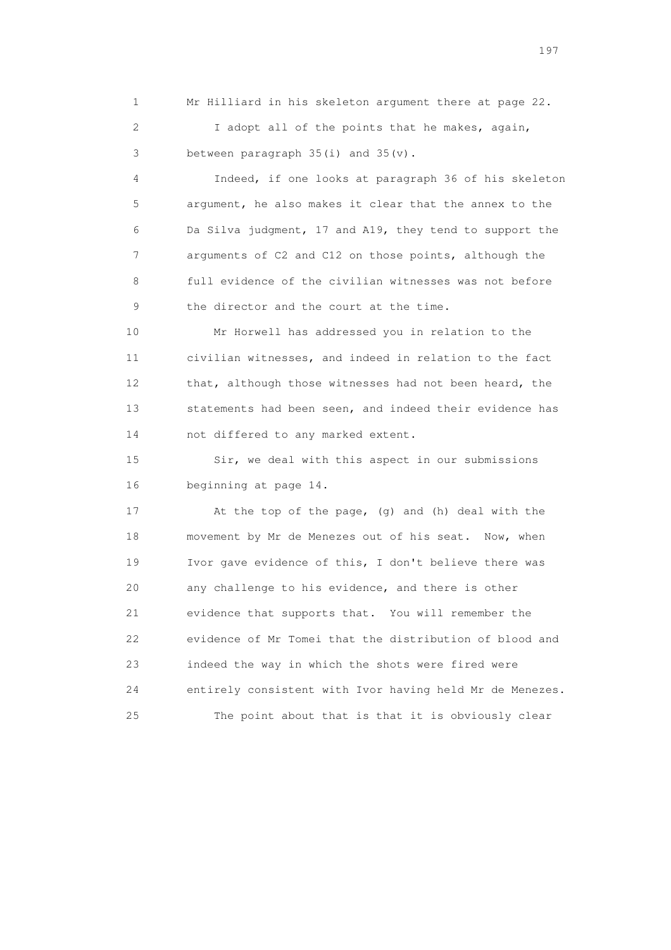1 Mr Hilliard in his skeleton argument there at page 22. 2 I adopt all of the points that he makes, again,

3 between paragraph 35(i) and 35(v).

 4 Indeed, if one looks at paragraph 36 of his skeleton 5 argument, he also makes it clear that the annex to the 6 Da Silva judgment, 17 and A19, they tend to support the 7 arguments of C2 and C12 on those points, although the 8 full evidence of the civilian witnesses was not before 9 the director and the court at the time.

 10 Mr Horwell has addressed you in relation to the 11 civilian witnesses, and indeed in relation to the fact 12 that, although those witnesses had not been heard, the 13 statements had been seen, and indeed their evidence has 14 not differed to any marked extent.

 15 Sir, we deal with this aspect in our submissions 16 beginning at page 14.

 17 At the top of the page, (g) and (h) deal with the 18 movement by Mr de Menezes out of his seat. Now, when 19 Ivor gave evidence of this, I don't believe there was 20 any challenge to his evidence, and there is other 21 evidence that supports that. You will remember the 22 evidence of Mr Tomei that the distribution of blood and 23 indeed the way in which the shots were fired were 24 entirely consistent with Ivor having held Mr de Menezes. 25 The point about that is that it is obviously clear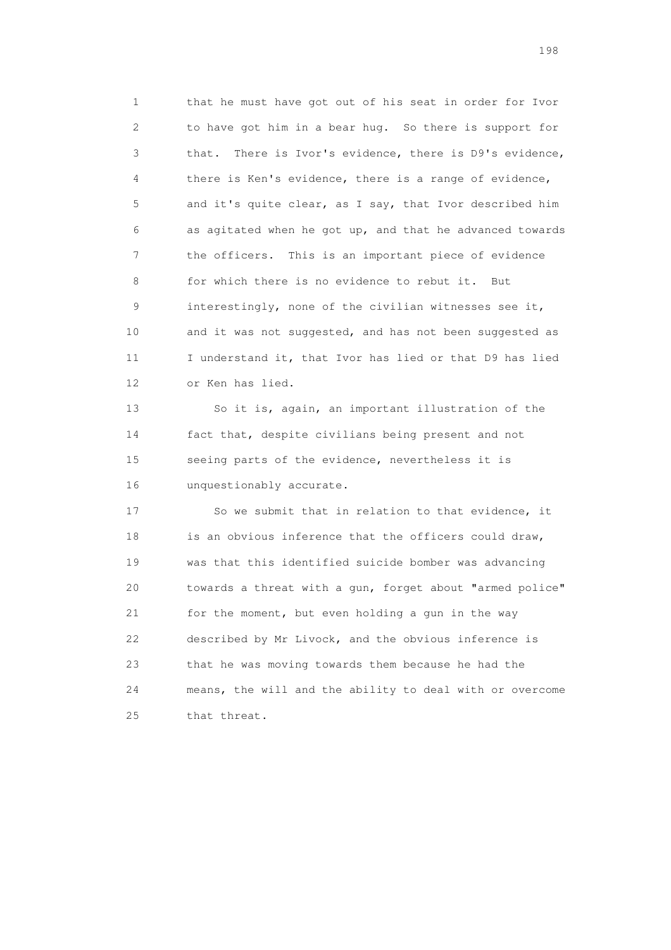1 that he must have got out of his seat in order for Ivor 2 to have got him in a bear hug. So there is support for 3 that. There is Ivor's evidence, there is D9's evidence, 4 there is Ken's evidence, there is a range of evidence, 5 and it's quite clear, as I say, that Ivor described him 6 as agitated when he got up, and that he advanced towards 7 the officers. This is an important piece of evidence 8 for which there is no evidence to rebut it. But 9 interestingly, none of the civilian witnesses see it, 10 and it was not suggested, and has not been suggested as 11 I understand it, that Ivor has lied or that D9 has lied 12 or Ken has lied.

 13 So it is, again, an important illustration of the 14 fact that, despite civilians being present and not 15 seeing parts of the evidence, nevertheless it is 16 unquestionably accurate.

 17 So we submit that in relation to that evidence, it 18 is an obvious inference that the officers could draw, 19 was that this identified suicide bomber was advancing 20 towards a threat with a gun, forget about "armed police" 21 for the moment, but even holding a gun in the way 22 described by Mr Livock, and the obvious inference is 23 that he was moving towards them because he had the 24 means, the will and the ability to deal with or overcome 25 that threat.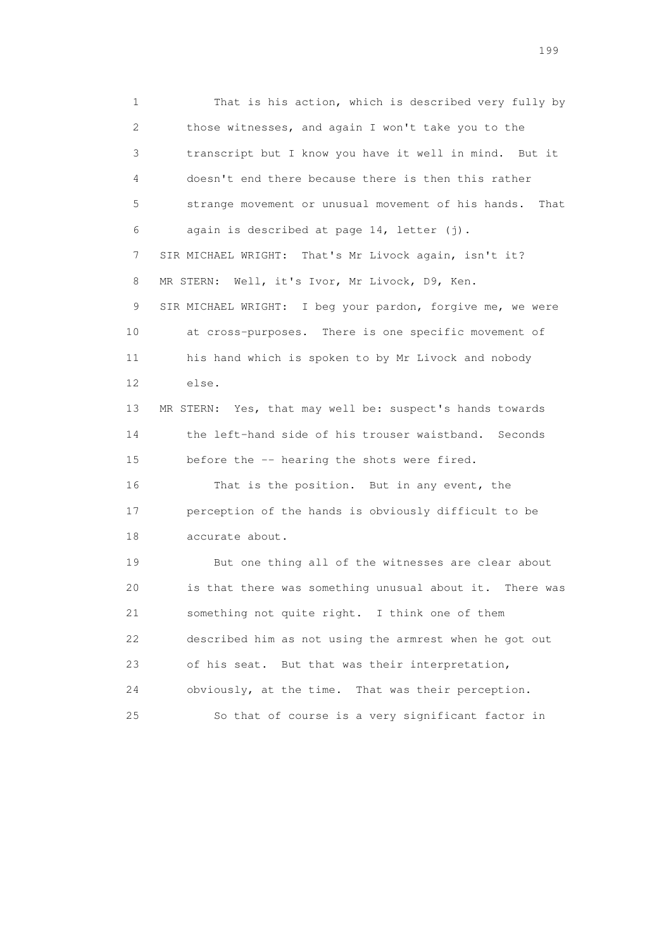1 That is his action, which is described very fully by 2 those witnesses, and again I won't take you to the 3 transcript but I know you have it well in mind. But it 4 doesn't end there because there is then this rather 5 strange movement or unusual movement of his hands. That 6 again is described at page 14, letter (j). 7 SIR MICHAEL WRIGHT: That's Mr Livock again, isn't it? 8 MR STERN: Well, it's Ivor, Mr Livock, D9, Ken. 9 SIR MICHAEL WRIGHT: I beg your pardon, forgive me, we were 10 at cross-purposes. There is one specific movement of 11 his hand which is spoken to by Mr Livock and nobody 12 else. 13 MR STERN: Yes, that may well be: suspect's hands towards 14 the left-hand side of his trouser waistband. Seconds 15 before the -- hearing the shots were fired. 16 That is the position. But in any event, the 17 perception of the hands is obviously difficult to be 18 accurate about. 19 But one thing all of the witnesses are clear about 20 is that there was something unusual about it. There was 21 something not quite right. I think one of them 22 described him as not using the armrest when he got out 23 of his seat. But that was their interpretation, 24 obviously, at the time. That was their perception.

25 So that of course is a very significant factor in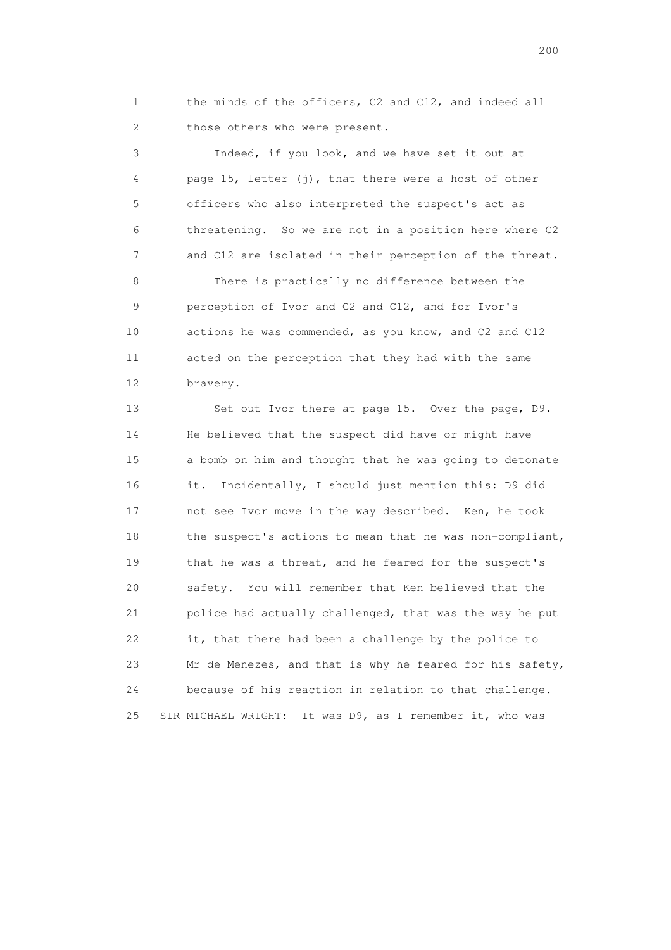1 the minds of the officers, C2 and C12, and indeed all 2 those others who were present.

 3 Indeed, if you look, and we have set it out at 4 page 15, letter (j), that there were a host of other 5 officers who also interpreted the suspect's act as 6 threatening. So we are not in a position here where C2 7 and C12 are isolated in their perception of the threat.

 8 There is practically no difference between the 9 perception of Ivor and C2 and C12, and for Ivor's 10 actions he was commended, as you know, and C2 and C12 11 acted on the perception that they had with the same 12 bravery.

 13 Set out Ivor there at page 15. Over the page, D9. 14 He believed that the suspect did have or might have 15 a bomb on him and thought that he was going to detonate 16 it. Incidentally, I should just mention this: D9 did 17 not see Ivor move in the way described. Ken, he took 18 the suspect's actions to mean that he was non-compliant, 19 that he was a threat, and he feared for the suspect's 20 safety. You will remember that Ken believed that the 21 police had actually challenged, that was the way he put 22 it, that there had been a challenge by the police to 23 Mr de Menezes, and that is why he feared for his safety, 24 because of his reaction in relation to that challenge. 25 SIR MICHAEL WRIGHT: It was D9, as I remember it, who was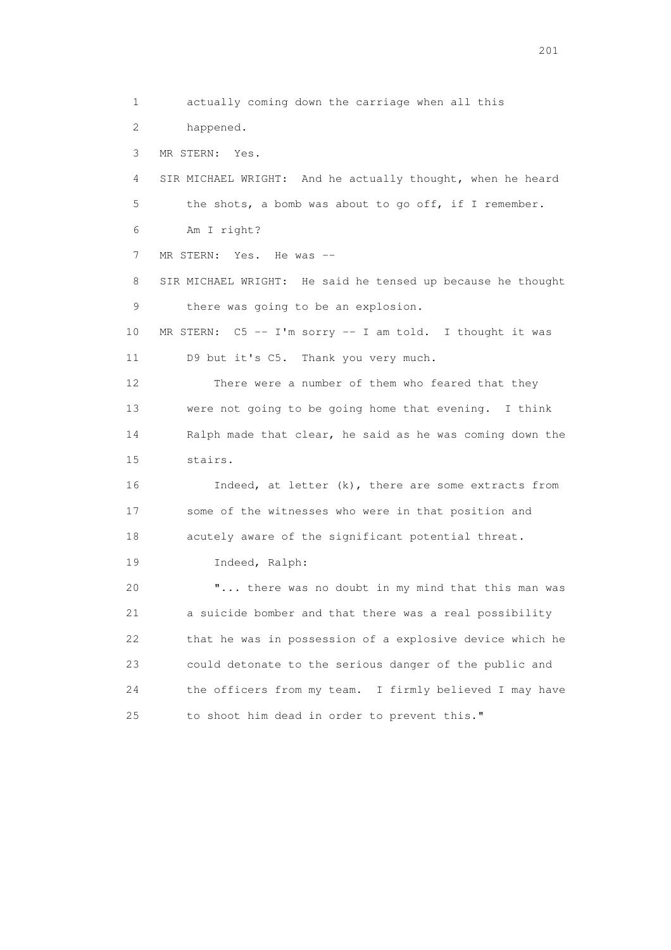1 actually coming down the carriage when all this 2 happened. 3 MR STERN: Yes. 4 SIR MICHAEL WRIGHT: And he actually thought, when he heard 5 the shots, a bomb was about to go off, if I remember. 6 Am I right? 7 MR STERN: Yes. He was -- 8 SIR MICHAEL WRIGHT: He said he tensed up because he thought 9 there was going to be an explosion. 10 MR STERN: C5 -- I'm sorry -- I am told. I thought it was 11 D9 but it's C5. Thank you very much. 12 There were a number of them who feared that they 13 were not going to be going home that evening. I think 14 Ralph made that clear, he said as he was coming down the 15 stairs. 16 Indeed, at letter (k), there are some extracts from 17 some of the witnesses who were in that position and 18 acutely aware of the significant potential threat. 19 Indeed, Ralph: 20 "... there was no doubt in my mind that this man was 21 a suicide bomber and that there was a real possibility 22 that he was in possession of a explosive device which he 23 could detonate to the serious danger of the public and 24 the officers from my team. I firmly believed I may have 25 to shoot him dead in order to prevent this."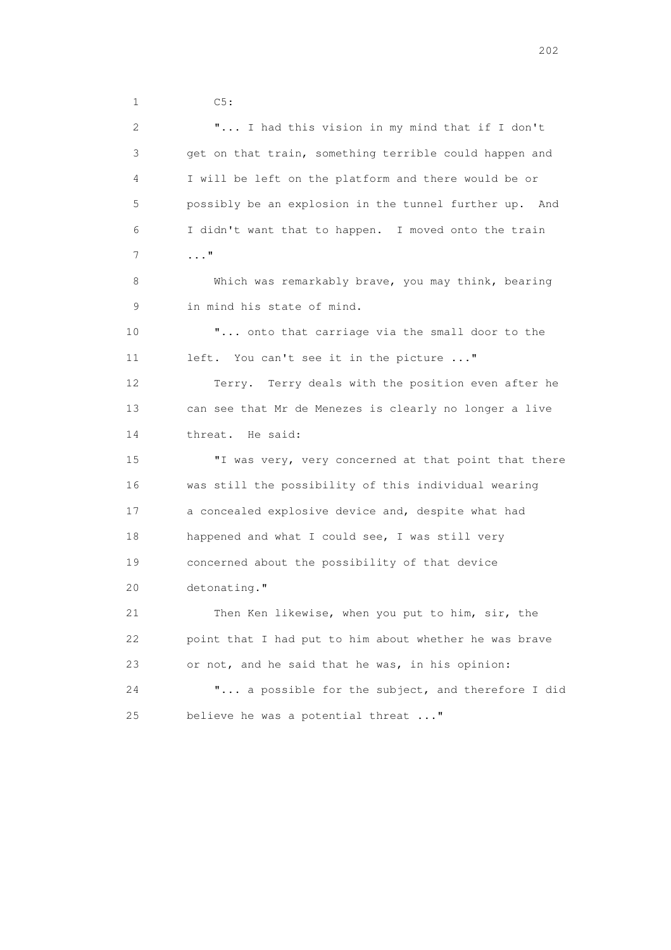1 C5:

 2 "... I had this vision in my mind that if I don't 3 get on that train, something terrible could happen and 4 I will be left on the platform and there would be or 5 possibly be an explosion in the tunnel further up. And 6 I didn't want that to happen. I moved onto the train 7 ..." 8 Which was remarkably brave, you may think, bearing 9 in mind his state of mind. 10 "... onto that carriage via the small door to the 11 left. You can't see it in the picture ..." 12 Terry. Terry deals with the position even after he 13 can see that Mr de Menezes is clearly no longer a live 14 threat. He said: 15 "I was very, very concerned at that point that there 16 was still the possibility of this individual wearing 17 a concealed explosive device and, despite what had 18 happened and what I could see, I was still very 19 concerned about the possibility of that device 20 detonating." 21 Then Ken likewise, when you put to him, sir, the 22 point that I had put to him about whether he was brave 23 or not, and he said that he was, in his opinion: 24 "... a possible for the subject, and therefore I did 25 believe he was a potential threat ..."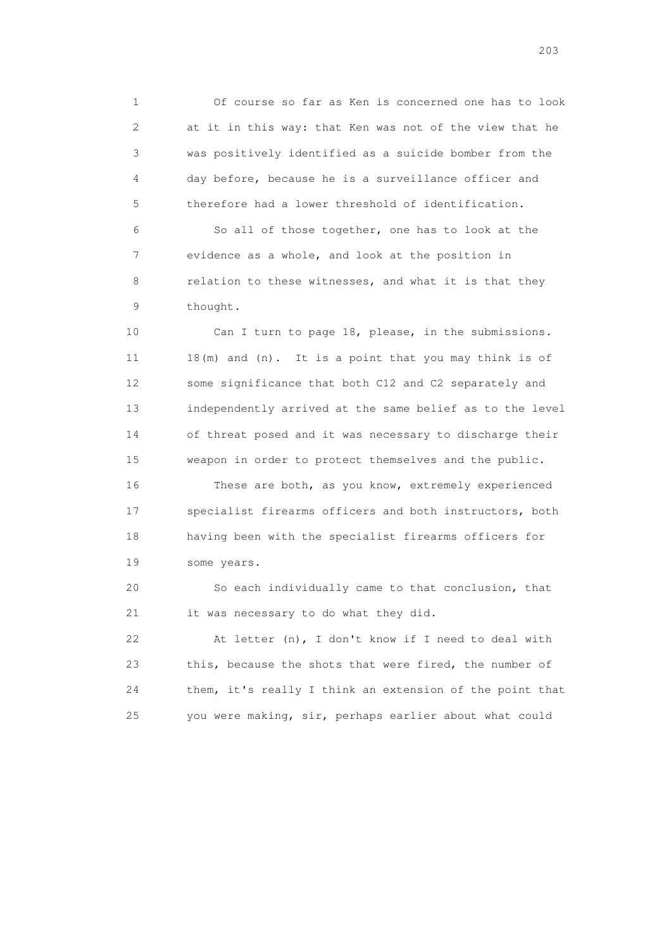1 Of course so far as Ken is concerned one has to look 2 at it in this way: that Ken was not of the view that he 3 was positively identified as a suicide bomber from the 4 day before, because he is a surveillance officer and 5 therefore had a lower threshold of identification.

 6 So all of those together, one has to look at the 7 evidence as a whole, and look at the position in 8 relation to these witnesses, and what it is that they 9 thought.

 10 Can I turn to page 18, please, in the submissions. 11 18(m) and (n). It is a point that you may think is of 12 some significance that both C12 and C2 separately and 13 independently arrived at the same belief as to the level 14 of threat posed and it was necessary to discharge their 15 weapon in order to protect themselves and the public.

 16 These are both, as you know, extremely experienced 17 specialist firearms officers and both instructors, both 18 having been with the specialist firearms officers for 19 some years.

 20 So each individually came to that conclusion, that 21 it was necessary to do what they did.

 22 At letter (n), I don't know if I need to deal with 23 this, because the shots that were fired, the number of 24 them, it's really I think an extension of the point that 25 you were making, sir, perhaps earlier about what could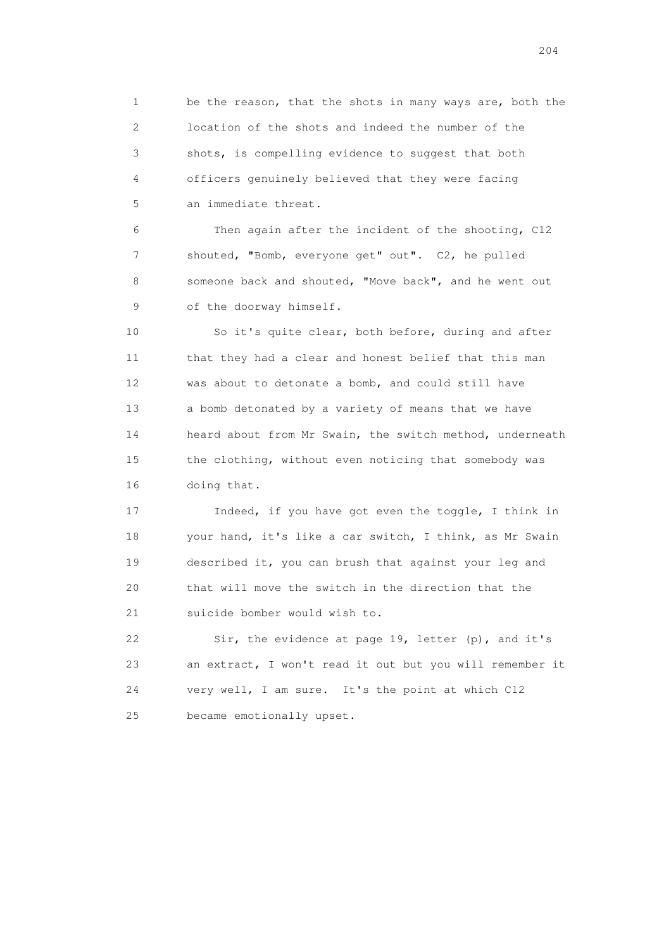1 be the reason, that the shots in many ways are, both the 2 location of the shots and indeed the number of the 3 shots, is compelling evidence to suggest that both 4 officers genuinely believed that they were facing 5 an immediate threat.

 6 Then again after the incident of the shooting, C12 7 shouted, "Bomb, everyone get" out". C2, he pulled 8 someone back and shouted, "Move back", and he went out 9 of the doorway himself.

 10 So it's quite clear, both before, during and after 11 that they had a clear and honest belief that this man 12 was about to detonate a bomb, and could still have 13 a bomb detonated by a variety of means that we have 14 heard about from Mr Swain, the switch method, underneath 15 the clothing, without even noticing that somebody was 16 doing that.

 17 Indeed, if you have got even the toggle, I think in 18 your hand, it's like a car switch, I think, as Mr Swain 19 described it, you can brush that against your leg and 20 that will move the switch in the direction that the 21 suicide bomber would wish to.

 22 Sir, the evidence at page 19, letter (p), and it's 23 an extract, I won't read it out but you will remember it 24 very well, I am sure. It's the point at which C12 25 became emotionally upset.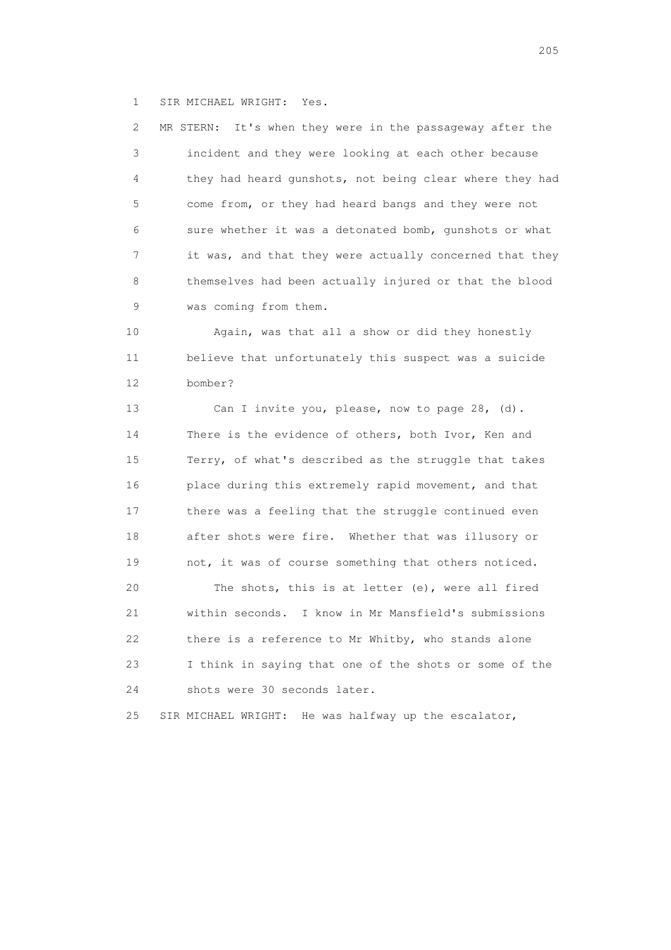1 SIR MICHAEL WRIGHT: Yes.

 2 MR STERN: It's when they were in the passageway after the 3 incident and they were looking at each other because 4 they had heard gunshots, not being clear where they had 5 come from, or they had heard bangs and they were not 6 sure whether it was a detonated bomb, gunshots or what 7 it was, and that they were actually concerned that they 8 themselves had been actually injured or that the blood 9 was coming from them.

 10 Again, was that all a show or did they honestly 11 believe that unfortunately this suspect was a suicide 12 bomber?

 13 Can I invite you, please, now to page 28, (d). 14 There is the evidence of others, both Ivor, Ken and 15 Terry, of what's described as the struggle that takes 16 place during this extremely rapid movement, and that 17 there was a feeling that the struggle continued even 18 after shots were fire. Whether that was illusory or 19 not, it was of course something that others noticed. 20 The shots, this is at letter (e), were all fired 21 within seconds. I know in Mr Mansfield's submissions 22 there is a reference to Mr Whitby, who stands alone 23 I think in saying that one of the shots or some of the 24 shots were 30 seconds later.

25 SIR MICHAEL WRIGHT: He was halfway up the escalator,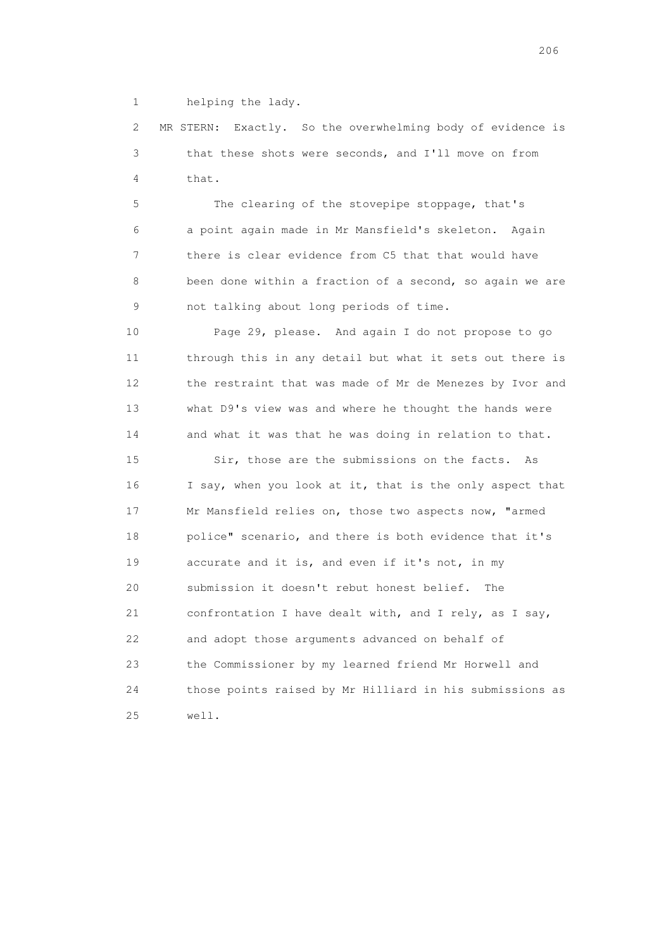1 helping the lady.

 2 MR STERN: Exactly. So the overwhelming body of evidence is 3 that these shots were seconds, and I'll move on from 4 that.

 5 The clearing of the stovepipe stoppage, that's 6 a point again made in Mr Mansfield's skeleton. Again 7 there is clear evidence from C5 that that would have 8 been done within a fraction of a second, so again we are 9 not talking about long periods of time.

 10 Page 29, please. And again I do not propose to go 11 through this in any detail but what it sets out there is 12 the restraint that was made of Mr de Menezes by Ivor and 13 what D9's view was and where he thought the hands were 14 and what it was that he was doing in relation to that.

 15 Sir, those are the submissions on the facts. As 16 I say, when you look at it, that is the only aspect that 17 Mr Mansfield relies on, those two aspects now, "armed 18 police" scenario, and there is both evidence that it's 19 accurate and it is, and even if it's not, in my 20 submission it doesn't rebut honest belief. The 21 confrontation I have dealt with, and I rely, as I say, 22 and adopt those arguments advanced on behalf of 23 the Commissioner by my learned friend Mr Horwell and 24 those points raised by Mr Hilliard in his submissions as 25 well.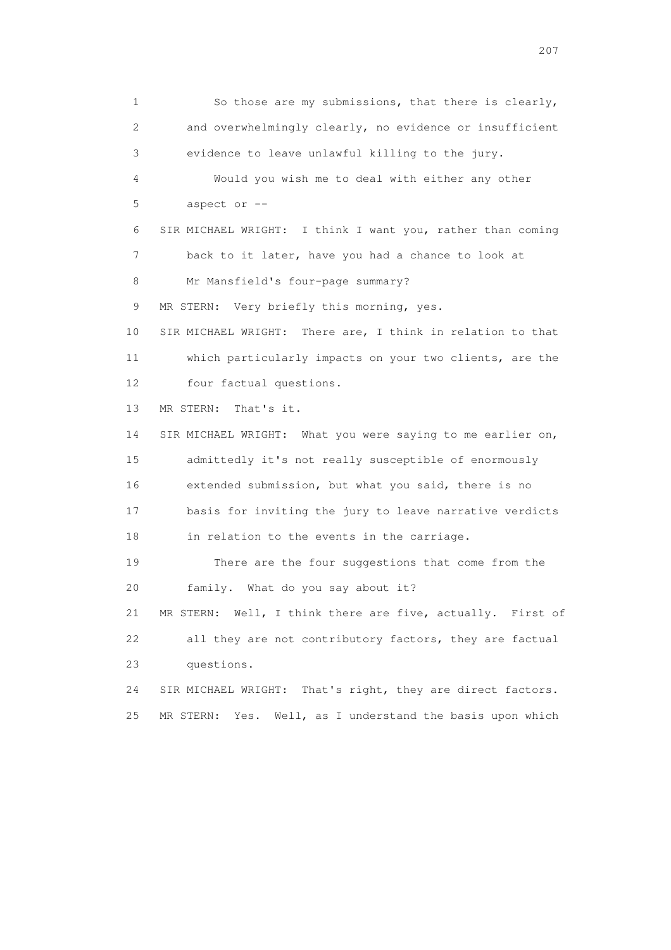1 So those are my submissions, that there is clearly, 2 and overwhelmingly clearly, no evidence or insufficient 3 evidence to leave unlawful killing to the jury. 4 Would you wish me to deal with either any other 5 aspect or -- 6 SIR MICHAEL WRIGHT: I think I want you, rather than coming 7 back to it later, have you had a chance to look at 8 Mr Mansfield's four-page summary? 9 MR STERN: Very briefly this morning, yes. 10 SIR MICHAEL WRIGHT: There are, I think in relation to that 11 which particularly impacts on your two clients, are the 12 four factual questions. 13 MR STERN: That's it. 14 SIR MICHAEL WRIGHT: What you were saying to me earlier on, 15 admittedly it's not really susceptible of enormously 16 extended submission, but what you said, there is no 17 basis for inviting the jury to leave narrative verdicts 18 in relation to the events in the carriage. 19 There are the four suggestions that come from the 20 family. What do you say about it? 21 MR STERN: Well, I think there are five, actually. First of 22 all they are not contributory factors, they are factual 23 questions. 24 SIR MICHAEL WRIGHT: That's right, they are direct factors. 25 MR STERN: Yes. Well, as I understand the basis upon which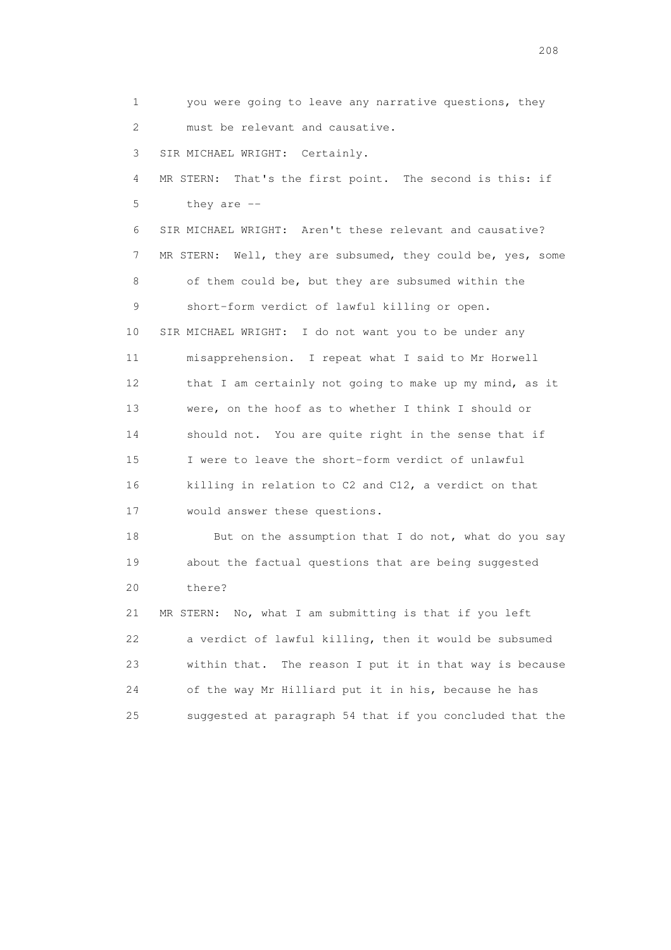1 you were going to leave any narrative questions, they 2 must be relevant and causative. 3 SIR MICHAEL WRIGHT: Certainly. 4 MR STERN: That's the first point. The second is this: if 5 they are -- 6 SIR MICHAEL WRIGHT: Aren't these relevant and causative? 7 MR STERN: Well, they are subsumed, they could be, yes, some 8 of them could be, but they are subsumed within the 9 short-form verdict of lawful killing or open. 10 SIR MICHAEL WRIGHT: I do not want you to be under any 11 misapprehension. I repeat what I said to Mr Horwell 12 that I am certainly not going to make up my mind, as it 13 were, on the hoof as to whether I think I should or 14 should not. You are quite right in the sense that if 15 I were to leave the short-form verdict of unlawful 16 killing in relation to C2 and C12, a verdict on that 17 would answer these questions. 18 But on the assumption that I do not, what do you say 19 about the factual questions that are being suggested 20 there? 21 MR STERN: No, what I am submitting is that if you left 22 a verdict of lawful killing, then it would be subsumed 23 within that. The reason I put it in that way is because

 24 of the way Mr Hilliard put it in his, because he has 25 suggested at paragraph 54 that if you concluded that the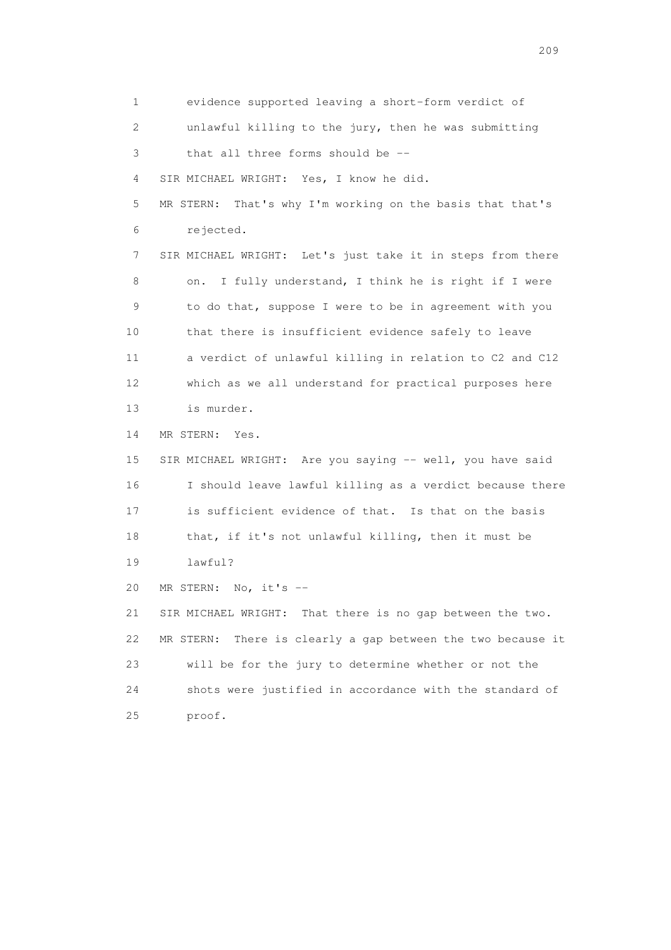1 evidence supported leaving a short-form verdict of 2 unlawful killing to the jury, then he was submitting 3 that all three forms should be -- 4 SIR MICHAEL WRIGHT: Yes, I know he did. 5 MR STERN: That's why I'm working on the basis that that's 6 rejected. 7 SIR MICHAEL WRIGHT: Let's just take it in steps from there 8 on. I fully understand, I think he is right if I were 9 to do that, suppose I were to be in agreement with you 10 that there is insufficient evidence safely to leave 11 a verdict of unlawful killing in relation to C2 and C12 12 which as we all understand for practical purposes here 13 is murder. 14 MR STERN: Yes. 15 SIR MICHAEL WRIGHT: Are you saying -- well, you have said 16 I should leave lawful killing as a verdict because there 17 is sufficient evidence of that. Is that on the basis 18 that, if it's not unlawful killing, then it must be 19 lawful? 20 MR STERN: No, it's -- 21 SIR MICHAEL WRIGHT: That there is no gap between the two. 22 MR STERN: There is clearly a gap between the two because it 23 will be for the jury to determine whether or not the 24 shots were justified in accordance with the standard of 25 proof.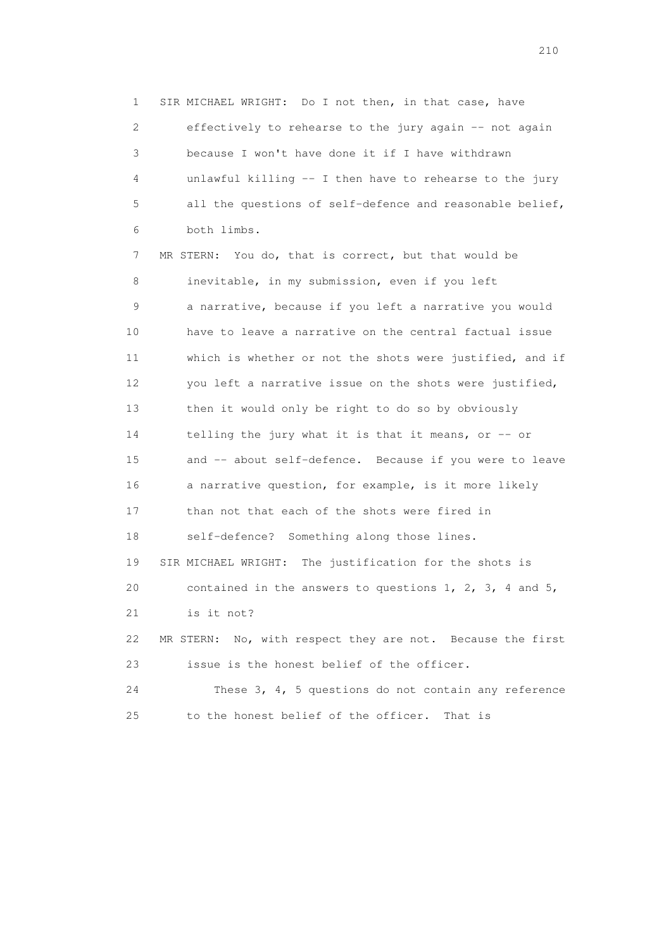1 SIR MICHAEL WRIGHT: Do I not then, in that case, have 2 effectively to rehearse to the jury again -- not again 3 because I won't have done it if I have withdrawn 4 unlawful killing -- I then have to rehearse to the jury 5 all the questions of self-defence and reasonable belief, 6 both limbs.

 7 MR STERN: You do, that is correct, but that would be 8 inevitable, in my submission, even if you left 9 a narrative, because if you left a narrative you would 10 have to leave a narrative on the central factual issue 11 which is whether or not the shots were justified, and if 12 you left a narrative issue on the shots were justified, 13 then it would only be right to do so by obviously 14 telling the jury what it is that it means, or -- or 15 and -- about self-defence. Because if you were to leave 16 a narrative question, for example, is it more likely 17 than not that each of the shots were fired in 18 self-defence? Something along those lines. 19 SIR MICHAEL WRIGHT: The justification for the shots is 20 contained in the answers to questions 1, 2, 3, 4 and 5, 21 is it not? 22 MR STERN: No, with respect they are not. Because the first 23 issue is the honest belief of the officer. 24 These 3, 4, 5 questions do not contain any reference

25 to the honest belief of the officer. That is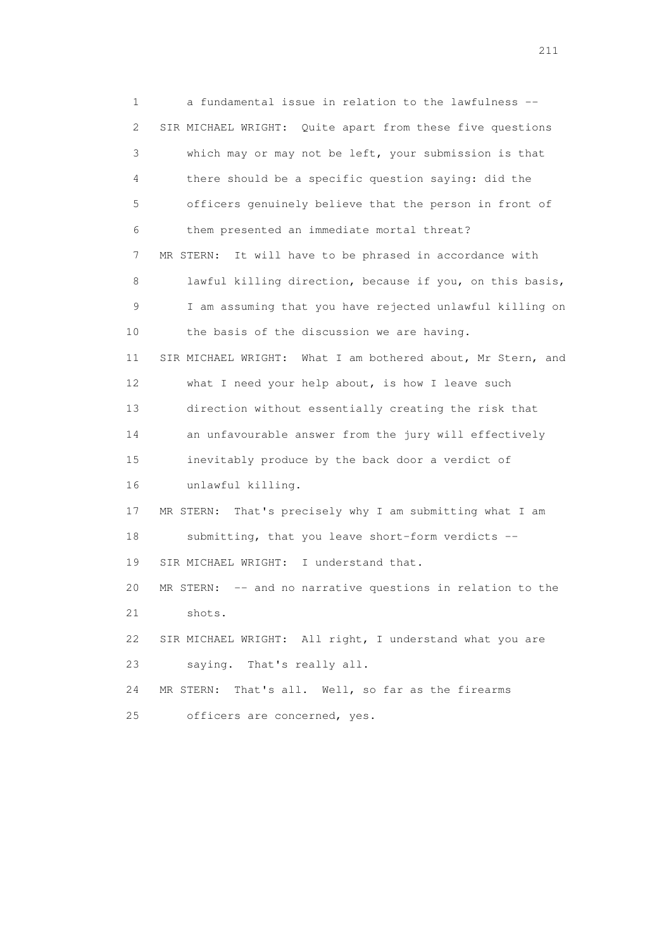1 a fundamental issue in relation to the lawfulness -- 2 SIR MICHAEL WRIGHT: Quite apart from these five questions 3 which may or may not be left, your submission is that 4 there should be a specific question saying: did the 5 officers genuinely believe that the person in front of 6 them presented an immediate mortal threat? 7 MR STERN: It will have to be phrased in accordance with 8 lawful killing direction, because if you, on this basis, 9 I am assuming that you have rejected unlawful killing on 10 the basis of the discussion we are having. 11 SIR MICHAEL WRIGHT: What I am bothered about, Mr Stern, and 12 what I need your help about, is how I leave such 13 direction without essentially creating the risk that 14 an unfavourable answer from the jury will effectively 15 inevitably produce by the back door a verdict of 16 unlawful killing. 17 MR STERN: That's precisely why I am submitting what I am 18 submitting, that you leave short-form verdicts -- 19 SIR MICHAEL WRIGHT: I understand that. 20 MR STERN: -- and no narrative questions in relation to the 21 shots. 22 SIR MICHAEL WRIGHT: All right, I understand what you are 23 saying. That's really all. 24 MR STERN: That's all. Well, so far as the firearms 25 officers are concerned, yes.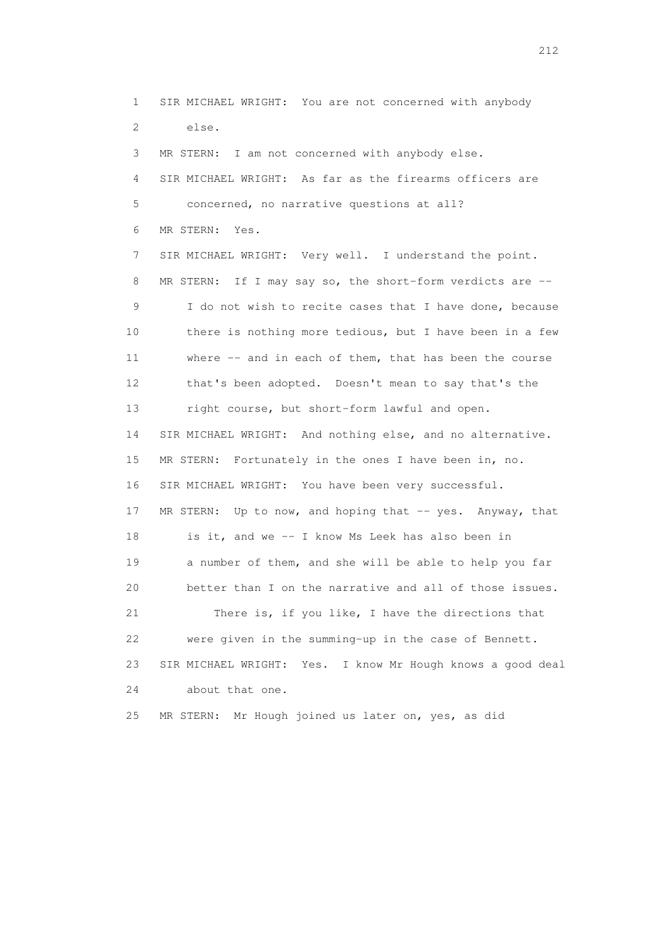1 SIR MICHAEL WRIGHT: You are not concerned with anybody 2 else. 3 MR STERN: I am not concerned with anybody else. 4 SIR MICHAEL WRIGHT: As far as the firearms officers are 5 concerned, no narrative questions at all? 6 MR STERN: Yes. 7 SIR MICHAEL WRIGHT: Very well. I understand the point. 8 MR STERN: If I may say so, the short-form verdicts are -- 9 I do not wish to recite cases that I have done, because 10 there is nothing more tedious, but I have been in a few 11 where -- and in each of them, that has been the course 12 that's been adopted. Doesn't mean to say that's the 13 right course, but short-form lawful and open. 14 SIR MICHAEL WRIGHT: And nothing else, and no alternative. 15 MR STERN: Fortunately in the ones I have been in, no. 16 SIR MICHAEL WRIGHT: You have been very successful. 17 MR STERN: Up to now, and hoping that -- yes. Anyway, that 18 is it, and we -- I know Ms Leek has also been in 19 a number of them, and she will be able to help you far 20 better than I on the narrative and all of those issues. 21 There is, if you like, I have the directions that 22 were given in the summing-up in the case of Bennett. 23 SIR MICHAEL WRIGHT: Yes. I know Mr Hough knows a good deal 24 about that one. 25 MR STERN: Mr Hough joined us later on, yes, as did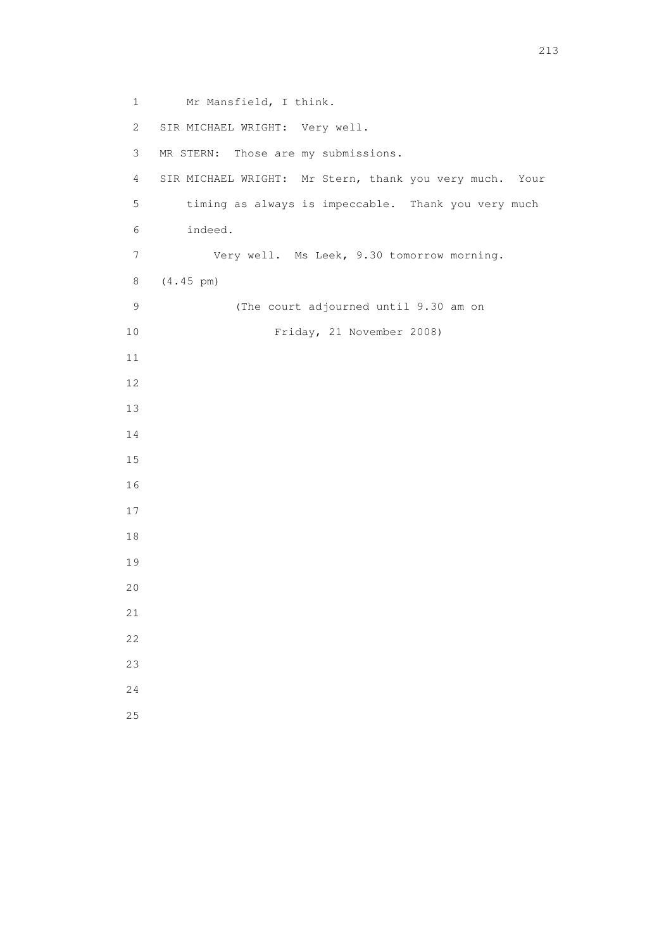1 Mr Mansfield, I think. 2 SIR MICHAEL WRIGHT: Very well. 3 MR STERN: Those are my submissions. 4 SIR MICHAEL WRIGHT: Mr Stern, thank you very much. Your 5 timing as always is impeccable. Thank you very much 6 indeed. 7 Very well. Ms Leek, 9.30 tomorrow morning. 8 (4.45 pm) 9 (The court adjourned until 9.30 am on 10 Friday, 21 November 2008)